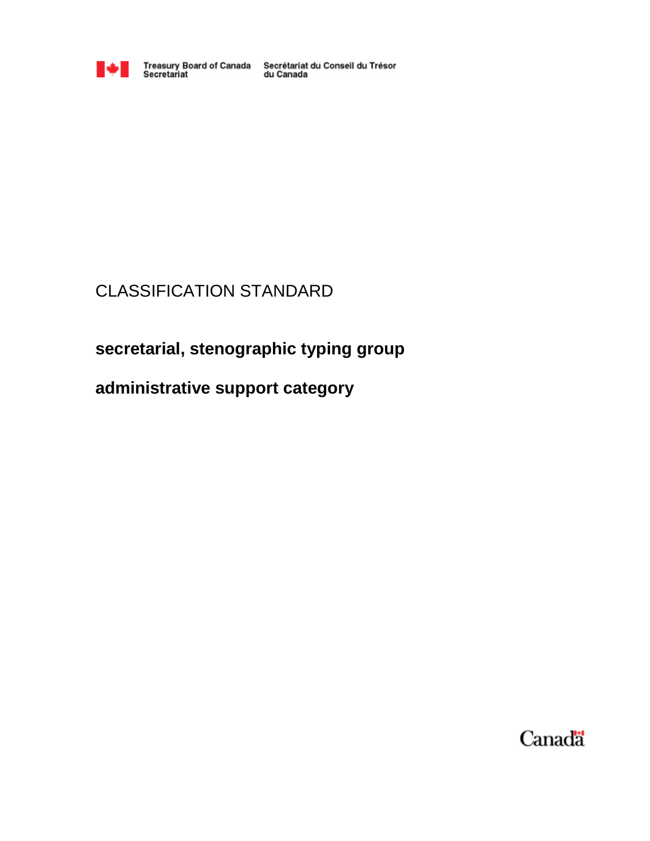

Treasury Board of Canada Secrétariat du Conseil du Trésor<br>Secretariat du Canada

# CLASSIFICATION STANDARD

# **secretarial, stenographic typing group**

# **administrative support category**

Canada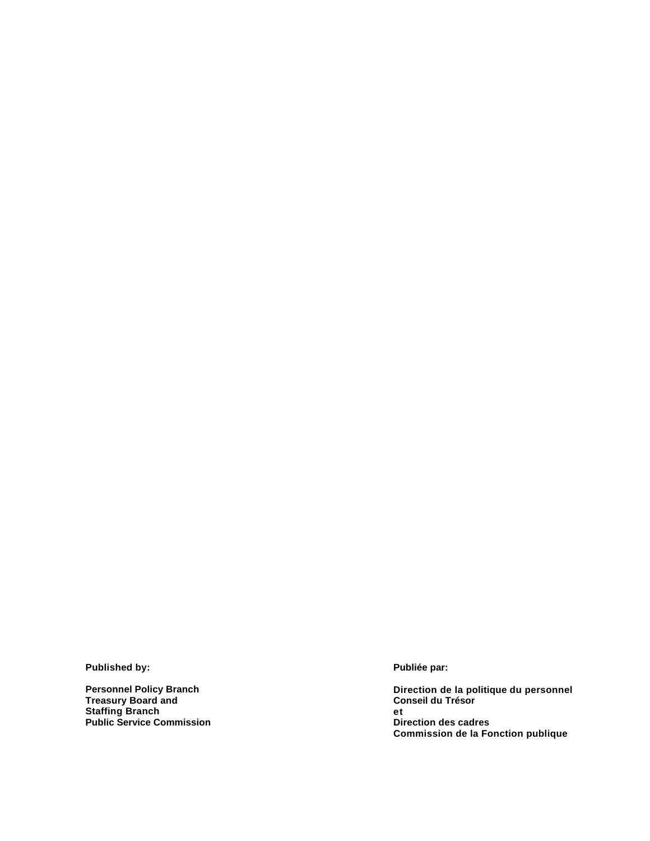**Published by:** 

**Personnel Policy Branch Treasury Board and Staffing Branch Public Service Commission**  **Publiée par:** 

**Direction de la politique du personnel Conseil du Trésor et Direction des cadres Commission de la Fonction publique**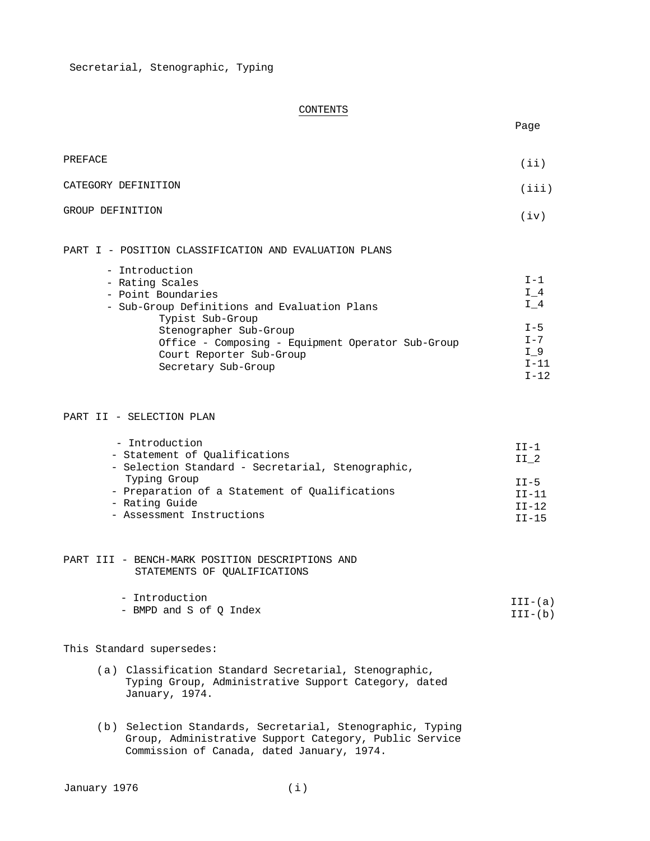# CONTENTS

| PREFACE             | (iii) |
|---------------------|-------|
| CATEGORY DEFINITION | (iii) |
| GROUP DEFINITION    | (iv)  |

#### PART I - POSITION CLASSIFICATION AND EVALUATION PLANS

| - Introduction                                                                                                                                     |                                                   |
|----------------------------------------------------------------------------------------------------------------------------------------------------|---------------------------------------------------|
| - Rating Scales                                                                                                                                    | $T-1$                                             |
| - Point Boundaries                                                                                                                                 | $I$ 4                                             |
| - Sub-Group Definitions and Evaluation Plans                                                                                                       | I 4                                               |
| Typist Sub-Group<br>Stenographer Sub-Group<br>Office - Composing - Equipment Operator Sub-Group<br>Court Reporter Sub-Group<br>Secretary Sub-Group | $I - 5$<br>$T - 7$<br>I 9<br>$T - 11$<br>$T - 12$ |

#### PART II - SELECTION PLAN

| - Introduction<br>- Statement of Oualifications<br>- Selection Standard - Secretarial, Stenographic, | $TT-1$<br>II <sub>2</sub> |
|------------------------------------------------------------------------------------------------------|---------------------------|
| Typing Group                                                                                         | $TT-5$                    |
| - Preparation of a Statement of Qualifications                                                       | $TT-11$                   |
| - Rating Guide                                                                                       | $TT-12$                   |
| - Assessment Instructions                                                                            | $TT-15$                   |

# PART III - BENCH-MARK POSITION DESCRIPTIONS AND STATEMENTS OF QUALIFICATIONS

| - Introduction          | $III-(a)$ |
|-------------------------|-----------|
| - BMPD and S of O Index | III-(b)   |

# This Standard supersedes:

- (a) Classification Standard Secretarial, Stenographic, Typing Group, Administrative Support Category, dated January, 1974.
- (b) Selection Standards, Secretarial, Stenographic, Typing Group, Administrative Support Category, Public Service Commission of Canada, dated January, 1974.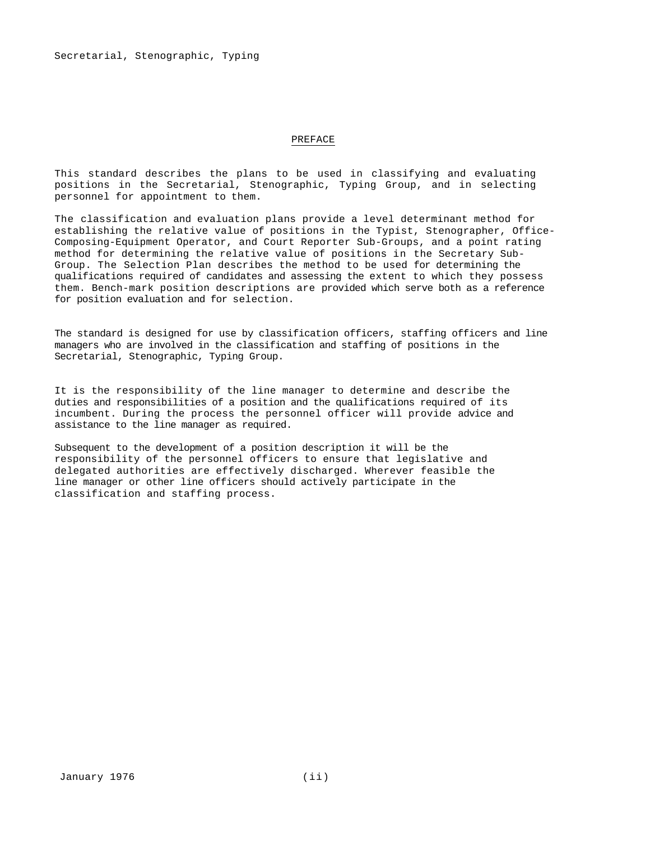#### PREFACE

This standard describes the plans to be used in classifying and evaluating positions in the Secretarial, Stenographic, Typing Group, and in selecting personnel for appointment to them.

The classification and evaluation plans provide a level determinant method for establishing the relative value of positions in the Typist, Stenographer, Office-Composing-Equipment Operator, and Court Reporter Sub-Groups, and a point rating method for determining the relative value of positions in the Secretary Sub-Group. The Selection Plan describes the method to be used for determining the qualifications required of candidates and assessing the extent to which they possess them. Bench-mark position descriptions are provided which serve both as a reference for position evaluation and for selection.

The standard is designed for use by classification officers, staffing officers and line managers who are involved in the classification and staffing of positions in the Secretarial, Stenographic, Typing Group.

It is the responsibility of the line manager to determine and describe the duties and responsibilities of a position and the qualifications required of its incumbent. During the process the personnel officer will provide advice and assistance to the line manager as required.

Subsequent to the development of a position description it will be the responsibility of the personnel officers to ensure that legislative and delegated authorities are effectively discharged. Wherever feasible the line manager or other line officers should actively participate in the classification and staffing process.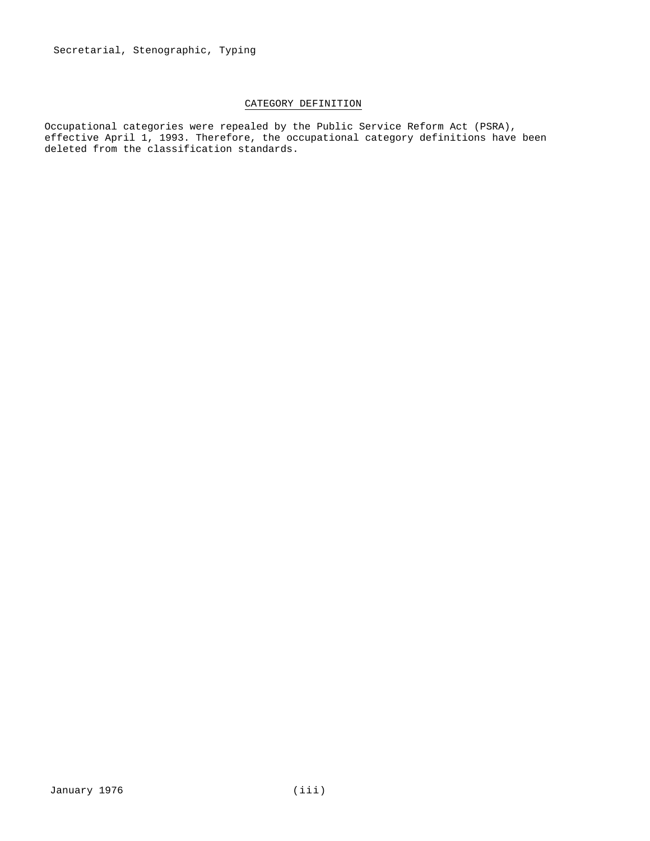# CATEGORY DEFINITION

Occupational categories were repealed by the Public Service Reform Act (PSRA), effective April 1, 1993. Therefore, the occupational category definitions have been deleted from the classification standards.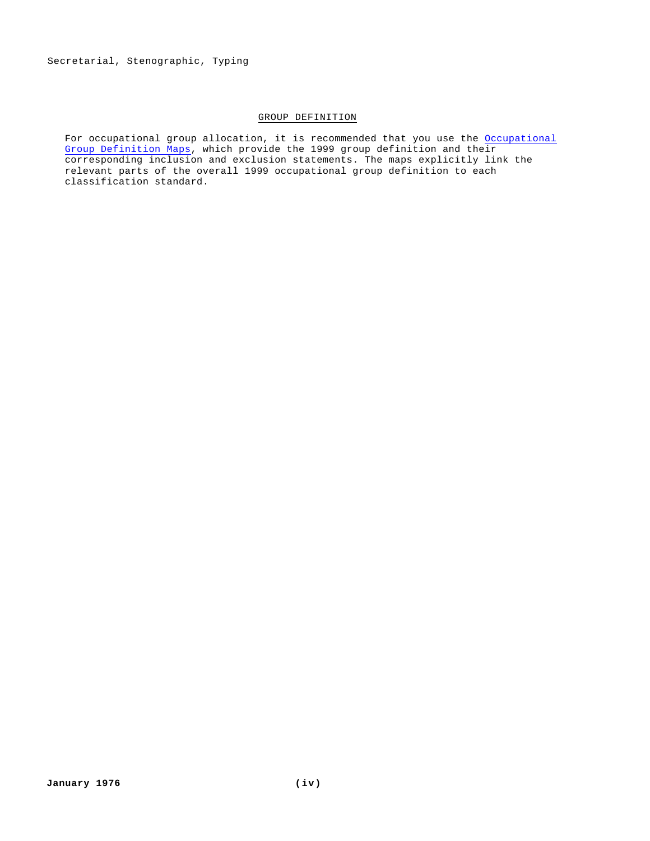# GROUP DEFINITION

For occupational group allocation, it is recommended that you use the Occupational Group Definition Maps, which provide the 1999 group definition and their corresponding inclusion and exclusion statements. The maps explicitly link the relevant parts of the overall 1999 occupational group definition to each classification standard.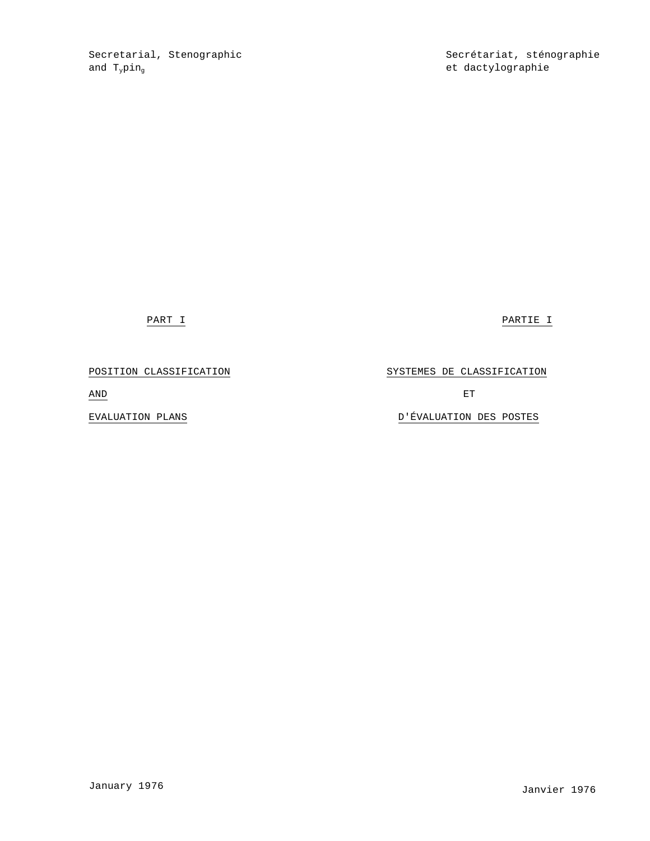Secretarial, Stenographic Secrétariat, sténographie and  $T_{y}pin_{g}$  et dactylographie

PART I PARTIE I

# POSITION CLASSIFICATION **Example 3** SYSTEMES DE CLASSIFICATION

AND ET

EVALUATION PLANS D'ÉVALUATION DES POSTES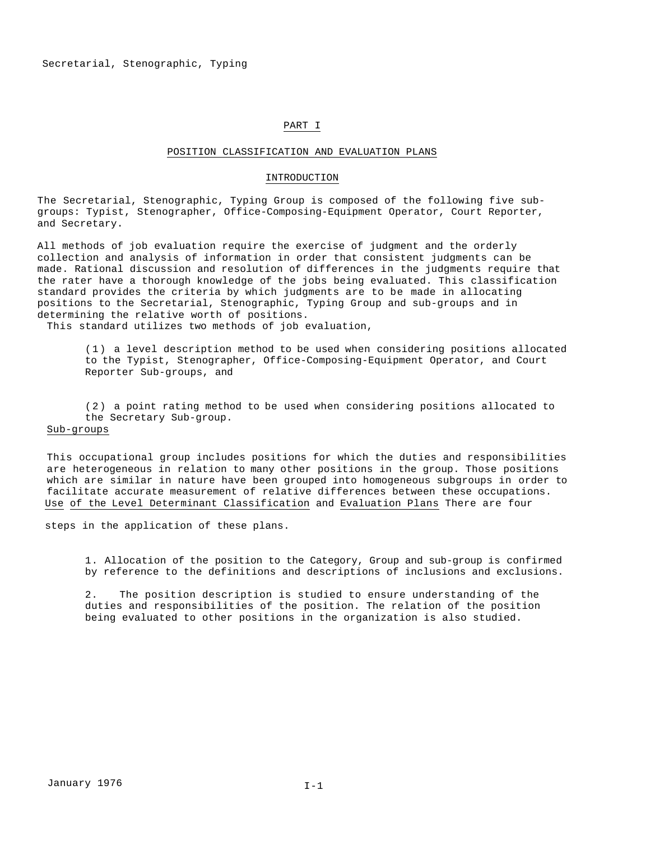#### PART I

#### POSITION CLASSIFICATION AND EVALUATION PLANS

#### INTRODUCTION

The Secretarial, Stenographic, Typing Group is composed of the following five subgroups: Typist, Stenographer, Office-Composing-Equipment Operator, Court Reporter, and Secretary.

All methods of job evaluation require the exercise of judgment and the orderly collection and analysis of information in order that consistent judgments can be made. Rational discussion and resolution of differences in the judgments require that the rater have a thorough knowledge of the jobs being evaluated. This classification standard provides the criteria by which judgments are to be made in allocating positions to the Secretarial, Stenographic, Typing Group and sub-groups and in determining the relative worth of positions.

This standard utilizes two methods of job evaluation,

( 1 ) a level description method to be used when considering positions allocated to the Typist, Stenographer, Office-Composing-Equipment Operator, and Court Reporter Sub-groups, and

( 2 ) a point rating method to be used when considering positions allocated to the Secretary Sub-group.

# Sub-groups

This occupational group includes positions for which the duties and responsibilities are heterogeneous in relation to many other positions in the group. Those positions which are similar in nature have been grouped into homogeneous subgroups in order to facilitate accurate measurement of relative differences between these occupations. Use of the Level Determinant Classification and Evaluation Plans There are four

steps in the application of these plans.

1. Allocation of the position to the Category, Group and sub-group is confirmed by reference to the definitions and descriptions of inclusions and exclusions.

2. The position description is studied to ensure understanding of the duties and responsibilities of the position. The relation of the position being evaluated to other positions in the organization is also studied.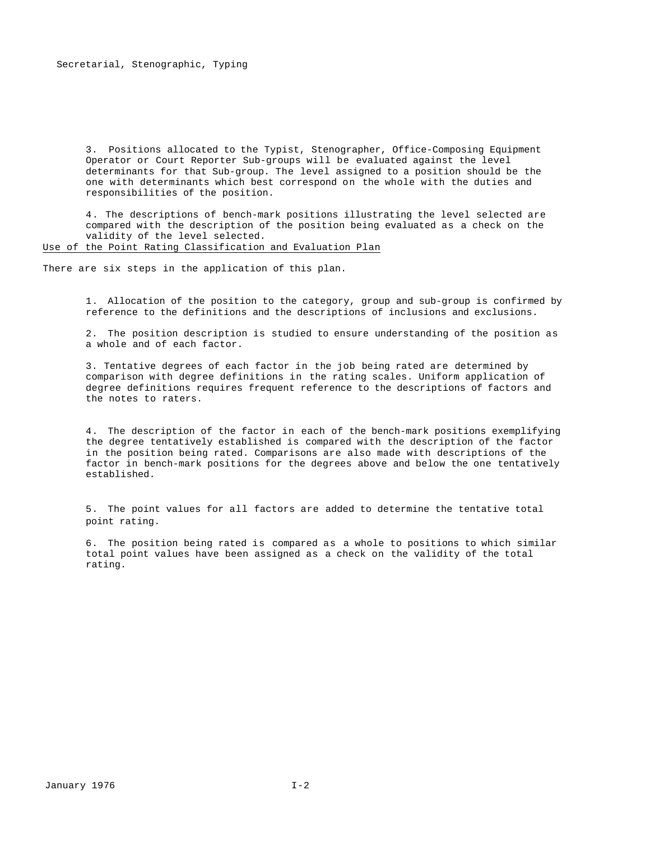3. Positions allocated to the Typist, Stenographer, Office-Composing Equipment Operator or Court Reporter Sub-groups will be evaluated against the level determinants for that Sub-group. The level assigned to a position should be the one with determinants which best correspond on the whole with the duties and responsibilities of the position.

4. The descriptions of bench-mark positions illustrating the level selected are compared with the description of the position being evaluated as a check on the validity of the level selected.

Use of the Point Rating Classification and Evaluation Plan

There are six steps in the application of this plan.

1. Allocation of the position to the category, group and sub-group is confirmed by reference to the definitions and the descriptions of inclusions and exclusions.

2. The position description is studied to ensure understanding of the position as a whole and of each factor.

3. Tentative degrees of each factor in the job being rated are determined by comparison with degree definitions in the rating scales. Uniform application of degree definitions requires frequent reference to the descriptions of factors and the notes to raters.

4. The description of the factor in each of the bench-mark positions exemplifying the degree tentatively established is compared with the description of the factor in the position being rated. Comparisons are also made with descriptions of the factor in bench-mark positions for the degrees above and below the one tentatively established.

5. The point values for all factors are added to determine the tentative total point rating.

6. The position being rated is compared as a whole to positions to which similar total point values have been assigned as a check on the validity of the total rating.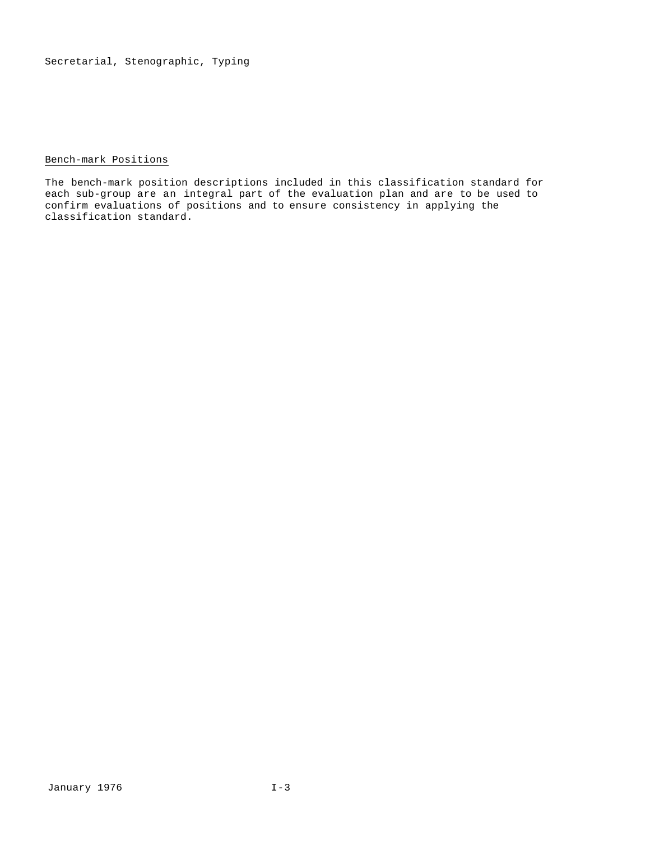# Bench-mark Positions

The bench-mark position descriptions included in this classification standard for each sub-group are an integral part of the evaluation plan and are to be used to confirm evaluations of positions and to ensure consistency in applying the classification standard.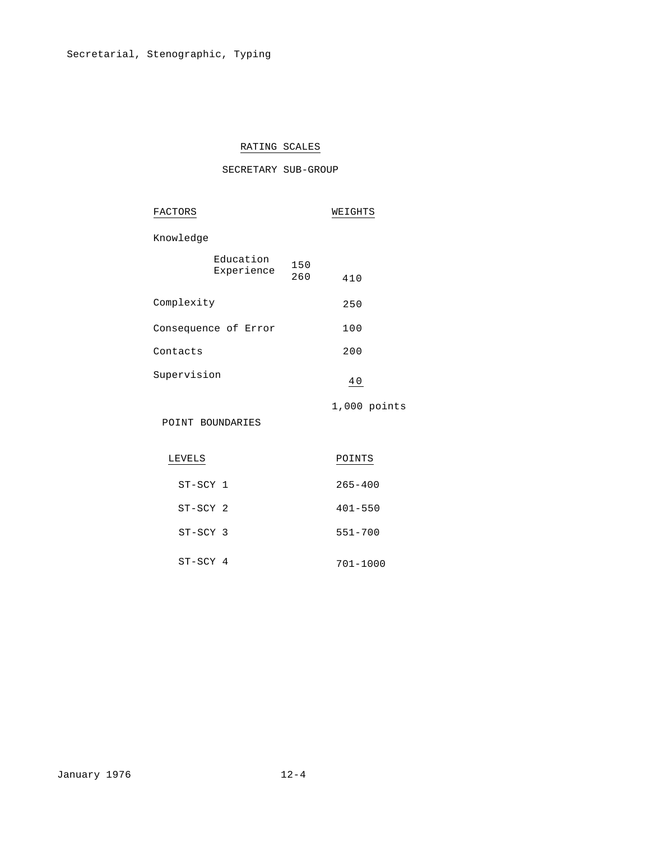# RATING SCALES

# SECRETARY SUB-GROUP

| FACTORS              |                         | WEIGHTS    |                |  |
|----------------------|-------------------------|------------|----------------|--|
| Knowledge            |                         |            |                |  |
|                      | Education<br>Experience | 150<br>260 | 410            |  |
| Complexity           |                         |            | 250            |  |
| Consequence of Error |                         |            | 100            |  |
| Contacts             |                         |            | 200            |  |
| Supervision          |                         |            | 40             |  |
| POINT BOUNDARIES     |                         |            | $1,000$ points |  |
| LEVELS               |                         |            | POINTS         |  |
| ST-SCY 1             |                         |            | $265 - 400$    |  |
| ST-SCY 2             |                         |            | $401 - 550$    |  |
| ST-SCY 3             |                         |            | $551 - 700$    |  |
|                      |                         |            |                |  |

ST-SCY 4 701-1000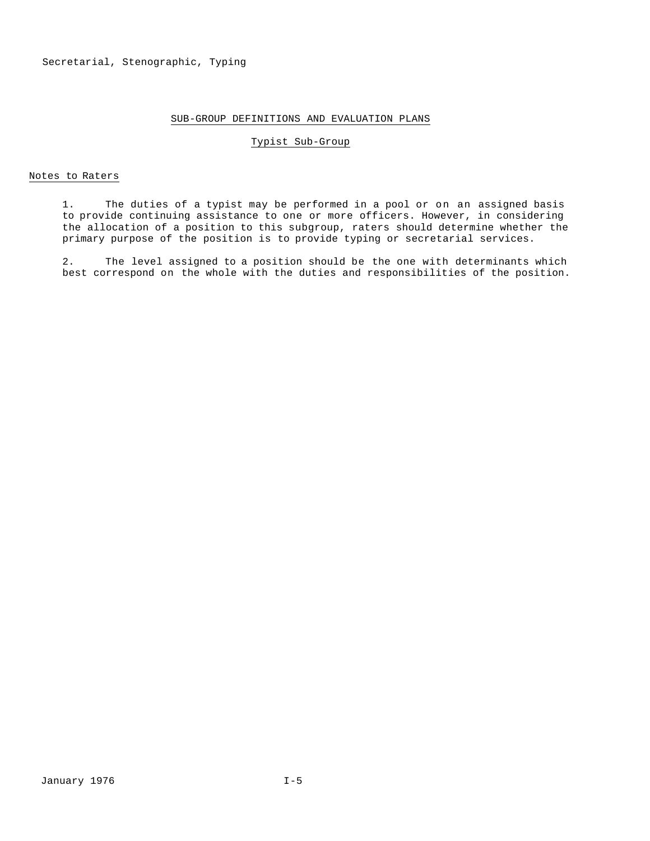# SUB-GROUP DEFINITIONS AND EVALUATION PLANS

#### Typist Sub-Group

#### Notes to Raters

1. The duties of a typist may be performed in a pool or on an assigned basis to provide continuing assistance to one or more officers. However, in considering the allocation of a position to this subgroup, raters should determine whether the primary purpose of the position is to provide typing or secretarial services.

2. The level assigned to a position should be the one with determinants which best correspond on the whole with the duties and responsibilities of the position.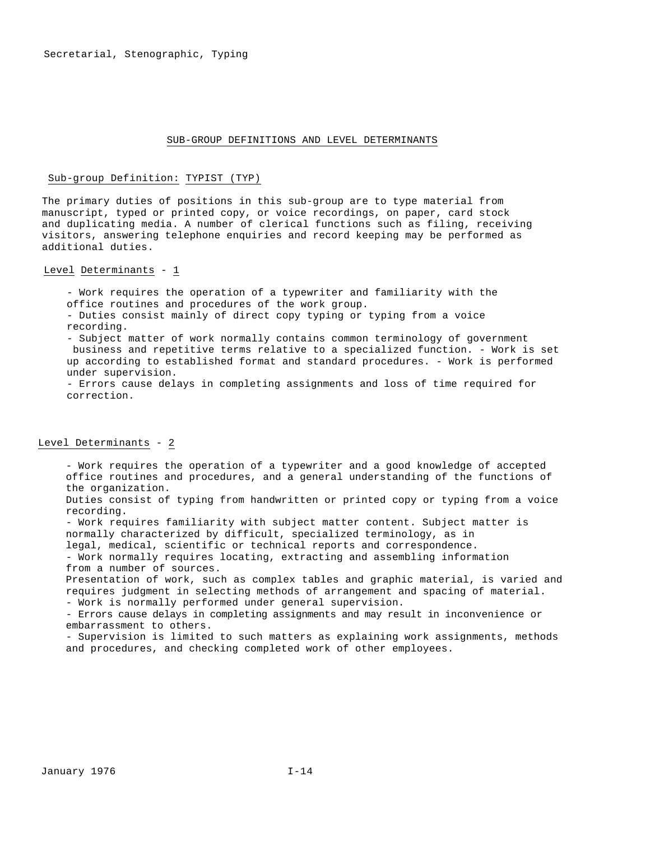#### SUB-GROUP DEFINITIONS AND LEVEL DETERMINANTS

#### Sub-group Definition: TYPIST (TYP)

The primary duties of positions in this sub-group are to type material from manuscript, typed or printed copy, or voice recordings, on paper, card stock and duplicating media. A number of clerical functions such as filing, receiving visitors, answering telephone enquiries and record keeping may be performed as additional duties.

#### Level Determinants - 1

- Work requires the operation of a typewriter and familiarity with the office routines and procedures of the work group.

- Duties consist mainly of direct copy typing or typing from a voice recording.

- Subject matter of work normally contains common terminology of government business and repetitive terms relative to a specialized function. - Work is set up according to established format and standard procedures. - Work is performed under supervision.

- Errors cause delays in completing assignments and loss of time required for correction.

# Level Determinants - 2

- Work requires the operation of a typewriter and a good knowledge of accepted office routines and procedures, and a general understanding of the functions of the organization.

Duties consist of typing from handwritten or printed copy or typing from a voice recording.

- Work requires familiarity with subject matter content. Subject matter is normally characterized by difficult, specialized terminology, as in

legal, medical, scientific or technical reports and correspondence.

- Work normally requires locating, extracting and assembling information from a number of sources.

Presentation of work, such as complex tables and graphic material, is varied and requires judgment in selecting methods of arrangement and spacing of material.

- Work is normally performed under general supervision.

- Errors cause delays in completing assignments and may result in inconvenience or embarrassment to others.

- Supervision is limited to such matters as explaining work assignments, methods and procedures, and checking completed work of other employees.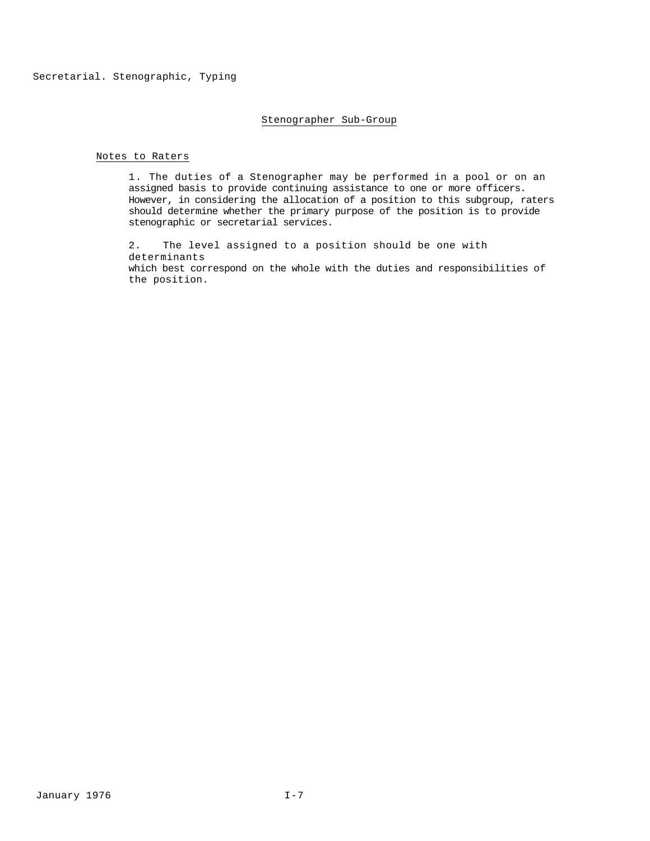## Stenographer Sub-Group

#### Notes to Raters

1. The duties of a Stenographer may be performed in a pool or on an assigned basis to provide continuing assistance to one or more officers. However, in considering the allocation of a position to this subgroup, raters should determine whether the primary purpose of the position is to provide stenographic or secretarial services.

2. The level assigned to a position should be one with determinants which best correspond on the whole with the duties and responsibilities of the position.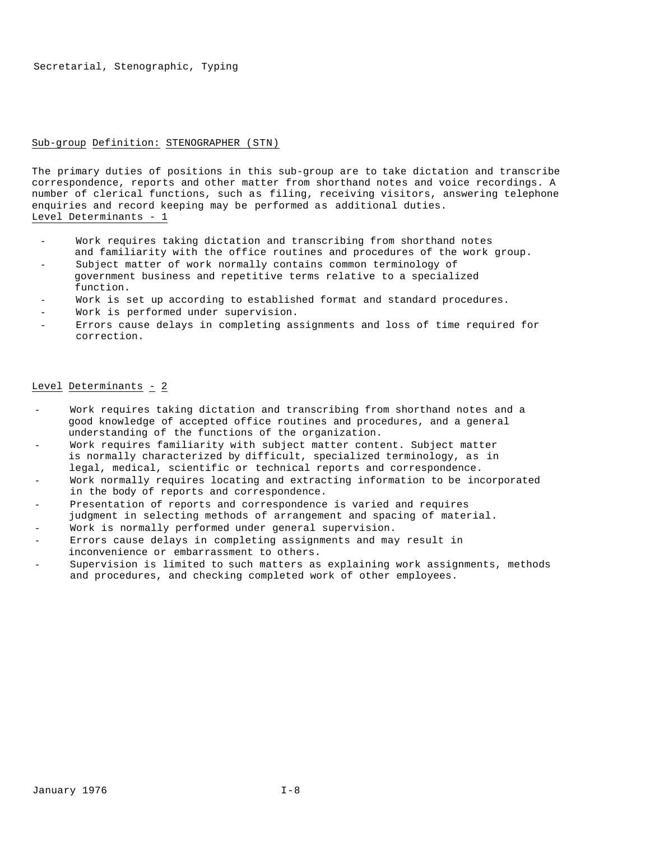#### Sub-group Definition: STENOGRAPHER (STN)

The primary duties of positions in this sub-group are to take dictation and transcribe correspondence, reports and other matter from shorthand notes and voice recordings. A number of clerical functions, such as filing, receiving visitors, answering telephone enquiries and record keeping may be performed as additional duties. Level Determinants - 1

- Work requires taking dictation and transcribing from shorthand notes and familiarity with the office routines and procedures of the work group.
- Subject matter of work normally contains common terminology of government business and repetitive terms relative to a specialized function.
- Work is set up according to established format and standard procedures.
- Work is performed under supervision.
- Errors cause delays in completing assignments and loss of time required for correction.

#### Level Determinants - 2

- Work requires taking dictation and transcribing from shorthand notes and a good knowledge of accepted office routines and procedures, and a general understanding of the functions of the organization.
- Work requires familiarity with subject matter content. Subject matter is normally characterized by difficult, specialized terminology, as in legal, medical, scientific or technical reports and correspondence.
- Work normally requires locating and extracting information to be incorporated in the body of reports and correspondence.
- Presentation of reports and correspondence is varied and requires judgment in selecting methods of arrangement and spacing of material.
- Work is normally performed under general supervision.
- Errors cause delays in completing assignments and may result in inconvenience or embarrassment to others.
- Supervision is limited to such matters as explaining work assignments, methods and procedures, and checking completed work of other employees.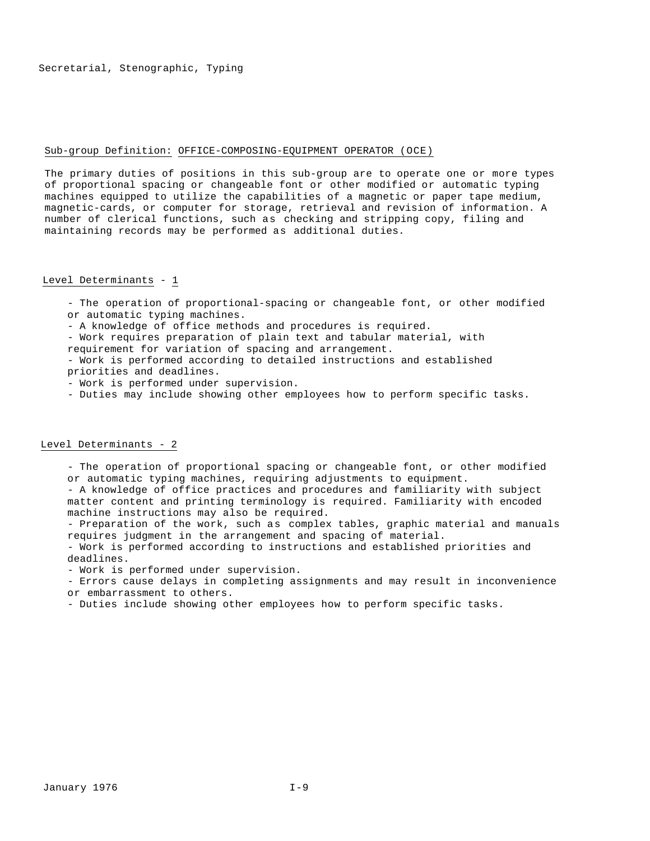#### Sub-group Definition: OFFICE-COMPOSING-EQUIPMENT OPERATOR (OCE)

The primary duties of positions in this sub-group are to operate one or more types of proportional spacing or changeable font or other modified or automatic typing machines equipped to utilize the capabilities of a magnetic or paper tape medium, magnetic-cards, or computer for storage, retrieval and revision of information. A number of clerical functions, such as checking and stripping copy, filing and maintaining records may be performed as additional duties.

#### Level Determinants - 1

- The operation of proportional-spacing or changeable font, or other modified or automatic typing machines.

- A knowledge of office methods and procedures is required.

- Work requires preparation of plain text and tabular material, with

requirement for variation of spacing and arrangement.

- Work is performed according to detailed instructions and established priorities and deadlines.

- Work is performed under supervision.

- Duties may include showing other employees how to perform specific tasks.

# Level Determinants - 2

- The operation of proportional spacing or changeable font, or other modified or automatic typing machines, requiring adjustments to equipment.

- A knowledge of office practices and procedures and familiarity with subject matter content and printing terminology is required. Familiarity with encoded machine instructions may also be required.

- Preparation of the work, such as complex tables, graphic material and manuals requires judgment in the arrangement and spacing of material.

- Work is performed according to instructions and established priorities and deadlines.

- Work is performed under supervision.

- Errors cause delays in completing assignments and may result in inconvenience

or embarrassment to others.

- Duties include showing other employees how to perform specific tasks.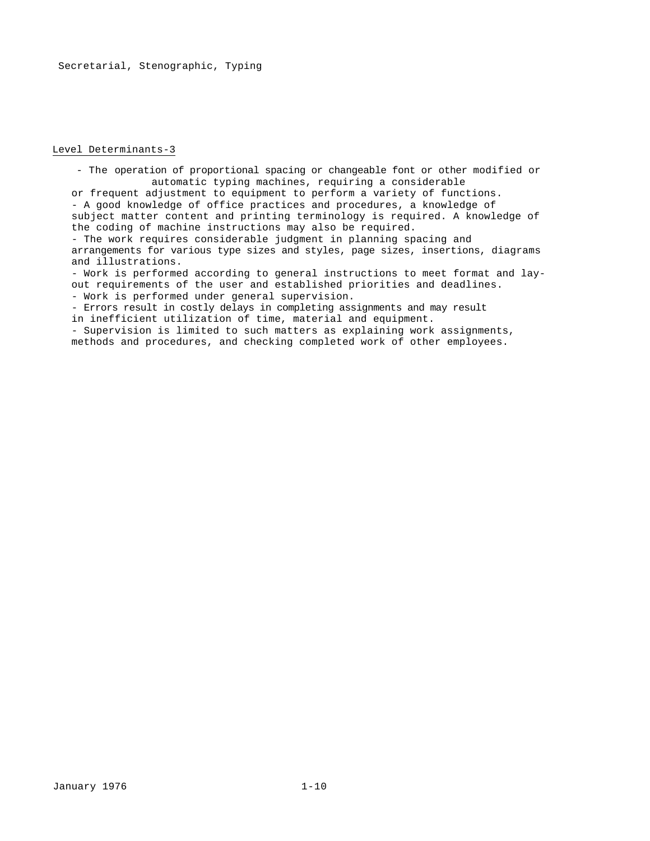#### Level Determinants-3

- The operation of proportional spacing or changeable font or other modified or automatic typing machines, requiring a considerable or frequent adjustment to equipment to perform a variety of functions. - A good knowledge of office practices and procedures, a knowledge of

subject matter content and printing terminology is required. A knowledge of the coding of machine instructions may also be required.

- The work requires considerable judgment in planning spacing and arrangements for various type sizes and styles, page sizes, insertions, diagrams and illustrations.

- Work is performed according to general instructions to meet format and layout requirements of the user and established priorities and deadlines.

- Work is performed under general supervision.

- Errors result in costly delays in completing assignments and may result in inefficient utilization of time, material and equipment.

- Supervision is limited to such matters as explaining work assignments, methods and procedures, and checking completed work of other employees.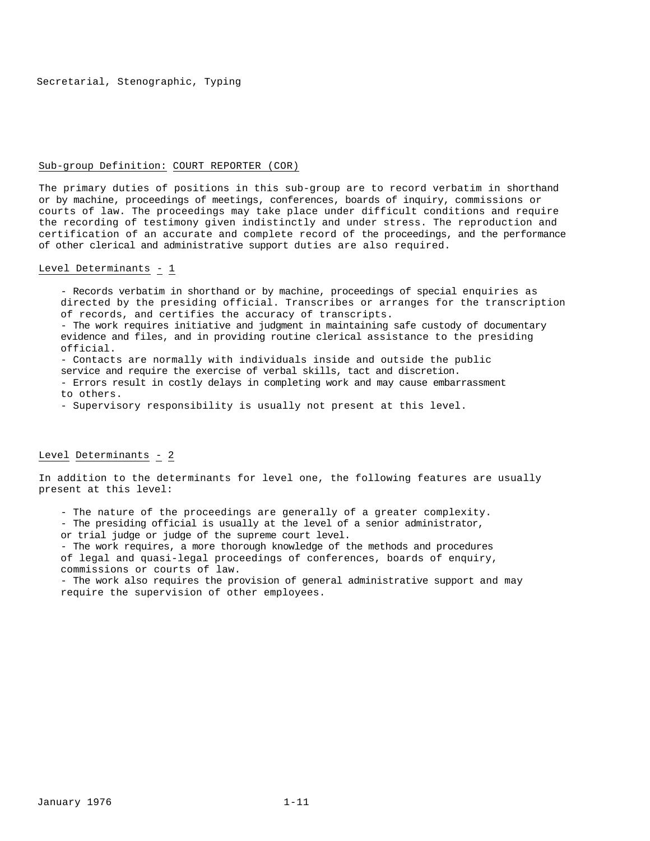#### Sub-group Definition: COURT REPORTER (COR)

The primary duties of positions in this sub-group are to record verbatim in shorthand or by machine, proceedings of meetings, conferences, boards of inquiry, commissions or courts of law. The proceedings may take place under difficult conditions and require the recording of testimony given indistinctly and under stress. The reproduction and certification of an accurate and complete record of the proceedings, and the performance of other clerical and administrative support duties are also required.

#### Level Determinants - 1

- Records verbatim in shorthand or by machine, proceedings of special enquiries as directed by the presiding official. Transcribes or arranges for the transcription of records, and certifies the accuracy of transcripts.

- The work requires initiative and judgment in maintaining safe custody of documentary evidence and files, and in providing routine clerical assistance to the presiding official.

- Contacts are normally with individuals inside and outside the public

service and require the exercise of verbal skills, tact and discretion.

- Errors result in costly delays in completing work and may cause embarrassment to others.

- Supervisory responsibility is usually not present at this level.

# Level Determinants - 2

In addition to the determinants for level one, the following features are usually present at this level:

- The nature of the proceedings are generally of a greater complexity.

- The presiding official is usually at the level of a senior administrator,

or trial judge or judge of the supreme court level.

- The work requires, a more thorough knowledge of the methods and procedures of legal and quasi-legal proceedings of conferences, boards of enquiry, commissions or courts of law.

- The work also requires the provision of general administrative support and may require the supervision of other employees.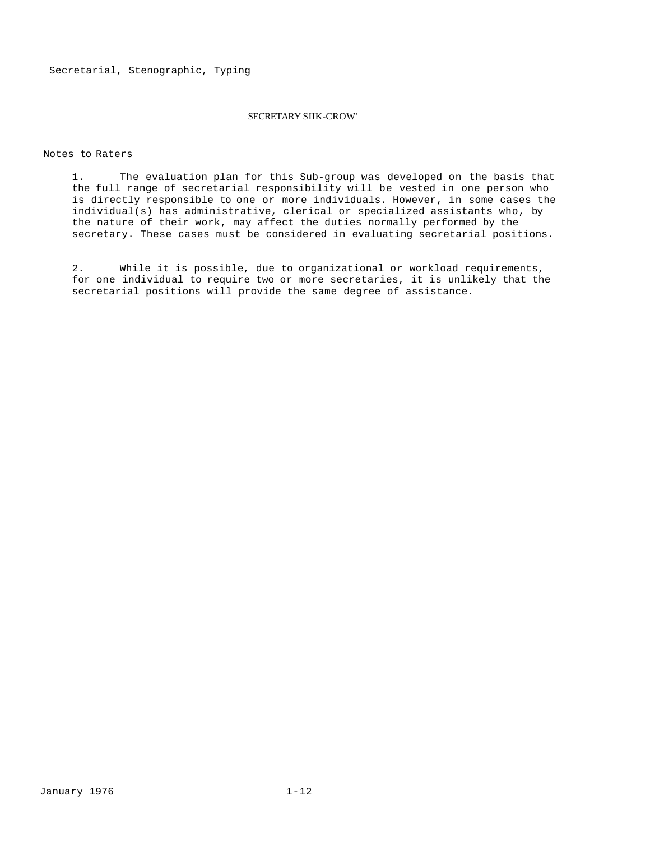#### SECRETARY SIIK-CROW'

#### Notes to Raters

1. The evaluation plan for this Sub-group was developed on the basis that the full range of secretarial responsibility will be vested in one person who is directly responsible to one or more individuals. However, in some cases the individual(s) has administrative, clerical or specialized assistants who, by the nature of their work, may affect the duties normally performed by the secretary. These cases must be considered in evaluating secretarial positions.

2. While it is possible, due to organizational or workload requirements, for one individual to require two or more secretaries, it is unlikely that the secretarial positions will provide the same degree of assistance.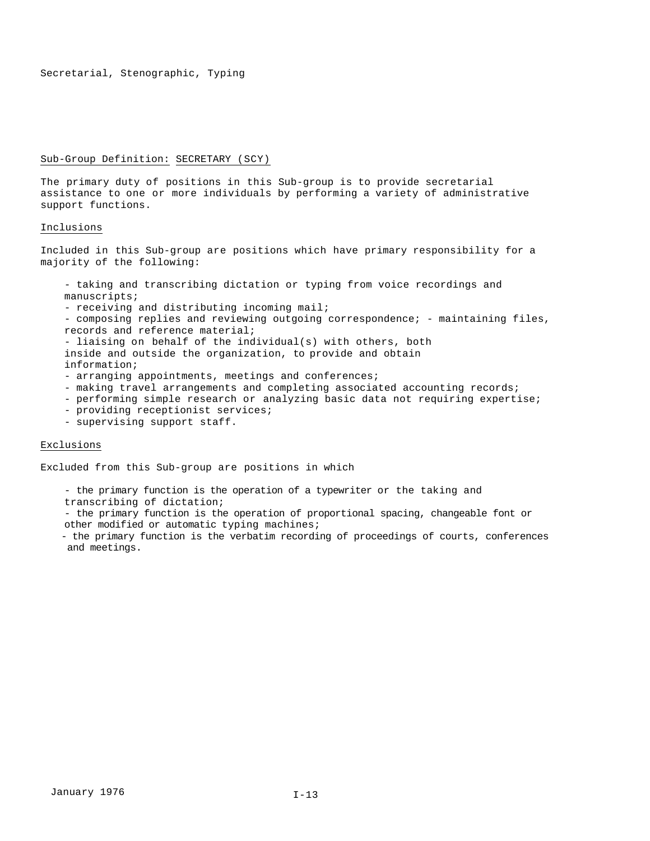#### Sub-Group Definition: SECRETARY (SCY)

The primary duty of positions in this Sub-group is to provide secretarial assistance to one or more individuals by performing a variety of administrative support functions.

#### Inclusions

Included in this Sub-group are positions which have primary responsibility for a majority of the following:

- taking and transcribing dictation or typing from voice recordings and manuscripts;
- receiving and distributing incoming mail;
- composing replies and reviewing outgoing correspondence; maintaining files, records and reference material;
- liaising on behalf of the individual(s) with others, both inside and outside the organization, to provide and obtain information;
- arranging appointments, meetings and conferences;
- making travel arrangements and completing associated accounting records;
- performing simple research or analyzing basic data not requiring expertise;
- providing receptionist services;
- supervising support staff.

# Exclusions

Excluded from this Sub-group are positions in which

- the primary function is the operation of a typewriter or the taking and transcribing of dictation;
- the primary function is the operation of proportional spacing, changeable font or other modified or automatic typing machines;
- the primary function is the verbatim recording of proceedings of courts, conferences and meetings.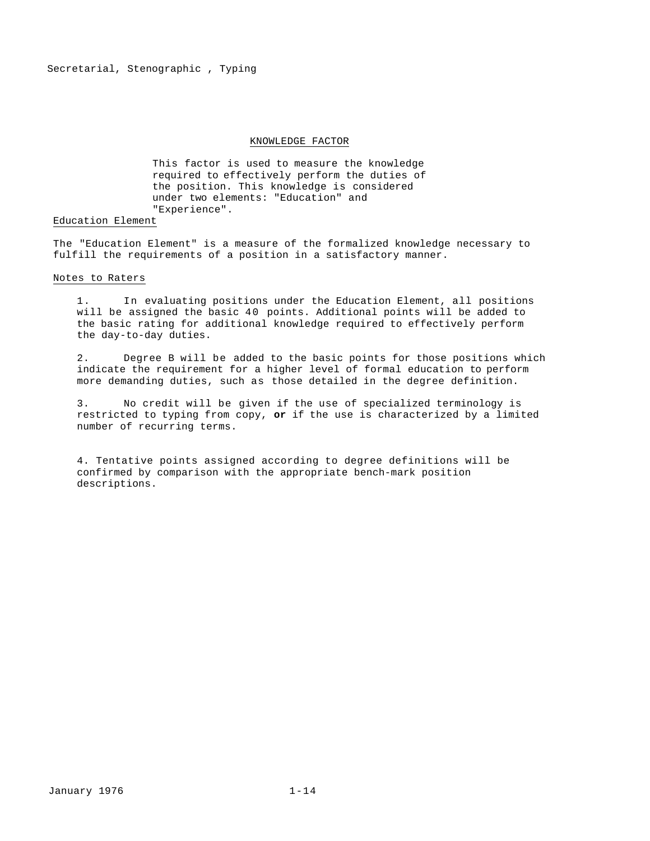#### KNOWLEDGE FACTOR

This factor is used to measure the knowledge required to effectively perform the duties of the position. This knowledge is considered under two elements: "Education" and "Experience".

#### Education Element

The "Education Element" is a measure of the formalized knowledge necessary to fulfill the requirements of a position in a satisfactory manner.

#### Notes to Raters

1. In evaluating positions under the Education Element, all positions will be assigned the basic 40 points. Additional points will be added to the basic rating for additional knowledge required to effectively perform the day-to-day duties.

2. Degree B will be added to the basic points for those positions which indicate the requirement for a higher level of formal education to perform more demanding duties, such as those detailed in the degree definition.

3. No credit will be given if the use of specialized terminology is restricted to typing from copy, **or** if the use is characterized by a limited number of recurring terms.

4. Tentative points assigned according to degree definitions will be confirmed by comparison with the appropriate bench-mark position descriptions.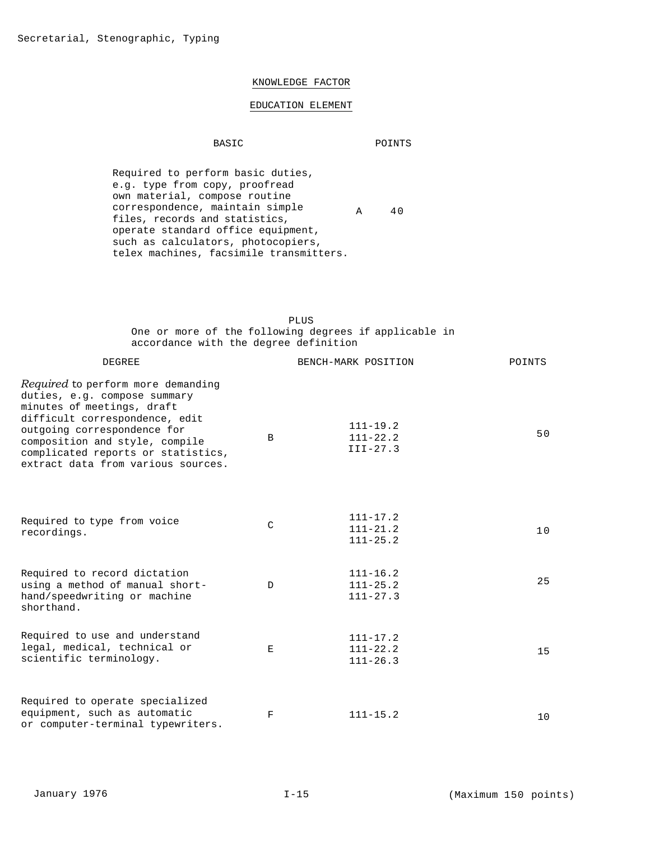# KNOWLEDGE FACTOR

# EDUCATION ELEMENT

# BASIC POINTS

Required to perform basic duties, e.g. type from copy, proofread own material, compose routine correspondence, maintain simple files, records and statistics, operate standard office equipment, such as calculators, photocopiers, telex machines, facsimile transmitters. A 40

# PLUS One or more of the following degrees if applicable in accordance with the degree definition

| <b>DEGREE</b>                                                                                                                                                                                                                                                                          |               | BENCH-MARK POSITION                          | POINTS |
|----------------------------------------------------------------------------------------------------------------------------------------------------------------------------------------------------------------------------------------------------------------------------------------|---------------|----------------------------------------------|--------|
| <i>Required</i> to perform more demanding<br>duties, e.g. compose summary<br>minutes of meetings, draft<br>difficult correspondence, edit<br>outgoing correspondence for<br>composition and style, compile<br>complicated reports or statistics,<br>extract data from various sources. | B             | $111 - 19.2$<br>$111 - 22.2$<br>$III - 27.3$ | 50     |
| Required to type from voice<br>recordings.                                                                                                                                                                                                                                             | $\mathcal{C}$ | $111 - 17.2$<br>$111 - 21.2$<br>$111 - 25.2$ | 10     |
| Required to record dictation<br>using a method of manual short-<br>hand/speedwriting or machine<br>shorthand.                                                                                                                                                                          | $\mathbb{D}$  | $111 - 16.2$<br>$111 - 25.2$<br>$111 - 27.3$ | 25     |
| Required to use and understand<br>legal, medical, technical or<br>scientific terminology.                                                                                                                                                                                              | E             | $111 - 17.2$<br>$111 - 22.2$<br>$111 - 26.3$ | 15     |
| Required to operate specialized<br>equipment, such as automatic<br>or computer-terminal typewriters.                                                                                                                                                                                   | $\mathbf F$   | $111 - 15.2$                                 | 10     |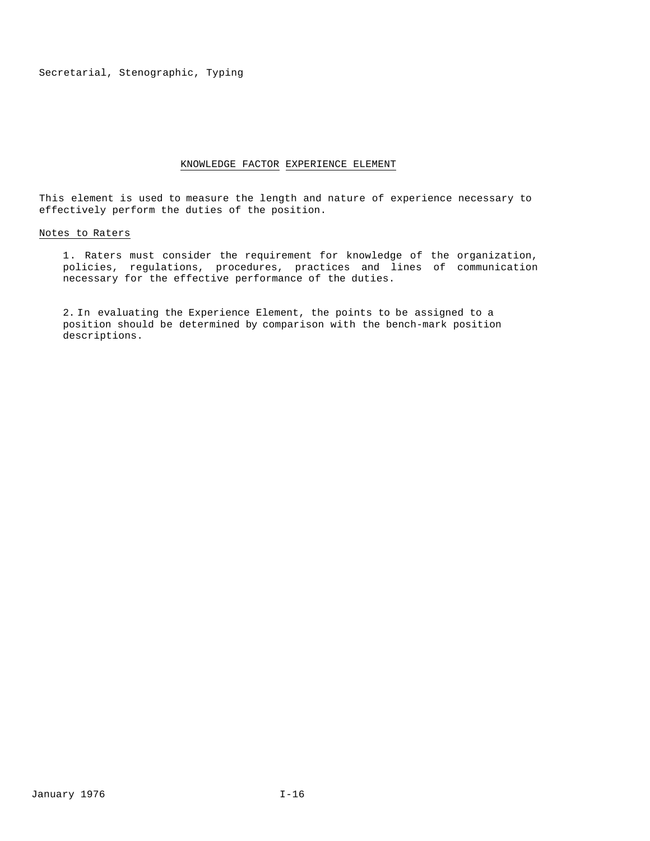# KNOWLEDGE FACTOR EXPERIENCE ELEMENT

This element is used to measure the length and nature of experience necessary to effectively perform the duties of the position.

# Notes to Raters

1. Raters must consider the requirement for knowledge of the organization, policies, regulations, procedures, practices and lines of communication necessary for the effective performance of the duties.

2. In evaluating the Experience Element, the points to be assigned to a position should be determined by comparison with the bench-mark position descriptions.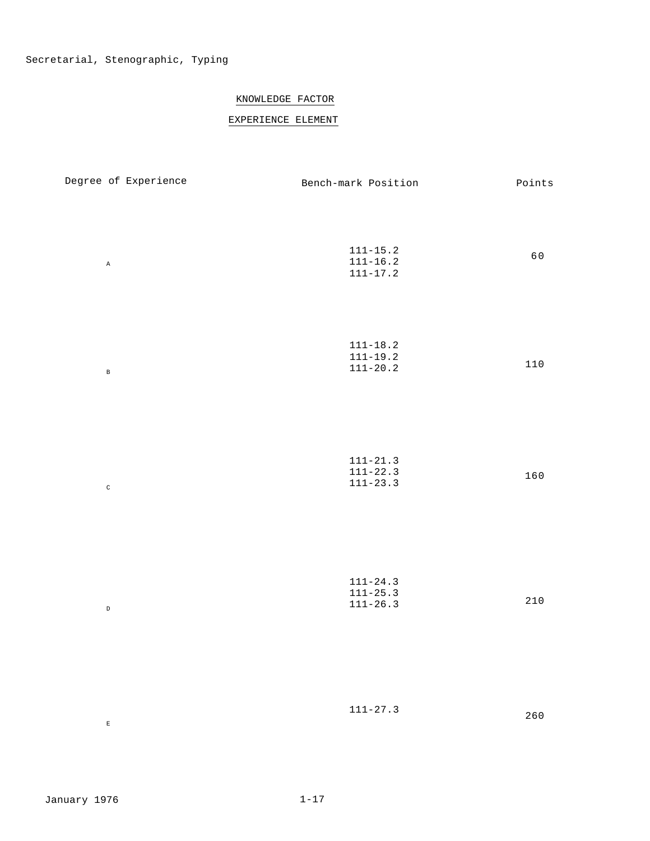# KNOWLEDGE FACTOR

# EXPERIENCE ELEMENT

| Degree of Experience | Bench-mark Position                          | $Points$  |
|----------------------|----------------------------------------------|-----------|
| $\mathtt{A}$         | $111 - 15.2$<br>$111 - 16.2$<br>$111 - 17.2$ | 60        |
| $\, {\bf B}$         | $111 - 18.2$<br>$111 - 19.2$<br>$111 - 20.2$ | $110$     |
| $\rm{C}$             | $111 - 21.3$<br>$111 - 22.3$<br>$111 - 23.3$ | 160       |
| $\,$ D               | $111 - 24.3$<br>$111 - 25.3$<br>$111 - 26.3$ | $2\,1\,0$ |
| $\mathbf{E}$         | $111 - 27.3$                                 | $260$     |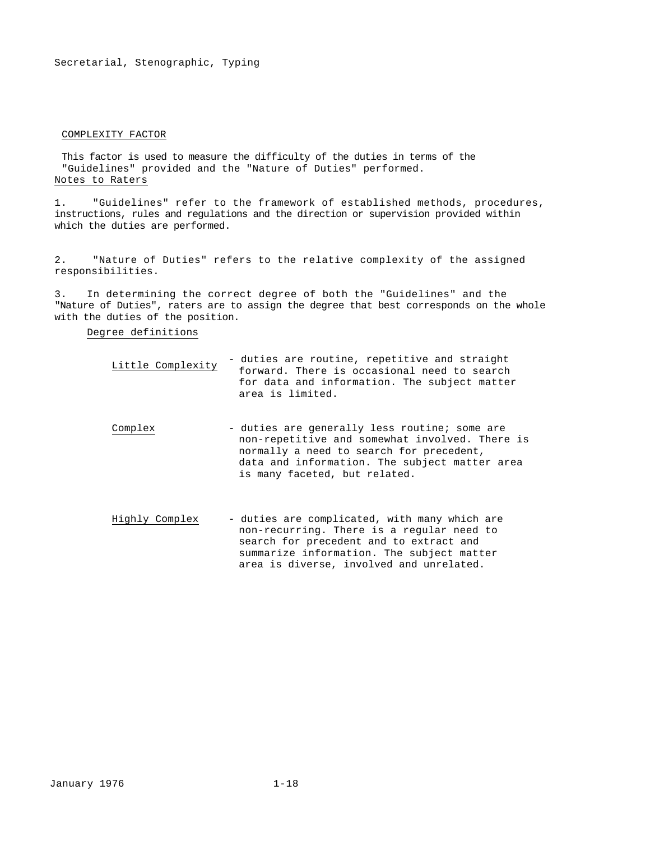#### COMPLEXITY FACTOR

This factor is used to measure the difficulty of the duties in terms of the "Guidelines" provided and the "Nature of Duties" performed. Notes to Raters

1. "Guidelines" refer to the framework of established methods, procedures, instructions, rules and regulations and the direction or supervision provided within which the duties are performed.

2. "Nature of Duties" refers to the relative complexity of the assigned responsibilities.

3. In determining the correct degree of both the "Guidelines" and the "Nature of Duties", raters are to assign the degree that best corresponds on the whole with the duties of the position.

# Degree definitions

| Little Complexity | - duties are routine, repetitive and straight |
|-------------------|-----------------------------------------------|
|                   | forward. There is occasional need to search   |
|                   | for data and information. The subject matter  |
|                   | area is limited.                              |

- Complex duties are generally less routine; some are non-repetitive and somewhat involved. There is normally a need to search for precedent, data and information. The subject matter area is many faceted, but related.
- Highly Complex duties are complicated, with many which are non-recurring. There is a regular need to search for precedent and to extract and summarize information. The subject matter area is diverse, involved and unrelated.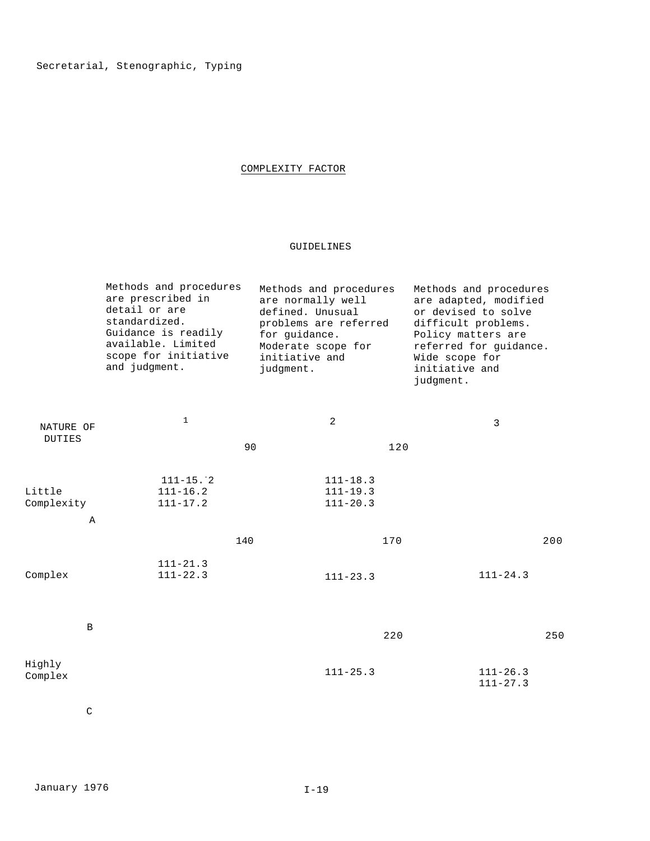# COMPLEXITY FACTOR

# GUIDELINES

| Methods and procedures | Methods and procedures | Methods and procedures |
|------------------------|------------------------|------------------------|
| are prescribed in      | are normally well      | are adapted, modified  |
| detail or are          | defined. Unusual       | or devised to solve    |
| standardized.          | problems are referred  | difficult problems.    |
| Guidance is readily    | for quidance.          | Policy matters are     |
| available. Limited     | Moderate scope for     | referred for quidance. |
| scope for initiative   | initiative and         | Wide scope for         |
| and judgment.          | judgment.              | initiative and         |
|                        |                        | judgment.              |
|                        |                        |                        |

| NATURE OF            | $\mathbf 1$                                               |     | $\overline{c}$                               | 3                            |     |
|----------------------|-----------------------------------------------------------|-----|----------------------------------------------|------------------------------|-----|
| <b>DUTIES</b>        |                                                           | 90  | 120                                          |                              |     |
| Little<br>Complexity | $111 - 15.$ <sup>-2</sup><br>$111 - 16.2$<br>$111 - 17.2$ |     | $111 - 18.3$<br>$111 - 19.3$<br>$111 - 20.3$ |                              |     |
| $\, {\bf A}$         |                                                           |     |                                              |                              |     |
|                      |                                                           | 140 | 170                                          |                              | 200 |
| Complex              | $111 - 21.3$<br>$111 - 22.3$                              |     | $111 - 23.3$                                 | $111 - 24.3$                 |     |
| $\, {\bf B}$         |                                                           |     | 220                                          |                              | 250 |
| Highly<br>Complex    |                                                           |     | $111 - 25.3$                                 | $111 - 26.3$<br>$111 - 27.3$ |     |

C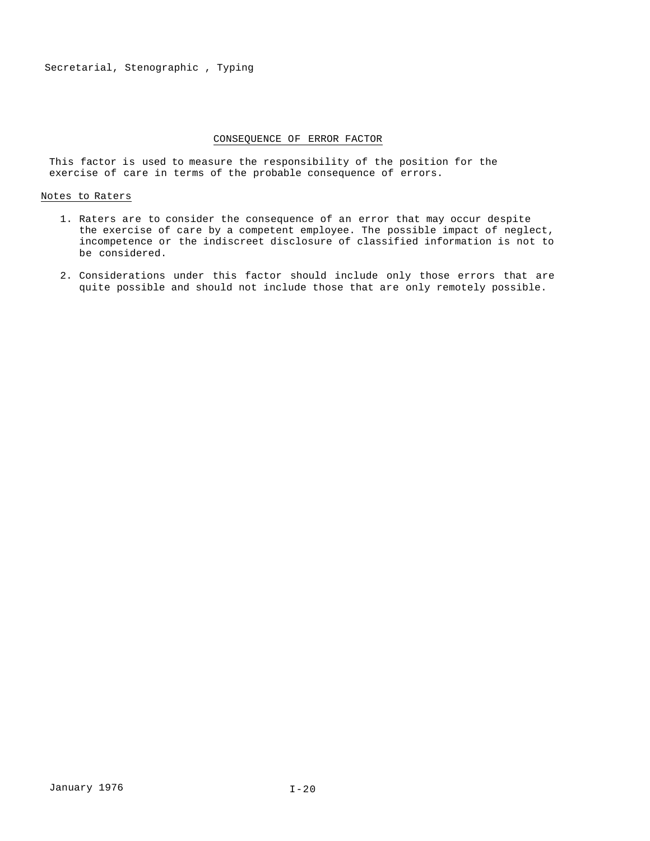# CONSEQUENCE OF ERROR FACTOR

This factor is used to measure the responsibility of the position for the exercise of care in terms of the probable consequence of errors.

#### Notes to Raters

- 1. Raters are to consider the consequence of an error that may occur despite the exercise of care by a competent employee. The possible impact of neglect, incompetence or the indiscreet disclosure of classified information is not to be considered.
- 2. Considerations under this factor should include only those errors that are quite possible and should not include those that are only remotely possible.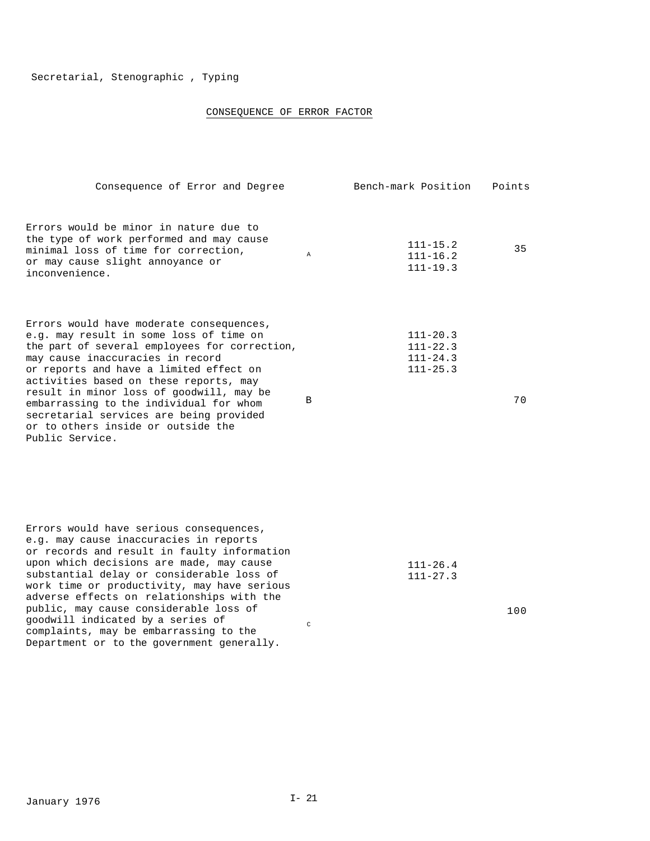# CONSEQUENCE OF ERROR FACTOR

| Consequence of Error and Degree                                                                                                                                                                                                                                                                                                                                                                                                                          |   | Bench-mark Position                                          | Points |
|----------------------------------------------------------------------------------------------------------------------------------------------------------------------------------------------------------------------------------------------------------------------------------------------------------------------------------------------------------------------------------------------------------------------------------------------------------|---|--------------------------------------------------------------|--------|
| Errors would be minor in nature due to<br>the type of work performed and may cause<br>minimal loss of time for correction,<br>or may cause slight annoyance or<br>inconvenience.                                                                                                                                                                                                                                                                         | A | $111 - 15.2$<br>$111 - 16.2$<br>$111 - 19.3$                 | 35     |
| Errors would have moderate consequences,<br>e.g. may result in some loss of time on<br>the part of several employees for correction,<br>may cause inaccuracies in record<br>or reports and have a limited effect on<br>activities based on these reports, may<br>result in minor loss of qoodwill, may be<br>embarrassing to the individual for whom<br>secretarial services are being provided<br>or to others inside or outside the<br>Public Service. | B | $111 - 20.3$<br>$111 - 22.3$<br>$111 - 24.3$<br>$111 - 25.3$ | 70     |

| Errors would have serious consequences,     |               |              |
|---------------------------------------------|---------------|--------------|
| e.g. may cause inaccuracies in reports      |               |              |
| or records and result in faulty information |               |              |
| upon which decisions are made, may cause    |               | $111 - 26.4$ |
| substantial delay or considerable loss of   |               | $111 - 27.3$ |
| work time or productivity, may have serious |               |              |
| adverse effects on relationships with the   |               |              |
| public, may cause considerable loss of      |               |              |
| qoodwill indicated by a series of           | $\mathcal{C}$ |              |
| complaints, may be embarrassing to the      |               |              |
| Department or to the government generally.  |               |              |

100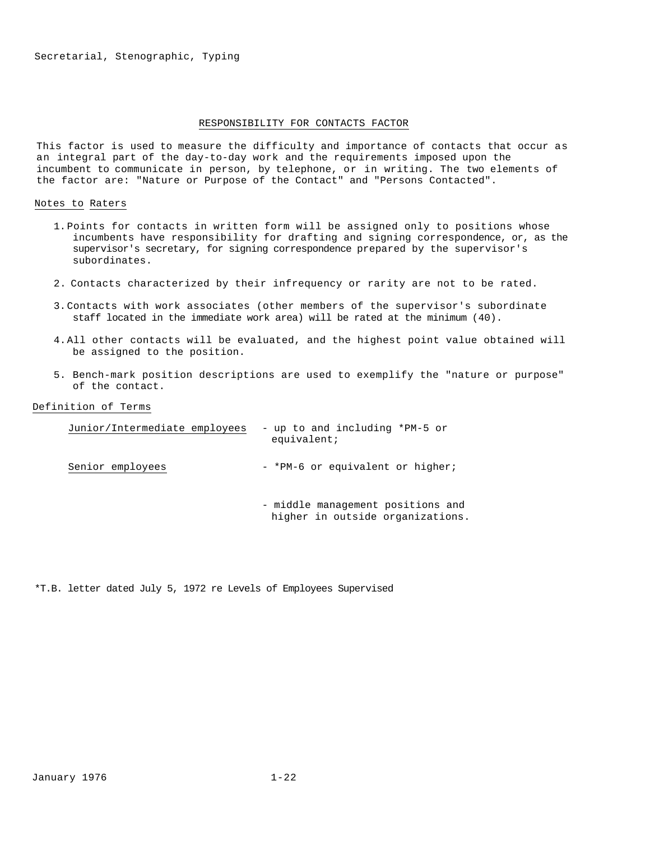#### RESPONSIBILITY FOR CONTACTS FACTOR

This factor is used to measure the difficulty and importance of contacts that occur as an integral part of the day-to-day work and the requirements imposed upon the incumbent to communicate in person, by telephone, or in writing. The two elements of the factor are: "Nature or Purpose of the Contact" and "Persons Contacted".

#### Notes to Raters

- 1.Points for contacts in written form will be assigned only to positions whose incumbents have responsibility for drafting and signing correspondence, or, as the supervisor's secretary, for signing correspondence prepared by the supervisor's subordinates.
- 2. Contacts characterized by their infrequency or rarity are not to be rated.
- 3.Contacts with work associates (other members of the supervisor's subordinate staff located in the immediate work area) will be rated at the minimum (40).
- 4.All other contacts will be evaluated, and the highest point value obtained will be assigned to the position.
- 5. Bench-mark position descriptions are used to exemplify the "nature or purpose" of the contact.

# Definition of Terms

| Junior/Intermediate employees | - up to and including *PM-5 or<br>equivalent:                         |
|-------------------------------|-----------------------------------------------------------------------|
| Senior employees              | - *PM-6 or equivalent or higher;                                      |
|                               | - middle management positions and<br>higher in outside organizations. |

\*T.B. letter dated July 5, 1972 re Levels of Employees Supervised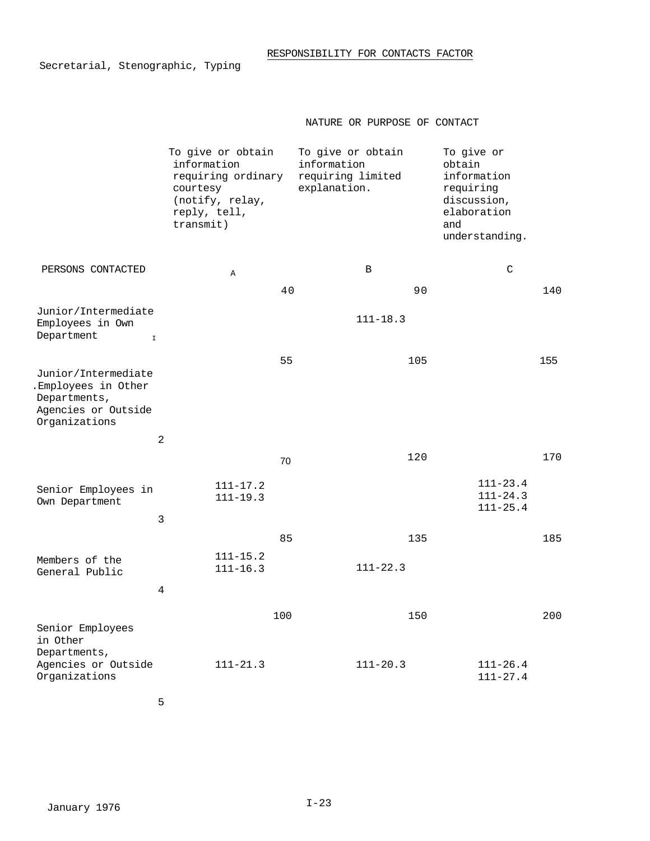# NATURE OR PURPOSE OF CONTACT

|                                                                                                    | To give or obtain<br>information<br>requiring ordinary<br>courtesy<br>(notify, relay,<br>reply, tell,<br>transmit) |     | To give or obtain<br>information<br>requiring limited<br>explanation. | To give or<br>obtain<br>information<br>requiring<br>discussion,<br>elaboration<br>and<br>understanding. |     |
|----------------------------------------------------------------------------------------------------|--------------------------------------------------------------------------------------------------------------------|-----|-----------------------------------------------------------------------|---------------------------------------------------------------------------------------------------------|-----|
| PERSONS CONTACTED                                                                                  | $\mathbb A$                                                                                                        | 40  | B<br>90                                                               | $\mathcal{C}$                                                                                           | 140 |
| Junior/Intermediate<br>Employees in Own<br>Department<br>$\mathbbm{1}$                             |                                                                                                                    |     | $111 - 18.3$                                                          |                                                                                                         |     |
| Junior/Intermediate<br>.Employees in Other<br>Departments,<br>Agencies or Outside<br>Organizations |                                                                                                                    | 55  | 105                                                                   |                                                                                                         | 155 |
|                                                                                                    | $\overline{2}$                                                                                                     |     |                                                                       |                                                                                                         |     |
|                                                                                                    |                                                                                                                    | 70  | 120                                                                   |                                                                                                         | 170 |
| Senior Employees in<br>Own Department                                                              | $111 - 17.2$<br>$111 - 19.3$                                                                                       |     |                                                                       | $111 - 23.4$<br>$111 - 24.3$<br>$111 - 25.4$                                                            |     |
|                                                                                                    | $\mathbf{3}$                                                                                                       | 85  | 135                                                                   |                                                                                                         | 185 |
| Members of the<br>General Public                                                                   | $111 - 15.2$<br>$111 - 16.3$                                                                                       |     | $111 - 22.3$                                                          |                                                                                                         |     |
|                                                                                                    | 4                                                                                                                  |     |                                                                       |                                                                                                         |     |
| Senior Employees<br>in Other                                                                       |                                                                                                                    | 100 | 150                                                                   |                                                                                                         | 200 |
| Departments,<br>Agencies or Outside<br>Organizations                                               | $111 - 21.3$                                                                                                       |     | $111 - 20.3$                                                          | $111 - 26.4$<br>$111 - 27.4$                                                                            |     |

5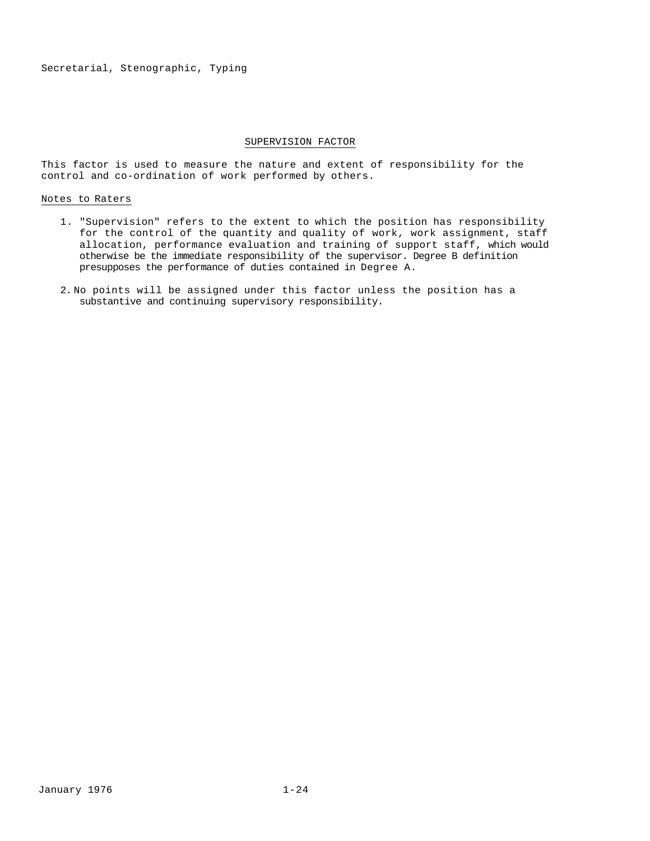#### SUPERVISION FACTOR

This factor is used to measure the nature and extent of responsibility for the control and co-ordination of work performed by others.

# Notes to Raters

- 1. "Supervision" refers to the extent to which the position has responsibility for the control of the quantity and quality of work, work assignment, staff allocation, performance evaluation and training of support staff, which would otherwise be the immediate responsibility of the supervisor. Degree B definition presupposes the performance of duties contained in Degree A.
- 2. No points will be assigned under this factor unless the position has a substantive and continuing supervisory responsibility.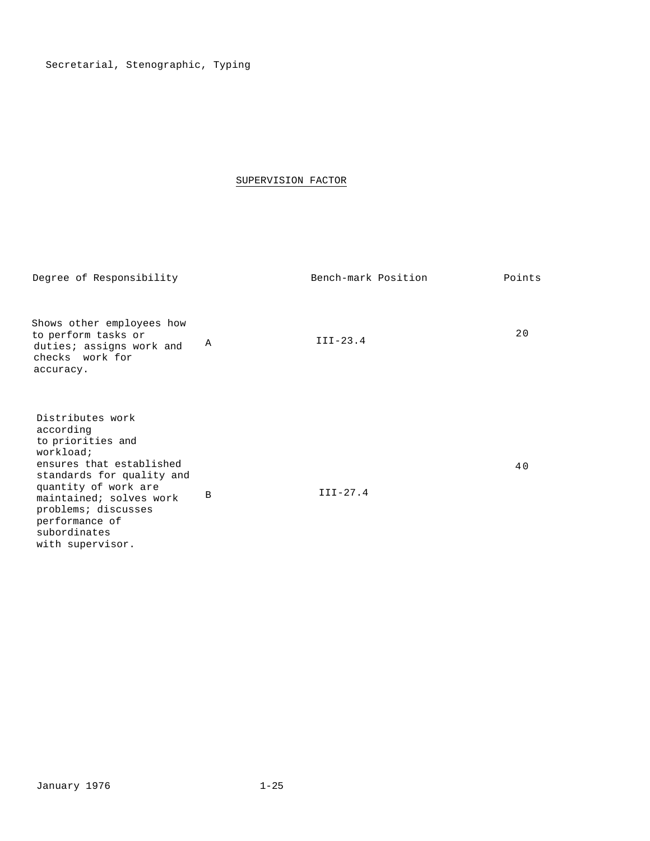# SUPERVISION FACTOR

| Degree of Responsibility                                                                                                                                                                                                                                 |   | Bench-mark Position | Points |
|----------------------------------------------------------------------------------------------------------------------------------------------------------------------------------------------------------------------------------------------------------|---|---------------------|--------|
| Shows other employees how<br>to perform tasks or<br>duties; assigns work and<br>checks work for<br>accuracy.                                                                                                                                             | Α | $III-23.4$          | 20     |
| Distributes work<br>according<br>to priorities and<br>workload;<br>ensures that established<br>standards for quality and<br>quantity of work are<br>maintained; solves work<br>problems; discusses<br>performance of<br>subordinates<br>with supervisor. | B | $III-27.4$          | 40     |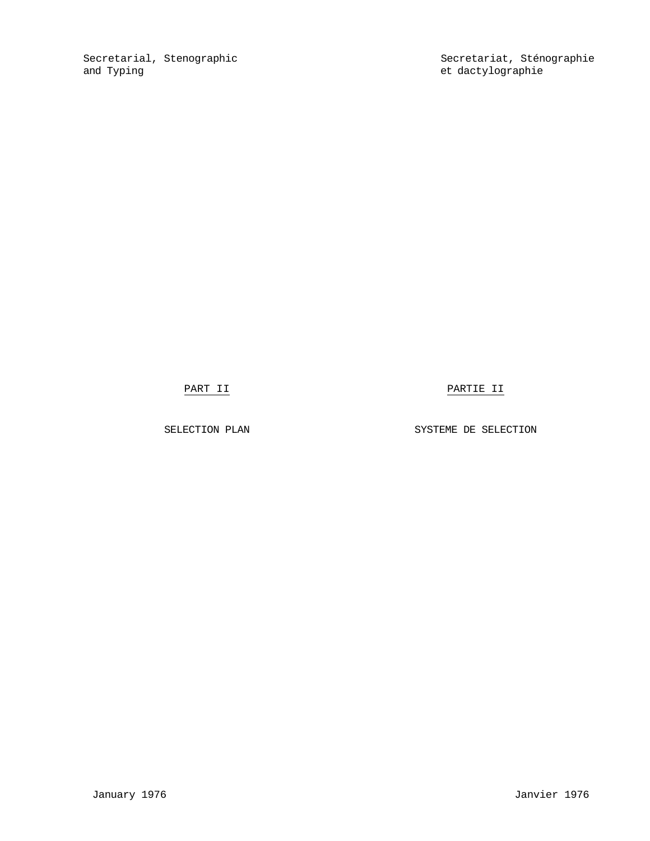Secretarial, Stenographic Secretariat, Sténographie<br>
and Typing<br>
Secretariat, Sténographie et dactylographie

PART II PARTIE II

SELECTION PLAN SYSTEME DE SELECTION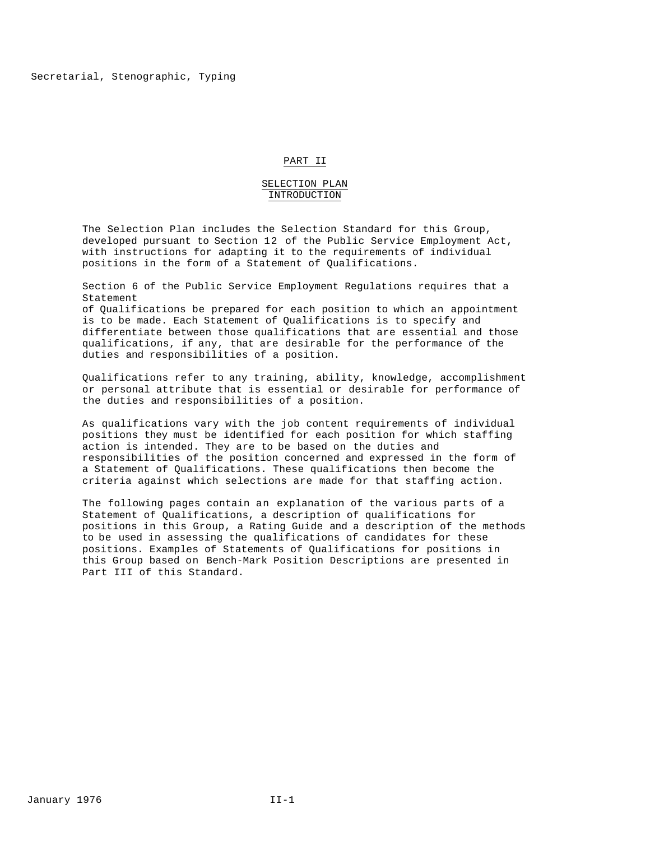#### PART II

#### SELECTION PLAN INTRODUCTION

The Selection Plan includes the Selection Standard for this Group, developed pursuant to Section 12 of the Public Service Employment Act, with instructions for adapting it to the requirements of individual positions in the form of a Statement of Qualifications.

Section 6 of the Public Service Employment Regulations requires that a Statement

of Qualifications be prepared for each position to which an appointment is to be made. Each Statement of Qualifications is to specify and differentiate between those qualifications that are essential and those qualifications, if any, that are desirable for the performance of the duties and responsibilities of a position.

Qualifications refer to any training, ability, knowledge, accomplishment or personal attribute that is essential or desirable for performance of the duties and responsibilities of a position.

As qualifications vary with the job content requirements of individual positions they must be identified for each position for which staffing action is intended. They are to be based on the duties and responsibilities of the position concerned and expressed in the form of a Statement of Qualifications. These qualifications then become the criteria against which selections are made for that staffing action.

The following pages contain an explanation of the various parts of a Statement of Qualifications, a description of qualifications for positions in this Group, a Rating Guide and a description of the methods to be used in assessing the qualifications of candidates for these positions. Examples of Statements of Qualifications for positions in this Group based on Bench-Mark Position Descriptions are presented in Part III of this Standard.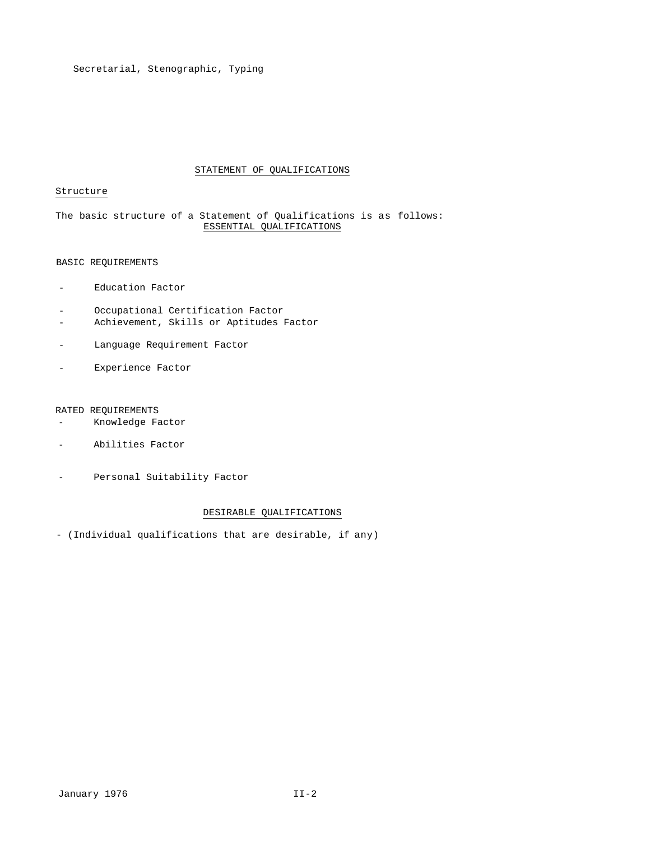# STATEMENT OF QUALIFICATIONS

# Structure

# The basic structure of a Statement of Qualifications is as follows: ESSENTIAL QUALIFICATIONS

# BASIC REQUIREMENTS

- Education Factor
- Occupational Certification Factor
- Achievement, Skills or Aptitudes Factor
- Language Requirement Factor
- Experience Factor

# RATED REQUIREMENTS

- Knowledge Factor
- Abilities Factor
- Personal Suitability Factor

#### DESIRABLE QUALIFICATIONS

- (Individual qualifications that are desirable, if any)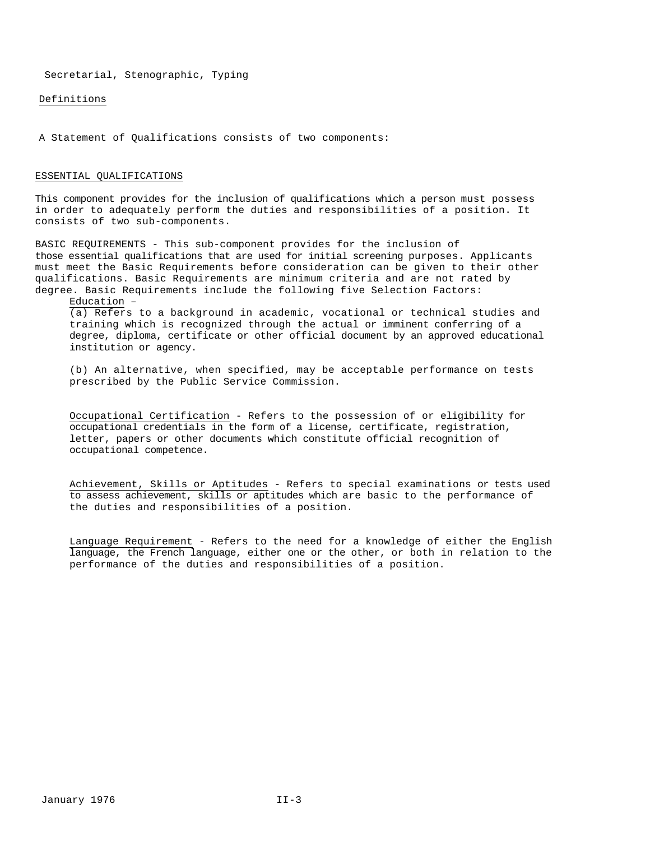Definitions

A Statement of Qualifications consists of two components:

#### ESSENTIAL QUALIFICATIONS

This component provides for the inclusion of qualifications which a person must possess in order to adequately perform the duties and responsibilities of a position. It consists of two sub-components.

BASIC REQUIREMENTS - This sub-component provides for the inclusion of those essential qualifications that are used for initial screening purposes. Applicants must meet the Basic Requirements before consideration can be given to their other qualifications. Basic Requirements are minimum criteria and are not rated by degree. Basic Requirements include the following five Selection Factors:

Education –

(a) Refers to a background in academic, vocational or technical studies and training which is recognized through the actual or imminent conferring of a degree, diploma, certificate or other official document by an approved educational institution or agency.

(b) An alternative, when specified, may be acceptable performance on tests prescribed by the Public Service Commission.

Occupational Certification - Refers to the possession of or eligibility for occupational credentials in the form of a license, certificate, registration, letter, papers or other documents which constitute official recognition of occupational competence.

Achievement, Skills or Aptitudes - Refers to special examinations or tests used to assess achievement, skills or aptitudes which are basic to the performance of the duties and responsibilities of a position.

Language Requirement - Refers to the need for a knowledge of either the English language, the French language, either one or the other, or both in relation to the performance of the duties and responsibilities of a position.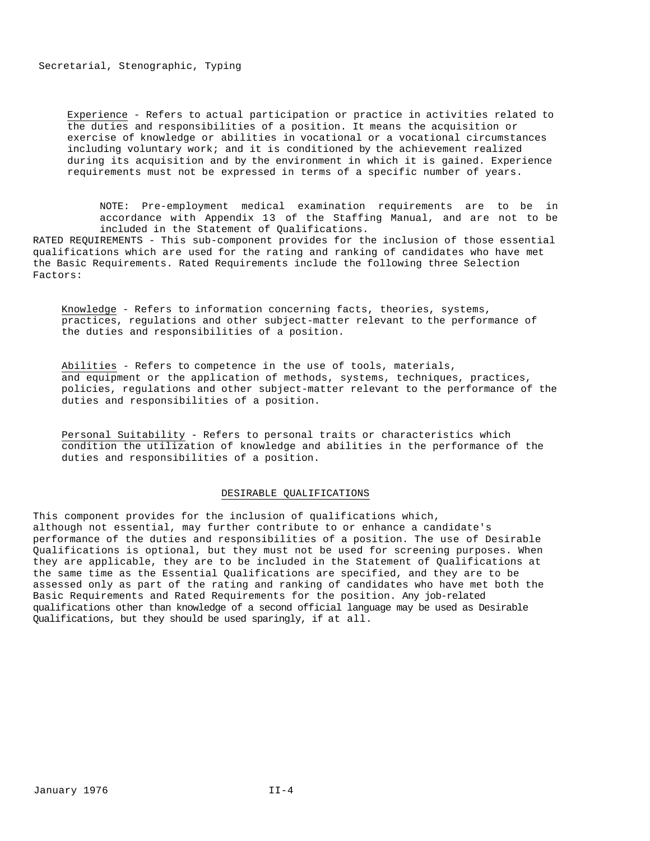Experience - Refers to actual participation or practice in activities related to the duties and responsibilities of a position. It means the acquisition or exercise of knowledge or abilities in vocational or a vocational circumstances including voluntary work; and it is conditioned by the achievement realized during its acquisition and by the environment in which it is gained. Experience requirements must not be expressed in terms of a specific number of years.

NOTE: Pre-employment medical examination requirements are to be in accordance with Appendix 13 of the Staffing Manual, and are not to be included in the Statement of Qualifications.

RATED REQUIREMENTS - This sub-component provides for the inclusion of those essential qualifications which are used for the rating and ranking of candidates who have met the Basic Requirements. Rated Requirements include the following three Selection Factors:

Knowledge - Refers to information concerning facts, theories, systems, practices, regulations and other subject-matter relevant to the performance of the duties and responsibilities of a position.

Abilities - Refers to competence in the use of tools, materials, and equipment or the application of methods, systems, techniques, practices, policies, regulations and other subject-matter relevant to the performance of the duties and responsibilities of a position.

Personal Suitability - Refers to personal traits or characteristics which condition the utilization of knowledge and abilities in the performance of the duties and responsibilities of a position.

#### DESIRABLE QUALIFICATIONS

This component provides for the inclusion of qualifications which, although not essential, may further contribute to or enhance a candidate's performance of the duties and responsibilities of a position. The use of Desirable Qualifications is optional, but they must not be used for screening purposes. When they are applicable, they are to be included in the Statement of Qualifications at the same time as the Essential Qualifications are specified, and they are to be assessed only as part of the rating and ranking of candidates who have met both the Basic Requirements and Rated Requirements for the position. Any job-related qualifications other than knowledge of a second official language may be used as Desirable Qualifications, but they should be used sparingly, if at all.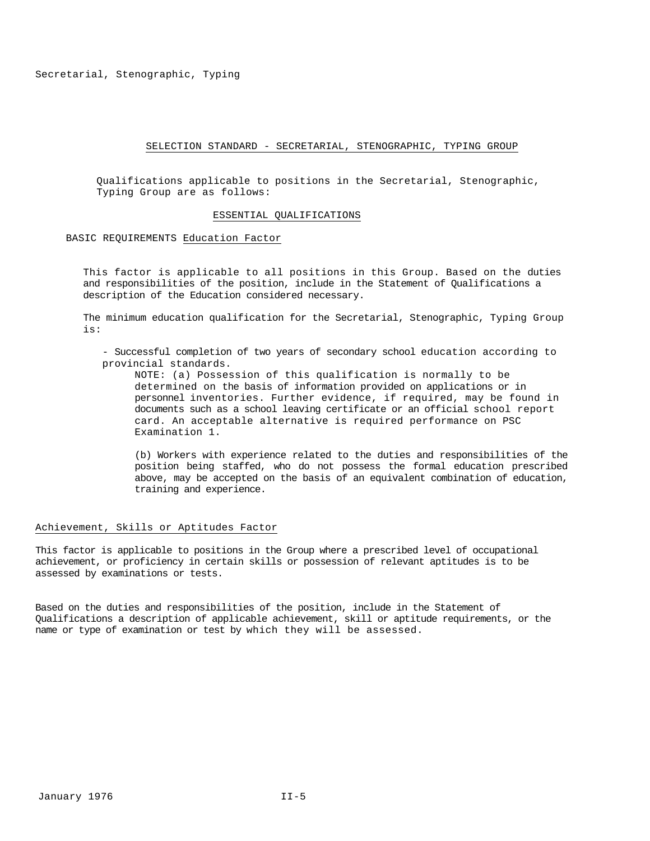#### SELECTION STANDARD - SECRETARIAL, STENOGRAPHIC, TYPING GROUP

Qualifications applicable to positions in the Secretarial, Stenographic, Typing Group are as follows:

#### ESSENTIAL QUALIFICATIONS

BASIC REQUIREMENTS Education Factor

This factor is applicable to all positions in this Group. Based on the duties and responsibilities of the position, include in the Statement of Qualifications a description of the Education considered necessary.

The minimum education qualification for the Secretarial, Stenographic, Typing Group is:

- Successful completion of two years of secondary school education according to provincial standards.

NOTE: (a) Possession of this qualification is normally to be determined on the basis of information provided on applications or in personnel inventories. Further evidence, if required, may be found in documents such as a school leaving certificate or an official school report card. An acceptable alternative is required performance on PSC Examination 1.

(b) Workers with experience related to the duties and responsibilities of the position being staffed, who do not possess the formal education prescribed above, may be accepted on the basis of an equivalent combination of education, training and experience.

#### Achievement, Skills or Aptitudes Factor

This factor is applicable to positions in the Group where a prescribed level of occupational achievement, or proficiency in certain skills or possession of relevant aptitudes is to be assessed by examinations or tests.

Based on the duties and responsibilities of the position, include in the Statement of Qualifications a description of applicable achievement, skill or aptitude requirements, or the name or type of examination or test by which they will be assessed.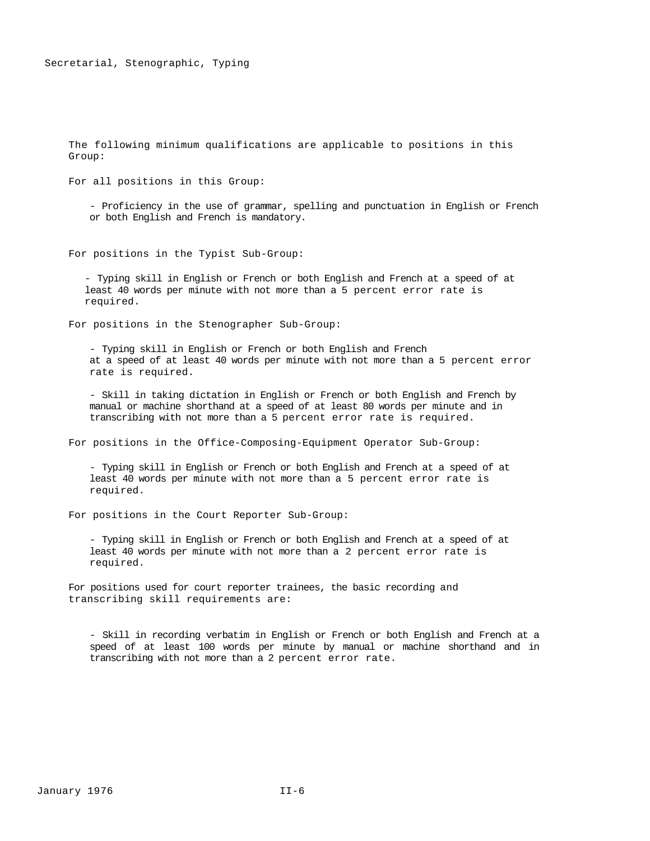The following minimum qualifications are applicable to positions in this Group:

For all positions in this Group:

- Proficiency in the use of grammar, spelling and punctuation in English or French or both English and French is mandatory.

For positions in the Typist Sub-Group:

- Typing skill in English or French or both English and French at a speed of at least 40 words per minute with not more than a 5 percent error rate is required.

For positions in the Stenographer Sub-Group:

- Typing skill in English or French or both English and French at a speed of at least 40 words per minute with not more than a 5 percent error rate is required.

- Skill in taking dictation in English or French or both English and French by manual or machine shorthand at a speed of at least 80 words per minute and in transcribing with not more than a 5 percent error rate is required.

For positions in the Office-Composing-Equipment Operator Sub-Group:

- Typing skill in English or French or both English and French at a speed of at least 40 words per minute with not more than a 5 percent error rate is required.

For positions in the Court Reporter Sub-Group:

- Typing skill in English or French or both English and French at a speed of at least 40 words per minute with not more than a 2 percent error rate is required.

For positions used for court reporter trainees, the basic recording and transcribing skill requirements are:

- Skill in recording verbatim in English or French or both English and French at a speed of at least 100 words per minute by manual or machine shorthand and in transcribing with not more than a 2 percent error rate.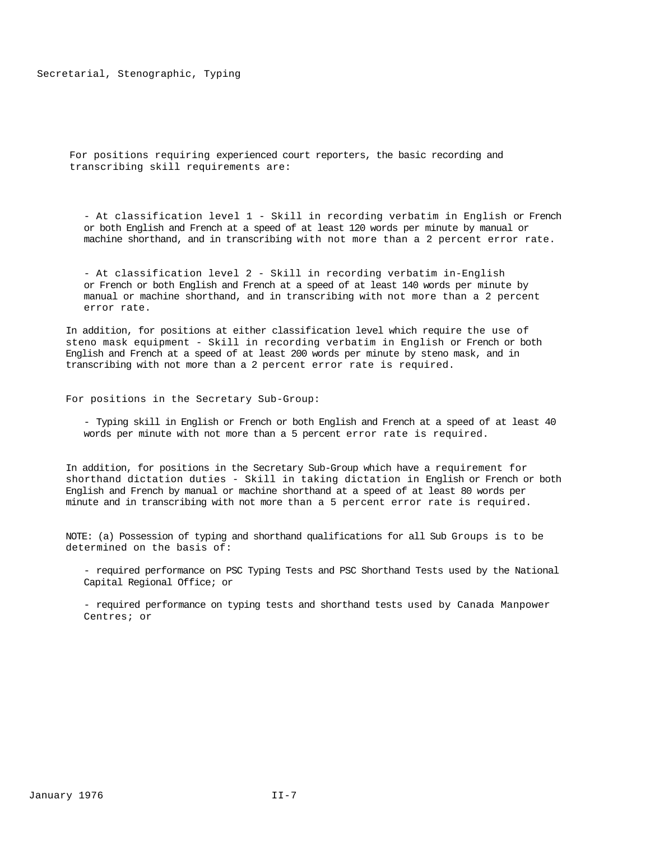For positions requiring experienced court reporters, the basic recording and transcribing skill requirements are:

- At classification level 1 - Skill in recording verbatim in English or French or both English and French at a speed of at least 120 words per minute by manual or machine shorthand, and in transcribing with not more than a 2 percent error rate.

- At classification level 2 - Skill in recording verbatim in-English or French or both English and French at a speed of at least 140 words per minute by manual or machine shorthand, and in transcribing with not more than a 2 percent error rate.

In addition, for positions at either classification level which require the use of steno mask equipment - Skill in recording verbatim in English or French or both English and French at a speed of at least 200 words per minute by steno mask, and in transcribing with not more than a 2 percent error rate is required.

For positions in the Secretary Sub-Group:

- Typing skill in English or French or both English and French at a speed of at least 40 words per minute with not more than a 5 percent error rate is required.

In addition, for positions in the Secretary Sub-Group which have a requirement for shorthand dictation duties - Skill in taking dictation in English or French or both English and French by manual or machine shorthand at a speed of at least 80 words per minute and in transcribing with not more than a 5 percent error rate is required.

NOTE: (a) Possession of typing and shorthand qualifications for all Sub Groups is to be determined on the basis of:

- required performance on PSC Typing Tests and PSC Shorthand Tests used by the National Capital Regional Office; or

- required performance on typing tests and shorthand tests used by Canada Manpower Centres; or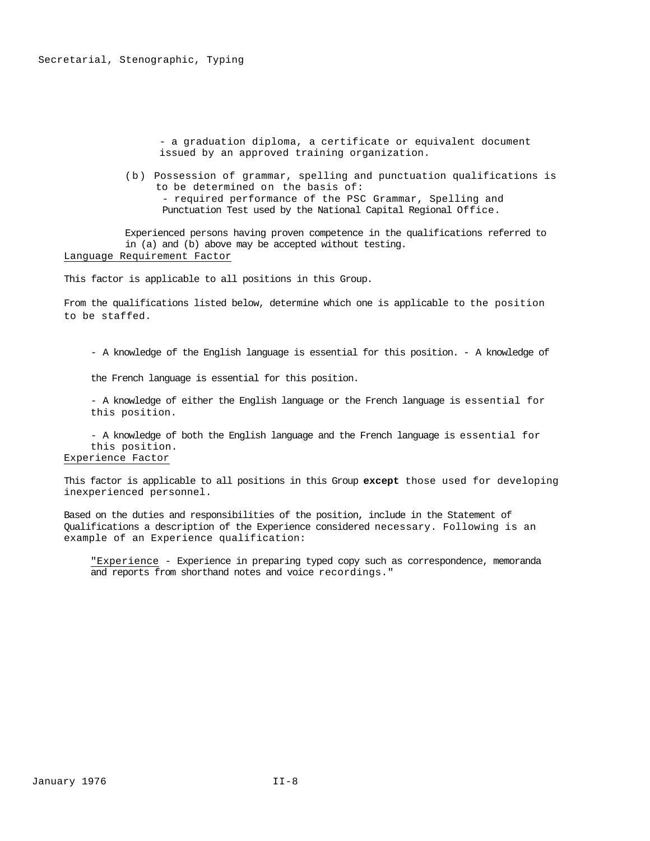- a graduation diploma, a certificate or equivalent document issued by an approved training organization.

(b) Possession of grammar, spelling and punctuation qualifications is to be determined on the basis of: - required performance of the PSC Grammar, Spelling and Punctuation Test used by the National Capital Regional Office.

Experienced persons having proven competence in the qualifications referred to in (a) and (b) above may be accepted without testing. Language Requirement Factor

This factor is applicable to all positions in this Group.

From the qualifications listed below, determine which one is applicable to the position to be staffed.

- A knowledge of the English language is essential for this position. - A knowledge of

the French language is essential for this position.

- A knowledge of either the English language or the French language is essential for this position.

- A knowledge of both the English language and the French language is essential for this position. Experience Factor

This factor is applicable to all positions in this Group **except** those used for developing inexperienced personnel.

Based on the duties and responsibilities of the position, include in the Statement of Qualifications a description of the Experience considered necessary. Following is an example of an Experience qualification:

"Experience - Experience in preparing typed copy such as correspondence, memoranda and reports from shorthand notes and voice recordings."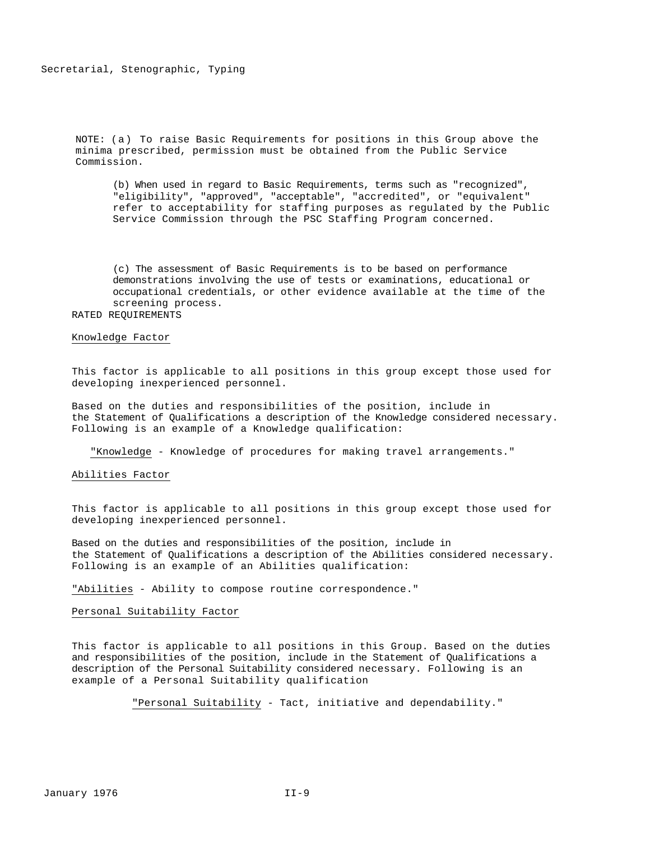NOTE: (a) To raise Basic Requirements for positions in this Group above the minima prescribed, permission must be obtained from the Public Service Commission.

(b) When used in regard to Basic Requirements, terms such as "recognized", "eligibility", "approved", "acceptable", "accredited", or "equivalent" refer to acceptability for staffing purposes as regulated by the Public Service Commission through the PSC Staffing Program concerned.

(c) The assessment of Basic Requirements is to be based on performance demonstrations involving the use of tests or examinations, educational or occupational credentials, or other evidence available at the time of the screening process. RATED REQUIREMENTS

#### Knowledge Factor

This factor is applicable to all positions in this group except those used for developing inexperienced personnel.

Based on the duties and responsibilities of the position, include in the Statement of Qualifications a description of the Knowledge considered necessary. Following is an example of a Knowledge qualification:

"Knowledge - Knowledge of procedures for making travel arrangements."

#### Abilities Factor

This factor is applicable to all positions in this group except those used for developing inexperienced personnel.

Based on the duties and responsibilities of the position, include in the Statement of Qualifications a description of the Abilities considered necessary. Following is an example of an Abilities qualification:

"Abilities - Ability to compose routine correspondence."

Personal Suitability Factor

This factor is applicable to all positions in this Group. Based on the duties and responsibilities of the position, include in the Statement of Qualifications a description of the Personal Suitability considered necessary. Following is an example of a Personal Suitability qualification

"Personal Suitability - Tact, initiative and dependability."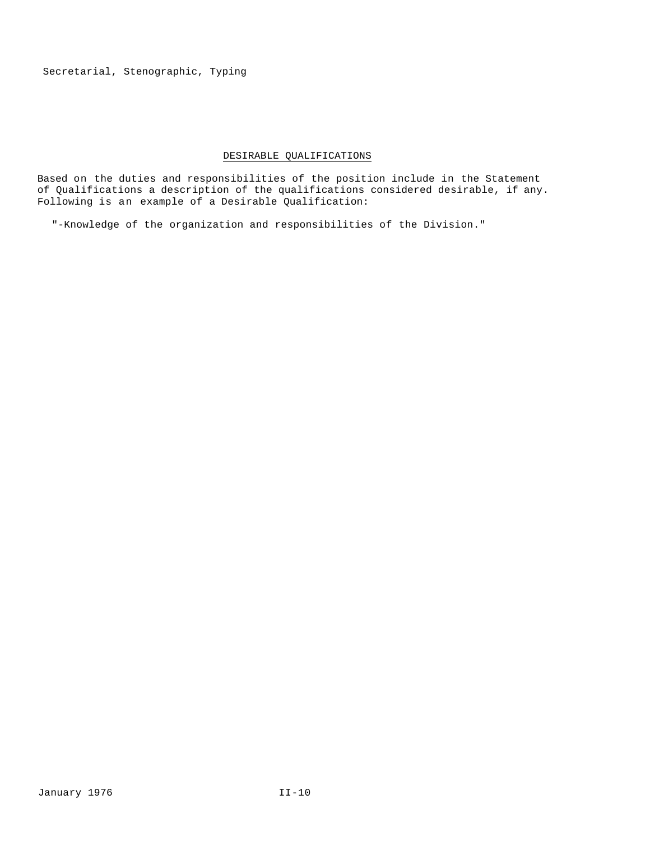# DESIRABLE QUALIFICATIONS

Based on the duties and responsibilities of the position include in the Statement of Qualifications a description of the qualifications considered desirable, if any. Following is an example of a Desirable Qualification:

"-Knowledge of the organization and responsibilities of the Division."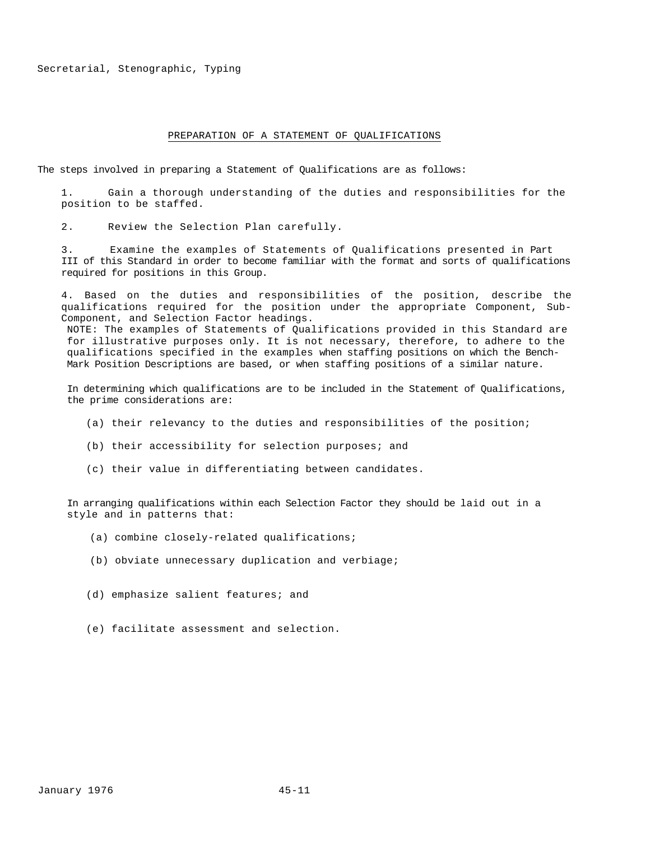#### PREPARATION OF A STATEMENT OF QUALIFICATIONS

The steps involved in preparing a Statement of Qualifications are as follows:

1. Gain a thorough understanding of the duties and responsibilities for the position to be staffed.

2. Review the Selection Plan carefully.

3. Examine the examples of Statements of Qualifications presented in Part III of this Standard in order to become familiar with the format and sorts of qualifications required for positions in this Group.

4. Based on the duties and responsibilities of the position, describe the qualifications required for the position under the appropriate Component, Sub-Component, and Selection Factor headings.

NOTE: The examples of Statements of Qualifications provided in this Standard are for illustrative purposes only. It is not necessary, therefore, to adhere to the qualifications specified in the examples when staffing positions on which the Bench-Mark Position Descriptions are based, or when staffing positions of a similar nature.

In determining which qualifications are to be included in the Statement of Qualifications, the prime considerations are:

- (a) their relevancy to the duties and responsibilities of the position;
- (b) their accessibility for selection purposes; and
- (c) their value in differentiating between candidates.

In arranging qualifications within each Selection Factor they should be laid out in a style and in patterns that:

- (a) combine closely-related qualifications;
- (b) obviate unnecessary duplication and verbiage;
- (d) emphasize salient features; and
- (e) facilitate assessment and selection.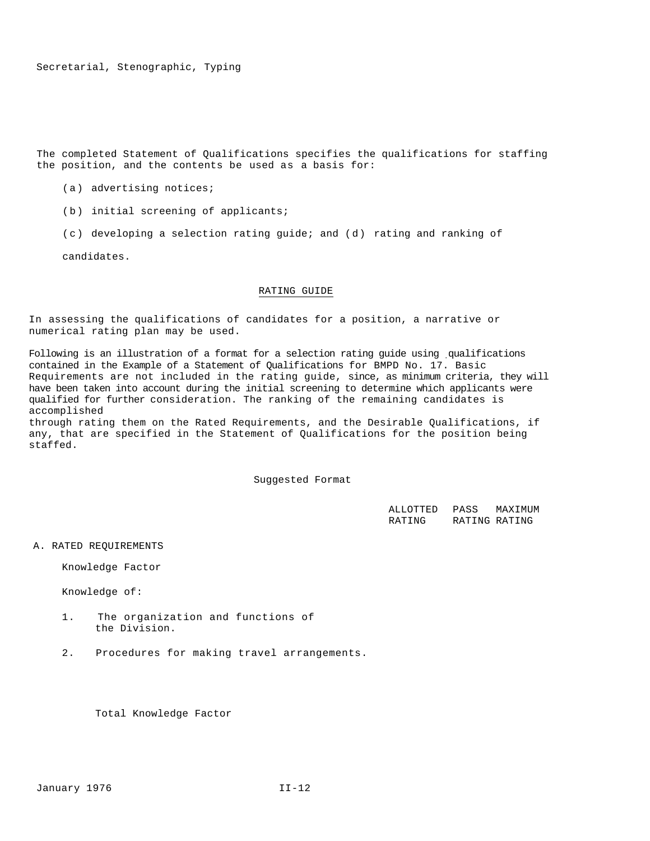The completed Statement of Qualifications specifies the qualifications for staffing the position, and the contents be used as a basis for:

- (a) advertising notices;
- (b) initial screening of applicants;
- (c) developing a selection rating guide; and (d) rating and ranking of

candidates.

## RATING GUIDE

In assessing the qualifications of candidates for a position, a narrative or numerical rating plan may be used.

Following is an illustration of a format for a selection rating guide using qualifications contained in the Example of a Statement of Qualifications for BMPD No. 17. Basic Requirements are not included in the rating guide, since, as minimum criteria, they will have been taken into account during the initial screening to determine which applicants were qualified for further consideration. The ranking of the remaining candidates is accomplished

through rating them on the Rated Requirements, and the Desirable Qualifications, if any, that are specified in the Statement of Qualifications for the position being staffed.

Suggested Format

| ALLOTTED | PASS | MAXIMUM       |
|----------|------|---------------|
| RATING   |      | RATING RATING |

A. RATED REQUIREMENTS

Knowledge Factor

Knowledge of:

- 1. The organization and functions of the Division.
- 2. Procedures for making travel arrangements.

Total Knowledge Factor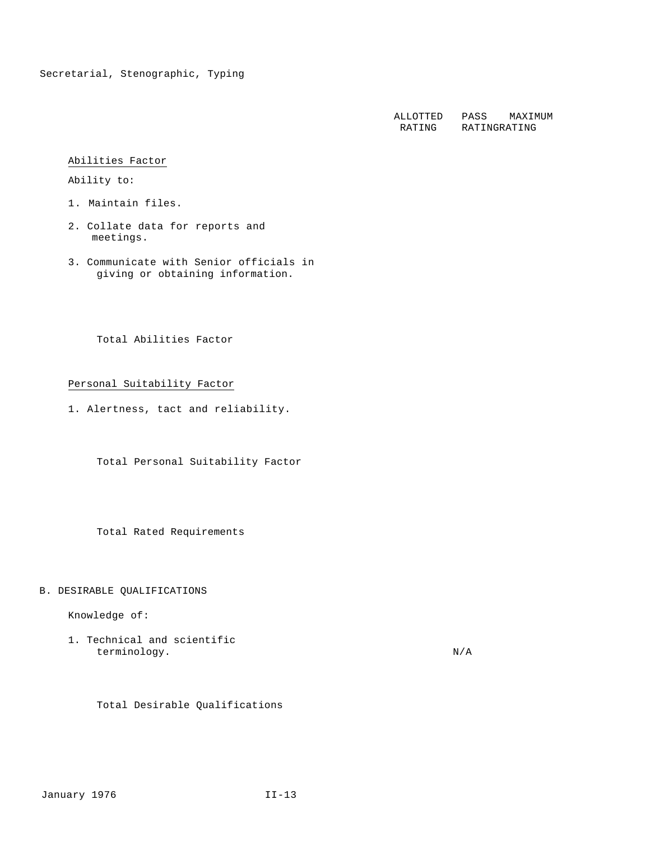ALLOTTED RATING PASS RATING MAXIMUM RATING

## Abilities Factor

Ability to:

- 1. Maintain files.
- 2. Collate data for reports and meetings.
- 3. Communicate with Senior officials in giving or obtaining information.

Total Abilities Factor

Personal Suitability Factor

1. Alertness, tact and reliability.

Total Personal Suitability Factor

Total Rated Requirements

# B. DESIRABLE QUALIFICATIONS

Knowledge of:

1. Technical and scientific terminology. N/A

Total Desirable Qualifications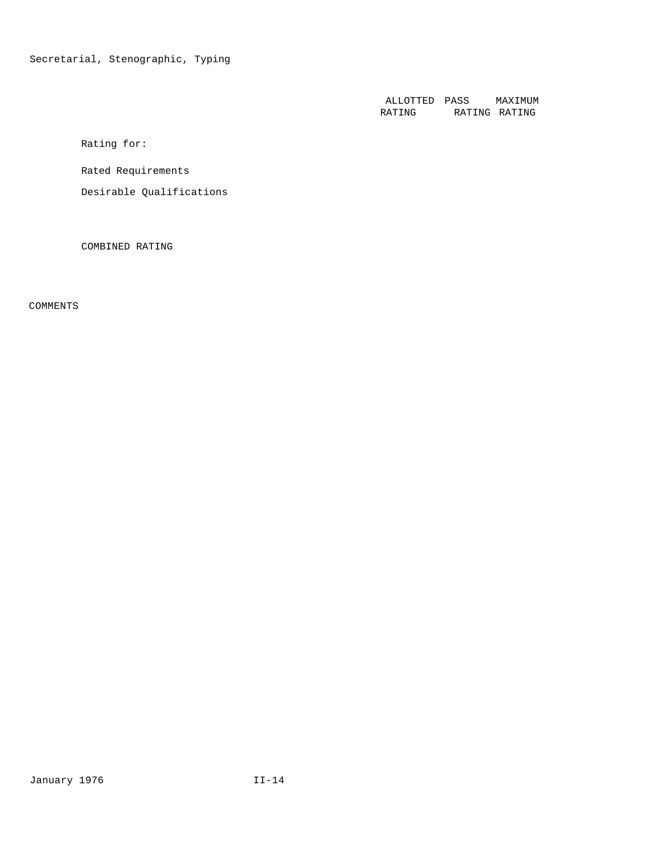ALLOTTED RATING PASS RATING MAXIMUM RATING

Rating for:

Rated Requirements

Desirable Qualifications

COMBINED RATING

COMMENTS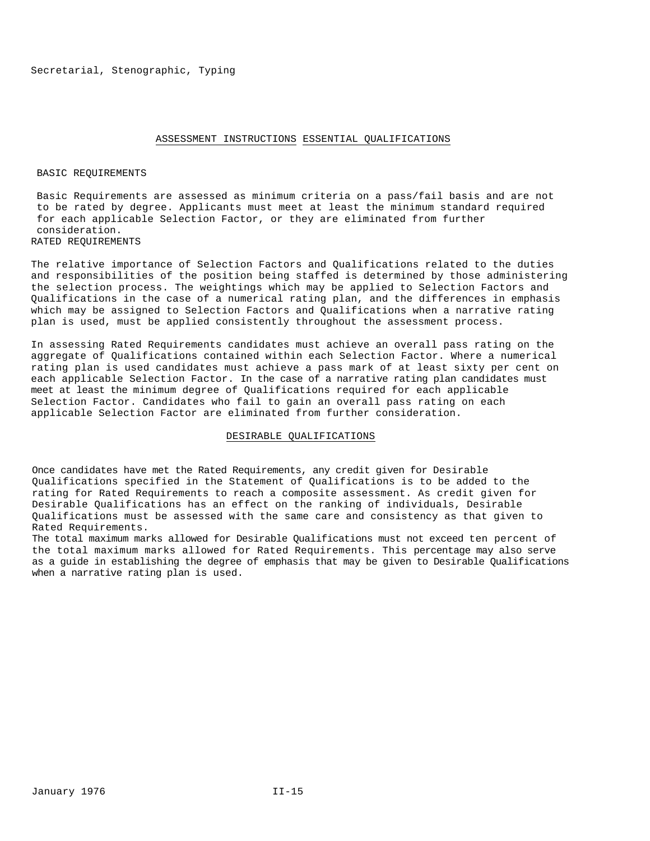#### ASSESSMENT INSTRUCTIONS ESSENTIAL QUALIFICATIONS

#### BASIC REQUIREMENTS

Basic Requirements are assessed as minimum criteria on a pass/fail basis and are not to be rated by degree. Applicants must meet at least the minimum standard required for each applicable Selection Factor, or they are eliminated from further consideration.

RATED REQUIREMENTS

The relative importance of Selection Factors and Qualifications related to the duties and responsibilities of the position being staffed is determined by those administering the selection process. The weightings which may be applied to Selection Factors and Qualifications in the case of a numerical rating plan, and the differences in emphasis which may be assigned to Selection Factors and Qualifications when a narrative rating plan is used, must be applied consistently throughout the assessment process.

In assessing Rated Requirements candidates must achieve an overall pass rating on the aggregate of Qualifications contained within each Selection Factor. Where a numerical rating plan is used candidates must achieve a pass mark of at least sixty per cent on each applicable Selection Factor. In the case of a narrative rating plan candidates must meet at least the minimum degree of Qualifications required for each applicable Selection Factor. Candidates who fail to gain an overall pass rating on each applicable Selection Factor are eliminated from further consideration.

#### DESIRABLE QUALIFICATIONS

Once candidates have met the Rated Requirements, any credit given for Desirable Qualifications specified in the Statement of Qualifications is to be added to the rating for Rated Requirements to reach a composite assessment. As credit given for Desirable Qualifications has an effect on the ranking of individuals, Desirable Qualifications must be assessed with the same care and consistency as that given to Rated Requirements.

The total maximum marks allowed for Desirable Qualifications must not exceed ten percent of the total maximum marks allowed for Rated Requirements. This percentage may also serve as a guide in establishing the degree of emphasis that may be given to Desirable Qualifications when a narrative rating plan is used.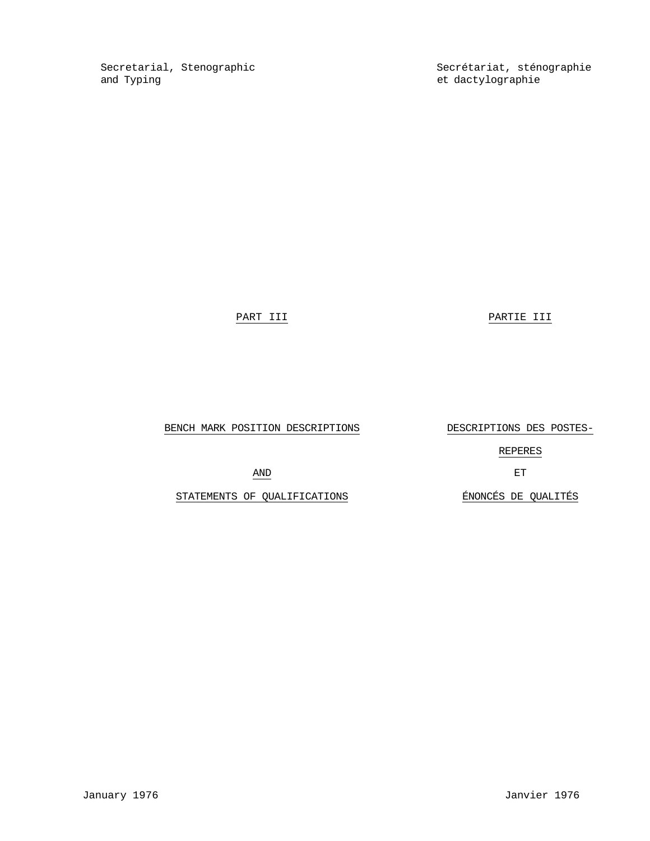Secretarial, Stenographic Secrétariat, sténographie<br>
and Typing<br>
Secrétariat, sténographie

et dactylographie

PART III PARTIE III

BENCH MARK POSITION DESCRIPTIONS DESCRIPTIONS DES POSTES-

REPERES

AND ET

STATEMENTS OF QUALIFICATIONS **ENONCÉS** DE QUALITÉS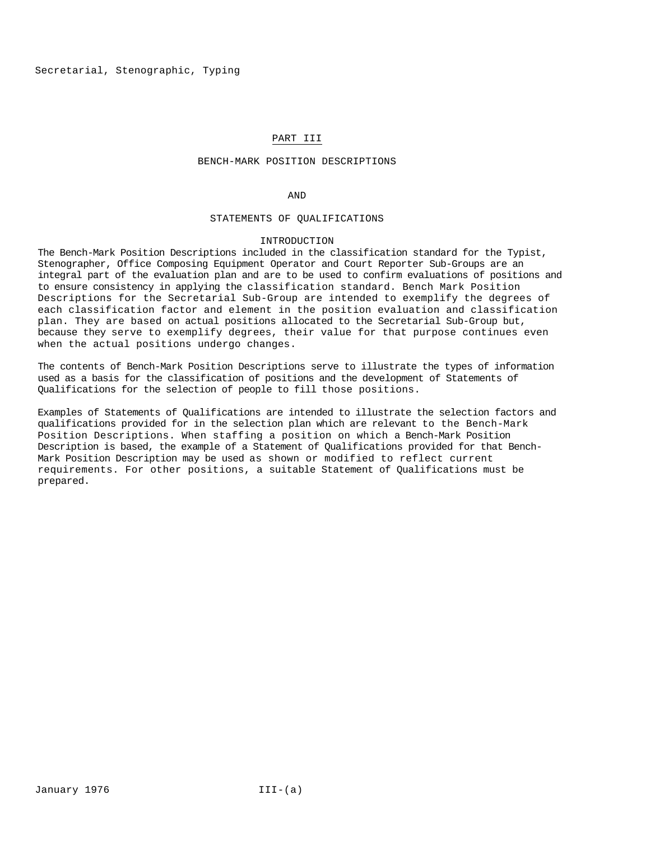# PART III

## BENCH-MARK POSITION DESCRIPTIONS

#### AND

#### STATEMENTS OF QUALIFICATIONS

#### INTRODUCTION

The Bench-Mark Position Descriptions included in the classification standard for the Typist, Stenographer, Office Composing Equipment Operator and Court Reporter Sub-Groups are an integral part of the evaluation plan and are to be used to confirm evaluations of positions and to ensure consistency in applying the classification standard. Bench Mark Position Descriptions for the Secretarial Sub-Group are intended to exemplify the degrees of each classification factor and element in the position evaluation and classification plan. They are based on actual positions allocated to the Secretarial Sub-Group but, because they serve to exemplify degrees, their value for that purpose continues even when the actual positions undergo changes.

The contents of Bench-Mark Position Descriptions serve to illustrate the types of information used as a basis for the classification of positions and the development of Statements of Qualifications for the selection of people to fill those positions.

Examples of Statements of Qualifications are intended to illustrate the selection factors and qualifications provided for in the selection plan which are relevant to the Bench-Mark Position Descriptions. When staffing a position on which a Bench-Mark Position Description is based, the example of a Statement of Qualifications provided for that Bench-Mark Position Description may be used as shown or modified to reflect current requirements. For other positions, a suitable Statement of Qualifications must be prepared.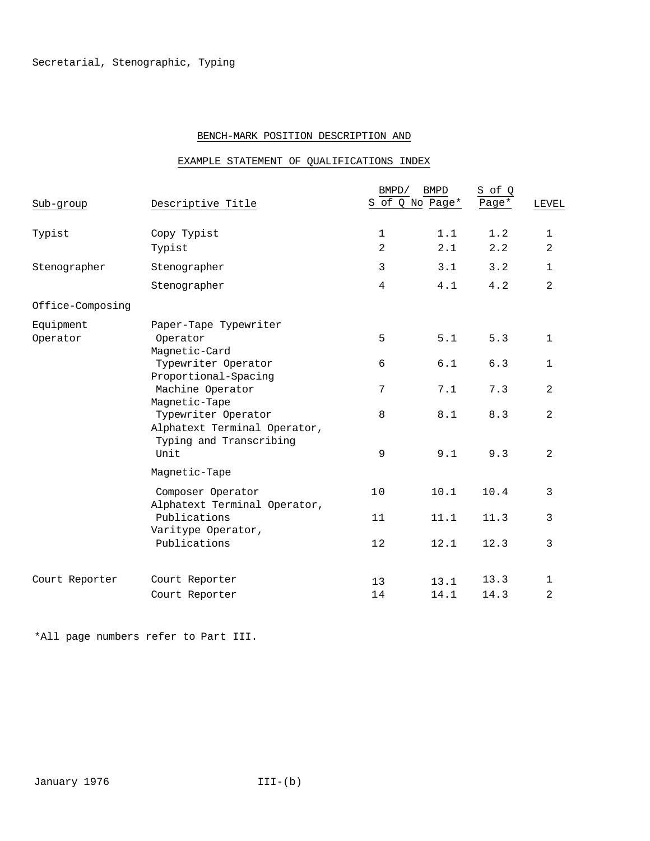# BENCH-MARK POSITION DESCRIPTION AND

# EXAMPLE STATEMENT OF QUALIFICATIONS INDEX

|                  |                                                                      | BMPD/          | <b>BMPD</b><br>S of Q No Page* | S of Q<br>Page* |                |
|------------------|----------------------------------------------------------------------|----------------|--------------------------------|-----------------|----------------|
| Sub-group        | Descriptive Title                                                    |                |                                |                 | <b>LEVEL</b>   |
| Typist           | Copy Typist                                                          | $\mathbf 1$    | 1.1                            | 1.2             | 1              |
|                  | Typist                                                               | $\overline{2}$ | 2.1                            | 2.2             | 2              |
| Stenographer     | Stenographer                                                         | 3              | 3.1                            | 3.2             | $\mathbf 1$    |
|                  | Stenographer                                                         | $\overline{4}$ | 4.1                            | 4.2             | 2              |
| Office-Composing |                                                                      |                |                                |                 |                |
| Equipment        | Paper-Tape Typewriter                                                |                |                                |                 |                |
| Operator         | Operator                                                             | 5              | 5.1                            | 5.3             | $\mathbf{1}$   |
|                  | Magnetic-Card<br>Typewriter Operator                                 | 6              | 6.1                            | 6.3             | $\mathbf{1}$   |
|                  | Proportional-Spacing<br>Machine Operator                             | 7              | 7.1                            | 7.3             | $\overline{a}$ |
|                  | Magnetic-Tape<br>Typewriter Operator<br>Alphatext Terminal Operator, | 8              | 8.1                            | 8.3             | 2              |
|                  | Typing and Transcribing<br>Unit                                      | 9              | 9.1                            | 9.3             | 2              |
|                  | Magnetic-Tape                                                        |                |                                |                 |                |
|                  | Composer Operator<br>Alphatext Terminal Operator,                    | 10             | 10.1                           | 10.4            | 3              |
|                  | Publications<br>Varitype Operator,                                   | 11             | 11.1                           | 11.3            | 3              |
|                  | Publications                                                         | 12             | 12.1                           | 12.3            | 3              |
| Court Reporter   | Court Reporter                                                       | 13             | 13.1                           | 13.3            | $\mathbf{1}$   |
|                  | Court Reporter                                                       | 14             | 14.1                           | 14.3            | 2              |
|                  |                                                                      |                |                                |                 |                |

\*All page numbers refer to Part III.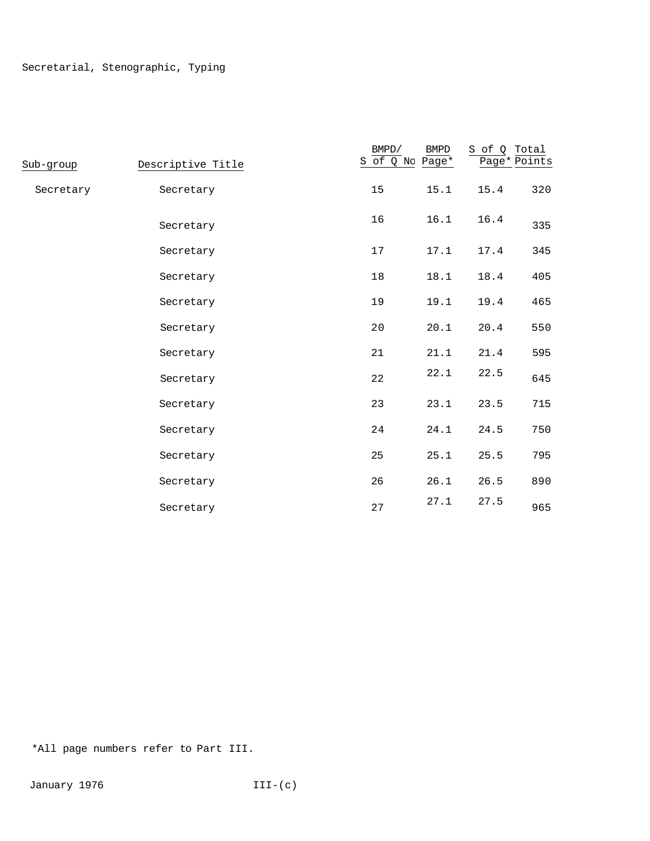| Sub-group | Descriptive Title | BMPD/<br>S of Q No Page* | ${\tt BMPD}$ | S of Q Total<br>Page* Points |     |
|-----------|-------------------|--------------------------|--------------|------------------------------|-----|
| Secretary | Secretary         | 15                       | 15.1         | 15.4                         | 320 |
|           | Secretary         | 16                       | 16.1         | 16.4                         | 335 |
|           | Secretary         | 17                       | 17.1         | 17.4                         | 345 |
|           | Secretary         | 18                       | 18.1         | 18.4                         | 405 |
|           | Secretary         | 19                       | 19.1         | 19.4                         | 465 |
|           | Secretary         | 20                       | 20.1         | 20.4                         | 550 |
|           | Secretary         | 21                       | 21.1         | 21.4                         | 595 |
|           | Secretary         | 22                       | 22.1         | 22.5                         | 645 |
|           | Secretary         | 23                       | 23.1         | 23.5                         | 715 |
|           | Secretary         | 24                       | 24.1         | 24.5                         | 750 |
|           | Secretary         | 25                       | 25.1         | 25.5                         | 795 |
|           | Secretary         | 26                       | 26.1         | 26.5                         | 890 |
|           | Secretary         | 27                       | 27.1         | 27.5                         | 965 |

\*All page numbers refer to Part III.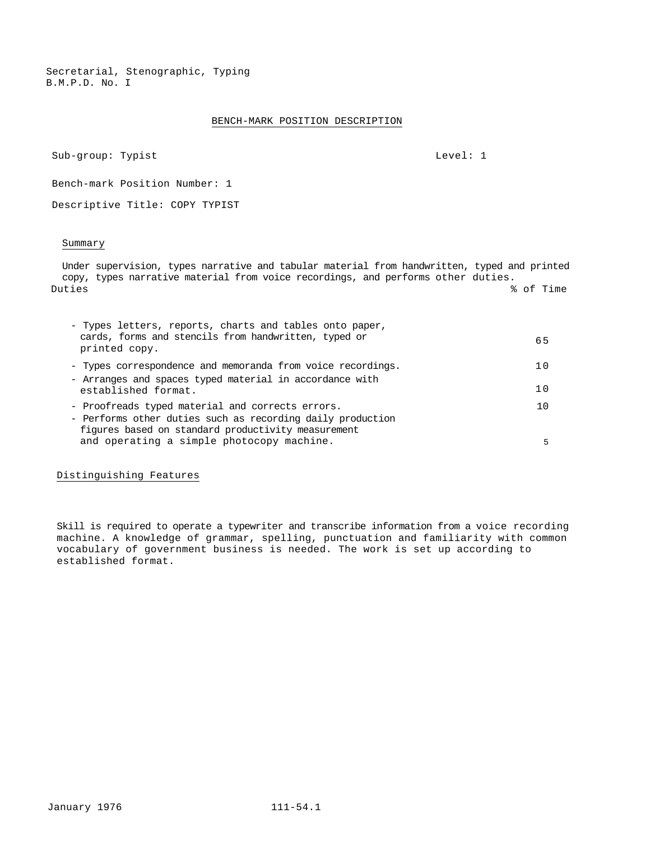Secretarial, Stenographic, Typing B.M.P.D. No. I

## BENCH-MARK POSITION DESCRIPTION

Sub-group: Typist Level: 1

Bench-mark Position Number: 1

Descriptive Title: COPY TYPIST

#### Summary

Under supervision, types narrative and tabular material from handwritten, typed and printed copy, types narrative material from voice recordings, and performs other duties. Duties % of Time

| - Types letters, reports, charts and tables onto paper,<br>cards, forms and stencils from handwritten, typed or<br>printed copy.                                     | 65  |
|----------------------------------------------------------------------------------------------------------------------------------------------------------------------|-----|
| - Types correspondence and memoranda from voice recordings.                                                                                                          | 1 N |
| - Arranges and spaces typed material in accordance with<br>established format.                                                                                       | 1 N |
| - Proofreads typed material and corrects errors.<br>- Performs other duties such as recording daily production<br>figures based on standard productivity measurement | 1 O |
| and operating a simple photocopy machine.                                                                                                                            |     |

Distinguishing Features

Skill is required to operate a typewriter and transcribe information from a voice recording machine. A knowledge of grammar, spelling, punctuation and familiarity with common vocabulary of government business is needed. The work is set up according to established format.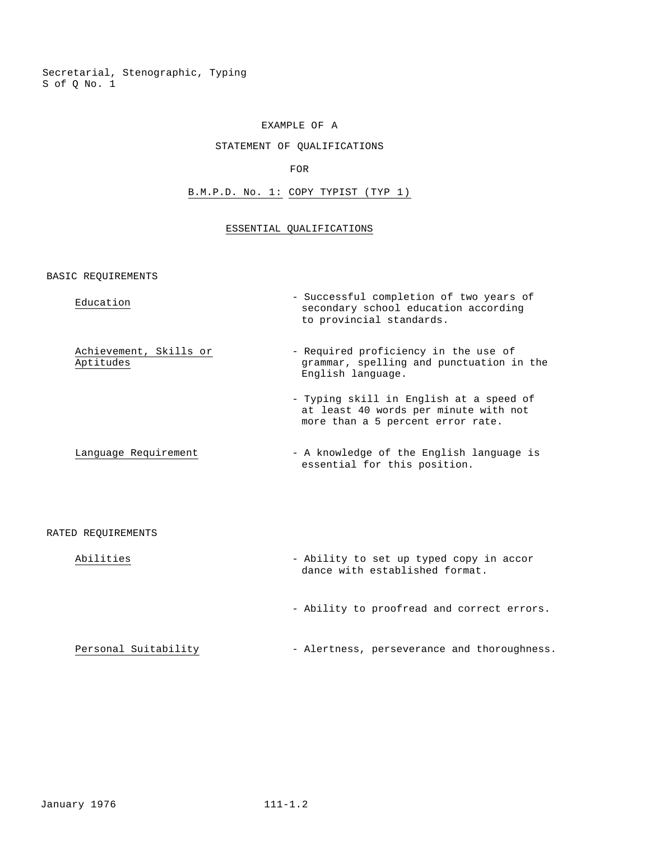Secretarial, Stenographic, Typing S of Q No. 1

#### EXAMPLE OF A

## STATEMENT OF QUALIFICATIONS

## FOR

# B.M.P.D. No. 1: COPY TYPIST (TYP 1)

# ESSENTIAL QUALIFICATIONS

BASIC REQUIREMENTS

| Education                           | - Successful completion of two years of<br>secondary school education according<br>to provincial standards.           |
|-------------------------------------|-----------------------------------------------------------------------------------------------------------------------|
| Achievement, Skills or<br>Aptitudes | - Required proficiency in the use of<br>grammar, spelling and punctuation in the<br>English language.                 |
|                                     | - Typing skill in English at a speed of<br>at least 40 words per minute with not<br>more than a 5 percent error rate. |
| Language Requirement                | - A knowledge of the English language is<br>essential for this position.                                              |
|                                     |                                                                                                                       |

## RATED REQUIREMENTS

| Abilities            | - Ability to set up typed copy in accor<br>dance with established format. |
|----------------------|---------------------------------------------------------------------------|
|                      | - Ability to proofread and correct errors.                                |
| Personal Suitability | - Alertness, perseverance and thoroughness.                               |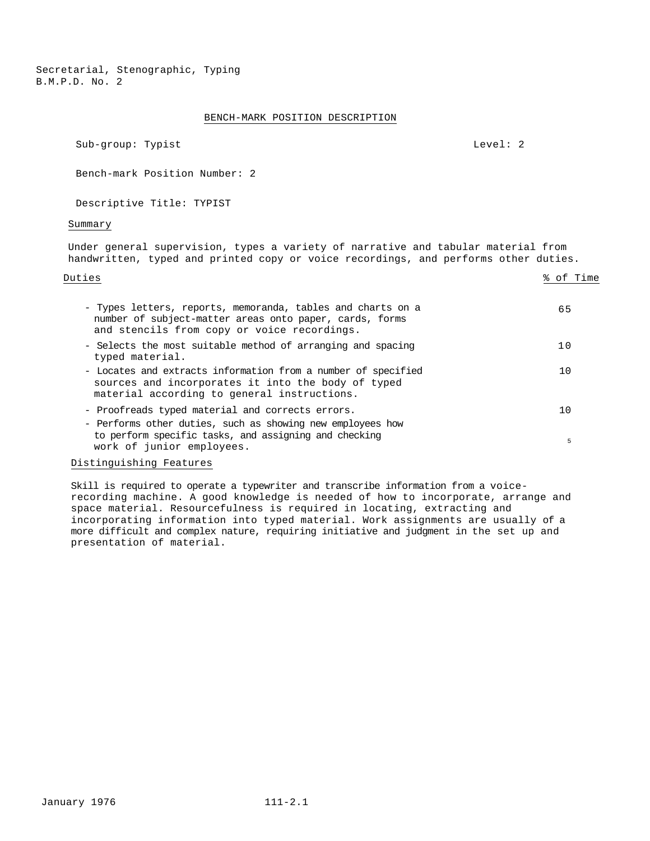Secretarial, Stenographic, Typing B.M.P.D. No. 2

## BENCH-MARK POSITION DESCRIPTION

Sub-group: Typist Level: 2

Bench-mark Position Number: 2

Descriptive Title: TYPIST

#### Summary

Under general supervision, types a variety of narrative and tabular material from handwritten, typed and printed copy or voice recordings, and performs other duties.

| Duties                                                                                                                                                                | % of Time |
|-----------------------------------------------------------------------------------------------------------------------------------------------------------------------|-----------|
| - Types letters, reports, memoranda, tables and charts on a<br>number of subject-matter areas onto paper, cards, forms<br>and stencils from copy or voice recordings. | 65        |
| - Selects the most suitable method of arranging and spacing<br>typed material.                                                                                        | 10        |
| - Locates and extracts information from a number of specified<br>sources and incorporates it into the body of typed<br>material according to general instructions.    | 10        |
| - Proofreads typed material and corrects errors.<br>- Performs other duties, such as showing new employees how                                                        | 10        |
| to perform specific tasks, and assigning and checking<br>work of junior employees.                                                                                    | 5         |

# Distinguishing Features

Skill is required to operate a typewriter and transcribe information from a voicerecording machine. A good knowledge is needed of how to incorporate, arrange and space material. Resourcefulness is required in locating, extracting and incorporating information into typed material. Work assignments are usually of a more difficult and complex nature, requiring initiative and judgment in the set up and presentation of material.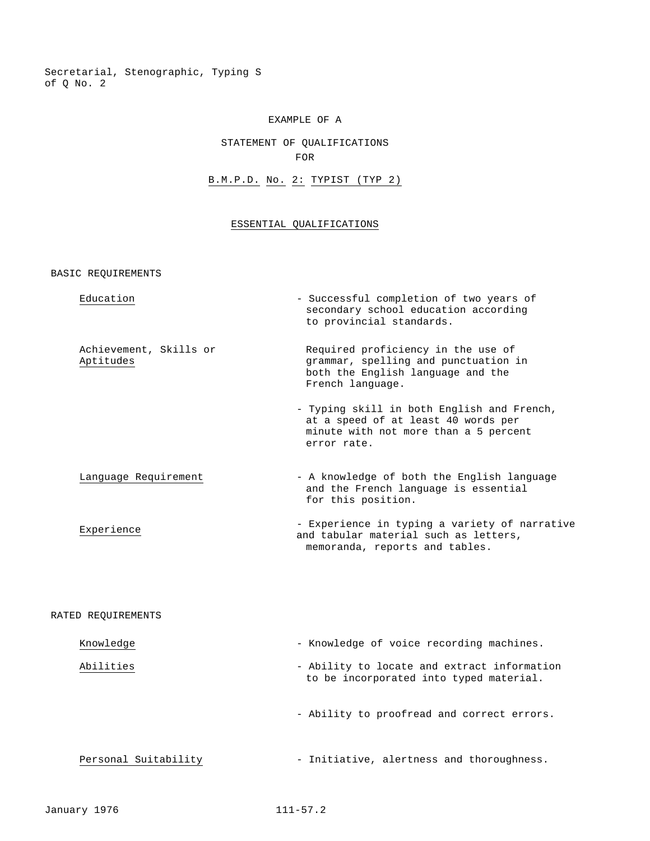Secretarial, Stenographic, Typing S of Q No. 2

# EXAMPLE OF A

# STATEMENT OF QUALIFICATIONS FOR

# B.M.P.D. No. 2: TYPIST (TYP 2)

# ESSENTIAL QUALIFICATIONS

BASIC REQUIREMENTS

| Education                           | - Successful completion of two years of<br>secondary school education according<br>to provincial standards.                               |
|-------------------------------------|-------------------------------------------------------------------------------------------------------------------------------------------|
| Achievement, Skills or<br>Aptitudes | Required proficiency in the use of<br>grammar, spelling and punctuation in<br>both the English language and the<br>French language.       |
|                                     | - Typing skill in both English and French,<br>at a speed of at least 40 words per<br>minute with not more than a 5 percent<br>error rate. |
| Language Requirement                | - A knowledge of both the English language<br>and the French language is essential<br>for this position.                                  |
| Experience                          | - Experience in typing a variety of narrative<br>and tabular material such as letters,<br>memoranda, reports and tables.                  |
|                                     |                                                                                                                                           |
| RATED REQUIREMENTS                  |                                                                                                                                           |
| Knowledge                           | - Knowledge of voice recording machines.                                                                                                  |
| Abilities                           | - Ability to locate and extract information<br>to be incorporated into typed material.                                                    |
|                                     | - Ability to proofread and correct errors.                                                                                                |

Personal Suitability - Initiative, alertness and thoroughness.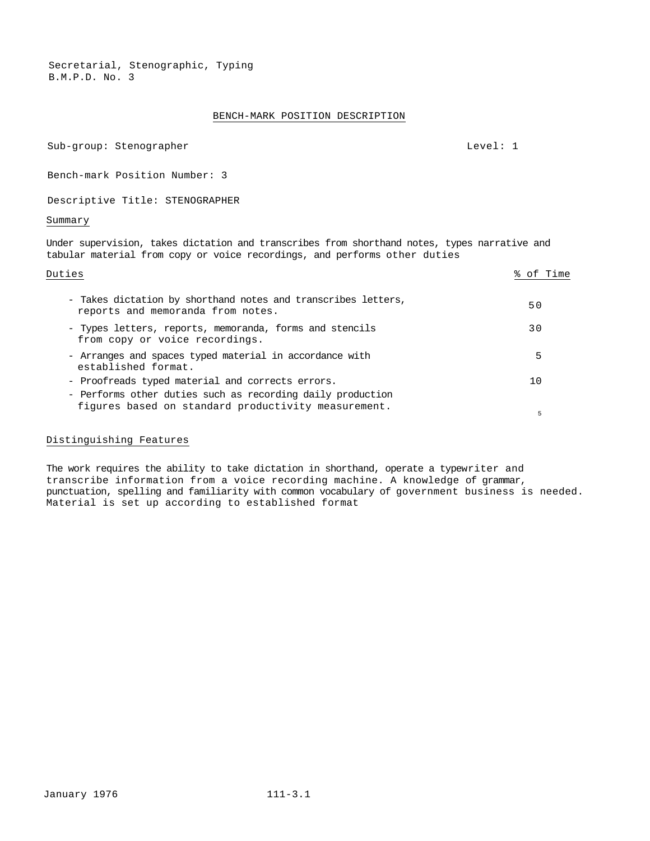Secretarial, Stenographic, Typing B.M.P.D. No. 3

# BENCH-MARK POSITION DESCRIPTION

| Sub-group: Stenographer | Level: 1 |
|-------------------------|----------|
|                         |          |

Bench-mark Position Number: 3

Descriptive Title: STENOGRAPHER

#### Summary

Under supervision, takes dictation and transcribes from shorthand notes, types narrative and tabular material from copy or voice recordings, and performs other duties

| Duties                                                                                                                                                                | % of Time |
|-----------------------------------------------------------------------------------------------------------------------------------------------------------------------|-----------|
| - Takes dictation by shorthand notes and transcribes letters,<br>reports and memoranda from notes.                                                                    | 50        |
| - Types letters, reports, memoranda, forms and stencils<br>from copy or voice recordings.                                                                             | 3 O       |
| - Arranges and spaces typed material in accordance with<br>established format.                                                                                        | 5         |
| - Proofreads typed material and corrects errors.<br>- Performs other duties such as recording daily production<br>figures based on standard productivity measurement. | 10<br>5   |
|                                                                                                                                                                       |           |

## Distinguishing Features

The work requires the ability to take dictation in shorthand, operate a typewriter and transcribe information from a voice recording machine. A knowledge of grammar, punctuation, spelling and familiarity with common vocabulary of government business is needed. Material is set up according to established format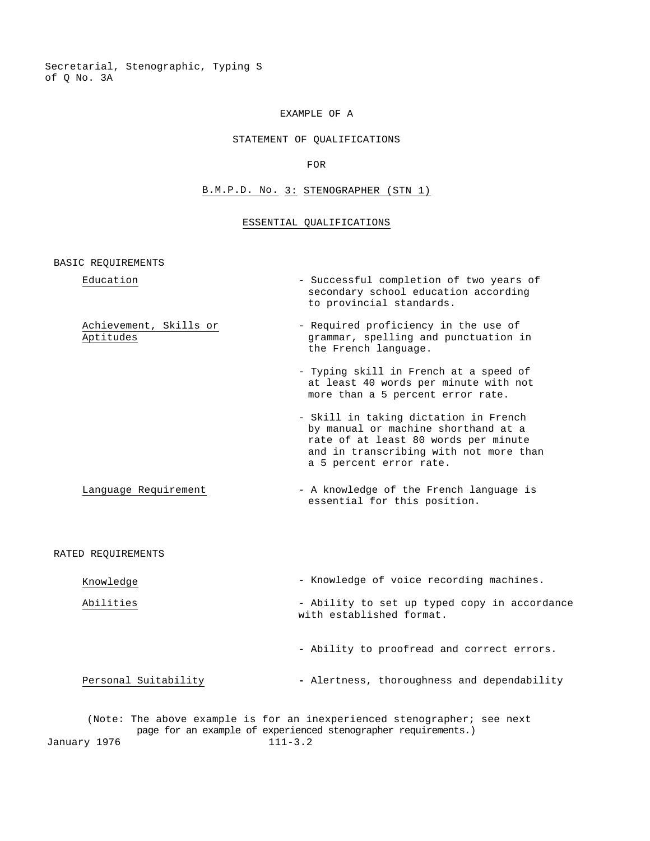Secretarial, Stenographic, Typing S of Q No. 3A

# EXAMPLE OF A

## STATEMENT OF QUALIFICATIONS

FOR

# B.M.P.D. No. 3: STENOGRAPHER (STN 1)

## ESSENTIAL QUALIFICATIONS

BASIC REQUIREMENTS

| Education                           | - Successful completion of two years of<br>secondary school education according<br>to provincial standards.                                                                               |
|-------------------------------------|-------------------------------------------------------------------------------------------------------------------------------------------------------------------------------------------|
| Achievement, Skills or<br>Aptitudes | - Required proficiency in the use of<br>grammar, spelling and punctuation in<br>the French language.                                                                                      |
|                                     | - Typing skill in French at a speed of<br>at least 40 words per minute with not<br>more than a 5 percent error rate.                                                                      |
|                                     | - Skill in taking dictation in French<br>by manual or machine shorthand at a<br>rate of at least 80 words per minute<br>and in transcribing with not more than<br>a 5 percent error rate. |
| Language Requirement                | - A knowledge of the French language is<br>essential for this position.                                                                                                                   |

#### RATED REQUIREMENTS

| Knowledge | - Knowledge of voice recording machines. |  |
|-----------|------------------------------------------|--|
|           |                                          |  |

- Abilities Ability to set up typed copy in accordance with established format.
	- Ability to proofread and correct errors.

Personal Suitability **- Alertness**, thoroughness and dependability

(Note: The above example is for an inexperienced stenographer; see next page for an example of experienced stenographer requirements.) January 1976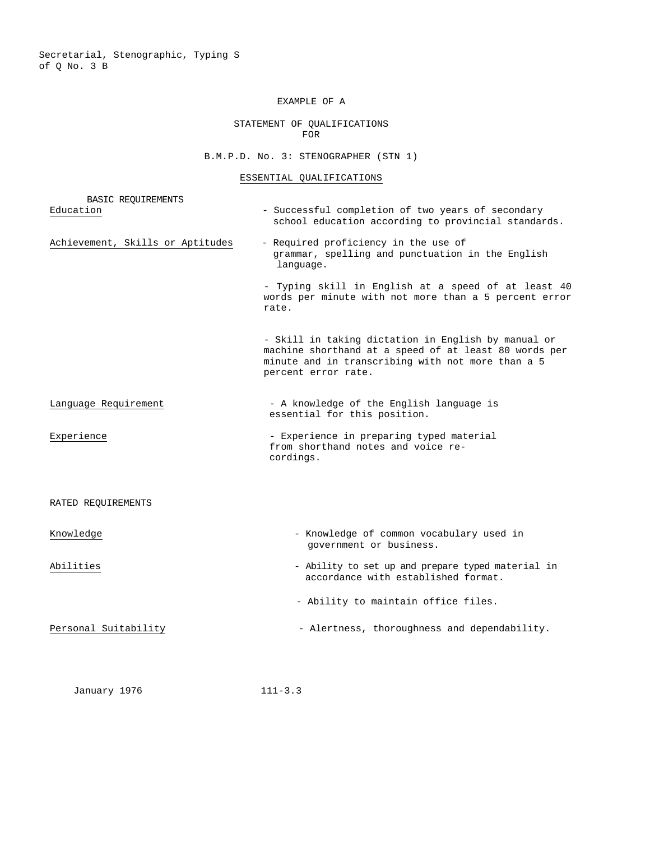Secretarial, Stenographic, Typing S of Q No. 3 B

# EXAMPLE OF A

# STATEMENT OF QUALIFICATIONS FOR

# B.M.P.D. No. 3: STENOGRAPHER (STN 1)

## ESSENTIAL QUALIFICATIONS

| <b>BASIC REQUIREMENTS</b>        |                                                                                                                                                                                          |
|----------------------------------|------------------------------------------------------------------------------------------------------------------------------------------------------------------------------------------|
| Education                        | - Successful completion of two years of secondary<br>school education according to provincial standards.                                                                                 |
| Achievement, Skills or Aptitudes | - Required proficiency in the use of<br>grammar, spelling and punctuation in the English<br>language.                                                                                    |
|                                  | - Typing skill in English at a speed of at least 40<br>words per minute with not more than a 5 percent error<br>rate.                                                                    |
|                                  | - Skill in taking dictation in English by manual or<br>machine shorthand at a speed of at least 80 words per<br>minute and in transcribing with not more than a 5<br>percent error rate. |
| Language Requirement             | - A knowledge of the English language is<br>essential for this position.                                                                                                                 |
| Experience                       | - Experience in preparing typed material<br>from shorthand notes and voice re-<br>cordings.                                                                                              |
| RATED REQUIREMENTS               |                                                                                                                                                                                          |
| Knowledge                        | - Knowledge of common vocabulary used in<br>government or business.                                                                                                                      |
| Abilities                        | - Ability to set up and prepare typed material in<br>accordance with established format.                                                                                                 |
|                                  | - Ability to maintain office files.                                                                                                                                                      |
| Personal Suitability             | - Alertness, thoroughness and dependability.                                                                                                                                             |
|                                  |                                                                                                                                                                                          |

January 1976 111-3.3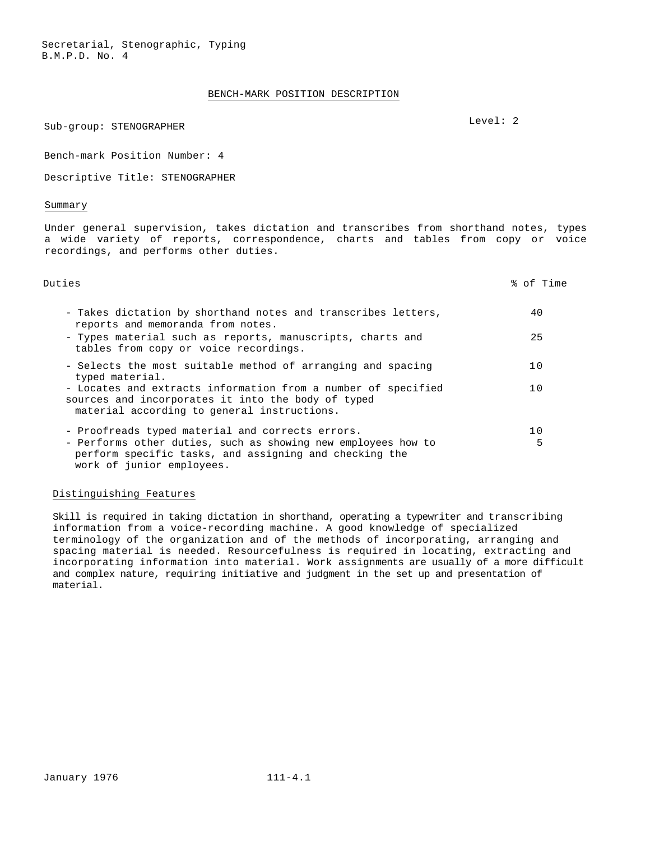#### BENCH-MARK POSITION DESCRIPTION

# Sub-group: STENOGRAPHER Level: 2

Bench-mark Position Number: 4

Descriptive Title: STENOGRAPHER

#### Summary

Under general supervision, takes dictation and transcribes from shorthand notes, types a wide variety of reports, correspondence, charts and tables from copy or voice recordings, and performs other duties.

| Duties                                                                                                                                                                                | % of Time |
|---------------------------------------------------------------------------------------------------------------------------------------------------------------------------------------|-----------|
| - Takes dictation by shorthand notes and transcribes letters,<br>reports and memoranda from notes.<br>- Types material such as reports, manuscripts, charts and                       | 40<br>25  |
| tables from copy or voice recordings.<br>- Selects the most suitable method of arranging and spacing                                                                                  | 10        |
| typed material.<br>- Locates and extracts information from a number of specified<br>sources and incorporates it into the body of typed<br>material according to general instructions. | 10        |
| - Proofreads typed material and corrects errors.<br>- Performs other duties, such as showing new employees how to<br>perform specific tasks, and assigning and checking the           | 10<br>5   |
| work of junior employees.                                                                                                                                                             |           |

#### Distinguishing Features

Skill is required in taking dictation in shorthand, operating a typewriter and transcribing information from a voice-recording machine. A good knowledge of specialized terminology of the organization and of the methods of incorporating, arranging and spacing material is needed. Resourcefulness is required in locating, extracting and incorporating information into material. Work assignments are usually of a more difficult and complex nature, requiring initiative and judgment in the set up and presentation of material.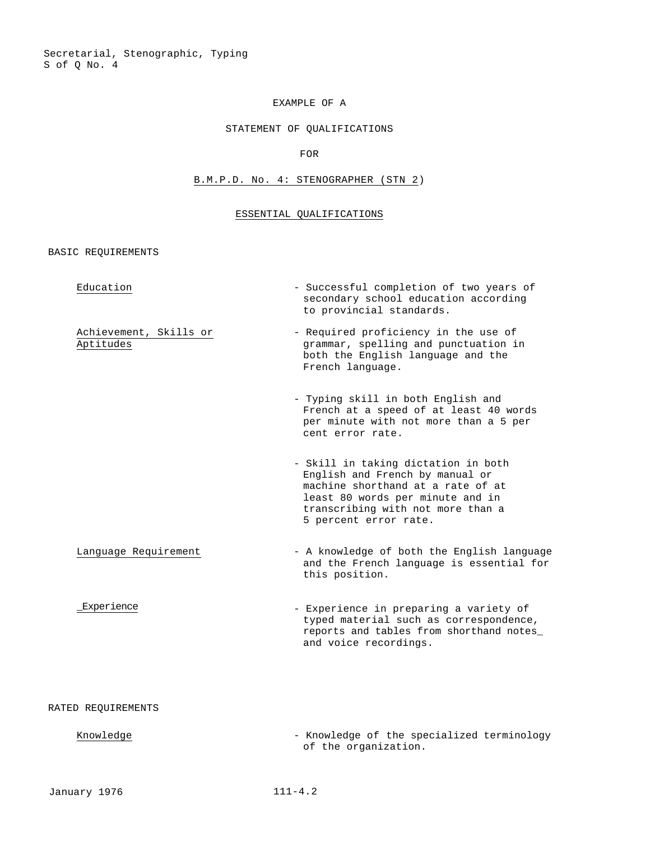Secretarial, Stenographic, Typing S of Q No. 4

# EXAMPLE OF A

# STATEMENT OF QUALIFICATIONS

## FOR

# B.M.P.D. No. 4: STENOGRAPHER (STN 2)

## ESSENTIAL QUALIFICATIONS

BASIC REQUIREMENTS

| Education                           | - Successful completion of two years of<br>secondary school education according<br>to provincial standards.                                                                                                   |
|-------------------------------------|---------------------------------------------------------------------------------------------------------------------------------------------------------------------------------------------------------------|
| Achievement, Skills or<br>Aptitudes | - Required proficiency in the use of<br>grammar, spelling and punctuation in<br>both the English language and the<br>French language.                                                                         |
|                                     | - Typing skill in both English and<br>French at a speed of at least 40 words<br>per minute with not more than a 5 per<br>cent error rate.                                                                     |
|                                     | - Skill in taking dictation in both<br>English and French by manual or<br>machine shorthand at a rate of at<br>least 80 words per minute and in<br>transcribing with not more than a<br>5 percent error rate. |
| Language Requirement                | - A knowledge of both the English language<br>and the French language is essential for<br>this position.                                                                                                      |
| Experience                          | - Experience in preparing a variety of<br>typed material such as correspondence,<br>reports and tables from shorthand notes_<br>and voice recordings.                                                         |
| RATED REOUIREMENTS                  |                                                                                                                                                                                                               |

Knowledge **- Knowledge of the specialized terminology** of the organization.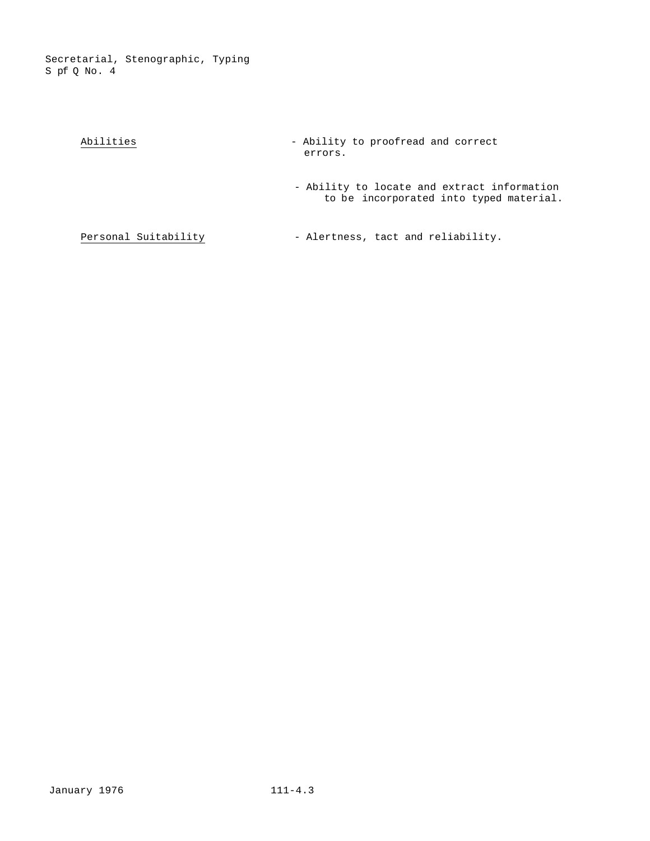Secretarial, Stenographic, Typing S pf Q No. 4

| Abilities            | - Ability to proofread and correct<br>errors.                                          |
|----------------------|----------------------------------------------------------------------------------------|
|                      | - Ability to locate and extract information<br>to be incorporated into typed material. |
| Personal Suitability | - Alertness, tact and reliability.                                                     |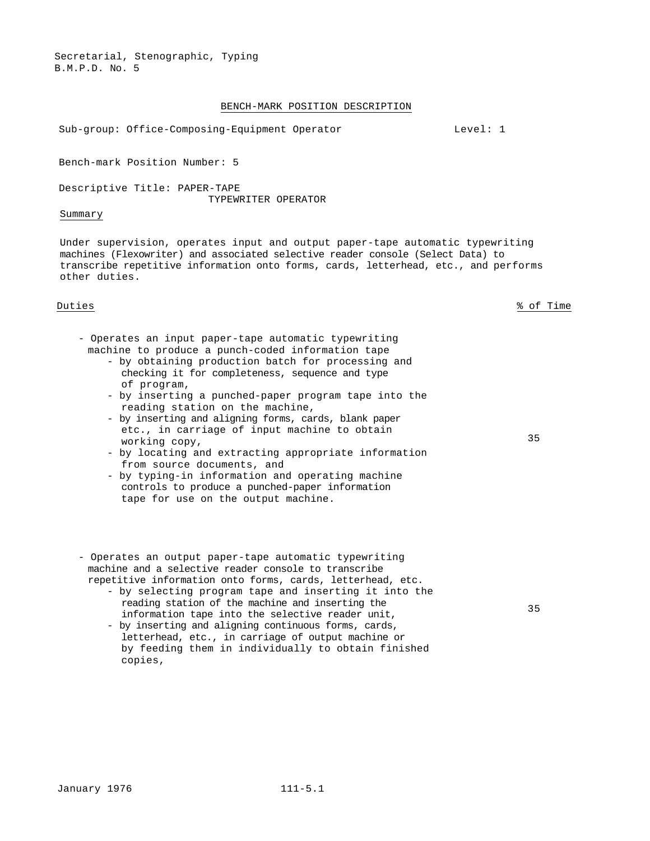Secretarial, Stenographic, Typing B.M.P.D. No. 5

#### BENCH-MARK POSITION DESCRIPTION

Sub-group: Office-Composing-Equipment Operator Level: 1

Bench-mark Position Number: 5

Descriptive Title: PAPER-TAPE TYPEWRITER OPERATOR

# Summary

Under supervision, operates input and output paper-tape automatic typewriting machines (Flexowriter) and associated selective reader console (Select Data) to transcribe repetitive information onto forms, cards, letterhead, etc., and performs other duties.

Duties % of Time

35

35

- Operates an input paper-tape automatic typewriting machine to produce a punch-coded information tape
	- by obtaining production batch for processing and checking it for completeness, sequence and type of program,
	- by inserting a punched-paper program tape into the reading station on the machine,
	- by inserting and aligning forms, cards, blank paper etc., in carriage of input machine to obtain working copy,
	- by locating and extracting appropriate information from source documents, and
	- by typing-in information and operating machine controls to produce a punched-paper information tape for use on the output machine.
- Operates an output paper-tape automatic typewriting machine and a selective reader console to transcribe repetitive information onto forms, cards, letterhead, etc.
	- by selecting program tape and inserting it into the reading station of the machine and inserting the information tape into the selective reader unit,
	- by inserting and aligning continuous forms, cards, letterhead, etc., in carriage of output machine or by feeding them in individually to obtain finished copies,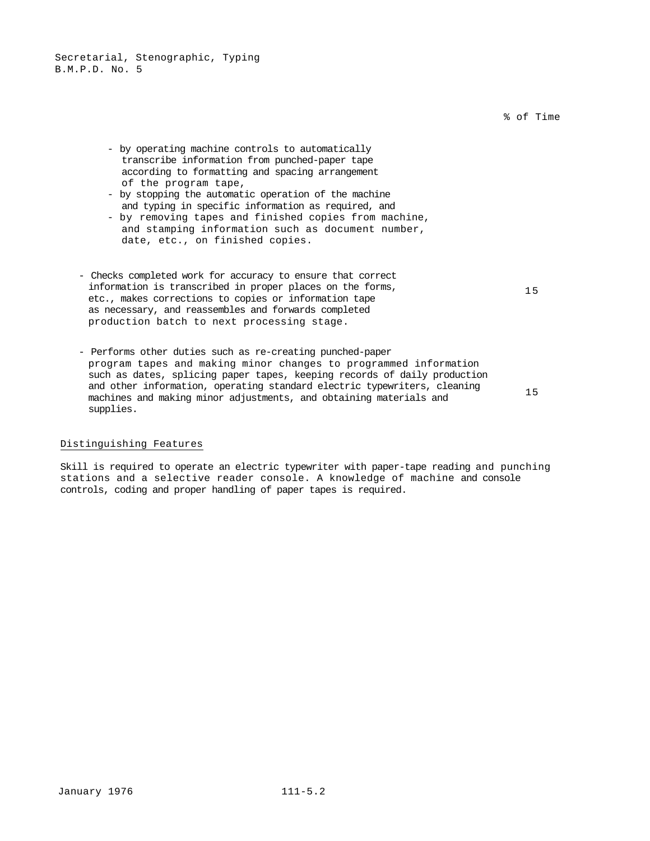Secretarial, Stenographic, Typing B.M.P.D. No. 5

% of Time

- by operating machine controls to automatically transcribe information from punched-paper tape according to formatting and spacing arrangement of the program tape,
- by stopping the automatic operation of the machine and typing in specific information as required, and
- by removing tapes and finished copies from machine, and stamping information such as document number, date, etc., on finished copies.
- Checks completed work for accuracy to ensure that correct information is transcribed in proper places on the forms, etc., makes corrections to copies or information tape as necessary, and reassembles and forwards completed production batch to next processing stage.
- Performs other duties such as re-creating punched-paper program tapes and making minor changes to programmed information such as dates, splicing paper tapes, keeping records of daily production and other information, operating standard electric typewriters, cleaning machines and making minor adjustments, and obtaining materials and supplies.

15

15

## Distinguishing Features

Skill is required to operate an electric typewriter with paper-tape reading and punching stations and a selective reader console. A knowledge of machine and console controls, coding and proper handling of paper tapes is required.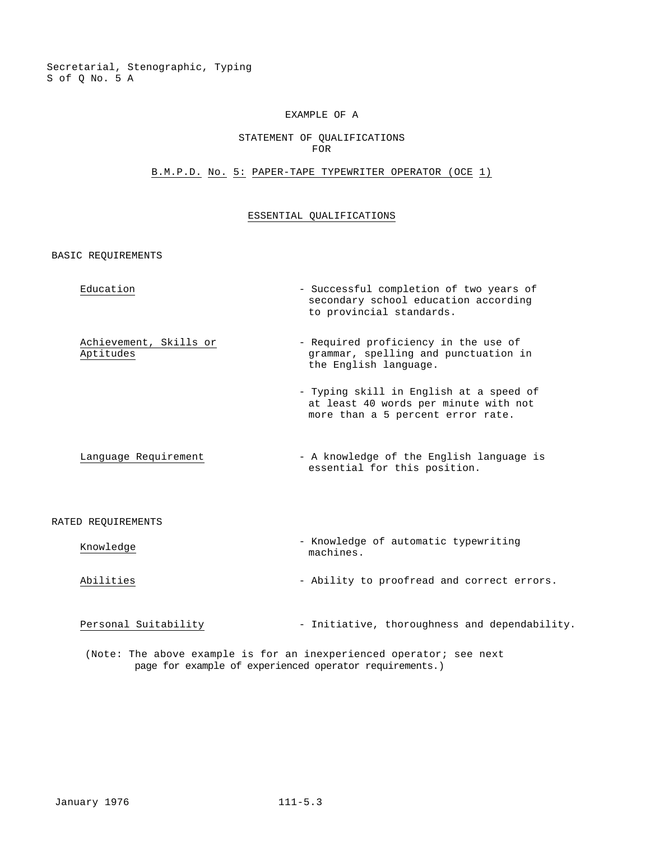#### EXAMPLE OF A

#### STATEMENT OF QUALIFICATIONS FOR

## B.M.P.D. No. 5: PAPER-TAPE TYPEWRITER OPERATOR (OCE 1)

## ESSENTIAL QUALIFICATIONS

BASIC REQUIREMENTS

Education  $\qquad \qquad -$  Successful completion of two years of

Achievement, Skills or Aptitudes

at least 40 words per minute with not more than a 5 percent error rate.

- Typing skill in English at a speed of

secondary school education according

- Required proficiency in the use of grammar, spelling and punctuation in

to provincial standards.

the English language.

Language Requirement - A knowledge of the English language is essential for this position.

#### RATED REQUIREMENTS

| Knowledge | - Knowledge of automatic typewriting<br>machines. |
|-----------|---------------------------------------------------|
| Abilities | - Ability to proofread and correct errors.        |

Personal Suitability - Initiative, thoroughness and dependability.

(Note: The above example is for an inexperienced operator; see next page for example of experienced operator requirements.)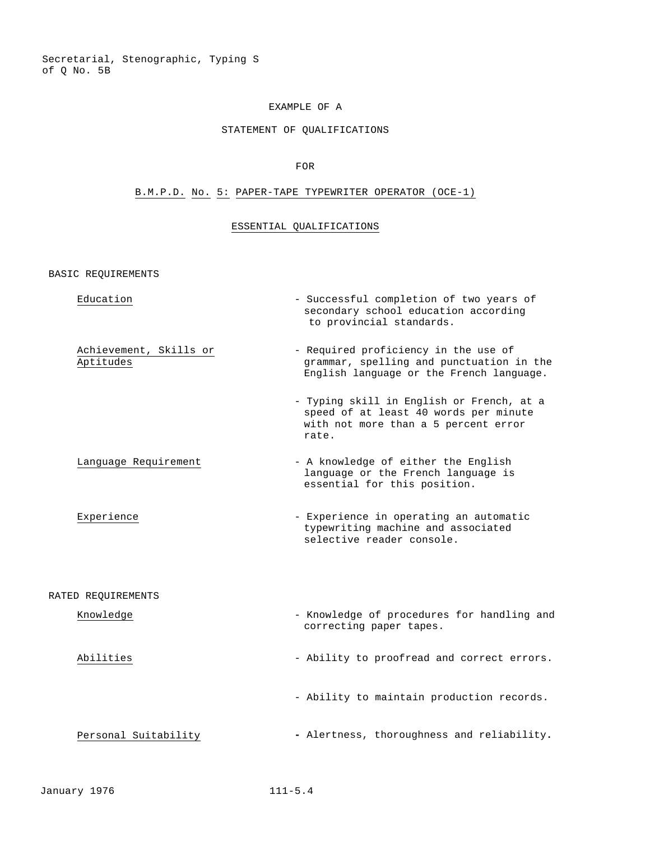Secretarial, Stenographic, Typing S of Q No. 5B

# EXAMPLE OF A

# STATEMENT OF QUALIFICATIONS

## FOR

# B.M.P.D. No. 5: PAPER-TAPE TYPEWRITER OPERATOR (OCE-1)

# ESSENTIAL QUALIFICATIONS

BASIC REQUIREMENTS

| Education                           | - Successful completion of two years of<br>secondary school education according<br>to provincial standards.                         |
|-------------------------------------|-------------------------------------------------------------------------------------------------------------------------------------|
| Achievement, Skills or<br>Aptitudes | - Required proficiency in the use of<br>grammar, spelling and punctuation in the<br>English language or the French language.        |
|                                     | - Typing skill in English or French, at a<br>speed of at least 40 words per minute<br>with not more than a 5 percent error<br>rate. |
| Language Requirement                | - A knowledge of either the English<br>language or the French language is<br>essential for this position.                           |
| Experience                          | - Experience in operating an automatic<br>typewriting machine and associated<br>selective reader console.                           |
| RATED REQUIREMENTS                  |                                                                                                                                     |
| Knowledge                           | - Knowledge of procedures for handling and<br>correcting paper tapes.                                                               |
| Abilities                           | - Ability to proofread and correct errors.                                                                                          |
|                                     | - Ability to maintain production records.                                                                                           |
| Personal Suitability                | - Alertness, thoroughness and reliability.                                                                                          |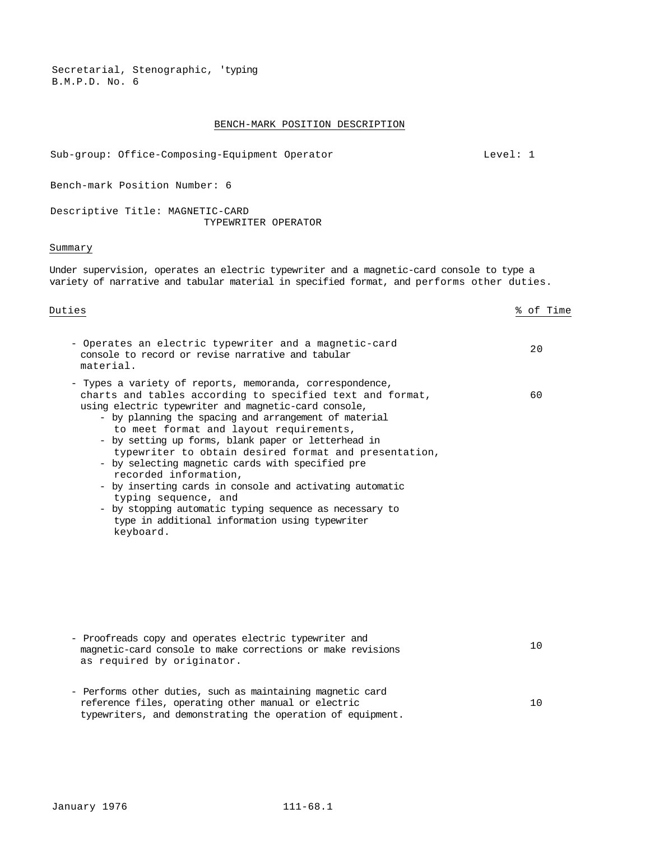Secretarial, Stenographic, 'typing B.M.P.D. No. 6

#### BENCH-MARK POSITION DESCRIPTION

Sub-group: Office-Composing-Equipment Operator Level: 1

Bench-mark Position Number: 6

Descriptive Title: MAGNETIC-CARD TYPEWRITER OPERATOR

## Summary

Under supervision, operates an electric typewriter and a magnetic-card console to type a variety of narrative and tabular material in specified format, and performs other duties.

| Duties                                                                                                                                                                                                                                                                                                                                                                                                                                                                                                                                                                                                                                                                                        | % of Time |
|-----------------------------------------------------------------------------------------------------------------------------------------------------------------------------------------------------------------------------------------------------------------------------------------------------------------------------------------------------------------------------------------------------------------------------------------------------------------------------------------------------------------------------------------------------------------------------------------------------------------------------------------------------------------------------------------------|-----------|
| - Operates an electric typewriter and a magnetic-card<br>console to record or revise narrative and tabular<br>material.                                                                                                                                                                                                                                                                                                                                                                                                                                                                                                                                                                       | 20        |
| - Types a variety of reports, memoranda, correspondence,<br>charts and tables according to specified text and format,<br>using electric typewriter and magnetic-card console,<br>- by planning the spacing and arrangement of material<br>to meet format and layout requirements,<br>- by setting up forms, blank paper or letterhead in<br>typewriter to obtain desired format and presentation,<br>- by selecting magnetic cards with specified pre<br>recorded information,<br>- by inserting cards in console and activating automatic<br>typing sequence, and<br>- by stopping automatic typing sequence as necessary to<br>type in additional information using typewriter<br>keyboard. | 60        |
|                                                                                                                                                                                                                                                                                                                                                                                                                                                                                                                                                                                                                                                                                               |           |

- Proofreads copy and operates electric typewriter and magnetic-card console to make corrections or make revisions as required by originator. 10 - Performs other duties, such as maintaining magnetic card
- reference files, operating other manual or electric typewriters, and demonstrating the operation of equipment. 10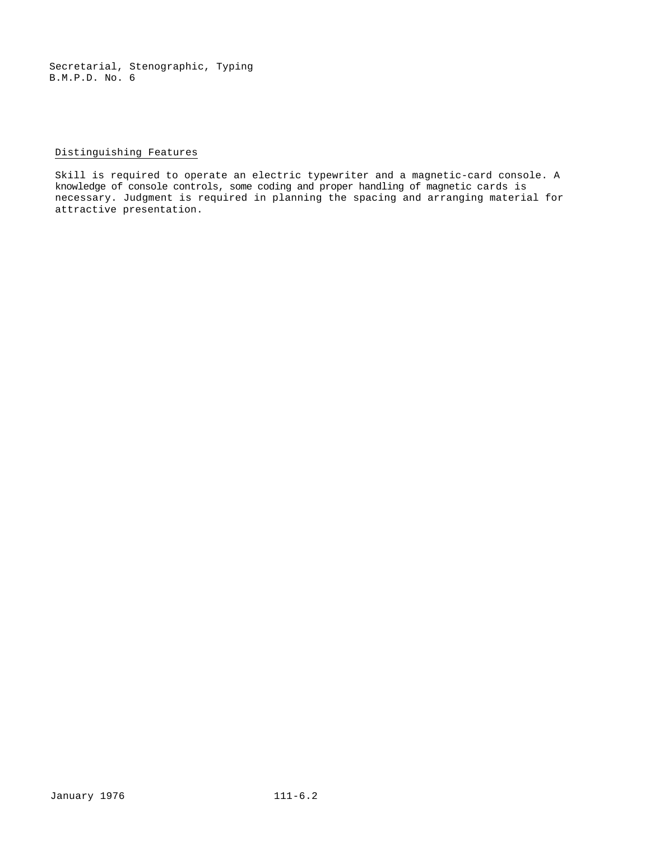Secretarial, Stenographic, Typing B.M.P.D. No. 6

# Distinguishing Features

Skill is required to operate an electric typewriter and a magnetic-card console. A knowledge of console controls, some coding and proper handling of magnetic cards is necessary. Judgment is required in planning the spacing and arranging material for attractive presentation.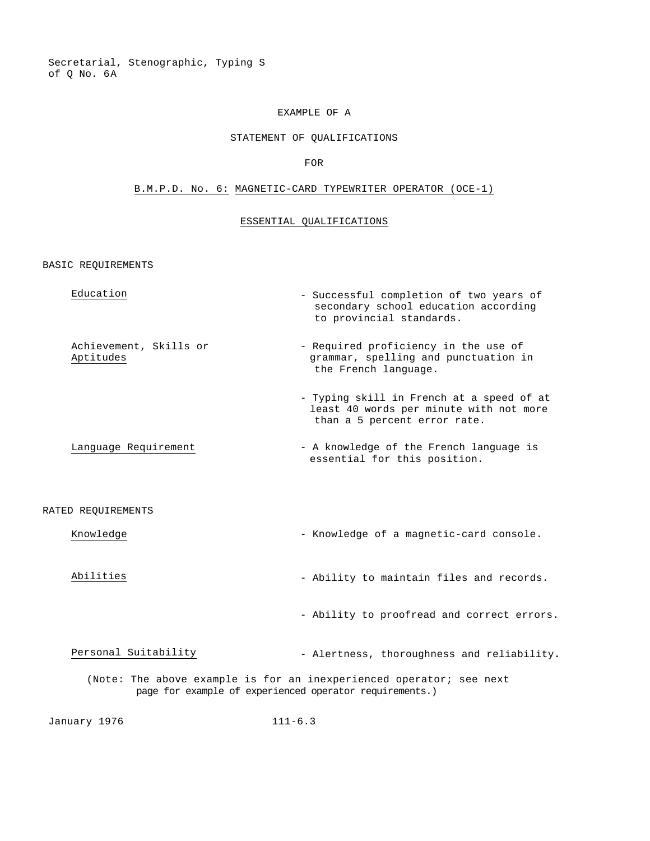Secretarial, Stenographic, Typing S of Q No. 6A

#### EXAMPLE OF A

#### STATEMENT OF QUALIFICATIONS

#### FOR

## B.M.P.D. No. 6: MAGNETIC-CARD TYPEWRITER OPERATOR (OCE-1)

## ESSENTIAL QUALIFICATIONS

BASIC REQUIREMENTS

| Education              | - Successful completion of two years of<br>secondary school education according<br>to provincial standards. |
|------------------------|-------------------------------------------------------------------------------------------------------------|
| Achievement, Skills or | - Required proficiency in the use of                                                                        |
| Aptitudes              | grammar, spelling and punctuation in                                                                        |

- Typing skill in French at a speed of at least 40 words per minute with not more than a 5 percent error rate.

the French language.

Language Requirement  $-$  A knowledge of the French language is essential for this position.

#### RATED REQUIREMENTS

- Knowledge  $\blacksquare$  Knowledge of a magnetic-card console.
- Abilities Ability to maintain files and records.

- Ability to proofread and correct errors.

Personal Suitability **- Alertness**, thoroughness and reliability.

(Note: The above example is for an inexperienced operator; see next page for example of experienced operator requirements.)

January 1976 111-6.3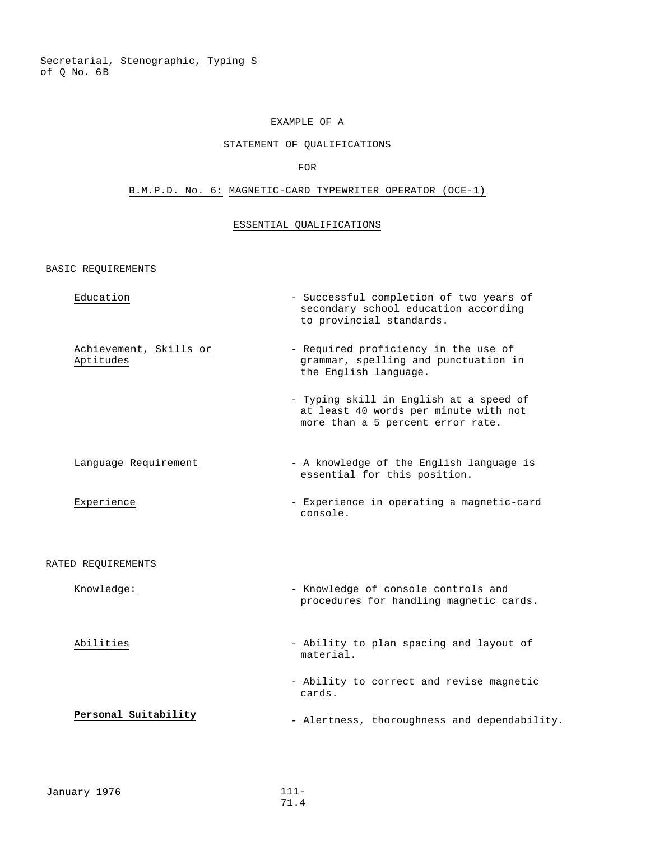Secretarial, Stenographic, Typing S of Q No. 6B

# EXAMPLE OF A

# STATEMENT OF QUALIFICATIONS

#### FOR

# B.M.P.D. No. 6: MAGNETIC-CARD TYPEWRITER OPERATOR (OCE-1)

# ESSENTIAL QUALIFICATIONS

BASIC REQUIREMENTS

| Education                           | - Successful completion of two years of<br>secondary school education according<br>to provincial standards.           |
|-------------------------------------|-----------------------------------------------------------------------------------------------------------------------|
| Achievement, Skills or<br>Aptitudes | - Required proficiency in the use of<br>grammar, spelling and punctuation in<br>the English language.                 |
|                                     | - Typing skill in English at a speed of<br>at least 40 words per minute with not<br>more than a 5 percent error rate. |
| Language Requirement                | - A knowledge of the English language is<br>essential for this position.                                              |
| Experience                          | - Experience in operating a magnetic-card<br>console.                                                                 |
| RATED REQUIREMENTS                  |                                                                                                                       |
| Knowledge:                          | - Knowledge of console controls and<br>procedures for handling magnetic cards.                                        |
| Abilities                           | - Ability to plan spacing and layout of<br>material.                                                                  |
|                                     | - Ability to correct and revise magnetic<br>cards.                                                                    |
| Personal Suitability                | - Alertness, thoroughness and dependability.                                                                          |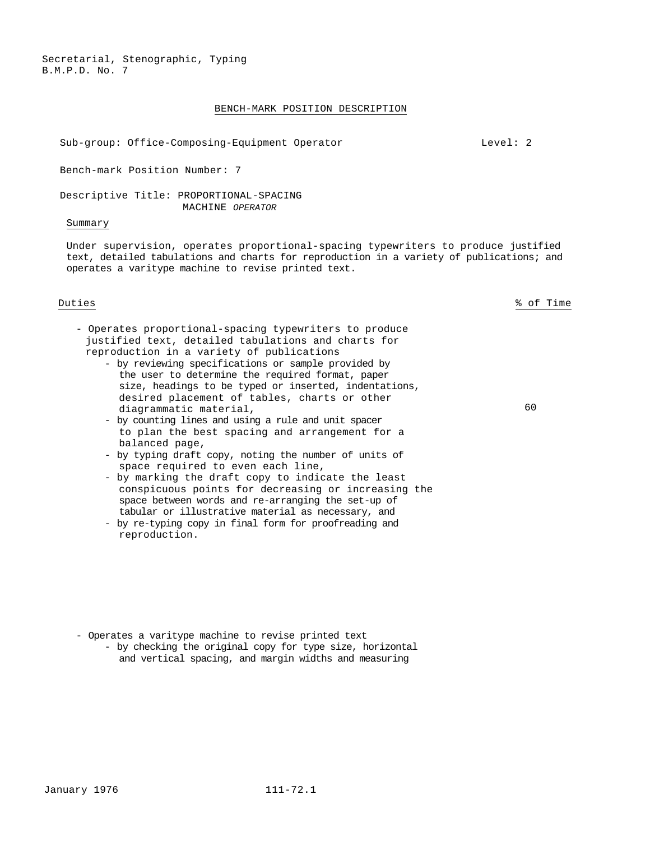Secretarial, Stenographic, Typing B.M.P.D. No. 7

#### BENCH-MARK POSITION DESCRIPTION

Sub-group: Office-Composing-Equipment Operator Level: 2

Bench-mark Position Number: 7

Descriptive Title: PROPORTIONAL-SPACING MACHINE *OPERATOR*

#### Summary

Under supervision, operates proportional-spacing typewriters to produce justified text, detailed tabulations and charts for reproduction in a variety of publications; and operates a varitype machine to revise printed text.

Duties % of Time

60

- Operates proportional-spacing typewriters to produce justified text, detailed tabulations and charts for reproduction in a variety of publications
	- by reviewing specifications or sample provided by the user to determine the required format, paper size, headings to be typed or inserted, indentations, desired placement of tables, charts or other diagrammatic material,
	- by counting lines and using a rule and unit spacer to plan the best spacing and arrangement for a balanced page,
	- by typing draft copy, noting the number of units of space required to even each line,
	- by marking the draft copy to indicate the least conspicuous points for decreasing or increasing the space between words and re-arranging the set-up of tabular or illustrative material as necessary, and
	- by re-typing copy in final form for proofreading and reproduction.

- Operates a varitype machine to revise printed text
	- by checking the original copy for type size, horizontal and vertical spacing, and margin widths and measuring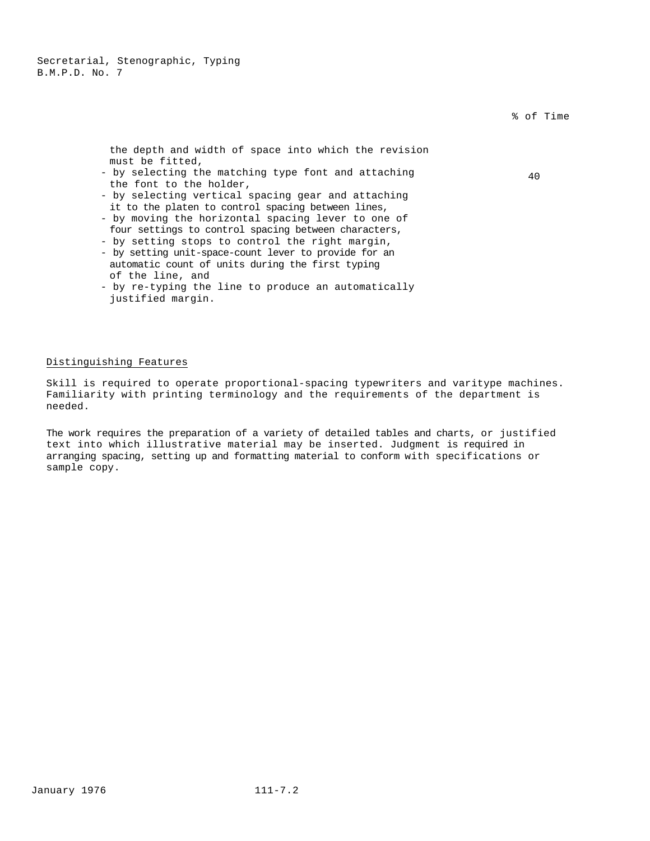|                                                                                                                                     | 70 UL II |
|-------------------------------------------------------------------------------------------------------------------------------------|----------|
| the depth and width of space into which the revision<br>must be fitted,                                                             |          |
| - by selecting the matching type font and attaching                                                                                 | 40       |
| the font to the holder.<br>- by selecting vertical spacing gear and attaching<br>it to the platen to control spacing between lines, |          |
| - by moving the horizontal spacing lever to one of                                                                                  |          |
| four settings to control spacing between characters,                                                                                |          |
| - by setting stops to control the right margin,                                                                                     |          |
| - by setting unit-space-count lever to provide for an                                                                               |          |
| automatic count of units during the first typing<br>of the line, and                                                                |          |
| - by re-typing the line to produce an automatically                                                                                 |          |

by re-typing the line to produce an automatically justified margin.

### Distinguishing Features

Skill is required to operate proportional-spacing typewriters and varitype machines. Familiarity with printing terminology and the requirements of the department is needed.

The work requires the preparation of a variety of detailed tables and charts, or justified text into which illustrative material may be inserted. Judgment is required in arranging spacing, setting up and formatting material to conform with specifications or sample copy.

% of Time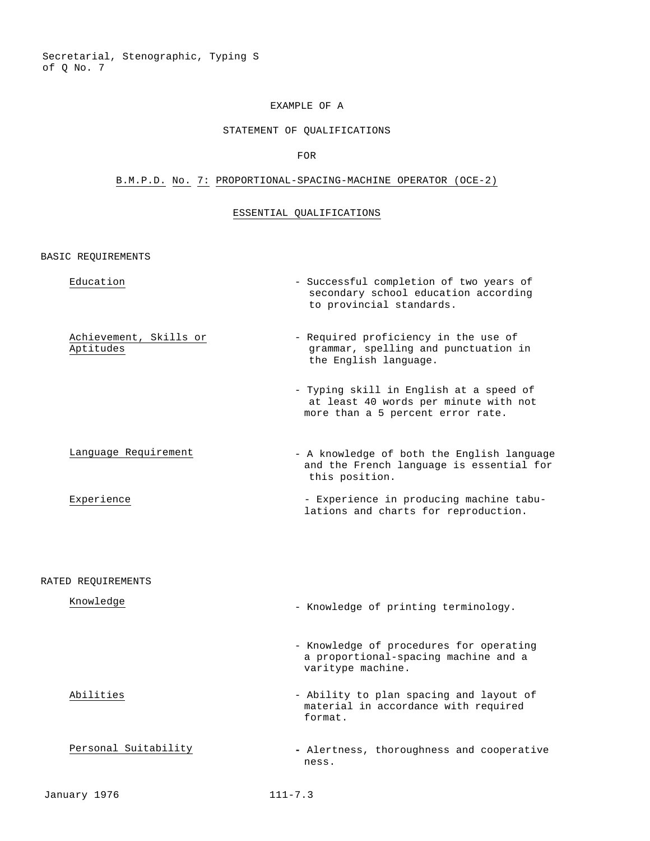Secretarial, Stenographic, Typing S of Q No. 7

## EXAMPLE OF A

## STATEMENT OF QUALIFICATIONS

### FOR

## B.M.P.D. No. 7: PROPORTIONAL-SPACING-MACHINE OPERATOR (OCE-2)

## ESSENTIAL QUALIFICATIONS

| Education                           | - Successful completion of two years of<br>secondary school education according<br>to provincial standards.           |
|-------------------------------------|-----------------------------------------------------------------------------------------------------------------------|
| Achievement, Skills or<br>Aptitudes | - Required proficiency in the use of<br>grammar, spelling and punctuation in<br>the English language.                 |
|                                     | - Typing skill in English at a speed of<br>at least 40 words per minute with not<br>more than a 5 percent error rate. |
| Language Requirement                | - A knowledge of both the English language<br>and the French language is essential for<br>this position.              |
| Experience                          | - Experience in producing machine tabu-<br>lations and charts for reproduction.                                       |
| RATED REQUIREMENTS                  |                                                                                                                       |
| Knowledge                           | - Knowledge of printing terminology.                                                                                  |
|                                     | - Knowledge of procedures for operating<br>a proportional-spacing machine and a<br>varitype machine.                  |
| Abilities                           | - Ability to plan spacing and layout of<br>material in accordance with required<br>format.                            |
| Personal Suitability                | - Alertness, thoroughness and cooperative<br>ness.                                                                    |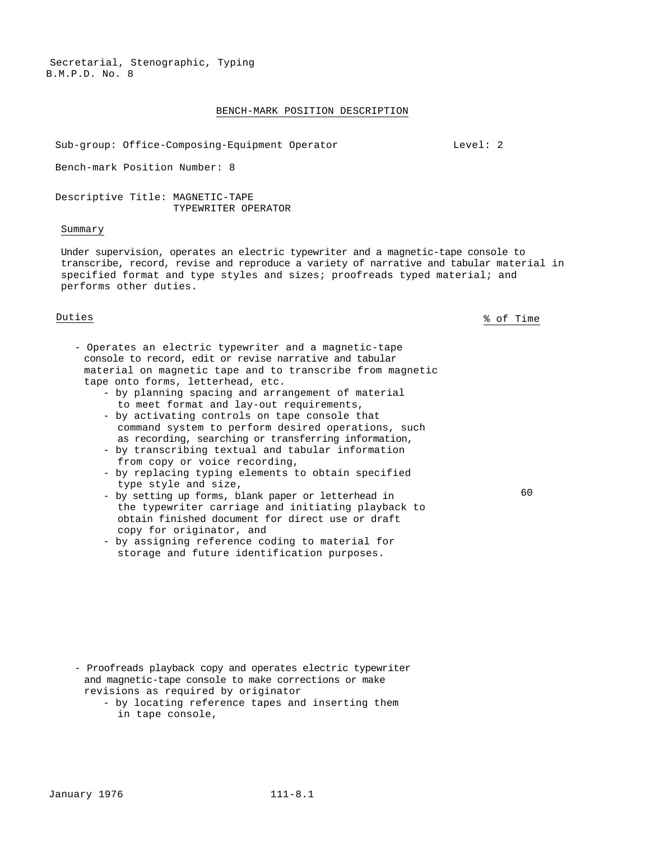#### BENCH-MARK POSITION DESCRIPTION

Sub-group: Office-Composing-Equipment Operator Level: 2

Bench-mark Position Number: 8

Descriptive Title: MAGNETIC-TAPE TYPEWRITER OPERATOR

#### Summary

Under supervision, operates an electric typewriter and a magnetic-tape console to transcribe, record, revise and reproduce a variety of narrative and tabular material in specified format and type styles and sizes; proofreads typed material; and performs other duties.

Duties % of Time

- Operates an electric typewriter and a magnetic-tape console to record, edit or revise narrative and tabular material on magnetic tape and to transcribe from magnetic tape onto forms, letterhead, etc.
	- by planning spacing and arrangement of material to meet format and lay-out requirements, - by activating controls on tape console that
	- command system to perform desired operations, such as recording, searching or transferring information,
	- by transcribing textual and tabular information from copy or voice recording,
	- by replacing typing elements to obtain specified type style and size,
	- by setting up forms, blank paper or letterhead in the typewriter carriage and initiating playback to obtain finished document for direct use or draft copy for originator, and
	- by assigning reference coding to material for storage and future identification purposes.

- Proofreads playback copy and operates electric typewriter and magnetic-tape console to make corrections or make revisions as required by originator
	- by locating reference tapes and inserting them in tape console,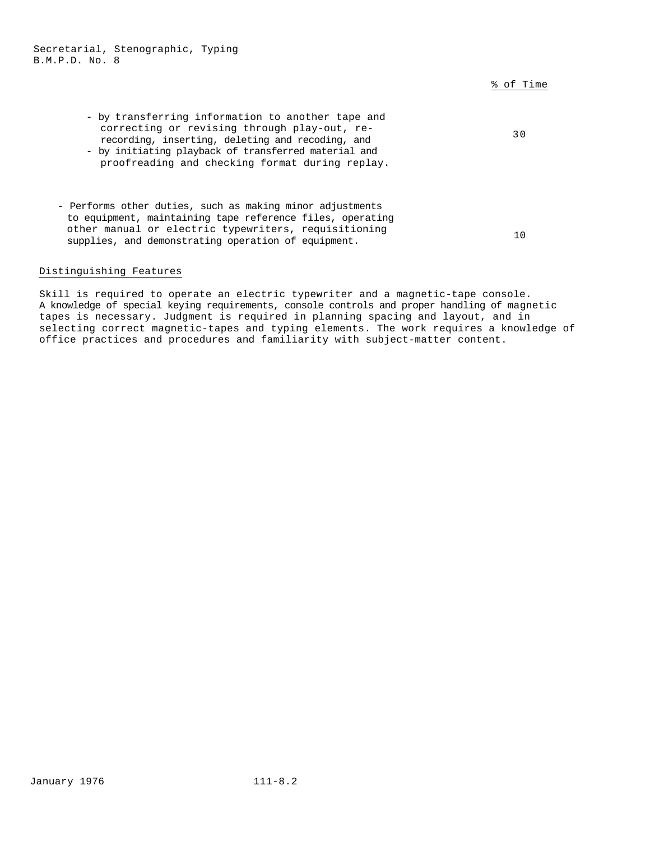% of Time

| - by transferring information to another tape and<br>correcting or revising through play-out, re-<br>recording, inserting, deleting and recoding, and<br>- by initiating playback of transferred material and<br>proofreading and checking format during replay. | 30 |
|------------------------------------------------------------------------------------------------------------------------------------------------------------------------------------------------------------------------------------------------------------------|----|
| - Performs other duties, such as making minor adjustments<br>to equipment, maintaining tape reference files, operating<br>other manual or electric typewriters, requisitioning<br>supplies, and demonstrating operation of equipment.                            | 10 |

### Distinguishing Features

Skill is required to operate an electric typewriter and a magnetic-tape console. A knowledge of special keying requirements, console controls and proper handling of magnetic tapes is necessary. Judgment is required in planning spacing and layout, and in selecting correct magnetic-tapes and typing elements. The work requires a knowledge of office practices and procedures and familiarity with subject-matter content.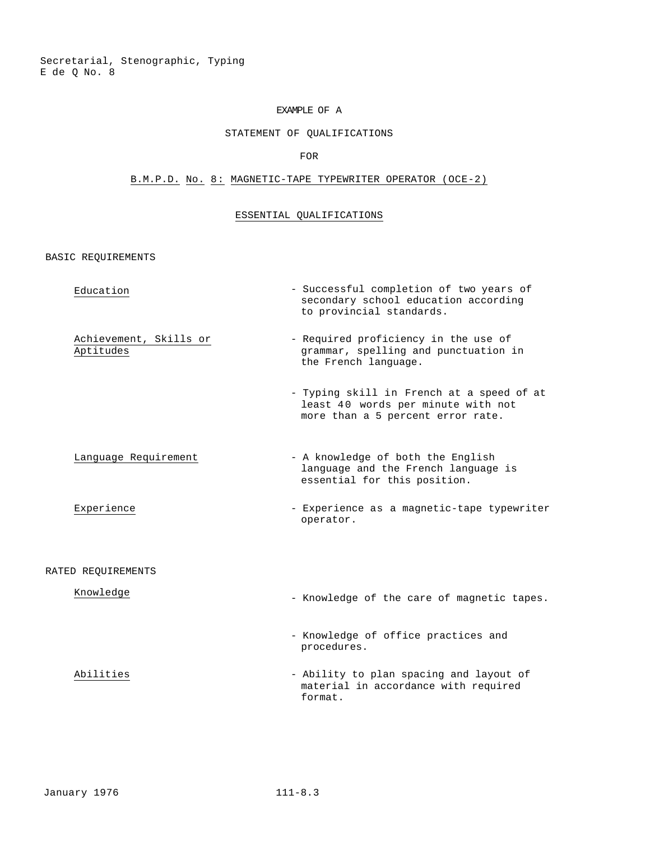Secretarial, Stenographic, Typing E de Q No. 8

## EXAMPLE OF A

## STATEMENT OF QUALIFICATIONS

## FOR

## B.M.P.D. No. 8: MAGNETIC-TAPE TYPEWRITER OPERATOR (OCE-2)

## ESSENTIAL QUALIFICATIONS

| Education                           | - Successful completion of two years of<br>secondary school education according<br>to provincial standards.          |
|-------------------------------------|----------------------------------------------------------------------------------------------------------------------|
| Achievement, Skills or<br>Aptitudes | - Required proficiency in the use of<br>grammar, spelling and punctuation in<br>the French language.                 |
|                                     | - Typing skill in French at a speed of at<br>least 40 words per minute with not<br>more than a 5 percent error rate. |
| Language Requirement                | - A knowledge of both the English<br>language and the French language is<br>essential for this position.             |
| Experience                          | - Experience as a magnetic-tape typewriter<br>operator.                                                              |
| RATED REOUIREMENTS                  |                                                                                                                      |
| Knowledge                           | - Knowledge of the care of magnetic tapes.                                                                           |
|                                     | - Knowledge of office practices and<br>procedures.                                                                   |
| Abilities                           | - Ability to plan spacing and layout of<br>material in accordance with required<br>format.                           |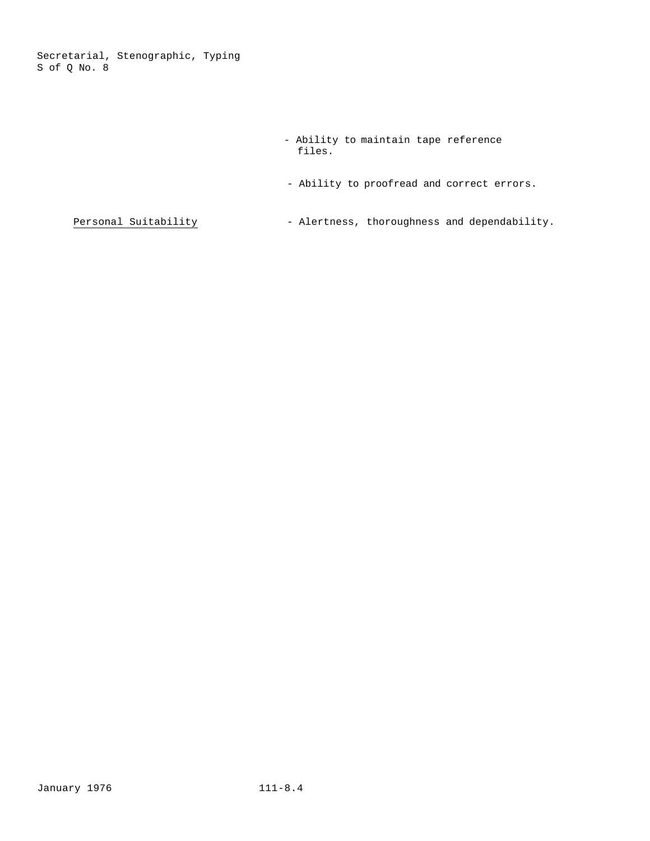Secretarial, Stenographic, Typing S of Q No. 8

- Ability to maintain tape reference files.
- Ability to proofread and correct errors.

 $Personal Solution - Alertness, thoroughness and dependability.$ </u>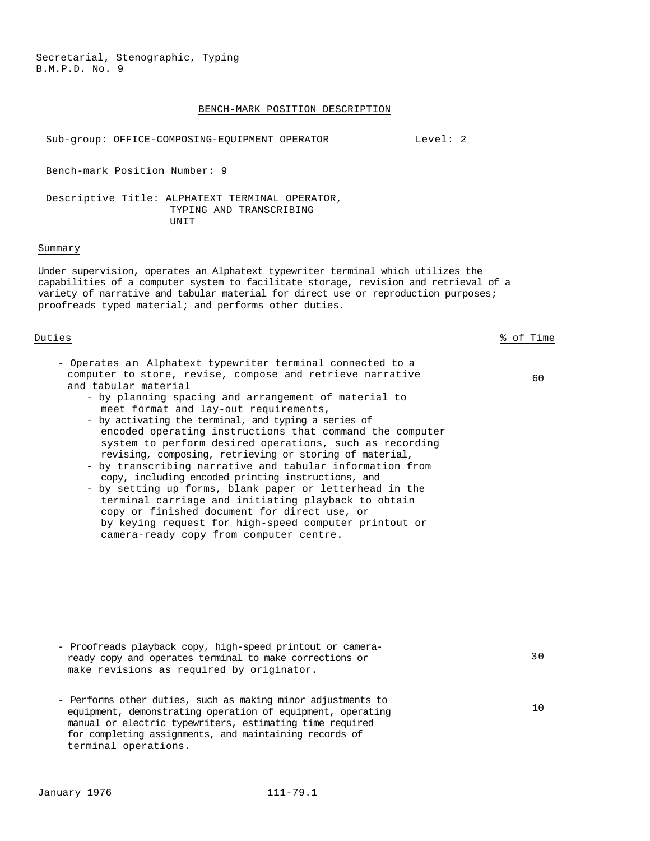#### BENCH-MARK POSITION DESCRIPTION

Sub-group: OFFICE-COMPOSING-EQUIPMENT OPERATOR Level: 2

Bench-mark Position Number: 9

Descriptive Title: ALPHATEXT TERMINAL OPERATOR, TYPING AND TRANSCRIBING **UNIT** 

#### Summary

Under supervision, operates an Alphatext typewriter terminal which utilizes the capabilities of a computer system to facilitate storage, revision and retrieval of a variety of narrative and tabular material for direct use or reproduction purposes; proofreads typed material; and performs other duties.

Duties % of Time

- Operates an Alphatext typewriter terminal connected to a computer to store, revise, compose and retrieve narrative and tabular material
	- by planning spacing and arrangement of material to meet format and lay-out requirements,
	- by activating the terminal, and typing a series of encoded operating instructions that command the computer system to perform desired operations, such as recording revising, composing, retrieving or storing of material,
	- by transcribing narrative and tabular information from copy, including encoded printing instructions, and
	- by setting up forms, blank paper or letterhead in the terminal carriage and initiating playback to obtain copy or finished document for direct use, or by keying request for high-speed computer printout or camera-ready copy from computer centre.

60

30

- Proofreads playback copy, high-speed printout or cameraready copy and operates terminal to make corrections or make revisions as required by originator.
- Performs other duties, such as making minor adjustments to equipment, demonstrating operation of equipment, operating manual or electric typewriters, estimating time required for completing assignments, and maintaining records of terminal operations.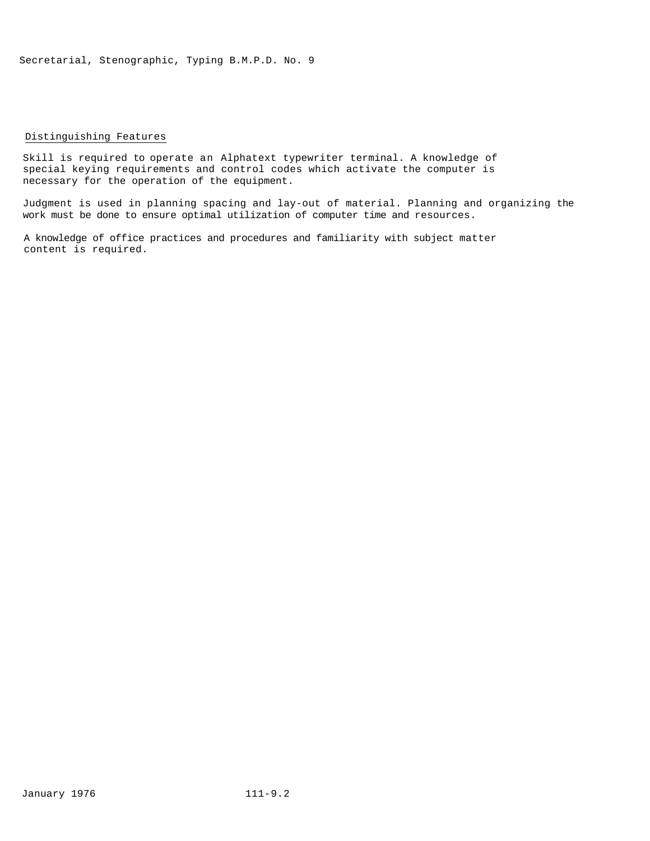#### Distinguishing Features

Skill is required to operate an Alphatext typewriter terminal. A knowledge of special keying requirements and control codes which activate the computer is necessary for the operation of the equipment.

Judgment is used in planning spacing and lay-out of material. Planning and organizing the work must be done to ensure optimal utilization of computer time and resources.

A knowledge of office practices and procedures and familiarity with subject matter content is required.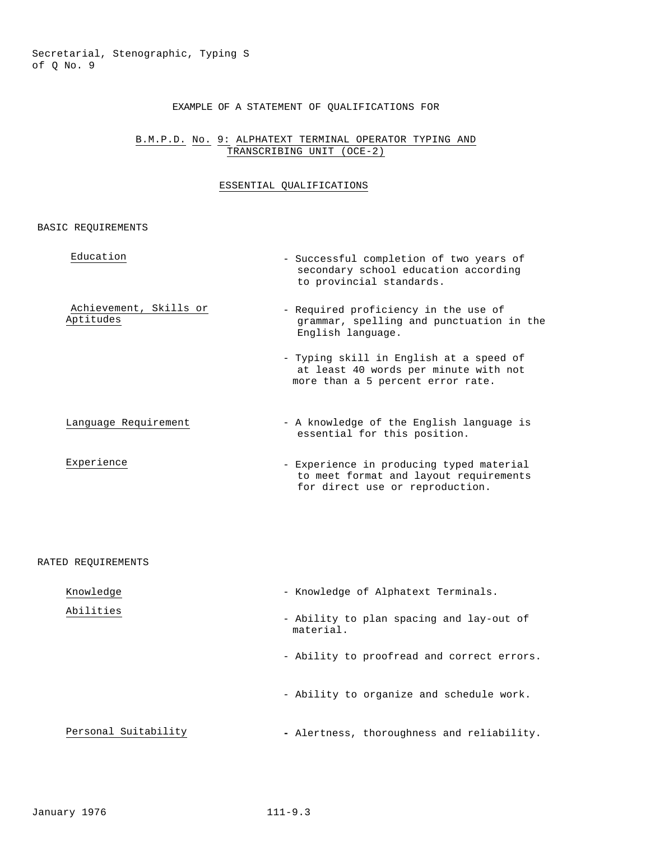## EXAMPLE OF A STATEMENT OF QUALIFICATIONS FOR

### B.M.P.D. No. 9: ALPHATEXT TERMINAL OPERATOR TYPING AND TRANSCRIBING UNIT (OCE-2)

## ESSENTIAL QUALIFICATIONS

| Education                           | - Successful completion of two years of<br>secondary school education according<br>to provincial standards.           |
|-------------------------------------|-----------------------------------------------------------------------------------------------------------------------|
| Achievement, Skills or<br>Aptitudes | - Required proficiency in the use of<br>grammar, spelling and punctuation in the<br>English language.                 |
|                                     | - Typing skill in English at a speed of<br>at least 40 words per minute with not<br>more than a 5 percent error rate. |
| Language Requirement                | - A knowledge of the English language is<br>essential for this position.                                              |
| Experience                          | - Experience in producing typed material<br>to meet format and layout requirements<br>for direct use or reproduction. |
| RATED REQUIREMENTS                  |                                                                                                                       |
| Knowledge                           | - Knowledge of Alphatext Terminals.                                                                                   |
| Abilities                           | - Ability to plan spacing and lay-out of<br>material.                                                                 |
|                                     | - Ability to proofread and correct errors.                                                                            |
|                                     | - Ability to organize and schedule work.                                                                              |
| Personal Suitability                | - Alertness, thoroughness and reliability.                                                                            |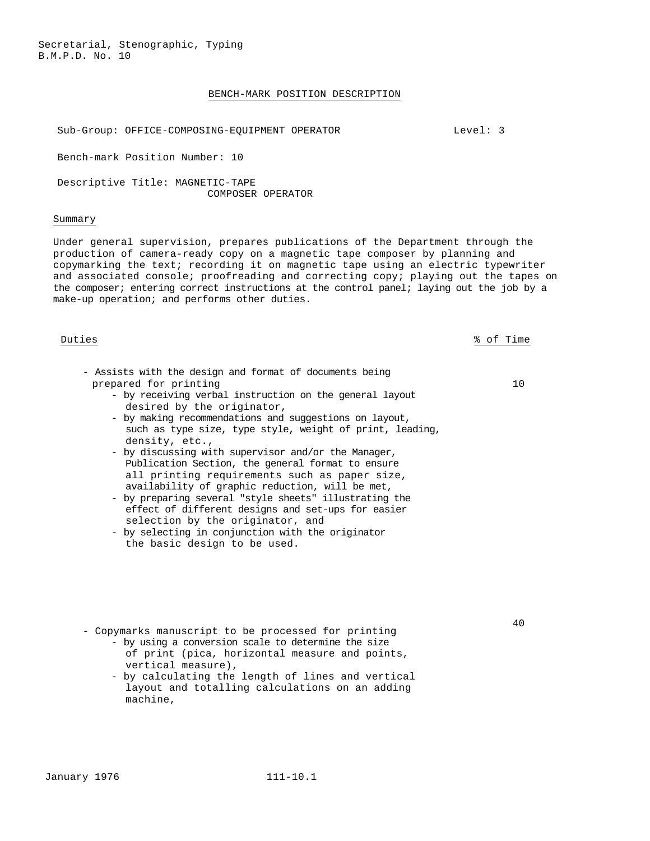#### BENCH-MARK POSITION DESCRIPTION

Sub-Group: OFFICE-COMPOSING-EQUIPMENT OPERATOR FOR THE MODEL: 3

Bench-mark Position Number: 10

Descriptive Title: MAGNETIC-TAPE COMPOSER OPERATOR

#### Summary

Under general supervision, prepares publications of the Department through the production of camera-ready copy on a magnetic tape composer by planning and copymarking the text; recording it on magnetic tape using an electric typewriter and associated console; proofreading and correcting copy; playing out the tapes on the composer; entering correct instructions at the control panel; laying out the job by a make-up operation; and performs other duties.

Duties % of Time

10

- Assists with the design and format of documents being prepared for printing
	- by receiving verbal instruction on the general layout desired by the originator,
	- by making recommendations and suggestions on layout, such as type size, type style, weight of print, leading, density, etc.,
	- by discussing with supervisor and/or the Manager, Publication Section, the general format to ensure all printing requirements such as paper size, availability of graphic reduction, will be met,
	- by preparing several "style sheets" illustrating the effect of different designs and set-ups for easier selection by the originator, and
	- by selecting in conjunction with the originator the basic design to be used.
- Copymarks manuscript to be processed for printing
	- by using a conversion scale to determine the size of print (pica, horizontal measure and points, vertical measure),
	- by calculating the length of lines and vertical layout and totalling calculations on an adding machine,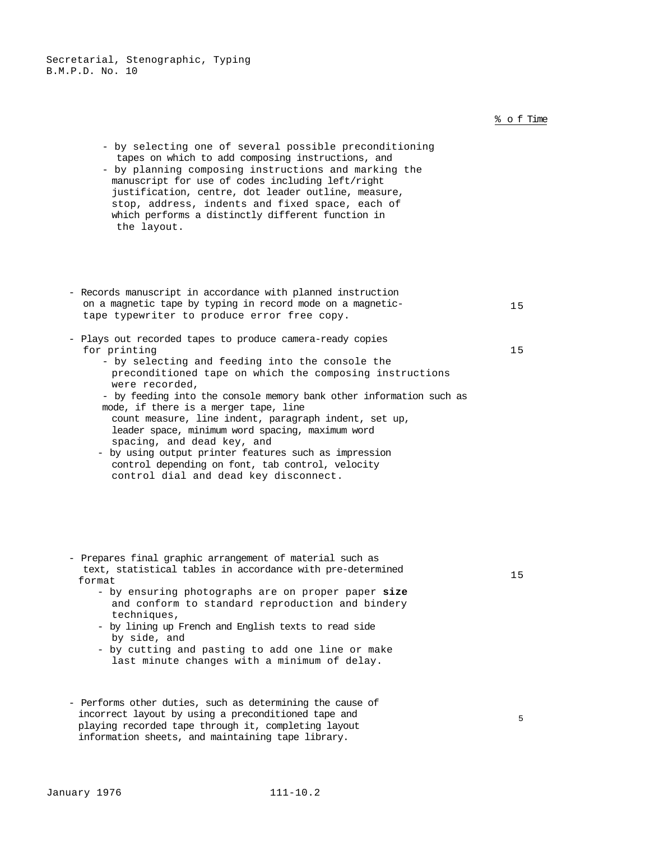|                                                                                                                                                                                                                                                                                                                                                                                                       | % of Time |
|-------------------------------------------------------------------------------------------------------------------------------------------------------------------------------------------------------------------------------------------------------------------------------------------------------------------------------------------------------------------------------------------------------|-----------|
| - by selecting one of several possible preconditioning<br>tapes on which to add composing instructions, and<br>- by planning composing instructions and marking the<br>manuscript for use of codes including left/right<br>justification, centre, dot leader outline, measure,<br>stop, address, indents and fixed space, each of<br>which performs a distinctly different function in<br>the layout. |           |
|                                                                                                                                                                                                                                                                                                                                                                                                       |           |
| - Records manuscript in accordance with planned instruction<br>on a magnetic tape by typing in record mode on a magnetic-<br>tape typewriter to produce error free copy.                                                                                                                                                                                                                              | 15        |
| - Plays out recorded tapes to produce camera-ready copies<br>for printing<br>- by selecting and feeding into the console the<br>preconditioned tape on which the composing instructions<br>were recorded,                                                                                                                                                                                             | 15        |
| - by feeding into the console memory bank other information such as<br>mode, if there is a merger tape, line<br>count measure, line indent, paragraph indent, set up,<br>leader space, minimum word spacing, maximum word<br>spacing, and dead key, and                                                                                                                                               |           |
| - by using output printer features such as impression<br>control depending on font, tab control, velocity<br>control dial and dead key disconnect.                                                                                                                                                                                                                                                    |           |
| - Prepares final graphic arrangement of material such as                                                                                                                                                                                                                                                                                                                                              |           |
| text, statistical tables in accordance with pre-determined<br>format                                                                                                                                                                                                                                                                                                                                  | 15        |
| - by ensuring photographs are on proper paper size<br>and conform to standard reproduction and bindery<br>techniques,<br>- by lining up French and English texts to read side                                                                                                                                                                                                                         |           |
| by side, and<br>- by cutting and pasting to add one line or make<br>last minute changes with a minimum of delay.                                                                                                                                                                                                                                                                                      |           |
| - Performs other duties, such as determining the cause of                                                                                                                                                                                                                                                                                                                                             |           |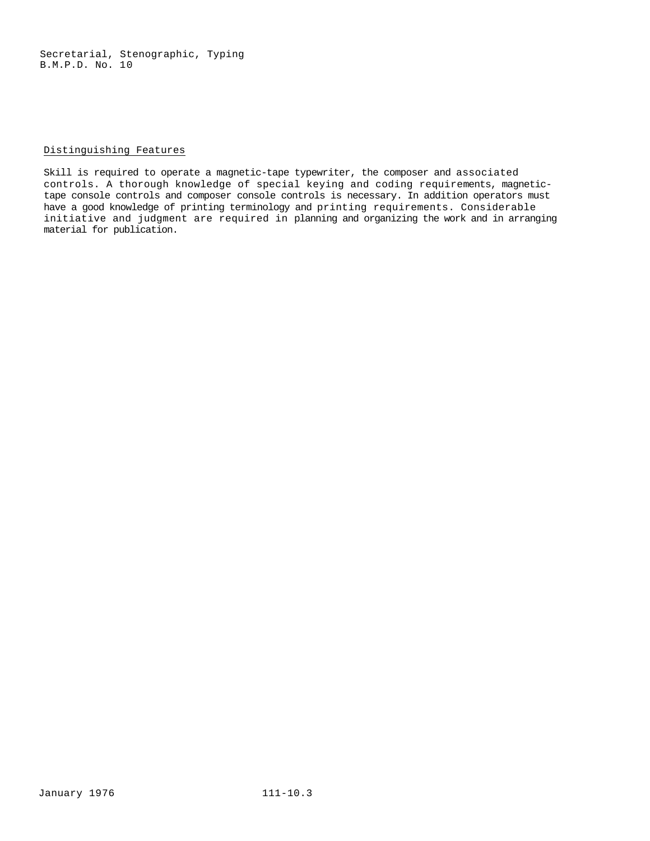### Distinguishing Features

Skill is required to operate a magnetic-tape typewriter, the composer and associated controls. A thorough knowledge of special keying and coding requirements, magnetictape console controls and composer console controls is necessary. In addition operators must have a good knowledge of printing terminology and printing requirements. Considerable initiative and judgment are required in planning and organizing the work and in arranging material for publication.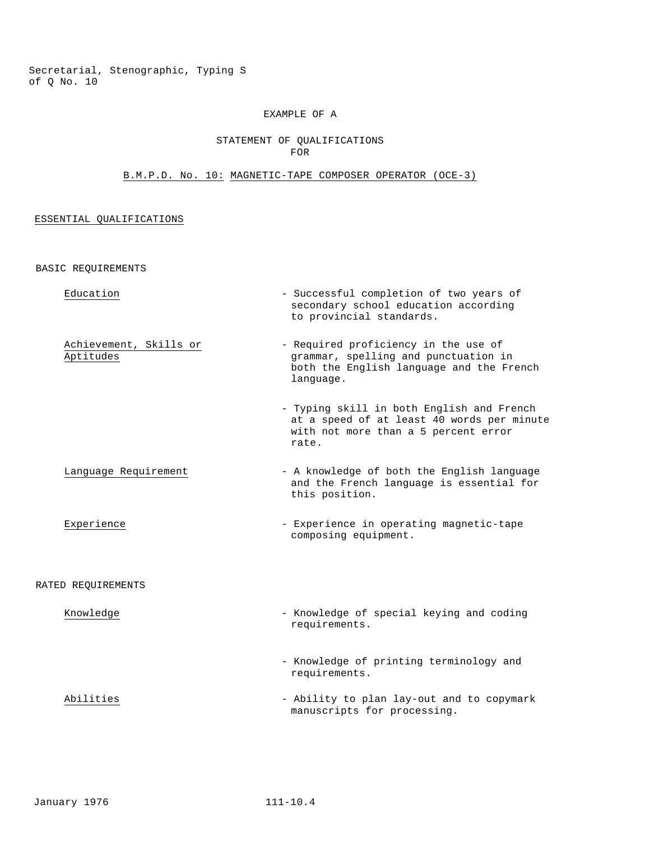Secretarial, Stenographic, Typing S of Q No. 10

### EXAMPLE OF A

### STATEMENT OF QUALIFICATIONS FOR

## B.M.P.D. No. 10: MAGNETIC-TAPE COMPOSER OPERATOR (OCE-3)

## ESSENTIAL QUALIFICATIONS

|                    | RASIC KEĞATKEMEMIS                  |                                                                                                                                          |
|--------------------|-------------------------------------|------------------------------------------------------------------------------------------------------------------------------------------|
|                    | Education                           | - Successful completion of two years of<br>secondary school education according<br>to provincial standards.                              |
|                    | Achievement, Skills or<br>Aptitudes | - Required proficiency in the use of<br>grammar, spelling and punctuation in<br>both the English language and the French<br>language.    |
|                    |                                     | - Typing skill in both English and French<br>at a speed of at least 40 words per minute<br>with not more than a 5 percent error<br>rate. |
|                    | Language Requirement                | - A knowledge of both the English language<br>and the French language is essential for<br>this position.                                 |
|                    | Experience                          | - Experience in operating magnetic-tape<br>composing equipment.                                                                          |
| RATED REQUIREMENTS |                                     |                                                                                                                                          |
|                    | Knowledge                           | - Knowledge of special keying and coding<br>requirements.                                                                                |
|                    |                                     | - Knowledge of printing terminology and<br>requirements.                                                                                 |
|                    | Abilities                           | - Ability to plan lay-out and to copymark<br>manuscripts for processing.                                                                 |
|                    |                                     |                                                                                                                                          |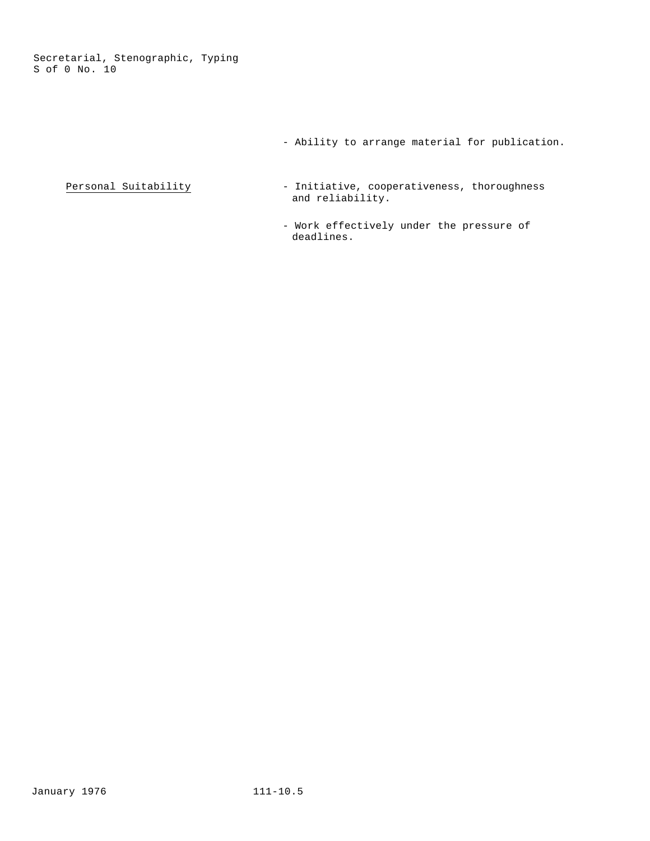Secretarial, Stenographic, Typing S of 0 No. 10

- Ability to arrange material for publication.
- Personal Suitability Initiative, cooperativeness, thoroughness and reliability.
	- Work effectively under the pressure of deadlines.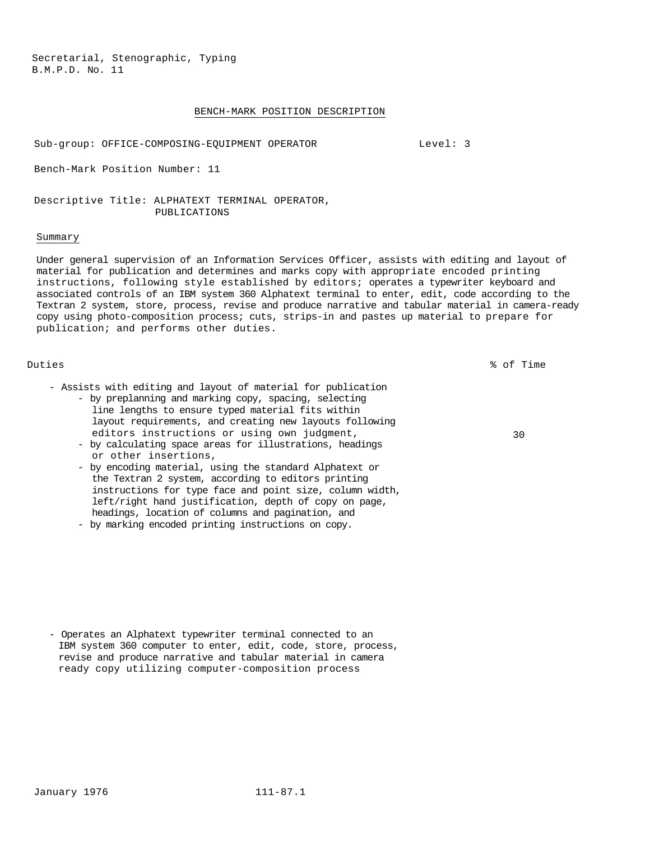#### BENCH-MARK POSITION DESCRIPTION

Sub-group: OFFICE-COMPOSING-EQUIPMENT OPERATOR Level: 3

Bench-Mark Position Number: 11

Descriptive Title: ALPHATEXT TERMINAL OPERATOR, PUBLICATIONS

#### Summary

Under general supervision of an Information Services Officer, assists with editing and layout of material for publication and determines and marks copy with appropriate encoded printing instructions, following style established by editors; operates a typewriter keyboard and associated controls of an IBM system 360 Alphatext terminal to enter, edit, code according to the Textran 2 system, store, process, revise and produce narrative and tabular material in camera-ready copy using photo-composition process; cuts, strips-in and pastes up material to prepare for publication; and performs other duties.

Duties % of Time

30

- Assists with editing and layout of material for publication - by preplanning and marking copy, spacing, selecting
	- line lengths to ensure typed material fits within layout requirements, and creating new layouts following editors instructions or using own judgment,
	- by calculating space areas for illustrations, headings or other insertions,
	- by encoding material, using the standard Alphatext or the Textran 2 system, according to editors printing instructions for type face and point size, column width, left/right hand justification, depth of copy on page, headings, location of columns and pagination, and
	- by marking encoded printing instructions on copy.

- Operates an Alphatext typewriter terminal connected to an IBM system 360 computer to enter, edit, code, store, process, revise and produce narrative and tabular material in camera ready copy utilizing computer-composition process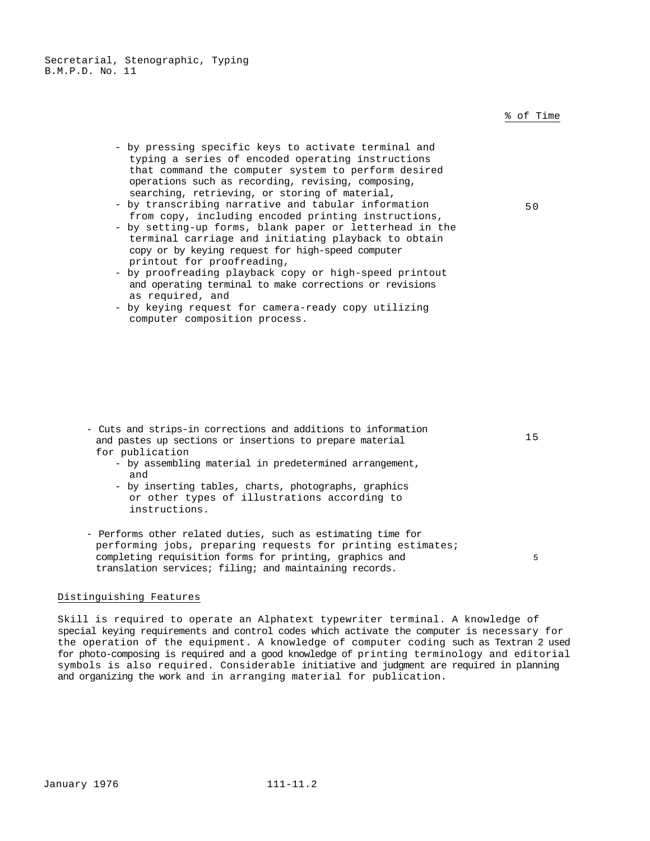- by pressing specific keys to activate terminal and typing a series of encoded operating instructions that command the computer system to perform desired operations such as recording, revising, composing, searching, retrieving, or storing of material,
- by transcribing narrative and tabular information from copy, including encoded printing instructions,
- by setting-up forms, blank paper or letterhead in the terminal carriage and initiating playback to obtain copy or by keying request for high-speed computer printout for proofreading,
- by proofreading playback copy or high-speed printout and operating terminal to make corrections or revisions as required, and
- by keying request for camera-ready copy utilizing computer composition process.

- Cuts and strips-in corrections and additions to information and pastes up sections or insertions to prepare material for publication
	- by assembling material in predetermined arrangement, and
	- by inserting tables, charts, photographs, graphics or other types of illustrations according to instructions.
- Performs other related duties, such as estimating time for performing jobs, preparing requests for printing estimates; completing requisition forms for printing, graphics and translation services; filing; and maintaining records.

## Distinguishing Features

Skill is required to operate an Alphatext typewriter terminal. A knowledge of special keying requirements and control codes which activate the computer is necessary for the operation of the equipment. A knowledge of computer coding such as Textran 2 used for photo-composing is required and a good knowledge of printing terminology and editorial symbols is also required. Considerable initiative and judgment are required in planning and organizing the work and in arranging material for publication.

## % of Time

50

15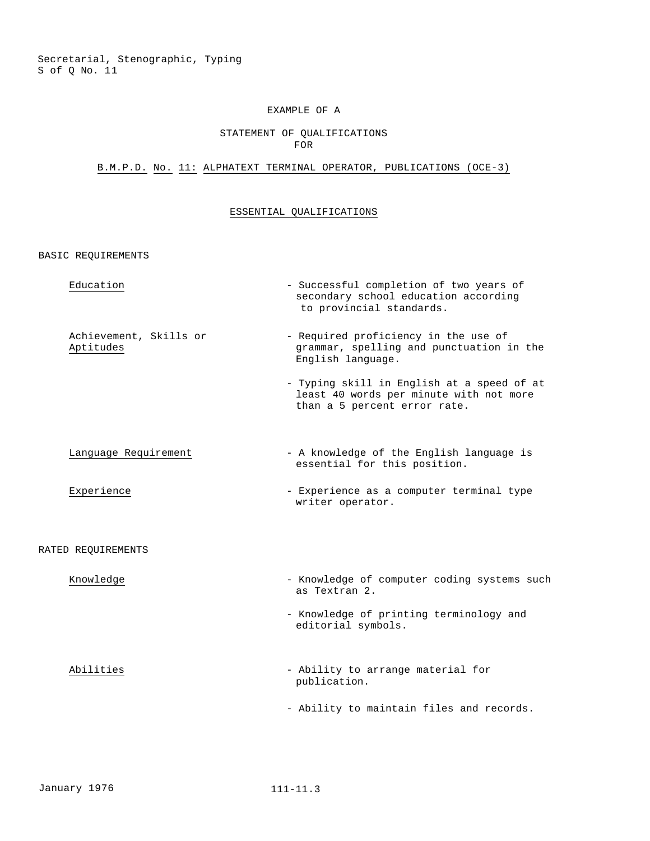### STATEMENT OF QUALIFICATIONS FOR

## B.M.P.D. No. 11: ALPHATEXT TERMINAL OPERATOR, PUBLICATIONS (OCE-3)

### ESSENTIAL QUALIFICATIONS

| Education                           | - Successful completion of two years of<br>secondary school education according<br>to provincial standards.           |
|-------------------------------------|-----------------------------------------------------------------------------------------------------------------------|
| Achievement, Skills or<br>Aptitudes | - Required proficiency in the use of<br>grammar, spelling and punctuation in the<br>English language.                 |
|                                     | - Typing skill in English at a speed of at<br>least 40 words per minute with not more<br>than a 5 percent error rate. |
| Language Requirement                | - A knowledge of the English language is<br>essential for this position.                                              |
| Experience                          | - Experience as a computer terminal type<br>writer operator.                                                          |
| RATED REOUIREMENTS                  |                                                                                                                       |
| Knowledge                           | - Knowledge of computer coding systems such<br>as Textran 2.                                                          |
|                                     | - Knowledge of printing terminology and<br>editorial symbols.                                                         |
| Abilities                           | - Ability to arrange material for<br>publication.                                                                     |
|                                     | - Ability to maintain files and records.                                                                              |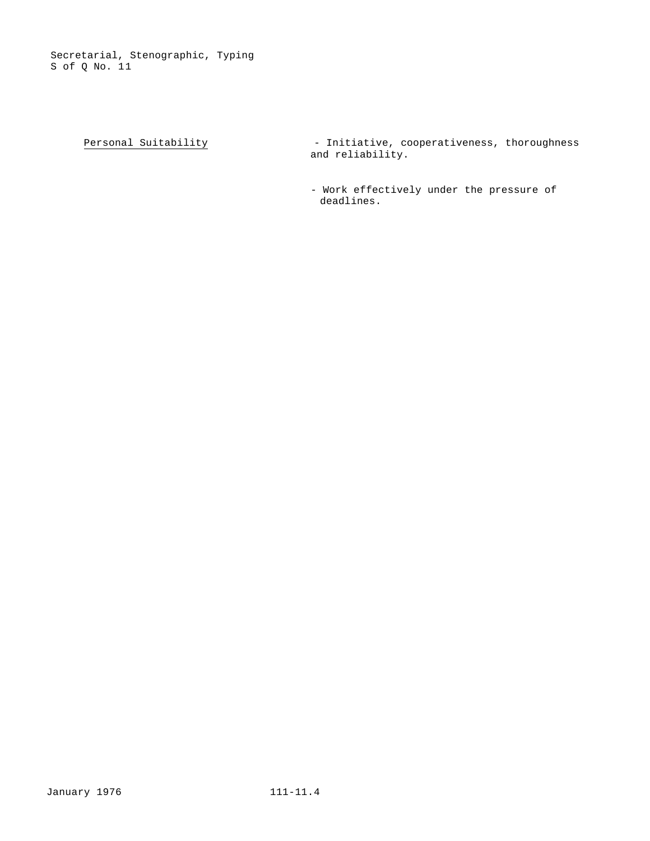$Personal Suitability$  - Initiative, cooperativeness, thoroughness</u> and reliability.

> - Work effectively under the pressure of deadlines.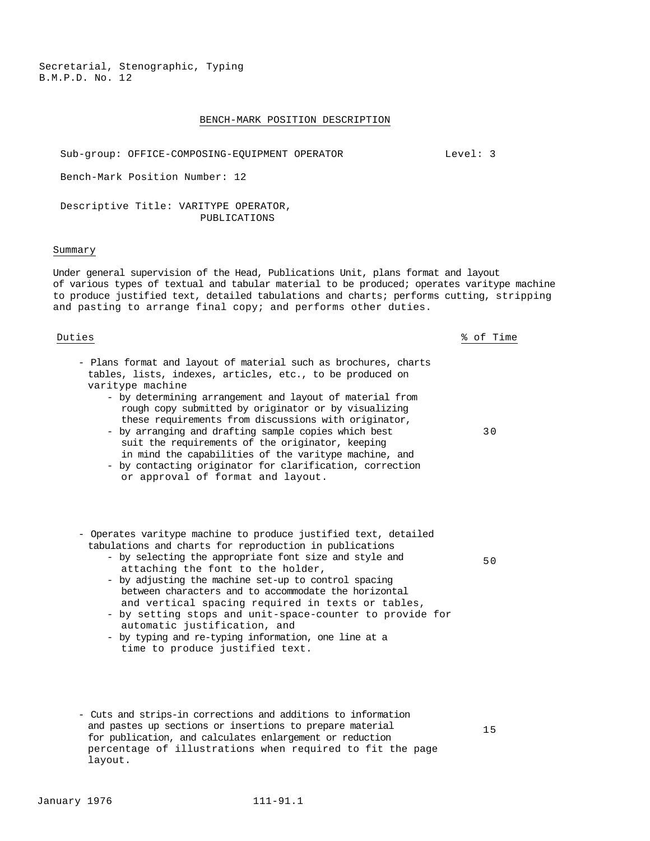#### BENCH-MARK POSITION DESCRIPTION

Sub-group: OFFICE-COMPOSING-EQUIPMENT OPERATOR Level: 3

Bench-Mark Position Number: 12

Descriptive Title: VARITYPE OPERATOR, PUBLICATIONS

#### Summary

Under general supervision of the Head, Publications Unit, plans format and layout of various types of textual and tabular material to be produced; operates varitype machine to produce justified text, detailed tabulations and charts; performs cutting, stripping and pasting to arrange final copy; and performs other duties.

Duties % of Time

- Plans format and layout of material such as brochures, charts tables, lists, indexes, articles, etc., to be produced on varitype machine
	- by determining arrangement and layout of material from rough copy submitted by originator or by visualizing these requirements from discussions with originator,
	- by arranging and drafting sample copies which best suit the requirements of the originator, keeping in mind the capabilities of the varitype machine, and
	- by contacting originator for clarification, correction or approval of format and layout.
- Operates varitype machine to produce justified text, detailed tabulations and charts for reproduction in publications
	- by selecting the appropriate font size and style and attaching the font to the holder,
	- by adjusting the machine set-up to control spacing between characters and to accommodate the horizontal and vertical spacing required in texts or tables,
	- by setting stops and unit-space-counter to provide for automatic justification, and
	- by typing and re-typing information, one line at a time to produce justified text.
- Cuts and strips-in corrections and additions to information and pastes up sections or insertions to prepare material for publication, and calculates enlargement or reduction percentage of illustrations when required to fit the page layout.

15

30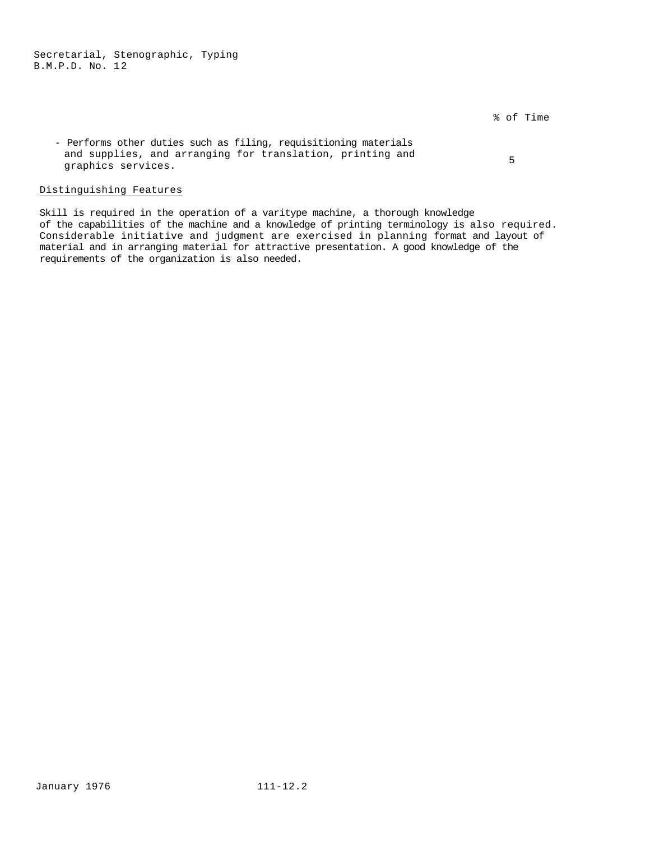% of Time

- Performs other duties such as filing, requisitioning materials and supplies, and arranging for translation, printing and graphics services. <sup>5</sup>

## Distinguishing Features

Skill is required in the operation of a varitype machine, a thorough knowledge of the capabilities of the machine and a knowledge of printing terminology is also required. Considerable initiative and judgment are exercised in planning format and layout of material and in arranging material for attractive presentation. A good knowledge of the requirements of the organization is also needed.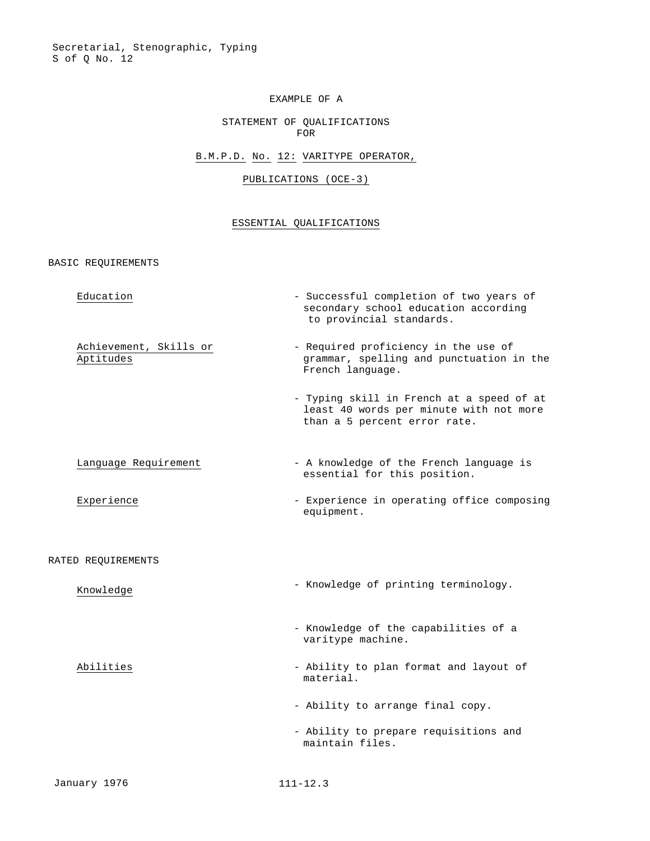## STATEMENT OF QUALIFICATIONS FOR

## B.M.P.D. No. 12: VARITYPE OPERATOR,

## PUBLICATIONS (OCE-3)

## ESSENTIAL QUALIFICATIONS

| Education                           | - Successful completion of two years of<br>secondary school education according<br>to provincial standards.          |
|-------------------------------------|----------------------------------------------------------------------------------------------------------------------|
| Achievement, Skills or<br>Aptitudes | - Required proficiency in the use of<br>grammar, spelling and punctuation in the<br>French language.                 |
|                                     | - Typing skill in French at a speed of at<br>least 40 words per minute with not more<br>than a 5 percent error rate. |
| Language Requirement                | - A knowledge of the French language is<br>essential for this position.                                              |
| Experience                          | - Experience in operating office composing<br>equipment.                                                             |
| RATED REQUIREMENTS                  |                                                                                                                      |
| Knowledge                           | - Knowledge of printing terminology.                                                                                 |
|                                     | - Knowledge of the capabilities of a<br>varitype machine.                                                            |
| Abilities                           | - Ability to plan format and layout of<br>material.                                                                  |
|                                     | - Ability to arrange final copy.                                                                                     |
|                                     | - Ability to prepare requisitions and<br>maintain files.                                                             |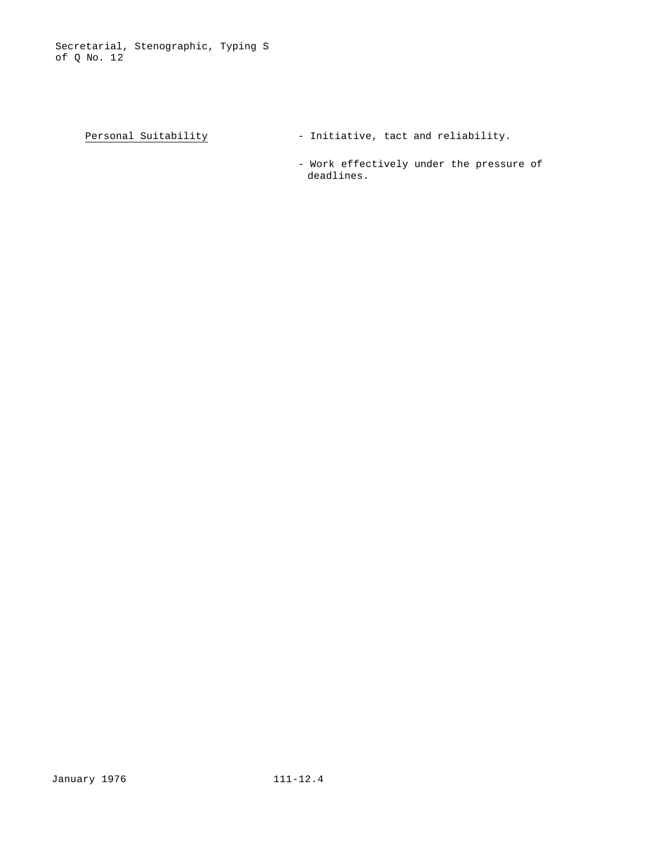- Personal Suitability  $-$  Initiative, tact and reliability.
	- Work effectively under the pressure of deadlines.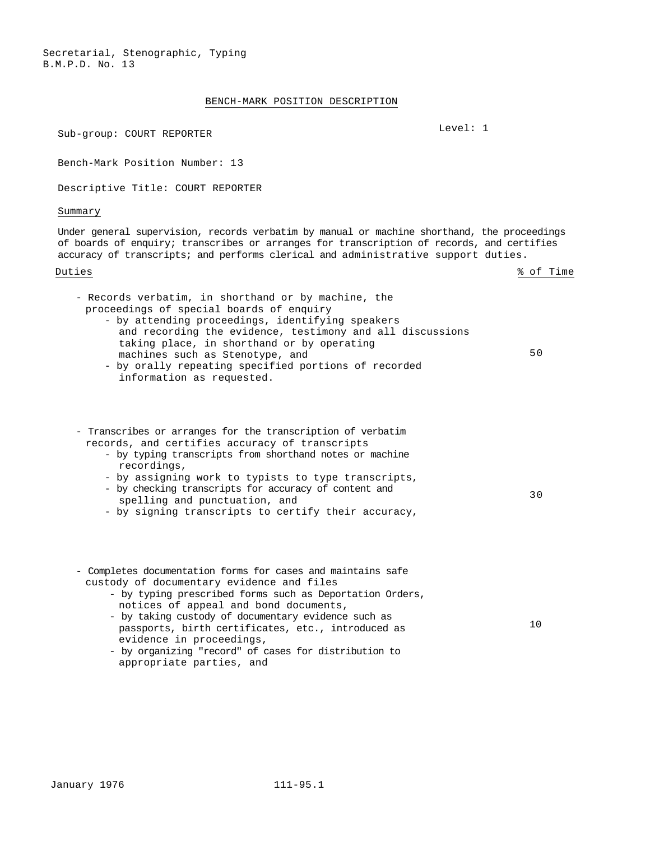### BENCH-MARK POSITION DESCRIPTION

Sub-group: COURT REPORTER Level: 1

Bench-Mark Position Number: 13

Descriptive Title: COURT REPORTER

Summary

Under general supervision, records verbatim by manual or machine shorthand, the proceedings of boards of enquiry; transcribes or arranges for transcription of records, and certifies accuracy of transcripts; and performs clerical and administrative support duties.

Duties 8 of Time

| - Records verbatim, in shorthand or by machine, the<br>proceedings of special boards of enquiry<br>- by attending proceedings, identifying speakers<br>and recording the evidence, testimony and all discussions<br>taking place, in shorthand or by operating<br>machines such as Stenotype, and<br>- by orally repeating specified portions of recorded<br>information as requested.                                                       | 50 |
|----------------------------------------------------------------------------------------------------------------------------------------------------------------------------------------------------------------------------------------------------------------------------------------------------------------------------------------------------------------------------------------------------------------------------------------------|----|
| - Transcribes or arranges for the transcription of verbatim<br>records, and certifies accuracy of transcripts<br>- by typing transcripts from shorthand notes or machine<br>recordings,<br>- by assigning work to typists to type transcripts,<br>- by checking transcripts for accuracy of content and<br>spelling and punctuation, and<br>- by signing transcripts to certify their accuracy,                                              | 30 |
| - Completes documentation forms for cases and maintains safe<br>custody of documentary evidence and files<br>- by typing prescribed forms such as Deportation Orders,<br>notices of appeal and bond documents,<br>- by taking custody of documentary evidence such as<br>passports, birth certificates, etc., introduced as<br>evidence in proceedings,<br>- by organizing "record" of cases for distribution to<br>appropriate parties, and | 10 |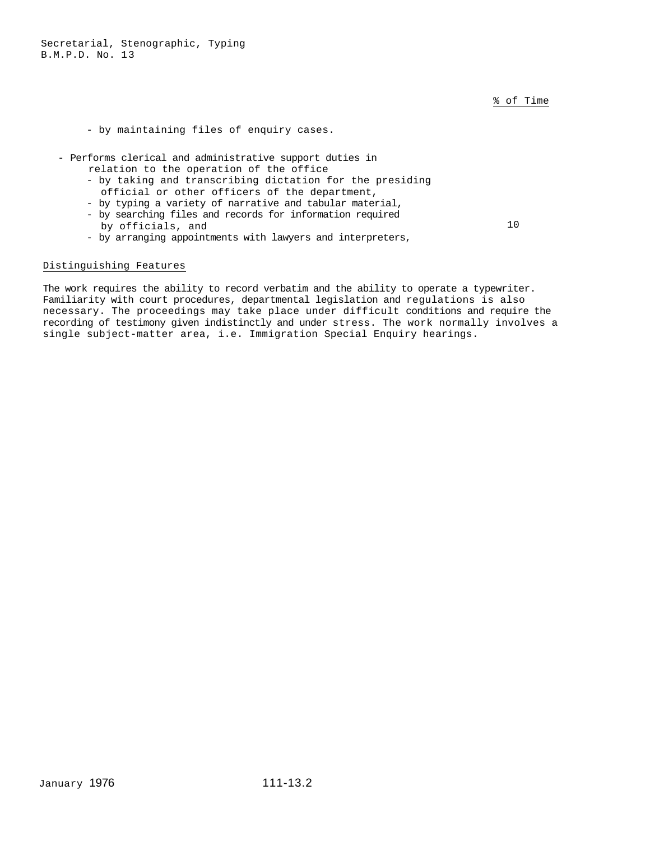% of Time

- by maintaining files of enquiry cases.

- Performs clerical and administrative support duties in
	- relation to the operation of the office
	- by taking and transcribing dictation for the presiding official or other officers of the department,
	- by typing a variety of narrative and tabular material,
	- by searching files and records for information required by officials, and

10

- by arranging appointments with lawyers and interpreters,

#### Distinguishing Features

The work requires the ability to record verbatim and the ability to operate a typewriter. Familiarity with court procedures, departmental legislation and regulations is also necessary. The proceedings may take place under difficult conditions and require the recording of testimony given indistinctly and under stress. The work normally involves a single subject-matter area, i.e. Immigration Special Enquiry hearings.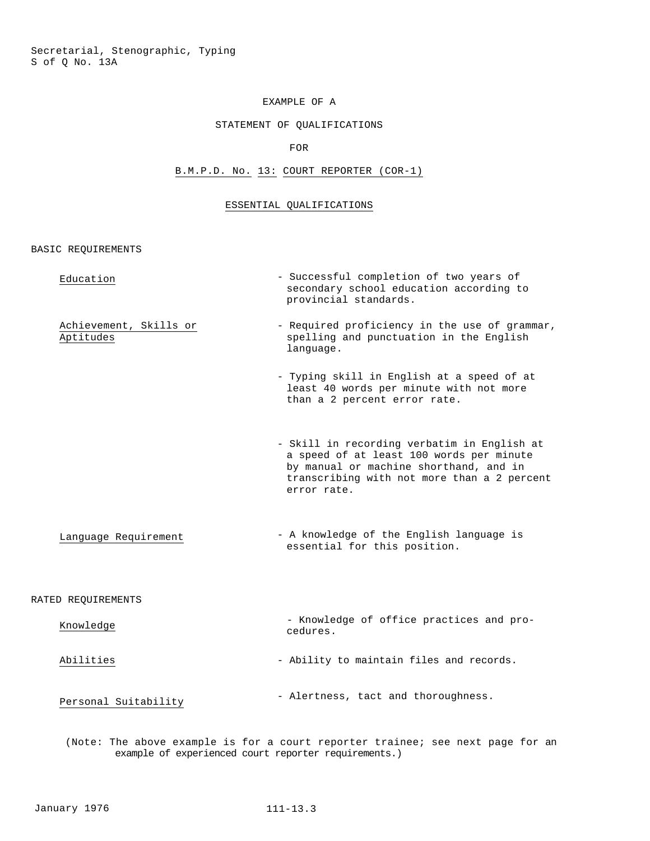## STATEMENT OF QUALIFICATIONS

FOR

# B.M.P.D. No. 13: COURT REPORTER (COR-1)

## ESSENTIAL QUALIFICATIONS

BASIC REQUIREMENTS

| Education                           | - Successful completion of two years of<br>secondary school education according to<br>provincial standards.                                                                                     |
|-------------------------------------|-------------------------------------------------------------------------------------------------------------------------------------------------------------------------------------------------|
| Achievement, Skills or<br>Aptitudes | - Required proficiency in the use of grammar,<br>spelling and punctuation in the English<br>language.                                                                                           |
|                                     | - Typing skill in English at a speed of at<br>least 40 words per minute with not more<br>than a 2 percent error rate.                                                                           |
|                                     | - Skill in recording verbatim in English at<br>a speed of at least 100 words per minute<br>by manual or machine shorthand, and in<br>transcribing with not more than a 2 percent<br>error rate. |
| Language Requirement                | - A knowledge of the English language is<br>essential for this position.                                                                                                                        |
| RATED REQUIREMENTS                  |                                                                                                                                                                                                 |
| Knowledge                           | - Knowledge of office practices and pro-<br>cedures.                                                                                                                                            |
| Abilities                           | - Ability to maintain files and records.                                                                                                                                                        |
| Personal Suitability                | - Alertness, tact and thoroughness.                                                                                                                                                             |
|                                     |                                                                                                                                                                                                 |

(Note: The above example is for a court reporter trainee; see next page for an example of experienced court reporter requirements.)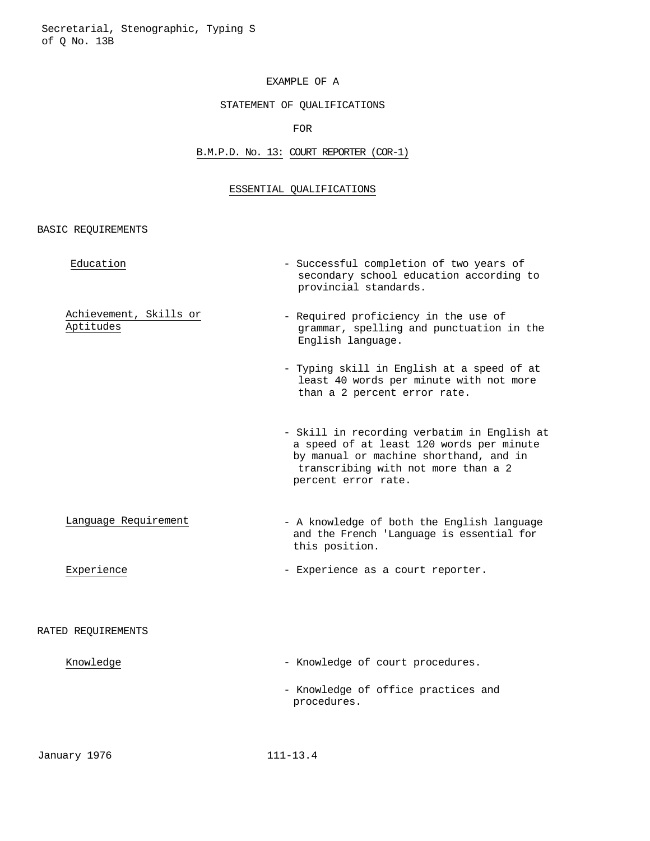## STATEMENT OF QUALIFICATIONS

FOR

## B.M.P.D. No. 13: COURT REPORTER (COR-1)

## ESSENTIAL QUALIFICATIONS

| Education                           | - Successful completion of two years of<br>secondary school education according to<br>provincial standards.                                                                                     |
|-------------------------------------|-------------------------------------------------------------------------------------------------------------------------------------------------------------------------------------------------|
| Achievement, Skills or<br>Aptitudes | - Required proficiency in the use of<br>grammar, spelling and punctuation in the<br>English language.                                                                                           |
|                                     | - Typing skill in English at a speed of at<br>least 40 words per minute with not more<br>than a 2 percent error rate.                                                                           |
|                                     | - Skill in recording verbatim in English at<br>a speed of at least 120 words per minute<br>by manual or machine shorthand, and in<br>transcribing with not more than a 2<br>percent error rate. |
| Language Requirement                | - A knowledge of both the English language<br>and the French 'Language is essential for<br>this position.                                                                                       |
| Experience                          | - Experience as a court reporter.                                                                                                                                                               |
| RATED REQUIREMENTS                  |                                                                                                                                                                                                 |
| Knowledge                           | - Knowledge of court procedures.                                                                                                                                                                |
|                                     | - Knowledge of office practices and<br>procedures.                                                                                                                                              |
|                                     |                                                                                                                                                                                                 |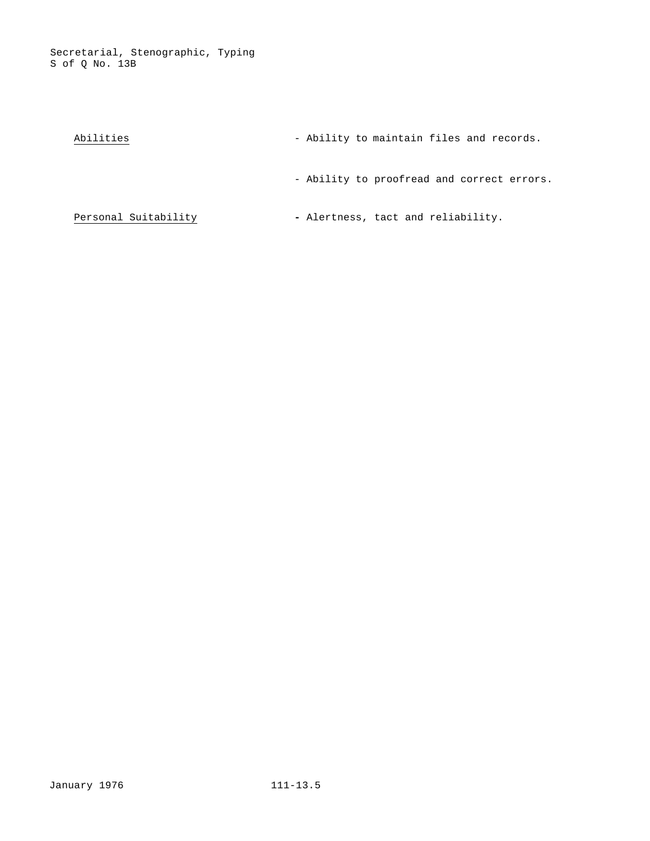| Abilities |  | - Ability to maintain files and records. |  |  |
|-----------|--|------------------------------------------|--|--|
|           |  |                                          |  |  |

- Ability to proofread and correct errors.

Personal Suitability **-** Alertness, tact and reliability.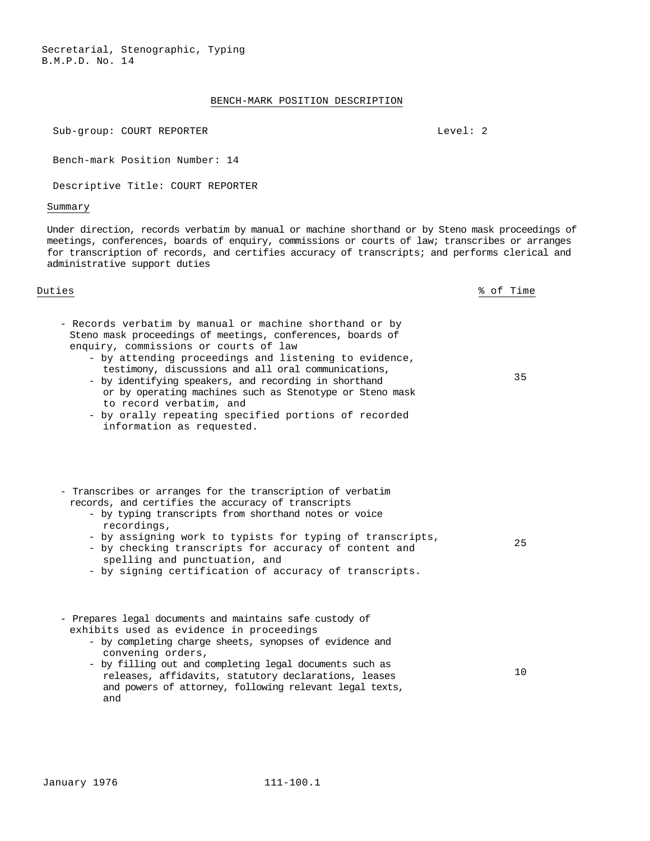#### BENCH-MARK POSITION DESCRIPTION

Sub-group: COURT REPORTER Level: 2

Bench-mark Position Number: 14

Descriptive Title: COURT REPORTER

#### Summary

Under direction, records verbatim by manual or machine shorthand or by Steno mask proceedings of meetings, conferences, boards of enquiry, commissions or courts of law; transcribes or arranges for transcription of records, and certifies accuracy of transcripts; and performs clerical and administrative support duties

#### Duties % of Time

Steno mask proceedings of meetings, conferences, boards of enquiry, commissions or courts of law - by attending proceedings and listening to evidence, testimony, discussions and all oral communications,

- Records verbatim by manual or machine shorthand or by

- by identifying speakers, and recording in shorthand or by operating machines such as Stenotype or Steno mask
- to record verbatim, and - by orally repeating specified portions of recorded
- information as requested.
- Transcribes or arranges for the transcription of verbatim records, and certifies the accuracy of transcripts
	- by typing transcripts from shorthand notes or voice recordings,
	- by assigning work to typists for typing of transcripts,
	- by checking transcripts for accuracy of content and spelling and punctuation, and
	- by signing certification of accuracy of transcripts.

- Prepares legal documents and maintains safe custody of exhibits used as evidence in proceedings

- by completing charge sheets, synopses of evidence and convening orders,
- by filling out and completing legal documents such as releases, affidavits, statutory declarations, leases and powers of attorney, following relevant legal texts, and 10

35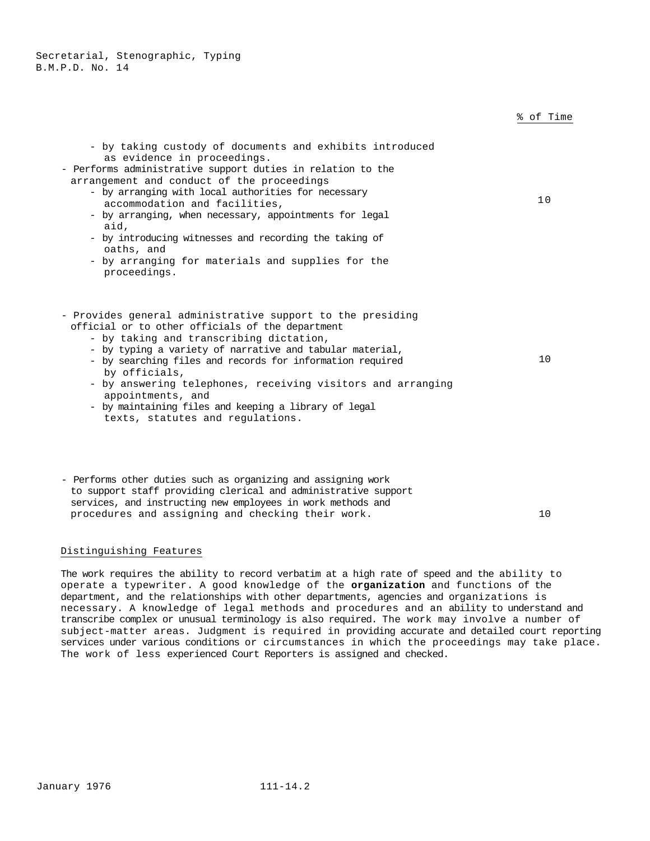|                                                                                                                                                                                                                                                                                                                                                                                                                                                                                                             | % of Time |
|-------------------------------------------------------------------------------------------------------------------------------------------------------------------------------------------------------------------------------------------------------------------------------------------------------------------------------------------------------------------------------------------------------------------------------------------------------------------------------------------------------------|-----------|
| - by taking custody of documents and exhibits introduced<br>as evidence in proceedings.<br>- Performs administrative support duties in relation to the<br>arrangement and conduct of the proceedings<br>- by arranging with local authorities for necessary<br>accommodation and facilities,<br>- by arranging, when necessary, appointments for legal<br>aid,<br>- by introducing witnesses and recording the taking of<br>oaths, and<br>- by arranging for materials and supplies for the<br>proceedings. | 10        |
| - Provides general administrative support to the presiding<br>official or to other officials of the department<br>- by taking and transcribing dictation,<br>- by typing a variety of narrative and tabular material,<br>- by searching files and records for information required<br>by officials,<br>- by answering telephones, receiving visitors and arranging<br>appointments, and                                                                                                                     | 10        |

- by maintaining files and keeping a library of legal texts, statutes and regulations.
- Performs other duties such as organizing and assigning work to support staff providing clerical and administrative support services, and instructing new employees in work methods and procedures and assigning and checking their work. 10

# Distinguishing Features

The work requires the ability to record verbatim at a high rate of speed and the ability to operate a typewriter. A good knowledge of the **organization** and functions of the department, and the relationships with other departments, agencies and organizations is necessary. A knowledge of legal methods and procedures and an ability to understand and transcribe complex or unusual terminology is also required. The work may involve a number of subject-matter areas. Judgment is required in providing accurate and detailed court reporting services under various conditions or circumstances in which the proceedings may take place. The work of less experienced Court Reporters is assigned and checked.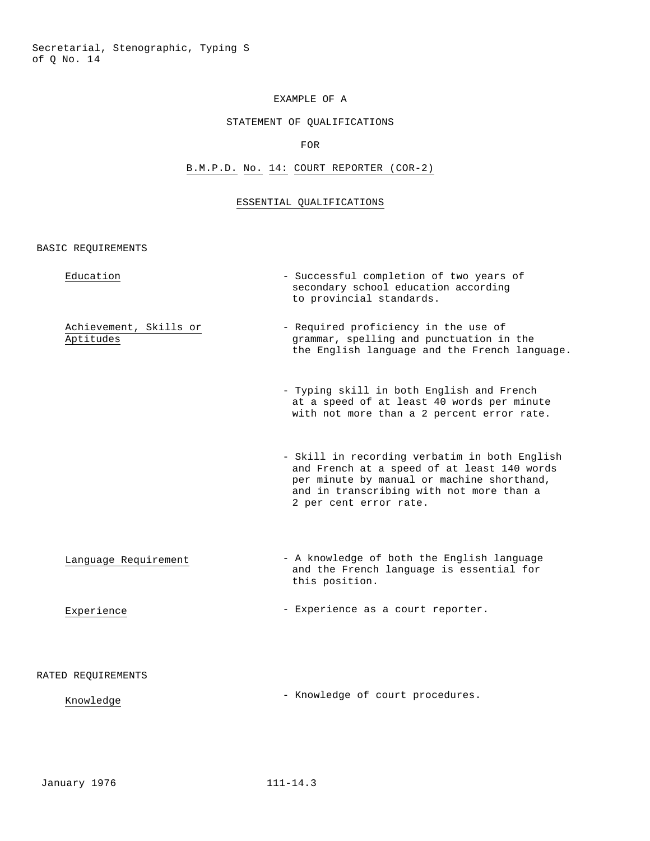## STATEMENT OF QUALIFICATIONS

FOR

## B.M.P.D. No. 14: COURT REPORTER (COR-2)

## ESSENTIAL QUALIFICATIONS

| Education                           | - Successful completion of two years of<br>secondary school education according<br>to provincial standards.                                                                                                      |
|-------------------------------------|------------------------------------------------------------------------------------------------------------------------------------------------------------------------------------------------------------------|
| Achievement, Skills or<br>Aptitudes | - Required proficiency in the use of<br>grammar, spelling and punctuation in the<br>the English language and the French language.                                                                                |
|                                     | - Typing skill in both English and French<br>at a speed of at least 40 words per minute<br>with not more than a 2 percent error rate.                                                                            |
|                                     | - Skill in recording verbatim in both English<br>and French at a speed of at least 140 words<br>per minute by manual or machine shorthand,<br>and in transcribing with not more than a<br>2 per cent error rate. |
| Language Requirement                | - A knowledge of both the English language<br>and the French language is essential for<br>this position.                                                                                                         |
| Experience                          | - Experience as a court reporter.                                                                                                                                                                                |
| RATED REQUIREMENTS                  |                                                                                                                                                                                                                  |
| Knowledge                           | - Knowledge of court procedures.                                                                                                                                                                                 |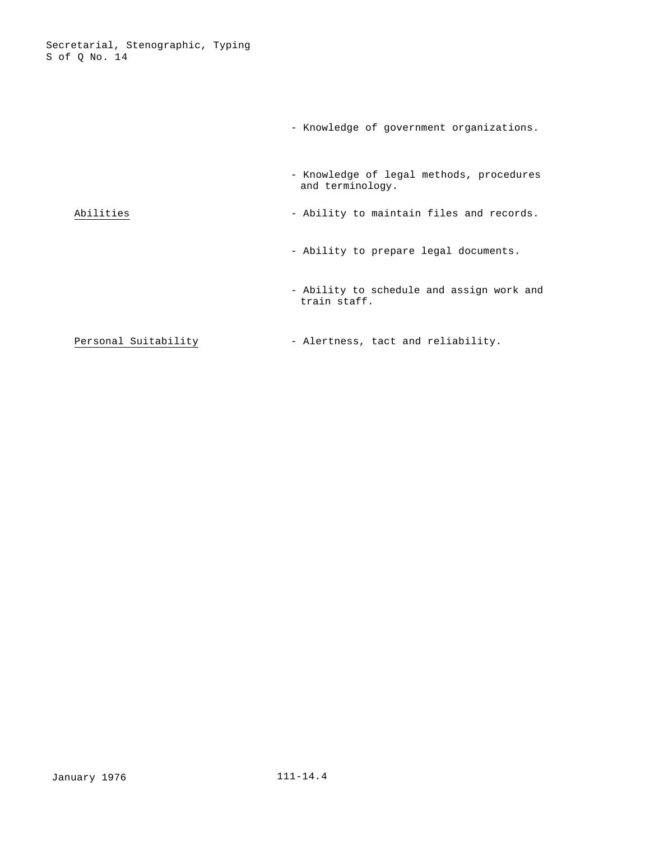|                      | - Knowledge of government organizations.                     |
|----------------------|--------------------------------------------------------------|
|                      | - Knowledge of legal methods, procedures<br>and terminology. |
| Abilities            | - Ability to maintain files and records.                     |
|                      | - Ability to prepare legal documents.                        |
|                      | - Ability to schedule and assign work and<br>train staff.    |
| Personal Suitability | - Alertness, tact and reliability.                           |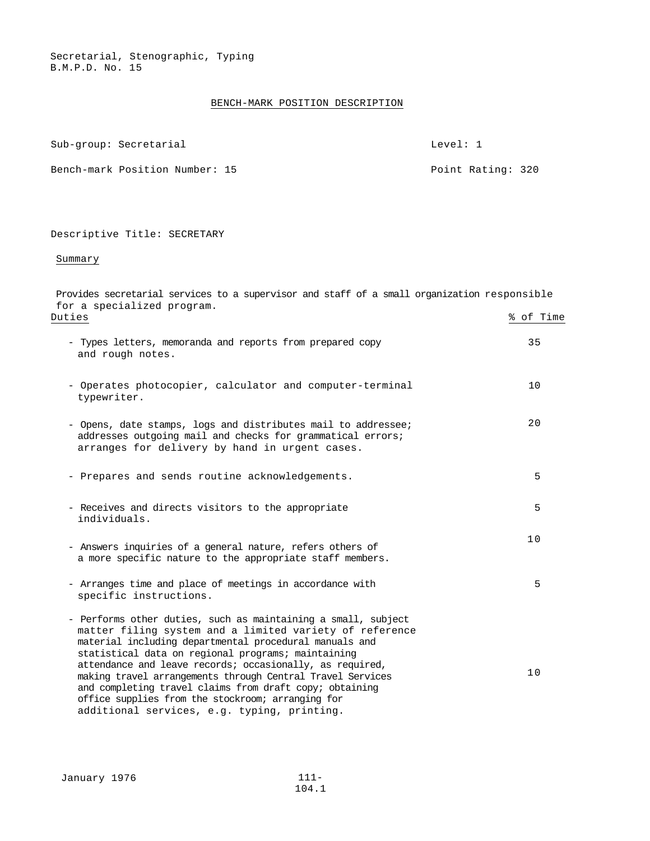#### BENCH-MARK POSITION DESCRIPTION

Sub-group: Secretarial Level: 1

Bench-mark Position Number: 15 Point Rating: 320

#### Descriptive Title: SECRETARY

Summary

Provides secretarial services to a supervisor and staff of a small organization responsible for a specialized program. Duties % of Time - Types letters, memoranda and reports from prepared copy and rough notes. 35 - Operates photocopier, calculator and computer-terminal typewriter. 10 - Opens, date stamps, logs and distributes mail to addressee; addresses outgoing mail and checks for grammatical errors; arranges for delivery by hand in urgent cases. 20 - Prepares and sends routine acknowledgements. 5 - Receives and directs visitors to the appropriate individuals. 5 - Answers inquiries of a general nature, refers others of a more specific nature to the appropriate staff members. 10 - Arranges time and place of meetings in accordance with specific instructions. 5 - Performs other duties, such as maintaining a small, subject matter filing system and a limited variety of reference material including departmental procedural manuals and statistical data on regional programs; maintaining attendance and leave records; occasionally, as required, making travel arrangements through Central Travel Services and completing travel claims from draft copy; obtaining office supplies from the stockroom; arranging for additional services, e.g. typing, printing. 10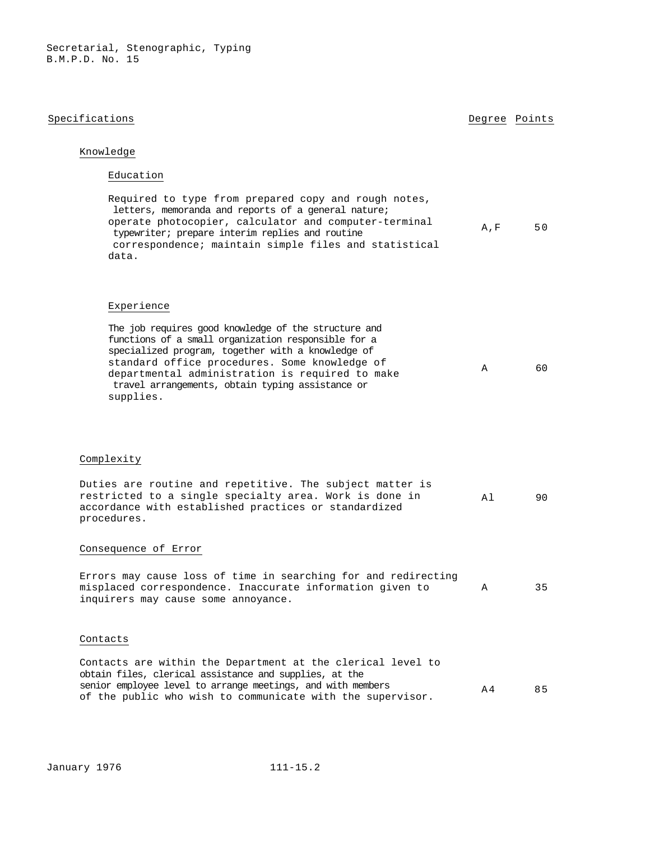### Specifications **Degree** Points **Degree** Points

### Knowledge

### Education

| Required to type from prepared copy and rough notes,  |     |    |
|-------------------------------------------------------|-----|----|
| letters, memoranda and reports of a general nature;   |     |    |
| operate photocopier, calculator and computer-terminal | A.F | 50 |
| typewriter; prepare interim replies and routine       |     |    |
| correspondence; maintain simple files and statistical |     |    |
| data.                                                 |     |    |

#### Experience

| The job requires good knowledge of the structure and |   |    |
|------------------------------------------------------|---|----|
| functions of a small organization responsible for a  |   |    |
| specialized program, together with a knowledge of    |   |    |
| standard office procedures. Some knowledge of        |   | 60 |
| departmental administration is required to make      | A |    |
| travel arrangements, obtain typing assistance or     |   |    |
| supplies.                                            |   |    |

#### Complexity

|             | Duties are routine and repetitive. The subject matter is |  |     |     |
|-------------|----------------------------------------------------------|--|-----|-----|
|             | restricted to a single specialty area. Work is done in   |  | A 1 | 9 N |
|             | accordance with established practices or standardized    |  |     |     |
| procedures. |                                                          |  |     |     |

#### Consequence of Error

Errors may cause loss of time in searching for and redirecting misplaced correspondence. Inaccurate information given to A 35 inquirers may cause some annoyance.

#### Contacts

Contacts are within the Department at the clerical level to obtain files, clerical assistance and supplies, at the senior employee level to arrange meetings, and with members senior employee level to arrange meetings, and with members  $A4 = 85$ <br>of the public who wish to communicate with the supervisor.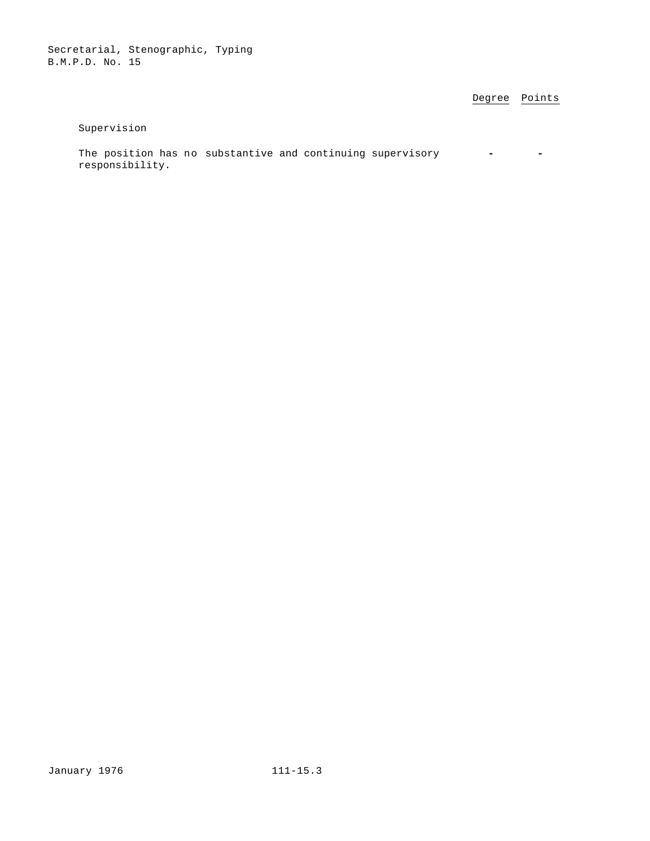Degree Points

## Supervision

The position has no substantive and continuing supervisory **-**  responsibility.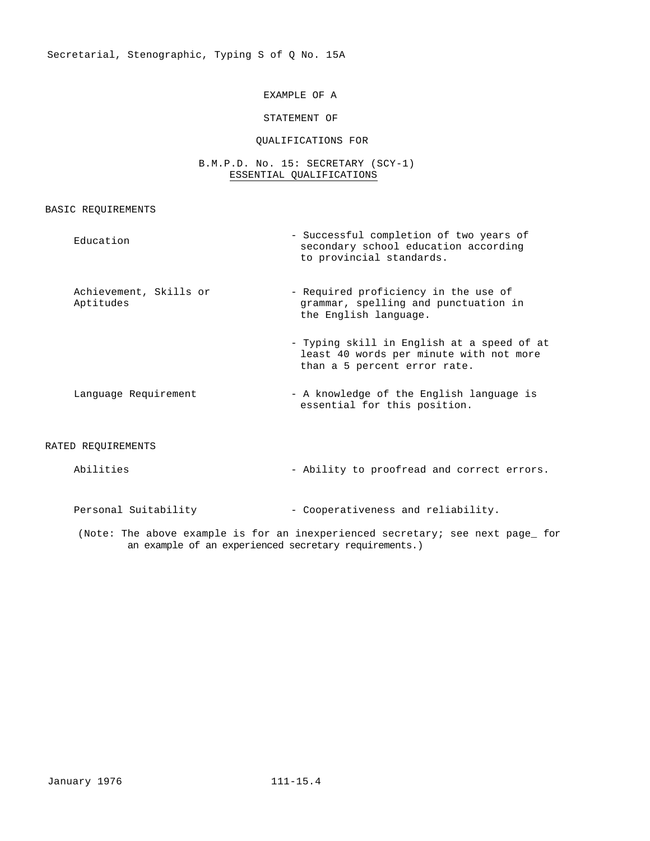## STATEMENT OF

### QUALIFICATIONS FOR

## B.M.P.D. No. 15: SECRETARY (SCY-1) ESSENTIAL QUALIFICATIONS

## BASIC REQUIREMENTS

| Education                           | - Successful completion of two years of<br>secondary school education according<br>to provincial standards.           |
|-------------------------------------|-----------------------------------------------------------------------------------------------------------------------|
| Achievement, Skills or<br>Aptitudes | - Required proficiency in the use of<br>grammar, spelling and punctuation in<br>the English language.                 |
|                                     | - Typing skill in English at a speed of at<br>least 40 words per minute with not more<br>than a 5 percent error rate. |
| Language Requirement                | - A knowledge of the English language is<br>essential for this position.                                              |
| RATED REQUIREMENTS                  |                                                                                                                       |
| Abilities                           | - Ability to proofread and correct errors.                                                                            |
| Personal Suitability                | - Cooperativeness and reliability.                                                                                    |

(Note: The above example is for an inexperienced secretary; see next page\_ for an example of an experienced secretary requirements.)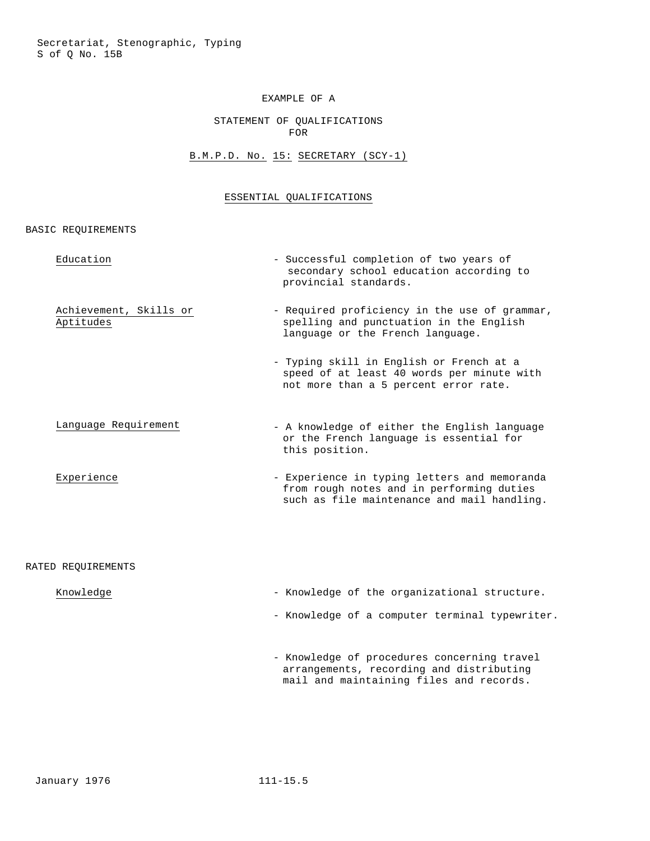### STATEMENT OF QUALIFICATIONS FOR

# B.M.P.D. No. 15: SECRETARY (SCY-1)

## ESSENTIAL QUALIFICATIONS

BASIC REQUIREMENTS

| Education                           | - Successful completion of two years of<br>secondary school education according to<br>provincial standards.                              |
|-------------------------------------|------------------------------------------------------------------------------------------------------------------------------------------|
| Achievement, Skills or<br>Aptitudes | - Required proficiency in the use of grammar,<br>spelling and punctuation in the English<br>language or the French language.             |
|                                     | - Typing skill in English or French at a<br>speed of at least 40 words per minute with<br>not more than a 5 percent error rate.          |
| Language Requirement                | - A knowledge of either the English language<br>or the French language is essential for<br>this position.                                |
| Experience                          | - Experience in typing letters and memoranda<br>from rough notes and in performing duties<br>such as file maintenance and mail handling. |
| RATED REQUIREMENTS                  |                                                                                                                                          |
| Knowledge                           | - Knowledge of the organizational structure.                                                                                             |
|                                     | - Knowledge of a computer terminal typewriter.                                                                                           |

- Knowledge of procedures concerning travel arrangements, recording and distributing mail and maintaining files and records.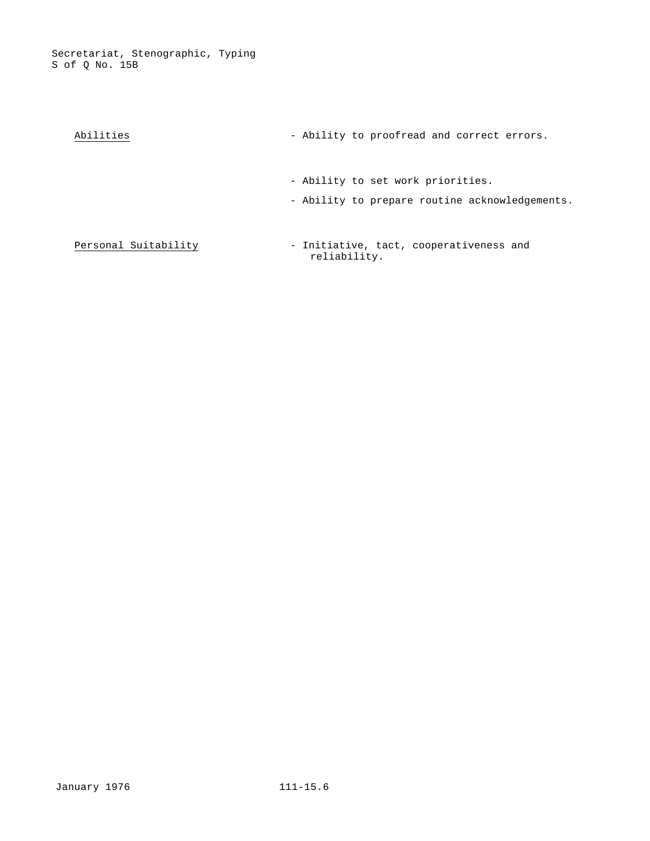Secretariat, Stenographic, Typing S of Q No. 15B

| Abilities            | - Ability to proofread and correct errors.                                          |
|----------------------|-------------------------------------------------------------------------------------|
|                      | - Ability to set work priorities.<br>- Ability to prepare routine acknowledgements. |
| Personal Suitability | - Initiative, tact, cooperativeness and<br>reliability.                             |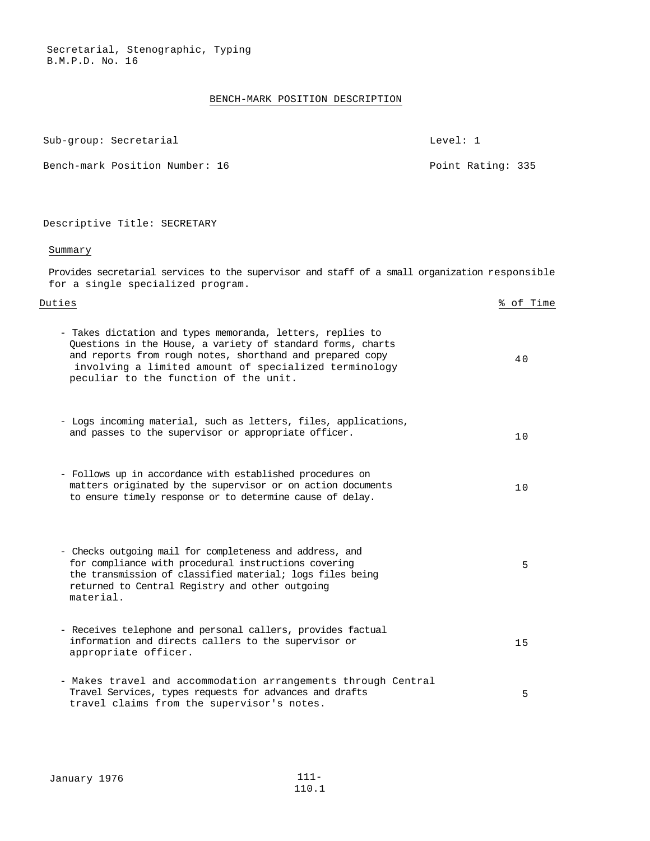#### BENCH-MARK POSITION DESCRIPTION

| Sub-group: Secretarial         | Level: 1 |                   |  |
|--------------------------------|----------|-------------------|--|
| Bench-mark Position Number: 16 |          | Point Rating: 335 |  |

## Descriptive Title: SECRETARY

# Summary

Provides secretarial services to the supervisor and staff of a small organization responsible for a single specialized program.

| Duties                                                                                                                                                                                                                                                                                   | % of Time |
|------------------------------------------------------------------------------------------------------------------------------------------------------------------------------------------------------------------------------------------------------------------------------------------|-----------|
| - Takes dictation and types memoranda, letters, replies to<br>Questions in the House, a variety of standard forms, charts<br>and reports from rough notes, shorthand and prepared copy<br>involving a limited amount of specialized terminology<br>peculiar to the function of the unit. | 40        |
| - Logs incoming material, such as letters, files, applications,<br>and passes to the supervisor or appropriate officer.                                                                                                                                                                  | 10        |
| - Follows up in accordance with established procedures on<br>matters originated by the supervisor or on action documents<br>to ensure timely response or to determine cause of delay.                                                                                                    | 10        |
| - Checks outgoing mail for completeness and address, and<br>for compliance with procedural instructions covering<br>the transmission of classified material; logs files being<br>returned to Central Registry and other outgoing<br>material.                                            | 5         |
| - Receives telephone and personal callers, provides factual<br>information and directs callers to the supervisor or<br>appropriate officer.                                                                                                                                              | 15        |
| - Makes travel and accommodation arrangements through Central<br>Travel Services, types requests for advances and drafts                                                                                                                                                                 | 5         |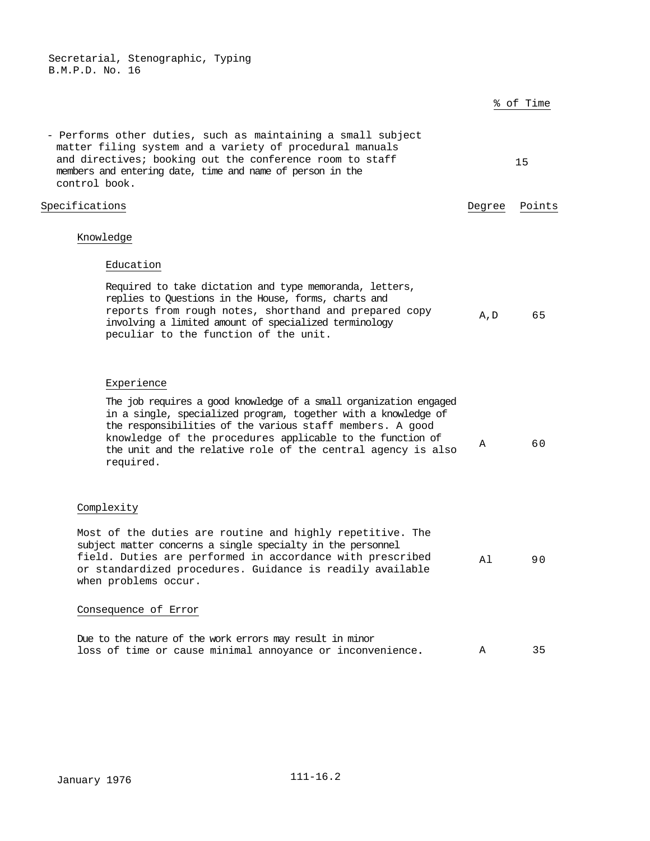|                                                                                                                                                                                                                                                                                                                                            |        | % of Time |
|--------------------------------------------------------------------------------------------------------------------------------------------------------------------------------------------------------------------------------------------------------------------------------------------------------------------------------------------|--------|-----------|
| - Performs other duties, such as maintaining a small subject<br>matter filing system and a variety of procedural manuals<br>and directives; booking out the conference room to staff<br>members and entering date, time and name of person in the<br>control book.                                                                         |        | 15        |
| Specifications                                                                                                                                                                                                                                                                                                                             | Degree | Points    |
| Knowledge                                                                                                                                                                                                                                                                                                                                  |        |           |
| Education                                                                                                                                                                                                                                                                                                                                  |        |           |
| Required to take dictation and type memoranda, letters,<br>replies to Questions in the House, forms, charts and<br>reports from rough notes, shorthand and prepared copy<br>involving a limited amount of specialized terminology<br>peculiar to the function of the unit.                                                                 | A, D   | 65        |
| Experience                                                                                                                                                                                                                                                                                                                                 |        |           |
| The job requires a good knowledge of a small organization engaged<br>in a single, specialized program, together with a knowledge of<br>the responsibilities of the various staff members. A good<br>knowledge of the procedures applicable to the function of<br>the unit and the relative role of the central agency is also<br>required. | Α      | 60        |
| Complexity                                                                                                                                                                                                                                                                                                                                 |        |           |
| Most of the duties are routine and highly repetitive. The<br>subject matter concerns a single specialty in the personnel<br>field. Duties are performed in accordance with prescribed<br>or standardized procedures. Guidance is readily available<br>when problems occur.                                                                 | Αl     | 90        |
| Consequence of Error                                                                                                                                                                                                                                                                                                                       |        |           |
| Due to the nature of the work errors may result in minor<br>loss of time or cause minimal annoyance or inconvenience.                                                                                                                                                                                                                      | Α      | 35        |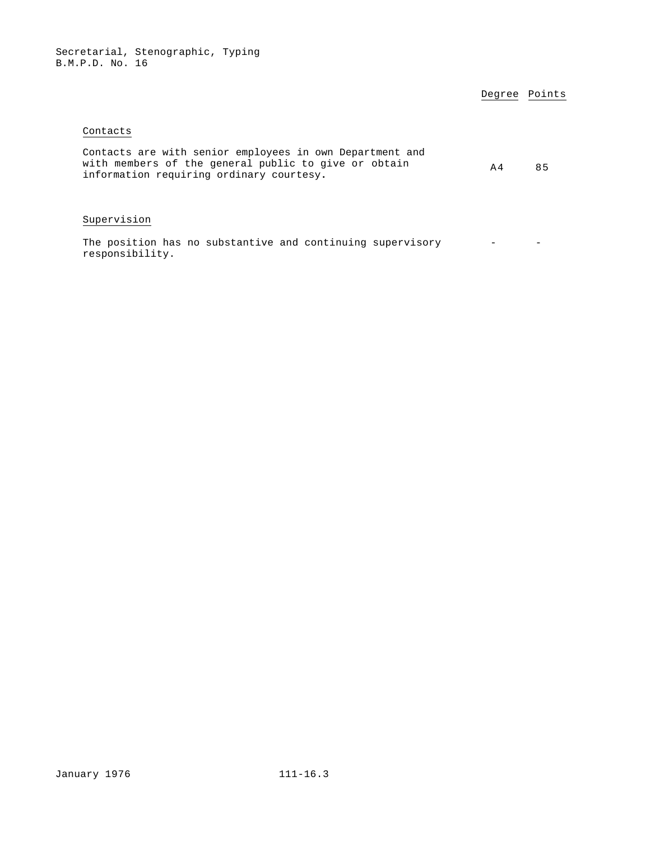# Degree Points

## Contacts

| Contacts are with senior employees in own Department and<br>with members of the general public to give or obtain<br>A 4<br>information requiring ordinary courtesy. |  | 85 |
|---------------------------------------------------------------------------------------------------------------------------------------------------------------------|--|----|
|                                                                                                                                                                     |  |    |

# Supervision

The position has no substantive and continuing supervisory - responsibility.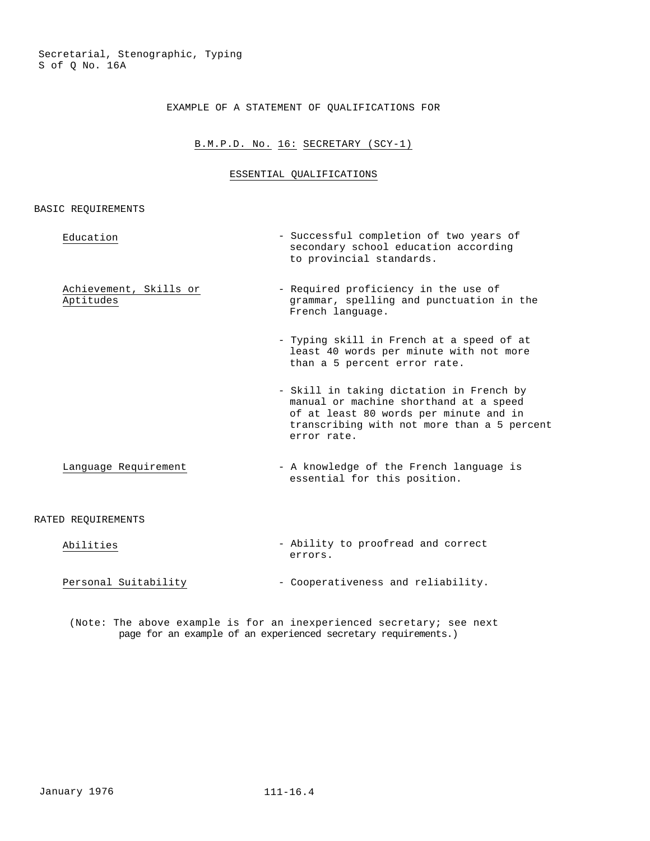## EXAMPLE OF A STATEMENT OF QUALIFICATIONS FOR

# B.M.P.D. No. 16: SECRETARY (SCY-1)

# ESSENTIAL QUALIFICATIONS

#### BASIC REQUIREMENTS

| Education                           | - Successful completion of two years of<br>secondary school education according<br>to provincial standards.                                                                                |
|-------------------------------------|--------------------------------------------------------------------------------------------------------------------------------------------------------------------------------------------|
| Achievement, Skills or<br>Aptitudes | - Required proficiency in the use of<br>grammar, spelling and punctuation in the<br>French language.                                                                                       |
|                                     | - Typing skill in French at a speed of at<br>least 40 words per minute with not more<br>than a 5 percent error rate.                                                                       |
|                                     | - Skill in taking dictation in French by<br>manual or machine shorthand at a speed<br>of at least 80 words per minute and in<br>transcribing with not more than a 5 percent<br>error rate. |
| Language Requirement                | - A knowledge of the French language is<br>essential for this position.                                                                                                                    |

# RATED REQUIREMENTS

| Abilities            | - Ability to proofread and correct |
|----------------------|------------------------------------|
|                      | errors.                            |
|                      |                                    |
| Personal Suitability | - Cooperativeness and reliability. |

(Note: The above example is for an inexperienced secretary; see next page for an example of an experienced secretary requirements.)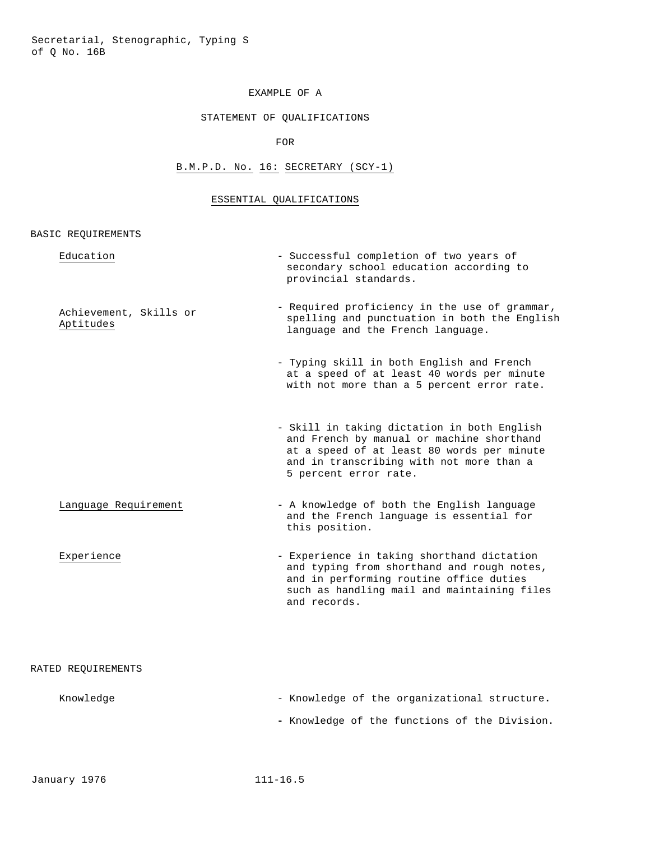#### EXAMPLE OF A

## STATEMENT OF QUALIFICATIONS

FOR

# B.M.P.D. No. 16: SECRETARY (SCY-1)

# ESSENTIAL QUALIFICATIONS

| Education                           | - Successful completion of two years of<br>secondary school education according to<br>provincial standards.                                                                                                 |
|-------------------------------------|-------------------------------------------------------------------------------------------------------------------------------------------------------------------------------------------------------------|
| Achievement, Skills or<br>Aptitudes | - Required proficiency in the use of grammar,<br>spelling and punctuation in both the English<br>language and the French language.                                                                          |
|                                     | - Typing skill in both English and French<br>at a speed of at least 40 words per minute<br>with not more than a 5 percent error rate.                                                                       |
|                                     | - Skill in taking dictation in both English<br>and French by manual or machine shorthand<br>at a speed of at least 80 words per minute<br>and in transcribing with not more than a<br>5 percent error rate. |
| Language Requirement                | - A knowledge of both the English language<br>and the French language is essential for<br>this position.                                                                                                    |
| Experience                          | - Experience in taking shorthand dictation<br>and typing from shorthand and rough notes,<br>and in performing routine office duties<br>such as handling mail and maintaining files<br>and records.          |
| RATED REQUIREMENTS                  |                                                                                                                                                                                                             |
| Knowledge                           | - Knowledge of the organizational structure.                                                                                                                                                                |
|                                     | - Knowledge of the functions of the Division.                                                                                                                                                               |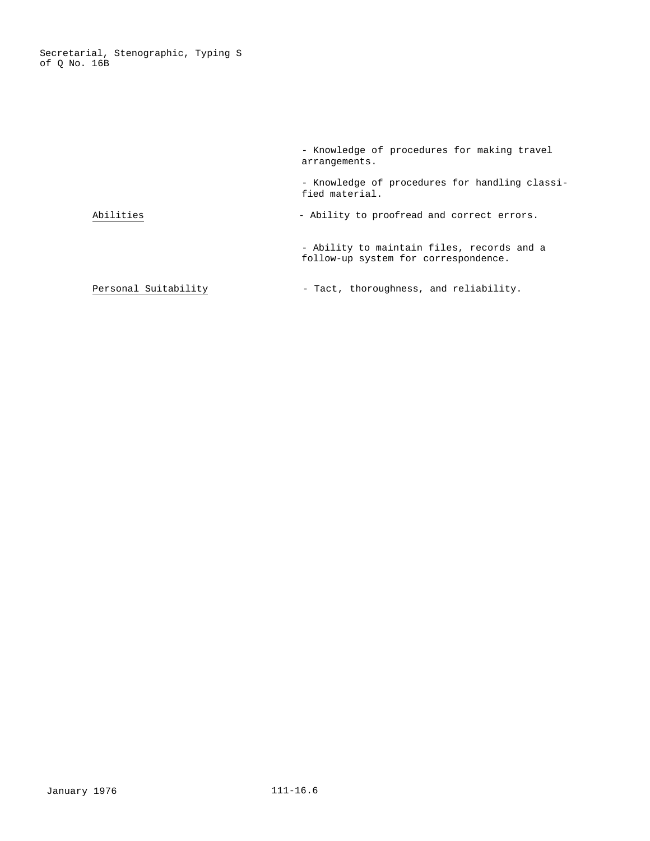Secretarial, Stenographic, Typing S of Q No. 16B

> - Knowledge of procedures for making travel arrangements. - Knowledge of procedures for handling classified material. Abilities  $\qquad \qquad -$  Ability to proofread and correct errors. - Ability to maintain files, records and a follow-up system for correspondence. Personal Suitability  $-$  Tact, thoroughness, and reliability.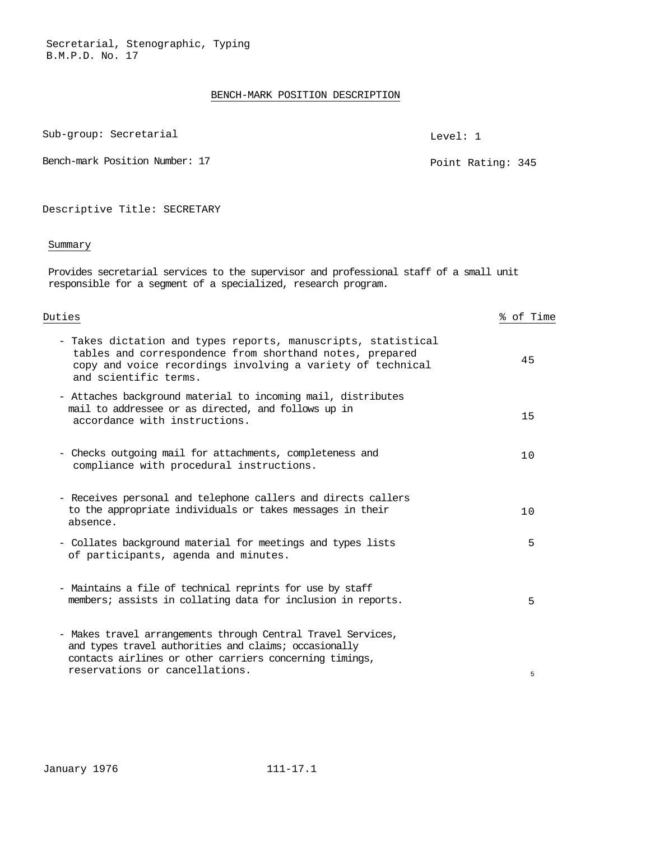#### BENCH-MARK POSITION DESCRIPTION

Sub-group: Secretarial and the secretarial contracts of the secretarial contracts of the secretarial contracts of the secretarial contracts of the secretarial contracts of the secretarial contracts of the secretarial contr

Bench-mark Position Number: 17 Point Rating: 345

Descriptive Title: SECRETARY

#### Summary

Provides secretarial services to the supervisor and professional staff of a small unit responsible for a segment of a specialized, research program.

Duties % of Time

| - Takes dictation and types reports, manuscripts, statistical<br>tables and correspondence from shorthand notes, prepared<br>copy and voice recordings involving a variety of technical<br>and scientific terms.   | 45 |
|--------------------------------------------------------------------------------------------------------------------------------------------------------------------------------------------------------------------|----|
| - Attaches background material to incoming mail, distributes<br>mail to addressee or as directed, and follows up in<br>accordance with instructions.                                                               | 15 |
| - Checks outgoing mail for attachments, completeness and<br>compliance with procedural instructions.                                                                                                               | 10 |
| - Receives personal and telephone callers and directs callers<br>to the appropriate individuals or takes messages in their<br>absence.                                                                             | 10 |
| - Collates background material for meetings and types lists<br>of participants, agenda and minutes.                                                                                                                | 5  |
| - Maintains a file of technical reprints for use by staff<br>members; assists in collating data for inclusion in reports.                                                                                          | 5  |
| - Makes travel arrangements through Central Travel Services,<br>and types travel authorities and claims; occasionally<br>contacts airlines or other carriers concerning timings,<br>reservations or cancellations. | 5  |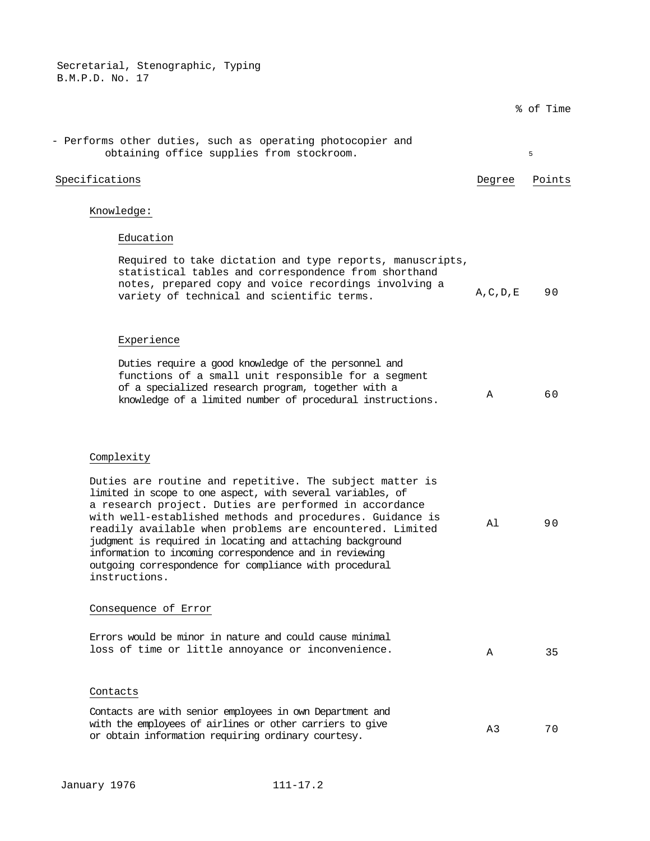|                                                                                                                                                                                                                                                                                                                                                                                                                                                                                                              |            | % of Time |
|--------------------------------------------------------------------------------------------------------------------------------------------------------------------------------------------------------------------------------------------------------------------------------------------------------------------------------------------------------------------------------------------------------------------------------------------------------------------------------------------------------------|------------|-----------|
| - Performs other duties, such as operating photocopier and<br>obtaining office supplies from stockroom.                                                                                                                                                                                                                                                                                                                                                                                                      |            | 5         |
| Specifications                                                                                                                                                                                                                                                                                                                                                                                                                                                                                               | Degree     | Points    |
| Knowledge:                                                                                                                                                                                                                                                                                                                                                                                                                                                                                                   |            |           |
| Education                                                                                                                                                                                                                                                                                                                                                                                                                                                                                                    |            |           |
| Required to take dictation and type reports, manuscripts,<br>statistical tables and correspondence from shorthand<br>notes, prepared copy and voice recordings involving a<br>variety of technical and scientific terms.                                                                                                                                                                                                                                                                                     | A, C, D, E | 90        |
| Experience                                                                                                                                                                                                                                                                                                                                                                                                                                                                                                   |            |           |
| Duties require a good knowledge of the personnel and<br>functions of a small unit responsible for a segment<br>of a specialized research program, together with a<br>knowledge of a limited number of procedural instructions.                                                                                                                                                                                                                                                                               | Α          | 60        |
| Complexity                                                                                                                                                                                                                                                                                                                                                                                                                                                                                                   |            |           |
| Duties are routine and repetitive. The subject matter is<br>limited in scope to one aspect, with several variables, of<br>a research project. Duties are performed in accordance<br>with well-established methods and procedures. Guidance is<br>readily available when problems are encountered. Limited<br>judgment is required in locating and attaching background<br>information to incoming correspondence and in reviewing<br>outgoing correspondence for compliance with procedural<br>instructions. | Al         | 90        |
| Consequence of Error                                                                                                                                                                                                                                                                                                                                                                                                                                                                                         |            |           |
| Errors would be minor in nature and could cause minimal<br>loss of time or little annoyance or inconvenience.                                                                                                                                                                                                                                                                                                                                                                                                | A          | 35        |
| Contacts                                                                                                                                                                                                                                                                                                                                                                                                                                                                                                     |            |           |
| Contacts are with senior employees in own Department and<br>with the employees of airlines or other carriers to give<br>or obtain information requiring ordinary courtesy.                                                                                                                                                                                                                                                                                                                                   | A3         | 70        |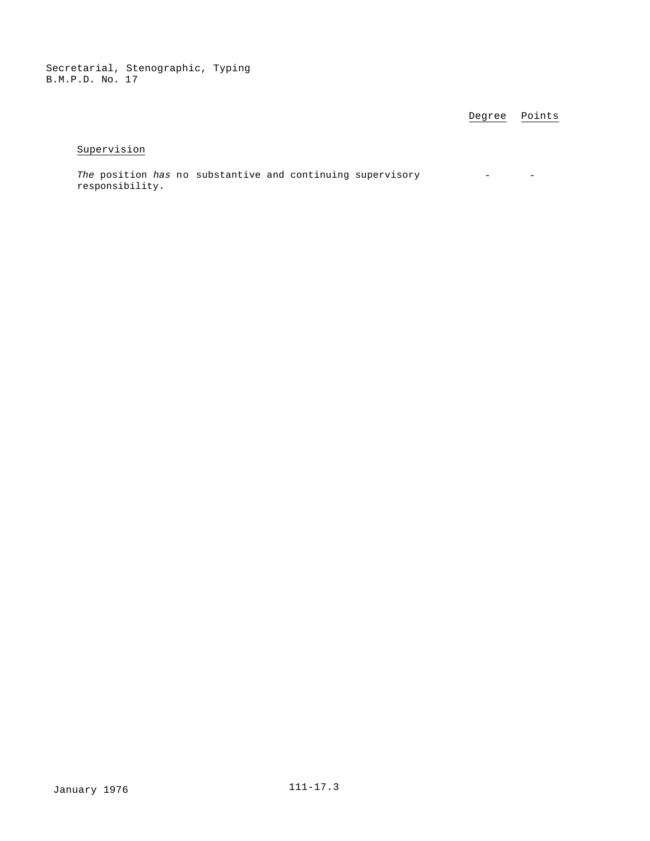Degree Points

# Supervision

*The* position *has* no substantive and continuing supervisory responsibility. - -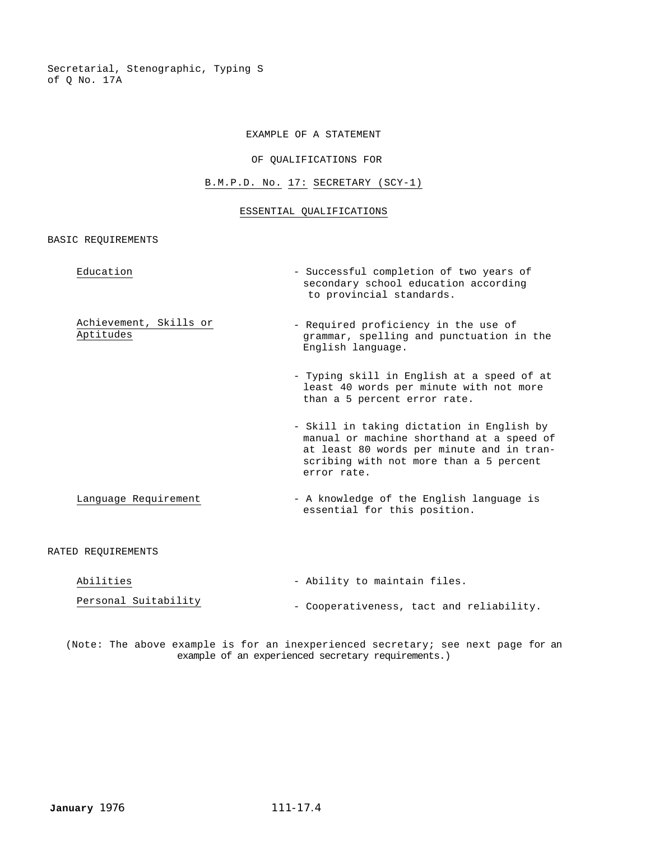Secretarial, Stenographic, Typing S of Q No. 17A

## EXAMPLE OF A STATEMENT

## OF QUALIFICATIONS FOR

# B.M.P.D. No. 17: SECRETARY (SCY-1)

#### ESSENTIAL QUALIFICATIONS

BASIC REQUIREMENTS

| Education                           | - Successful completion of two years of<br>secondary school education according<br>to provincial standards.                                                                                   |
|-------------------------------------|-----------------------------------------------------------------------------------------------------------------------------------------------------------------------------------------------|
| Achievement, Skills or<br>Aptitudes | - Required proficiency in the use of<br>grammar, spelling and punctuation in the<br>English language.                                                                                         |
|                                     | - Typing skill in English at a speed of at<br>least 40 words per minute with not more<br>than a 5 percent error rate.                                                                         |
|                                     | - Skill in taking dictation in English by<br>manual or machine shorthand at a speed of<br>at least 80 words per minute and in tran-<br>scribing with not more than a 5 percent<br>error rate. |
| Language Requirement                | - A knowledge of the English language is<br>essential for this position.                                                                                                                      |
| RATED REOUIREMENTS                  |                                                                                                                                                                                               |
| $71 + 1 + 10$                       | Ability to maintain files                                                                                                                                                                     |

| Abilities            | - Ability to maintain files.             |
|----------------------|------------------------------------------|
| Personal Suitability | - Cooperativeness, tact and reliability. |

(Note: The above example is for an inexperienced secretary; see next page for an example of an experienced secretary requirements.)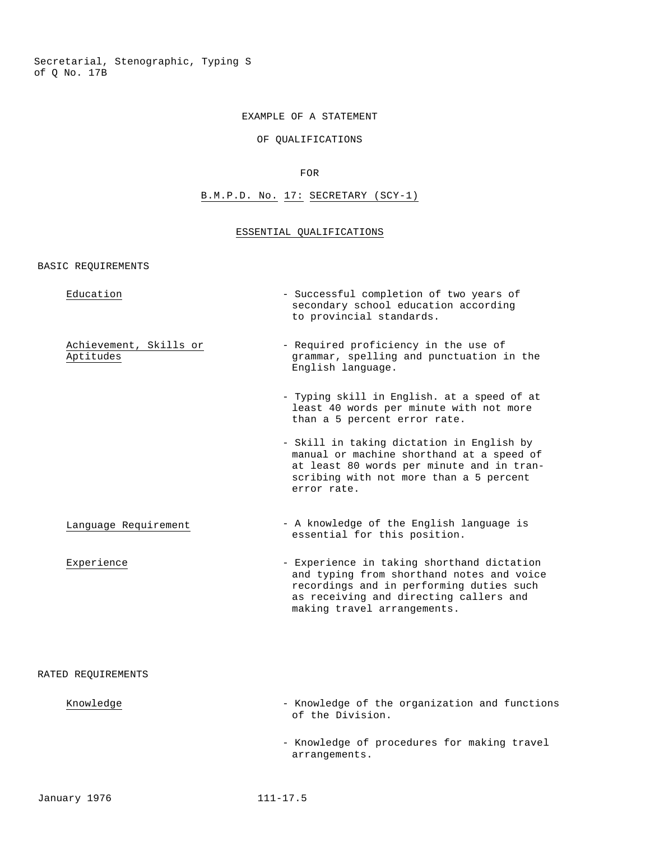Secretarial, Stenographic, Typing S of Q No. 17B

#### EXAMPLE OF A STATEMENT

# OF QUALIFICATIONS

#### FOR

# B.M.P.D. No. 17: SECRETARY (SCY-1)

#### ESSENTIAL QUALIFICATIONS

BASIC REQUIREMENTS

| Education                           | - Successful completion of two years of<br>secondary school education according<br>to provincial standards.                                                                                                  |
|-------------------------------------|--------------------------------------------------------------------------------------------------------------------------------------------------------------------------------------------------------------|
| Achievement, Skills or<br>Aptitudes | - Required proficiency in the use of<br>grammar, spelling and punctuation in the<br>English language.                                                                                                        |
|                                     | - Typing skill in English. at a speed of at<br>least 40 words per minute with not more<br>than a 5 percent error rate.                                                                                       |
|                                     | - Skill in taking dictation in English by<br>manual or machine shorthand at a speed of<br>at least 80 words per minute and in tran-<br>scribing with not more than a 5 percent<br>error rate.                |
| Language Requirement                | - A knowledge of the English language is<br>essential for this position.                                                                                                                                     |
| Experience                          | - Experience in taking shorthand dictation<br>and typing from shorthand notes and voice<br>recordings and in performing duties such<br>as receiving and directing callers and<br>making travel arrangements. |
| RATED REOUIREMENTS                  |                                                                                                                                                                                                              |
| Knowledge                           | - Knowledge of the organization and functions                                                                                                                                                                |

- Knowledge of procedures for making travel arrangements.

of the Division.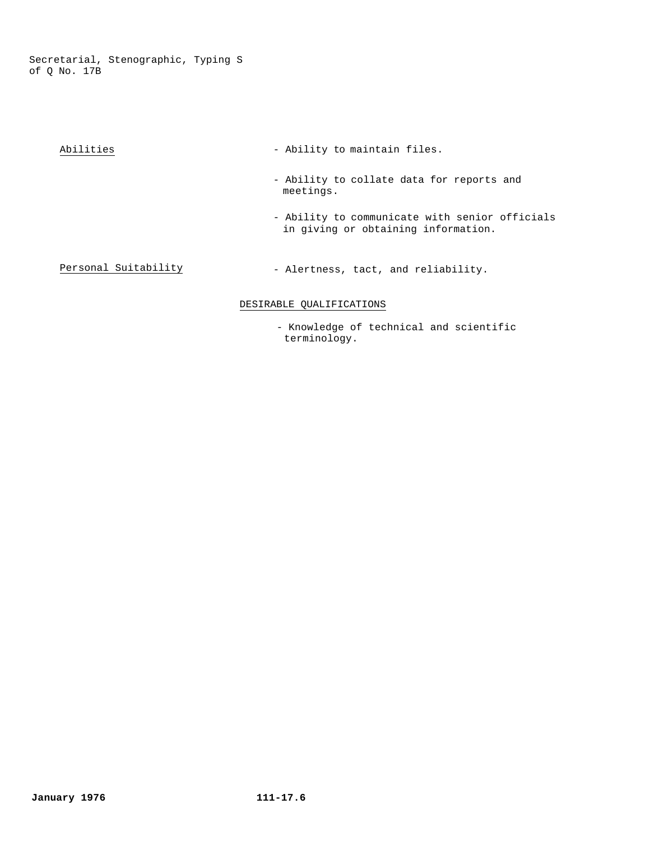Secretarial, Stenographic, Typing S of Q No. 17B

| Abilities | - Ability to maintain files.                                                          |
|-----------|---------------------------------------------------------------------------------------|
|           | - Ability to collate data for reports and<br>meetings.                                |
|           | - Ability to communicate with senior officials<br>in giving or obtaining information. |

# Personal Suitability - Alertness, tact, and reliability.

# DESIRABLE QUALIFICATIONS

 - Knowledge of technical and scientific terminology.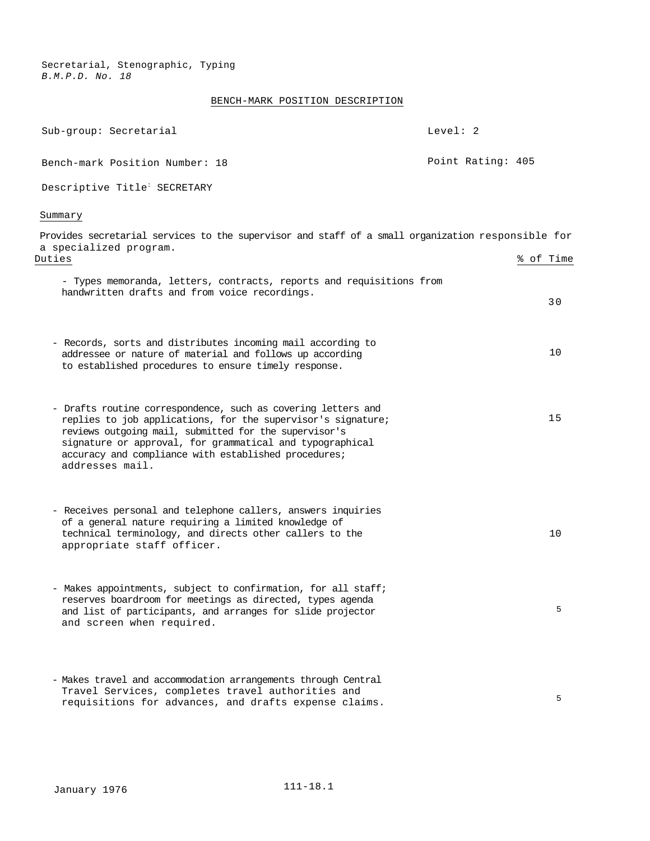# BENCH-MARK POSITION DESCRIPTION

| Sub-group: Secretarial                                                                                                                                                                                                                                                                                                        | Level: 2          |           |
|-------------------------------------------------------------------------------------------------------------------------------------------------------------------------------------------------------------------------------------------------------------------------------------------------------------------------------|-------------------|-----------|
| Bench-mark Position Number: 18                                                                                                                                                                                                                                                                                                | Point Rating: 405 |           |
| Descriptive Title <sup>:</sup> SECRETARY                                                                                                                                                                                                                                                                                      |                   |           |
| Summary                                                                                                                                                                                                                                                                                                                       |                   |           |
| Provides secretarial services to the supervisor and staff of a small organization responsible for<br>a specialized program.                                                                                                                                                                                                   |                   |           |
| Duties                                                                                                                                                                                                                                                                                                                        |                   | % of Time |
| - Types memoranda, letters, contracts, reports and requisitions from<br>handwritten drafts and from voice recordings.                                                                                                                                                                                                         |                   | 30        |
| - Records, sorts and distributes incoming mail according to<br>addressee or nature of material and follows up according<br>to established procedures to ensure timely response.                                                                                                                                               |                   | 10        |
| - Drafts routine correspondence, such as covering letters and<br>replies to job applications, for the supervisor's signature;<br>reviews outgoing mail, submitted for the supervisor's<br>signature or approval, for grammatical and typographical<br>accuracy and compliance with established procedures;<br>addresses mail. |                   | 15        |
| - Receives personal and telephone callers, answers inquiries<br>of a general nature requiring a limited knowledge of<br>technical terminology, and directs other callers to the<br>appropriate staff officer.                                                                                                                 |                   | 10        |
| - Makes appointments, subject to confirmation, for all staff;<br>reserves boardroom for meetings as directed, types agenda<br>and list of participants, and arranges for slide projector<br>and screen when required.                                                                                                         |                   | 5         |
| - Makes travel and accommodation arrangements through Central<br>Travel Services, completes travel authorities and<br>requisitions for advances, and drafts expense claims.                                                                                                                                                   |                   | 5         |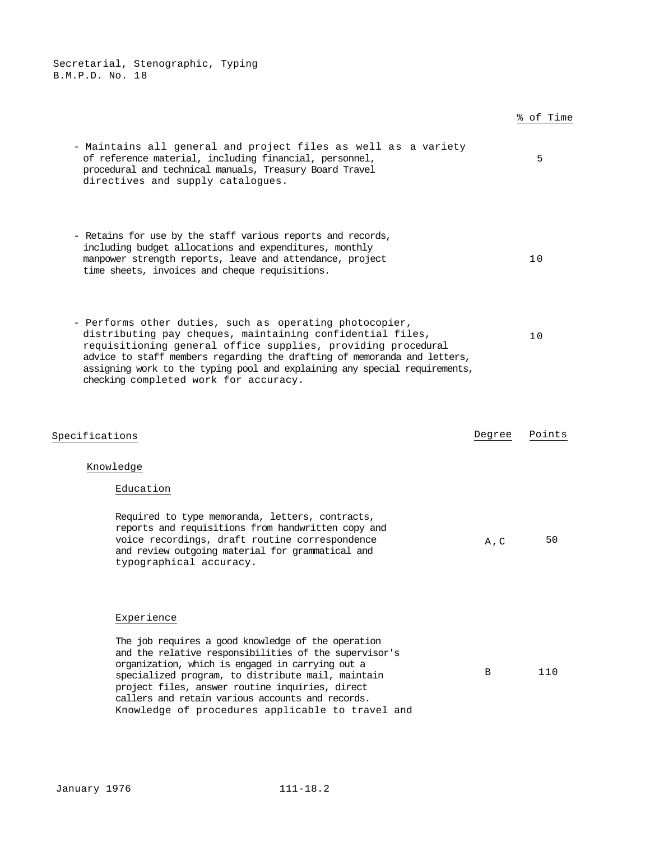# % of Time

| - Maintains all general and project files as well as a variety<br>of reference material, including financial, personnel,<br>procedural and technical manuals, Treasury Board Travel<br>directives and supply catalogues.            | 5  |
|-------------------------------------------------------------------------------------------------------------------------------------------------------------------------------------------------------------------------------------|----|
| - Retains for use by the staff various reports and records,<br>including budget allocations and expenditures, monthly<br>manpower strength reports, leave and attendance, project<br>time sheets, invoices and cheque requisitions. | 10 |

- Performs other duties, such as operating photocopier, distributing pay cheques, maintaining confidential files, requisitioning general office supplies, providing procedural advice to staff members regarding the drafting of memoranda and letters, assigning work to the typing pool and explaining any special requirements, checking completed work for accuracy. 10

| Specifications                                                                                                                                                                                                                                                                                                                                                                                | Degree       | Points |  |
|-----------------------------------------------------------------------------------------------------------------------------------------------------------------------------------------------------------------------------------------------------------------------------------------------------------------------------------------------------------------------------------------------|--------------|--------|--|
| Knowledge<br>Education<br>Required to type memoranda, letters, contracts,<br>reports and requisitions from handwritten copy and<br>voice recordings, draft routine correspondence<br>and review outgoing material for grammatical and<br>typographical accuracy.                                                                                                                              | $A$ , $C$    | 50     |  |
| Experience<br>The job requires a good knowledge of the operation<br>and the relative responsibilities of the supervisor's<br>organization, which is engaged in carrying out a<br>specialized program, to distribute mail, maintain<br>project files, answer routine inquiries, direct<br>callers and retain various accounts and records.<br>Knowledge of procedures applicable to travel and | <sub>B</sub> | 110    |  |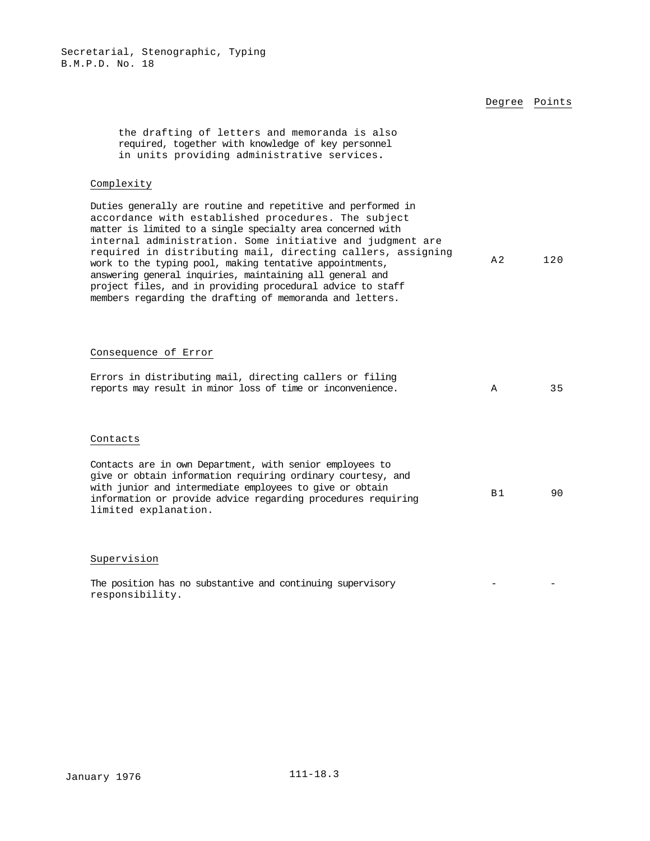|                                                                                                                                                                                                                                                                                                                                                                                                                                                                                                                                                                 |                | Degree Points |
|-----------------------------------------------------------------------------------------------------------------------------------------------------------------------------------------------------------------------------------------------------------------------------------------------------------------------------------------------------------------------------------------------------------------------------------------------------------------------------------------------------------------------------------------------------------------|----------------|---------------|
| the drafting of letters and memoranda is also<br>required, together with knowledge of key personnel<br>in units providing administrative services.                                                                                                                                                                                                                                                                                                                                                                                                              |                |               |
| Complexity                                                                                                                                                                                                                                                                                                                                                                                                                                                                                                                                                      |                |               |
| Duties generally are routine and repetitive and performed in<br>accordance with established procedures. The subject<br>matter is limited to a single specialty area concerned with<br>internal administration. Some initiative and judgment are<br>required in distributing mail, directing callers, assigning<br>work to the typing pool, making tentative appointments,<br>answering general inquiries, maintaining all general and<br>project files, and in providing procedural advice to staff<br>members regarding the drafting of memoranda and letters. | A <sub>2</sub> | 120           |
| Consequence of Error                                                                                                                                                                                                                                                                                                                                                                                                                                                                                                                                            |                |               |
| Errors in distributing mail, directing callers or filing<br>reports may result in minor loss of time or inconvenience.                                                                                                                                                                                                                                                                                                                                                                                                                                          | A              | 35            |
| Contacts                                                                                                                                                                                                                                                                                                                                                                                                                                                                                                                                                        |                |               |
| Contacts are in own Department, with senior employees to<br>give or obtain information requiring ordinary courtesy, and<br>with junior and intermediate employees to give or obtain<br>information or provide advice regarding procedures requiring<br>limited explanation.                                                                                                                                                                                                                                                                                     | B <sub>1</sub> | 90            |
| Supervision                                                                                                                                                                                                                                                                                                                                                                                                                                                                                                                                                     |                |               |

The position has no substantive and continuing supervisory responsibility.  $-$  -  $\sim$   $-$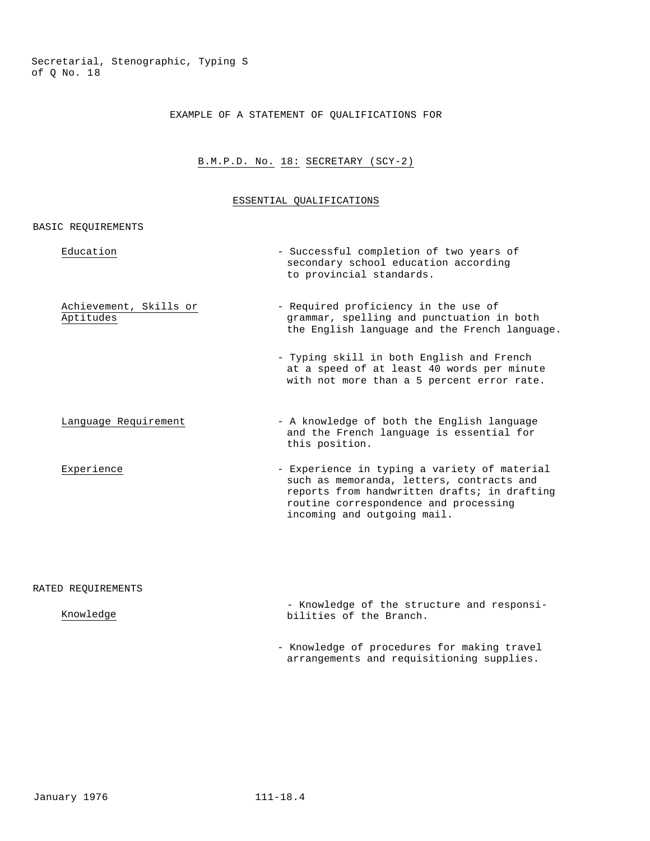# EXAMPLE OF A STATEMENT OF QUALIFICATIONS FOR

# B.M.P.D. No. 18: SECRETARY (SCY-2)

#### ESSENTIAL QUALIFICATIONS

#### BASIC REQUIREMENTS

| Education                           | - Successful completion of two years of<br>secondary school education according<br>to provincial standards.                                                                                                       |
|-------------------------------------|-------------------------------------------------------------------------------------------------------------------------------------------------------------------------------------------------------------------|
| Achievement, Skills or<br>Aptitudes | - Required proficiency in the use of<br>grammar, spelling and punctuation in both<br>the English language and the French language.                                                                                |
|                                     | - Typing skill in both English and French<br>at a speed of at least 40 words per minute<br>with not more than a 5 percent error rate.                                                                             |
| Language Requirement                | - A knowledge of both the English language<br>and the French language is essential for<br>this position.                                                                                                          |
| Experience                          | - Experience in typing a variety of material<br>such as memoranda, letters, contracts and<br>reports from handwritten drafts; in drafting<br>routine correspondence and processing<br>incoming and outgoing mail. |

#### RATED REQUIREMENTS

# Knowledge

- Knowledge of the structure and responsibilities of the Branch.

- Knowledge of procedures for making travel arrangements and requisitioning supplies.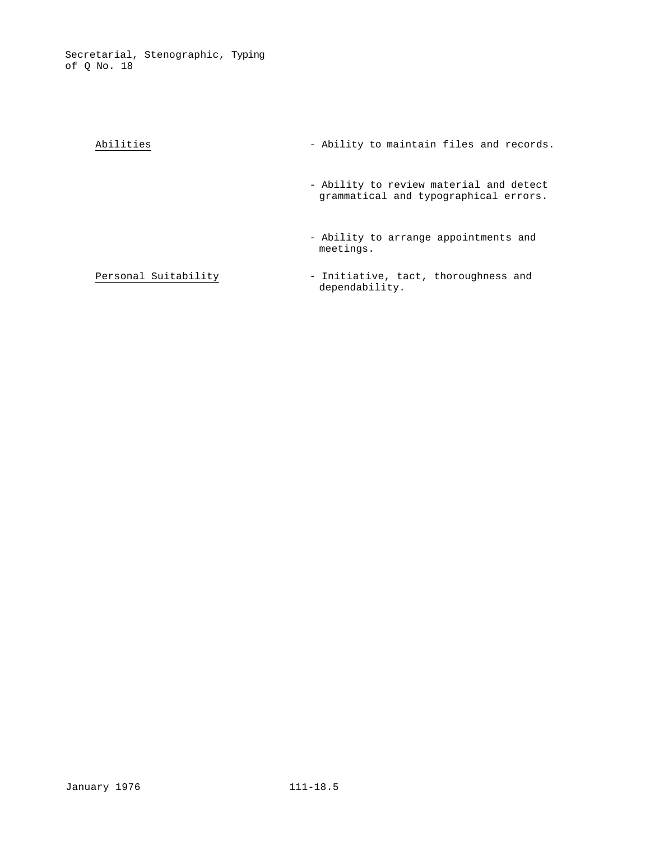| Abilities            | - Ability to maintain files and records.                                         |
|----------------------|----------------------------------------------------------------------------------|
|                      | - Ability to review material and detect<br>grammatical and typographical errors. |
|                      | - Ability to arrange appointments and<br>meetings.                               |
| Personal Suitability | - Initiative, tact, thoroughness and<br>$d$ onondobi $1 + tr$                    |

dependability.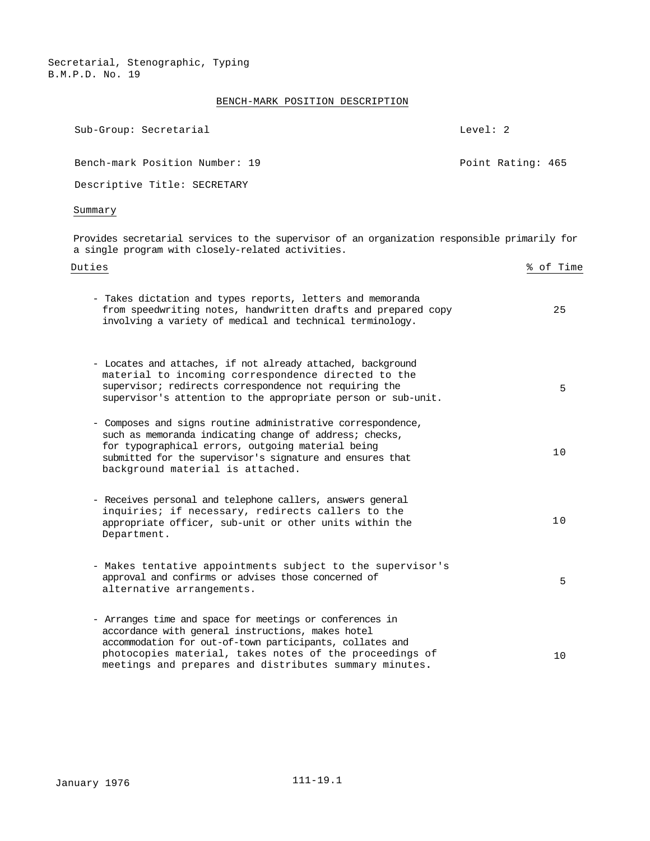# BENCH-MARK POSITION DESCRIPTION

| Sub-Group: Secretarial                                                                                                                                                                                                                                                                         | Level: $2$        |
|------------------------------------------------------------------------------------------------------------------------------------------------------------------------------------------------------------------------------------------------------------------------------------------------|-------------------|
| Bench-mark Position Number: 19                                                                                                                                                                                                                                                                 | Point Rating: 465 |
| Descriptive Title: SECRETARY                                                                                                                                                                                                                                                                   |                   |
| Summary                                                                                                                                                                                                                                                                                        |                   |
| Provides secretarial services to the supervisor of an organization responsible primarily for<br>a single program with closely-related activities.                                                                                                                                              |                   |
| Duties                                                                                                                                                                                                                                                                                         | % of Time         |
| - Takes dictation and types reports, letters and memoranda<br>from speedwriting notes, handwritten drafts and prepared copy<br>involving a variety of medical and technical terminology.                                                                                                       | 25                |
| - Locates and attaches, if not already attached, background<br>material to incoming correspondence directed to the<br>supervisor; redirects correspondence not requiring the<br>supervisor's attention to the appropriate person or sub-unit.                                                  | 5                 |
| - Composes and signs routine administrative correspondence,<br>such as memoranda indicating change of address; checks,<br>for typographical errors, outgoing material being<br>submitted for the supervisor's signature and ensures that<br>background material is attached.                   | 10                |
| - Receives personal and telephone callers, answers general<br>inquiries; if necessary, redirects callers to the<br>appropriate officer, sub-unit or other units within the<br>Department.                                                                                                      | 10                |
| - Makes tentative appointments subject to the supervisor's<br>approval and confirms or advises those concerned of<br>alternative arrangements.                                                                                                                                                 | 5                 |
| - Arranges time and space for meetings or conferences in<br>accordance with general instructions, makes hotel<br>accommodation for out-of-town participants, collates and<br>photocopies material, takes notes of the proceedings of<br>meetings and prepares and distributes summary minutes. | 10                |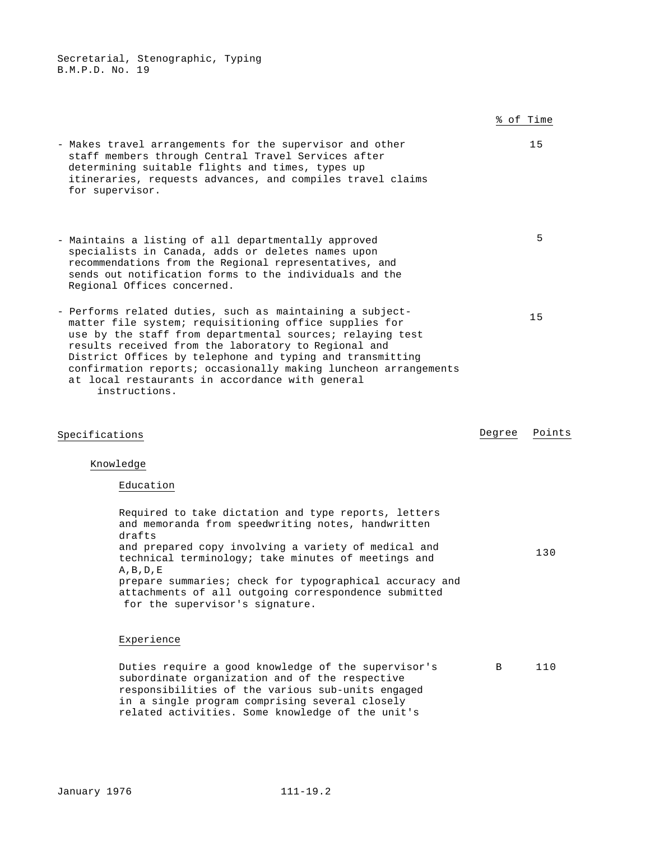|                                                                                                                                                                                                                                                                                                                                                                                                                                              |        | % of Time |
|----------------------------------------------------------------------------------------------------------------------------------------------------------------------------------------------------------------------------------------------------------------------------------------------------------------------------------------------------------------------------------------------------------------------------------------------|--------|-----------|
| - Makes travel arrangements for the supervisor and other<br>staff members through Central Travel Services after<br>determining suitable flights and times, types up<br>itineraries, requests advances, and compiles travel claims<br>for supervisor.                                                                                                                                                                                         |        | 15        |
| - Maintains a listing of all departmentally approved<br>specialists in Canada, adds or deletes names upon<br>recommendations from the Regional representatives, and<br>sends out notification forms to the individuals and the<br>Regional Offices concerned.                                                                                                                                                                                |        | 5         |
| - Performs related duties, such as maintaining a subject-<br>matter file system; requisitioning office supplies for<br>use by the staff from departmental sources; relaying test<br>results received from the laboratory to Regional and<br>District Offices by telephone and typing and transmitting<br>confirmation reports; occasionally making luncheon arrangements<br>at local restaurants in accordance with general<br>instructions. |        | 15        |
| Specifications                                                                                                                                                                                                                                                                                                                                                                                                                               | Degree | Points    |
| Knowledge                                                                                                                                                                                                                                                                                                                                                                                                                                    |        |           |
| Education                                                                                                                                                                                                                                                                                                                                                                                                                                    |        |           |
| Required to take dictation and type reports, letters<br>and memoranda from speedwriting notes, handwritten<br>drafts<br>and prepared copy involving a variety of medical and<br>technical terminology; take minutes of meetings and<br>$A$ , $B$ , $D$ , $E$<br>prepare summaries; check for typographical accuracy and<br>attachments of all outgoing correspondence submitted<br>for the supervisor's signature.                           |        | 130       |
| Experience                                                                                                                                                                                                                                                                                                                                                                                                                                   |        |           |
| Duties require a good knowledge of the supervisor's<br>subordinate organization and of the respective<br>responsibilities of the various sub-units engaged<br>in a single program comprising several closely<br>related activities. Some knowledge of the unit's                                                                                                                                                                             | В      | 110       |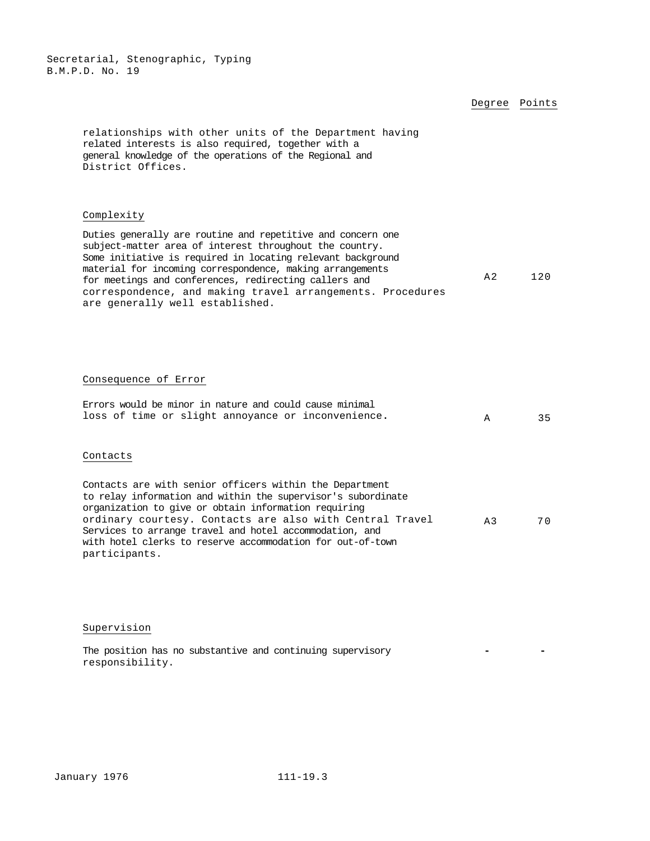## Degree Points

relationships with other units of the Department having related interests is also required, together with a general knowledge of the operations of the Regional and District Offices.

#### Complexity

Duties generally are routine and repetitive and concern one subject-matter area of interest throughout the country. Some initiative is required in locating relevant background material for incoming correspondence, making arrangements for meetings and conferences, redirecting callers and correspondence, and making travel arrangements. Procedures are generally well established. A2 120

#### Consequence of Error

|  |  |  |  | Errors would be minor in nature and could cause minimal |  |  |
|--|--|--|--|---------------------------------------------------------|--|--|
|  |  |  |  | loss of time or slight annoyance or inconvenience.      |  |  |

# Contacts

| Contacts are with senior officers within the Department      |       |     |
|--------------------------------------------------------------|-------|-----|
| to relay information and within the supervisor's subordinate |       |     |
| organization to give or obtain information requiring         |       |     |
| ordinary courtesy. Contacts are also with Central Travel     | $A$ 3 | 7 O |
| Services to arrange travel and hotel accommodation, and      |       |     |
| with hotel clerks to reserve accommodation for out-of-town   |       |     |
| participants.                                                |       |     |

Supervision

The position has no substantive and continuing supervisory responsibility. **- -**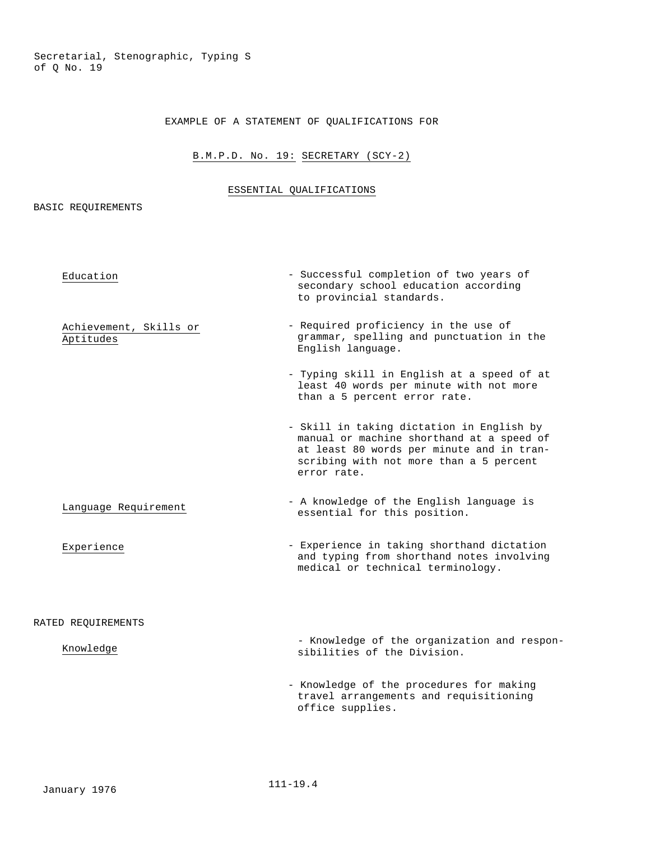Secretarial, Stenographic, Typing S of Q No. 19

# EXAMPLE OF A STATEMENT OF QUALIFICATIONS FOR

# B.M.P.D. No. 19: SECRETARY (SCY-2)

# ESSENTIAL QUALIFICATIONS

BASIC REQUIREMENTS

| Education                           | - Successful completion of two years of<br>secondary school education according<br>to provincial standards.                                                                                   |
|-------------------------------------|-----------------------------------------------------------------------------------------------------------------------------------------------------------------------------------------------|
| Achievement, Skills or<br>Aptitudes | - Required proficiency in the use of<br>grammar, spelling and punctuation in the<br>English language.                                                                                         |
|                                     | - Typing skill in English at a speed of at<br>least 40 words per minute with not more<br>than a 5 percent error rate.                                                                         |
|                                     | - Skill in taking dictation in English by<br>manual or machine shorthand at a speed of<br>at least 80 words per minute and in tran-<br>scribing with not more than a 5 percent<br>error rate. |
| Language Requirement                | - A knowledge of the English language is<br>essential for this position.                                                                                                                      |
| Experience                          | - Experience in taking shorthand dictation<br>and typing from shorthand notes involving<br>medical or technical terminology.                                                                  |
| RATED REQUIREMENTS                  |                                                                                                                                                                                               |
| Knowledge                           | - Knowledge of the organization and respon-<br>sibilities of the Division.                                                                                                                    |
|                                     | - Knowledge of the procedures for making<br>travel arrangements and requisitioning<br>office supplies.                                                                                        |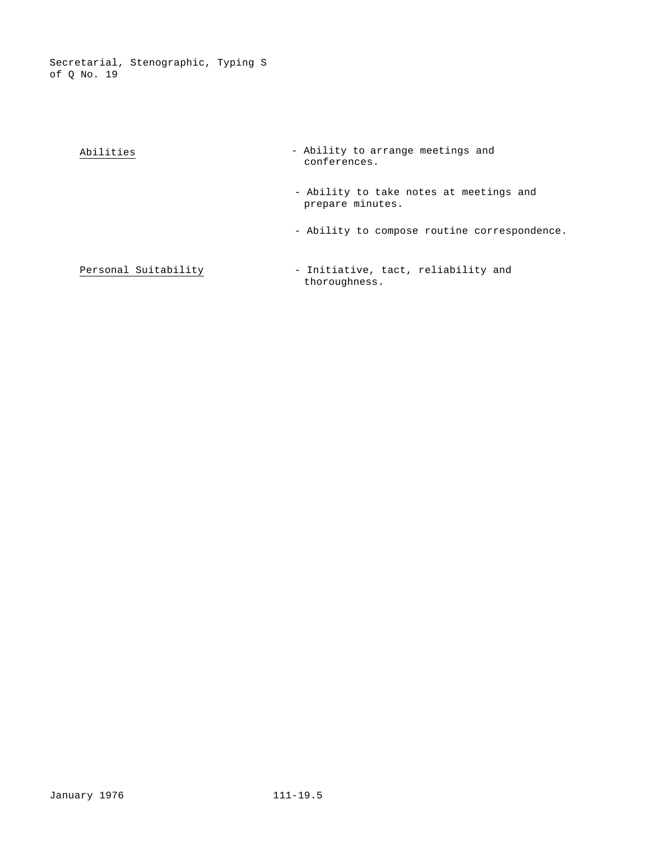Secretarial, Stenographic, Typing S of Q No. 19

| Abilities            | - Ability to arrange meetings and<br>conferences.           |
|----------------------|-------------------------------------------------------------|
|                      | - Ability to take notes at meetings and<br>prepare minutes. |
|                      | - Ability to compose routine correspondence.                |
| Personal Suitability | - Initiative, tact, reliability and<br>thoroughness.        |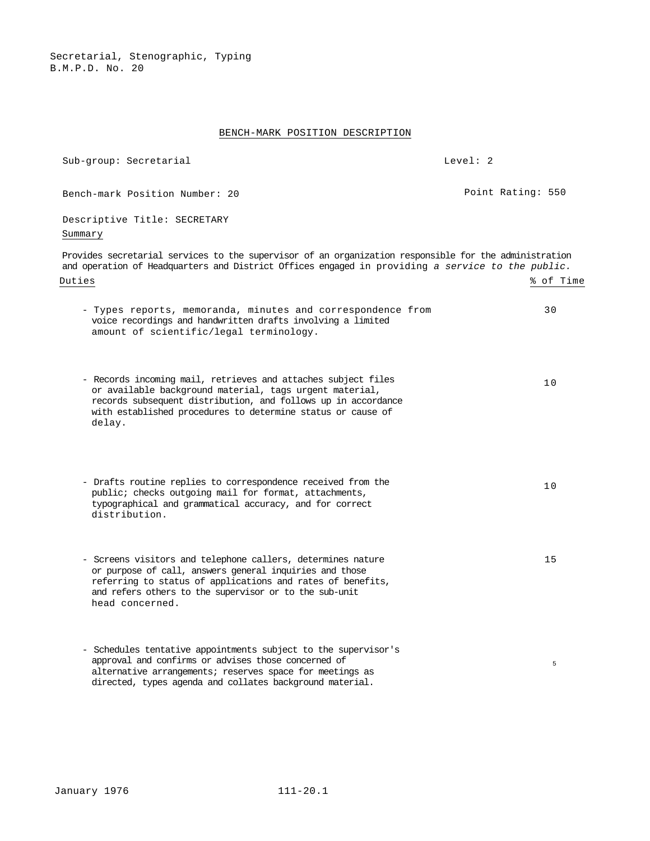#### BENCH-MARK POSITION DESCRIPTION

Bench-mark Position Number: 20 **Point Rating: 550** 

Sub-group: Secretarial Level: 2

Descriptive Title: SECRETARY Summary Provides secretarial services to the supervisor of an organization responsible for the administration and operation of Headquarters and District Offices engaged in providing *a service to the public.*  Duties % of Time - Types reports, memoranda, minutes and correspondence from voice recordings and handwritten drafts involving a limited amount of scientific/legal terminology. 30 - Records incoming mail, retrieves and attaches subject files or available background material, tags urgent material, records subsequent distribution, and follows up in accordance with established procedures to determine status or cause of delay. 10 - Drafts routine replies to correspondence received from the public; checks outgoing mail for format, attachments, typographical and grammatical accuracy, and for correct distribution. 10 - Screens visitors and telephone callers, determines nature or purpose of call, answers general inquiries and those referring to status of applications and rates of benefits, and refers others to the supervisor or to the sub-unit head concerned. 15 - Schedules tentative appointments subject to the supervisor's approval and confirms or advises those concerned of alternative arrangements; reserves space for meetings as directed, types agenda and collates background material. 5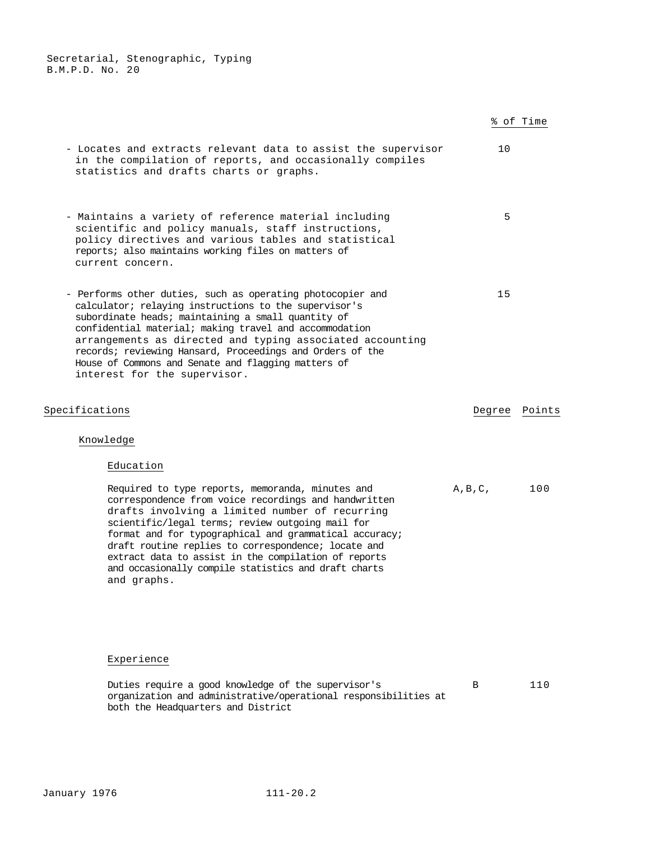|                                                                                                                                                                                                                                                                                                                                                                                                                                                                |                   | % of Time |
|----------------------------------------------------------------------------------------------------------------------------------------------------------------------------------------------------------------------------------------------------------------------------------------------------------------------------------------------------------------------------------------------------------------------------------------------------------------|-------------------|-----------|
| - Locates and extracts relevant data to assist the supervisor<br>in the compilation of reports, and occasionally compiles<br>statistics and drafts charts or graphs.                                                                                                                                                                                                                                                                                           | 10                |           |
| - Maintains a variety of reference material including<br>scientific and policy manuals, staff instructions,<br>policy directives and various tables and statistical<br>reports; also maintains working files on matters of<br>current concern.                                                                                                                                                                                                                 | 5                 |           |
| - Performs other duties, such as operating photocopier and<br>calculator; relaying instructions to the supervisor's<br>subordinate heads; maintaining a small quantity of<br>confidential material; making travel and accommodation<br>arrangements as directed and typing associated accounting<br>records; reviewing Hansard, Proceedings and Orders of the<br>House of Commons and Senate and flagging matters of<br>interest for the supervisor.           | 15                |           |
| Specifications                                                                                                                                                                                                                                                                                                                                                                                                                                                 | Degree            | Points    |
| Knowledge                                                                                                                                                                                                                                                                                                                                                                                                                                                      |                   |           |
| Education                                                                                                                                                                                                                                                                                                                                                                                                                                                      |                   |           |
| Required to type reports, memoranda, minutes and<br>correspondence from voice recordings and handwritten<br>drafts involving a limited number of recurring<br>scientific/legal terms; review outgoing mail for<br>format and for typographical and grammatical accuracy;<br>draft routine replies to correspondence; locate and<br>extract data to assist in the compilation of reports<br>and occasionally compile statistics and draft charts<br>and graphs. | $A$ , $B$ , $C$ , | 100       |
|                                                                                                                                                                                                                                                                                                                                                                                                                                                                |                   |           |

# Experience

Duties require a good knowledge of the supervisor's organization and administrative/operational responsibilities at both the Headquarters and District B 110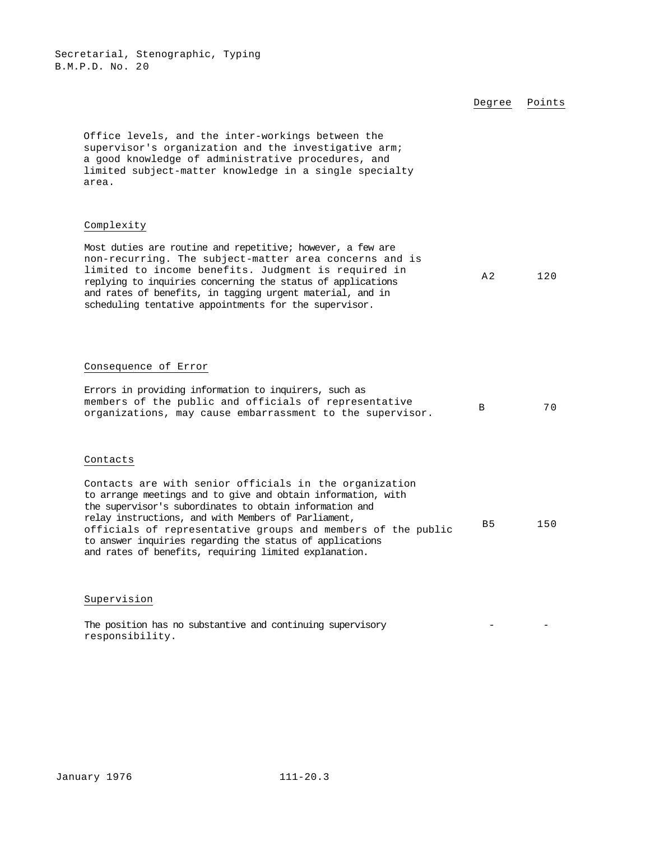|                                                                                                                                                                                                                                                                                                                                                                                                                               | Degree         | Points |
|-------------------------------------------------------------------------------------------------------------------------------------------------------------------------------------------------------------------------------------------------------------------------------------------------------------------------------------------------------------------------------------------------------------------------------|----------------|--------|
| Office levels, and the inter-workings between the<br>supervisor's organization and the investigative arm;<br>a good knowledge of administrative procedures, and<br>limited subject-matter knowledge in a single specialty<br>area.                                                                                                                                                                                            |                |        |
| Complexity                                                                                                                                                                                                                                                                                                                                                                                                                    |                |        |
| Most duties are routine and repetitive; however, a few are<br>non-recurring. The subject-matter area concerns and is<br>limited to income benefits. Judgment is required in<br>replying to inquiries concerning the status of applications<br>and rates of benefits, in tagging urgent material, and in<br>scheduling tentative appointments for the supervisor.                                                              | A <sub>2</sub> | 120    |
|                                                                                                                                                                                                                                                                                                                                                                                                                               |                |        |
| Consequence of Error                                                                                                                                                                                                                                                                                                                                                                                                          |                |        |
| Errors in providing information to inquirers, such as<br>members of the public and officials of representative<br>organizations, may cause embarrassment to the supervisor.                                                                                                                                                                                                                                                   | B              | 70     |
| Contacts                                                                                                                                                                                                                                                                                                                                                                                                                      |                |        |
| Contacts are with senior officials in the organization<br>to arrange meetings and to give and obtain information, with<br>the supervisor's subordinates to obtain information and<br>relay instructions, and with Members of Parliament,<br>officials of representative groups and members of the public<br>to answer inquiries regarding the status of applications<br>and rates of benefits, requiring limited explanation. | B <sub>5</sub> | 150    |

# Supervision

The position has no substantive and continuing supervisory responsibility. - -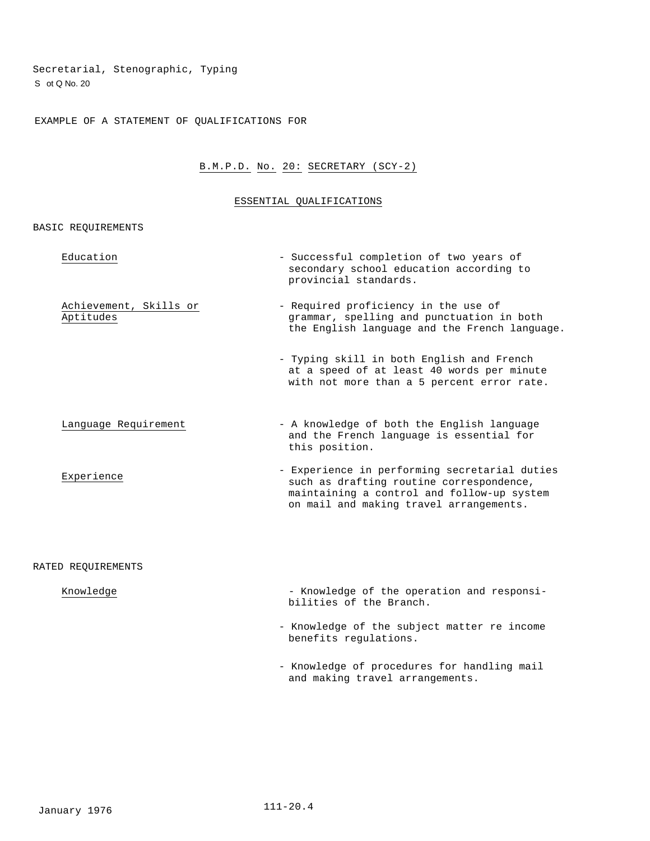Secretarial, Stenographic, Typing S ot Q No. 20

EXAMPLE OF A STATEMENT OF QUALIFICATIONS FOR

# B.M.P.D. No. 20: SECRETARY (SCY-2)

#### ESSENTIAL QUALIFICATIONS

BASIC REQUIREMENTS

| Education                           | - Successful completion of two years of<br>secondary school education according to<br>provincial standards.                                                                        |
|-------------------------------------|------------------------------------------------------------------------------------------------------------------------------------------------------------------------------------|
| Achievement, Skills or<br>Aptitudes | - Required proficiency in the use of<br>grammar, spelling and punctuation in both<br>the English language and the French language.                                                 |
|                                     | - Typing skill in both English and French<br>at a speed of at least 40 words per minute<br>with not more than a 5 percent error rate.                                              |
| Language Requirement                | - A knowledge of both the English language<br>and the French language is essential for<br>this position.                                                                           |
| Experience                          | - Experience in performing secretarial duties<br>such as drafting routine correspondence,<br>maintaining a control and follow-up system<br>on mail and making travel arrangements. |
|                                     |                                                                                                                                                                                    |

## RATED REQUIREMENTS

| Knowledge | - Knowledge of the operation and responsi- |  |  |  |
|-----------|--------------------------------------------|--|--|--|
|           | bilities of the Branch.                    |  |  |  |

- Knowledge of the subject matter re income benefits regulations.
- Knowledge of procedures for handling mail and making travel arrangements.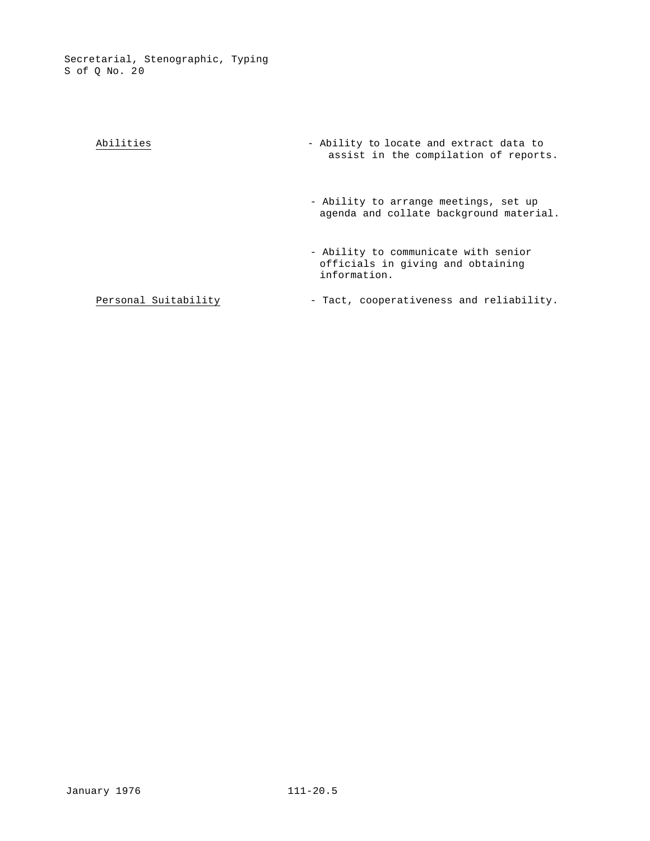| Abilities            | - Ability to locate and extract data to<br>assist in the compilation of reports.          |
|----------------------|-------------------------------------------------------------------------------------------|
|                      | - Ability to arrange meetings, set up<br>agenda and collate background material.          |
|                      | - Ability to communicate with senior<br>officials in giving and obtaining<br>information. |
| Personal Suitability | - Tact, cooperativeness and reliability.                                                  |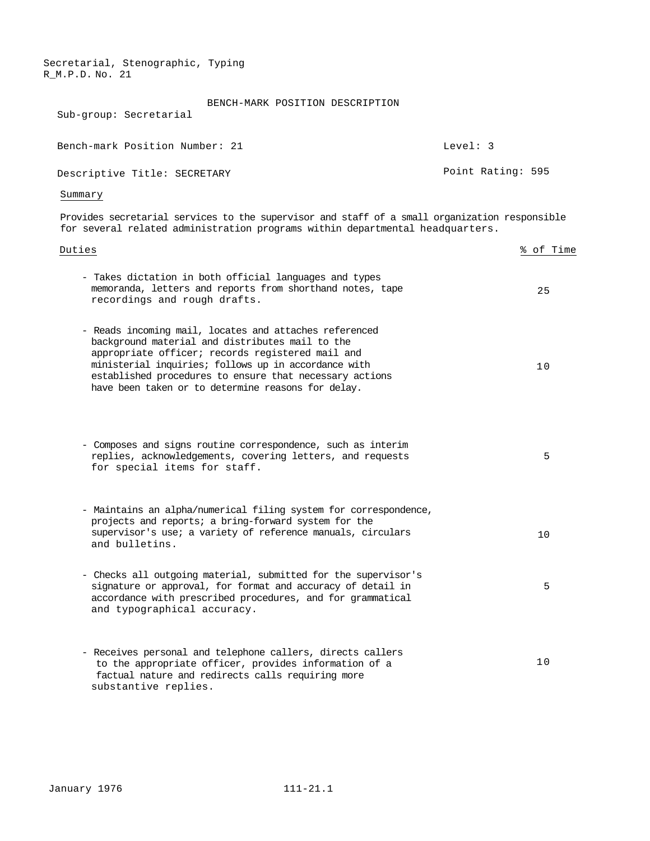| Sub-group: Secretarial         | BENCH-MARK POSITION DESCRIPTION |                   |  |
|--------------------------------|---------------------------------|-------------------|--|
| Bench-mark Position Number: 21 |                                 | Level: 3          |  |
| Descriptive Title: SECRETARY   |                                 | Point Rating: 595 |  |
| Summary                        |                                 |                   |  |

Provides secretarial services to the supervisor and staff of a small organization responsible for several related administration programs within departmental headquarters.

| Duties                                                                                                                                                                                                                                                                                                                                 | % of Time |
|----------------------------------------------------------------------------------------------------------------------------------------------------------------------------------------------------------------------------------------------------------------------------------------------------------------------------------------|-----------|
| - Takes dictation in both official languages and types<br>memoranda, letters and reports from shorthand notes, tape<br>recordings and rough drafts.                                                                                                                                                                                    | 25        |
| - Reads incoming mail, locates and attaches referenced<br>background material and distributes mail to the<br>appropriate officer; records registered mail and<br>ministerial inquiries; follows up in accordance with<br>established procedures to ensure that necessary actions<br>have been taken or to determine reasons for delay. | 10        |
| - Composes and signs routine correspondence, such as interim<br>replies, acknowledgements, covering letters, and requests<br>for special items for staff.                                                                                                                                                                              | 5         |
| - Maintains an alpha/numerical filing system for correspondence,<br>projects and reports; a bring-forward system for the<br>supervisor's use; a variety of reference manuals, circulars<br>and bulletins.                                                                                                                              | 10        |
| - Checks all outgoing material, submitted for the supervisor's<br>signature or approval, for format and accuracy of detail in<br>accordance with prescribed procedures, and for grammatical<br>and typographical accuracy.                                                                                                             | 5         |
| - Receives personal and telephone callers, directs callers<br>to the appropriate officer, provides information of a<br>factual nature and redirects calls requiring more<br>substantive replies.                                                                                                                                       | 10        |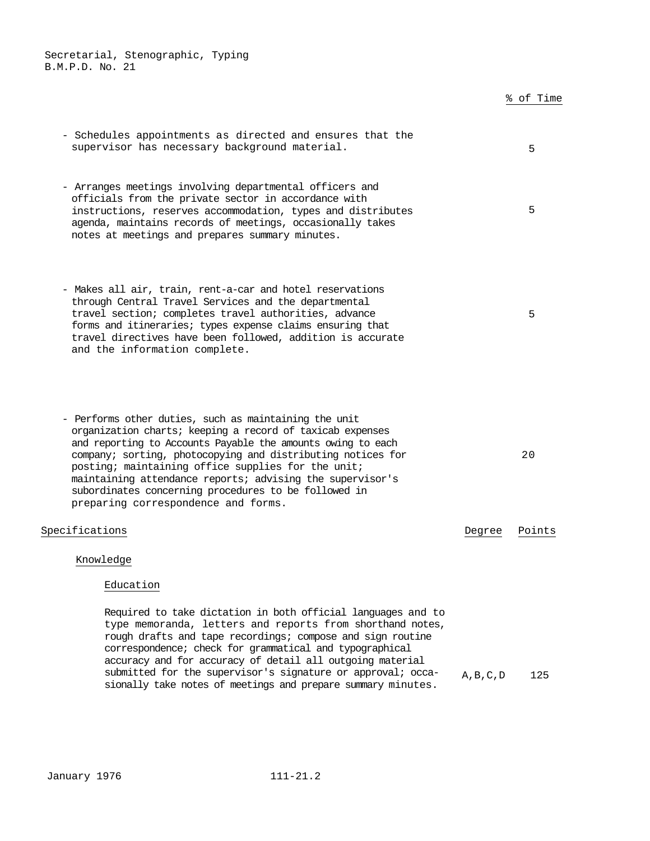|                                                                                                                                                                                                                                                                                                                                                                                                                                                                    |            | % of Time |
|--------------------------------------------------------------------------------------------------------------------------------------------------------------------------------------------------------------------------------------------------------------------------------------------------------------------------------------------------------------------------------------------------------------------------------------------------------------------|------------|-----------|
| - Schedules appointments as directed and ensures that the<br>supervisor has necessary background material.                                                                                                                                                                                                                                                                                                                                                         |            | 5         |
| - Arranges meetings involving departmental officers and<br>officials from the private sector in accordance with<br>instructions, reserves accommodation, types and distributes<br>agenda, maintains records of meetings, occasionally takes<br>notes at meetings and prepares summary minutes.                                                                                                                                                                     |            | 5         |
| - Makes all air, train, rent-a-car and hotel reservations<br>through Central Travel Services and the departmental<br>travel section; completes travel authorities, advance<br>forms and itineraries; types expense claims ensuring that<br>travel directives have been followed, addition is accurate<br>and the information complete.                                                                                                                             |            | 5         |
| - Performs other duties, such as maintaining the unit<br>organization charts; keeping a record of taxicab expenses<br>and reporting to Accounts Payable the amounts owing to each<br>company; sorting, photocopying and distributing notices for<br>posting; maintaining office supplies for the unit;<br>maintaining attendance reports; advising the supervisor's<br>subordinates concerning procedures to be followed in<br>preparing correspondence and forms. |            | 20        |
| Specifications                                                                                                                                                                                                                                                                                                                                                                                                                                                     | Degree     | Points    |
| Knowledge<br>Education                                                                                                                                                                                                                                                                                                                                                                                                                                             |            |           |
| Required to take dictation in both official languages and to<br>type memoranda, letters and reports from shorthand notes,<br>rough drafts and tape recordings; compose and sign routine<br>correspondence; check for grammatical and typographical<br>accuracy and for accuracy of detail all outgoing material<br>submitted for the supervisor's signature or approval; occa-                                                                                     | A, B, C, D | 125       |

sionally take notes of meetings and prepare summary minutes.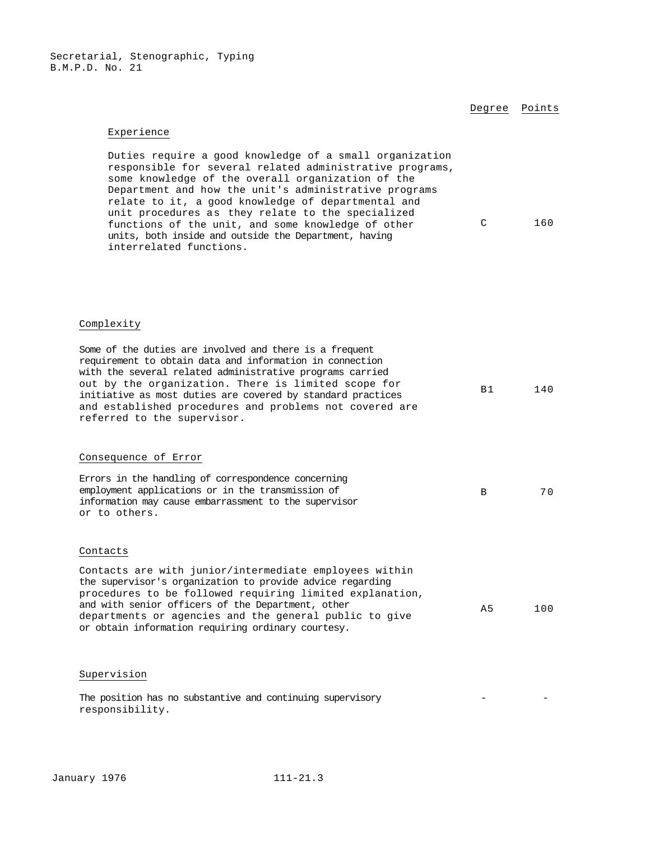Degree Points

#### Experience

Duties require a good knowledge of a small organization responsible for several related administrative programs, some knowledge of the overall organization of the Department and how the unit's administrative programs relate to it, a good knowledge of departmental and unit procedures as they relate to the specialized functions of the unit, and some knowledge of other units, both inside and outside the Department, having interrelated functions. C 160

#### Complexity

| Some of the duties are involved and there is a frequent<br>requirement to obtain data and information in connection<br>with the several related administrative programs carried<br>out by the organization. There is limited scope for<br>initiative as most duties are covered by standard practices<br>and established procedures and problems not covered are<br>referred to the supervisor. | B <sub>1</sub> | 140 |
|-------------------------------------------------------------------------------------------------------------------------------------------------------------------------------------------------------------------------------------------------------------------------------------------------------------------------------------------------------------------------------------------------|----------------|-----|
| Consequence of Error                                                                                                                                                                                                                                                                                                                                                                            |                |     |
| Errors in the handling of correspondence concerning<br>employment applications or in the transmission of<br>information may cause embarrassment to the supervisor<br>or to others.                                                                                                                                                                                                              | B              | 70  |
| Contacts                                                                                                                                                                                                                                                                                                                                                                                        |                |     |
| Contacts are with junior/intermediate employees within<br>the supervisor's organization to provide advice regarding<br>procedures to be followed requiring limited explanation,<br>and with senior officers of the Department, other<br>departments or agencies and the general public to give<br>or obtain information requiring ordinary courtesy.                                            | A <sub>5</sub> | 100 |
| Supervision                                                                                                                                                                                                                                                                                                                                                                                     |                |     |
| The position has no substantive and continuing supervisory<br>responsibility.                                                                                                                                                                                                                                                                                                                   |                |     |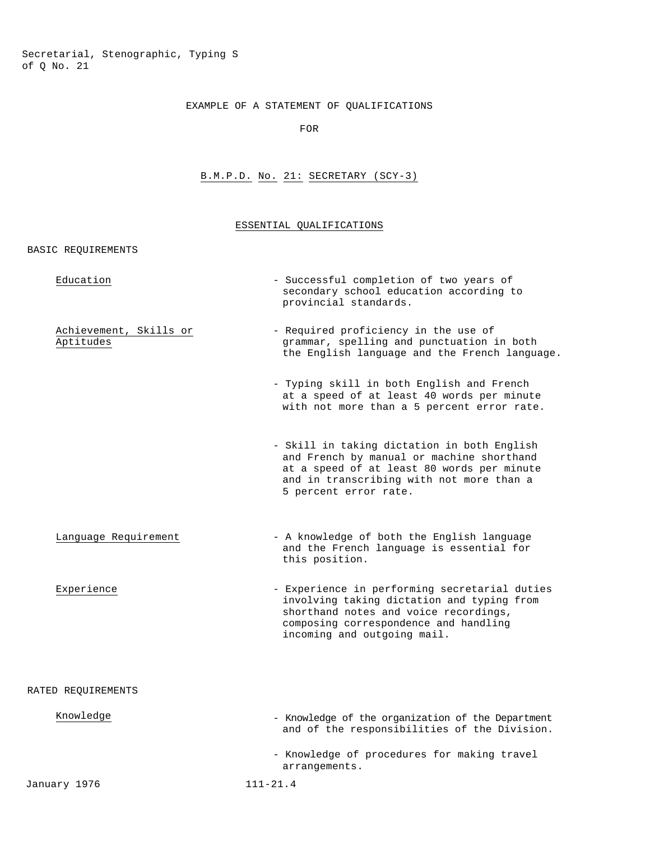Secretarial, Stenographic, Typing S of Q No. 21

# EXAMPLE OF A STATEMENT OF QUALIFICATIONS

FOR

# B.M.P.D. No. 21: SECRETARY (SCY-3)

# ESSENTIAL QUALIFICATIONS

| BASIC REQUIREMENTS |  |
|--------------------|--|
|                    |  |

| Education                           | - Successful completion of two years of<br>secondary school education according to<br>provincial standards.                                                                                                  |
|-------------------------------------|--------------------------------------------------------------------------------------------------------------------------------------------------------------------------------------------------------------|
| Achievement, Skills or<br>Aptitudes | - Required proficiency in the use of<br>grammar, spelling and punctuation in both<br>the English language and the French language.                                                                           |
|                                     | - Typing skill in both English and French<br>at a speed of at least 40 words per minute<br>with not more than a 5 percent error rate.                                                                        |
|                                     | - Skill in taking dictation in both English<br>and French by manual or machine shorthand<br>at a speed of at least 80 words per minute<br>and in transcribing with not more than a<br>5 percent error rate.  |
| Language Requirement                | - A knowledge of both the English language<br>and the French language is essential for<br>this position.                                                                                                     |
| Experience                          | - Experience in performing secretarial duties<br>involving taking dictation and typing from<br>shorthand notes and voice recordings,<br>composing correspondence and handling<br>incoming and outgoing mail. |
| RATED REQUIREMENTS                  |                                                                                                                                                                                                              |
| Knowledge                           | - Knowledge of the organization of the Department<br>and of the responsibilities of the Division.                                                                                                            |
|                                     | - Knowledge of procedures for making travel<br>arrangements.                                                                                                                                                 |
| January 1976                        | $111 - 21.4$                                                                                                                                                                                                 |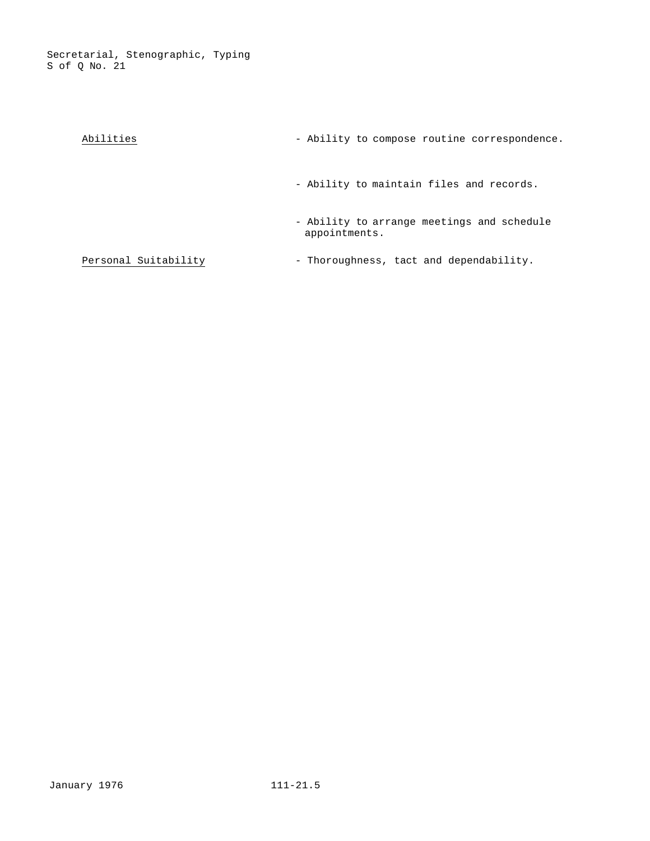| Abilities            | - Ability to compose routine correspondence.                |
|----------------------|-------------------------------------------------------------|
|                      | - Ability to maintain files and records.                    |
|                      | - Ability to arrange meetings and schedule<br>appointments. |
| Personal Suitability | - Thoroughness, tact and dependability.                     |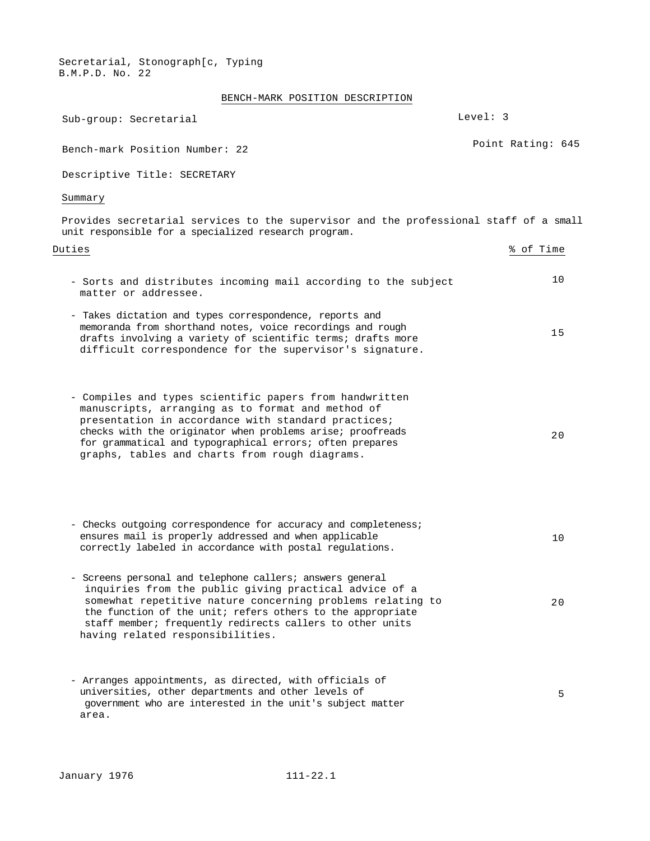BENCH-MARK POSITION DESCRIPTION

| Sub-group: Secretarial                                                                                                                                                                                                                                                                                                                           | Level: 3          |
|--------------------------------------------------------------------------------------------------------------------------------------------------------------------------------------------------------------------------------------------------------------------------------------------------------------------------------------------------|-------------------|
| Bench-mark Position Number: 22                                                                                                                                                                                                                                                                                                                   | Point Rating: 645 |
| Descriptive Title: SECRETARY                                                                                                                                                                                                                                                                                                                     |                   |
| Summary                                                                                                                                                                                                                                                                                                                                          |                   |
| Provides secretarial services to the supervisor and the professional staff of a small<br>unit responsible for a specialized research program.                                                                                                                                                                                                    |                   |
| Duties                                                                                                                                                                                                                                                                                                                                           | % of Time         |
| - Sorts and distributes incoming mail according to the subject<br>matter or addressee.                                                                                                                                                                                                                                                           | 10                |
| - Takes dictation and types correspondence, reports and<br>memoranda from shorthand notes, voice recordings and rough<br>drafts involving a variety of scientific terms; drafts more<br>difficult correspondence for the supervisor's signature.                                                                                                 | 15                |
| - Compiles and types scientific papers from handwritten<br>manuscripts, arranging as to format and method of<br>presentation in accordance with standard practices;<br>checks with the originator when problems arise; proofreads<br>for grammatical and typographical errors; often prepares<br>graphs, tables and charts from rough diagrams.  | 20                |
| - Checks outgoing correspondence for accuracy and completeness;<br>ensures mail is properly addressed and when applicable<br>correctly labeled in accordance with postal regulations.                                                                                                                                                            | 10                |
| - Screens personal and telephone callers; answers general<br>inquiries from the public giving practical advice of a<br>somewhat repetitive nature concerning problems relating to<br>the function of the unit; refers others to the appropriate<br>staff member; frequently redirects callers to other units<br>having related responsibilities. | 20                |
| - Arranges appointments, as directed, with officials of<br>universities, other departments and other levels of<br>government who are interested in the unit's subject matter<br>area.                                                                                                                                                            | 5                 |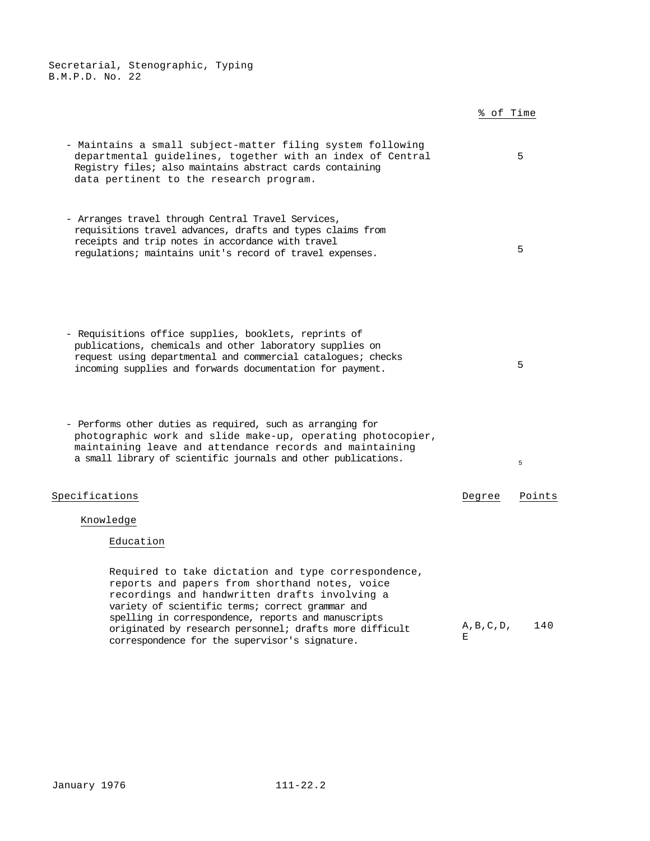|                                                                                                                                                                                                                                                                                                                                                                                | % of Time        |        |
|--------------------------------------------------------------------------------------------------------------------------------------------------------------------------------------------------------------------------------------------------------------------------------------------------------------------------------------------------------------------------------|------------------|--------|
| - Maintains a small subject-matter filing system following<br>departmental guidelines, together with an index of Central<br>Registry files; also maintains abstract cards containing<br>data pertinent to the research program.                                                                                                                                                |                  | 5      |
| - Arranges travel through Central Travel Services,<br>requisitions travel advances, drafts and types claims from<br>receipts and trip notes in accordance with travel<br>regulations; maintains unit's record of travel expenses.                                                                                                                                              |                  | 5      |
| - Requisitions office supplies, booklets, reprints of<br>publications, chemicals and other laboratory supplies on<br>request using departmental and commercial catalogues; checks<br>incoming supplies and forwards documentation for payment.                                                                                                                                 |                  | 5      |
| - Performs other duties as required, such as arranging for<br>photographic work and slide make-up, operating photocopier,<br>maintaining leave and attendance records and maintaining<br>a small library of scientific journals and other publications.                                                                                                                        |                  | 5      |
| Specifications                                                                                                                                                                                                                                                                                                                                                                 | Degree           | Points |
| Knowledge                                                                                                                                                                                                                                                                                                                                                                      |                  |        |
| Education                                                                                                                                                                                                                                                                                                                                                                      |                  |        |
| Required to take dictation and type correspondence,<br>reports and papers from shorthand notes, voice<br>recordings and handwritten drafts involving a<br>variety of scientific terms; correct grammar and<br>spelling in correspondence, reports and manuscripts<br>originated by research personnel; drafts more difficult<br>correspondence for the supervisor's signature. | A, B, C, D,<br>Е | 140    |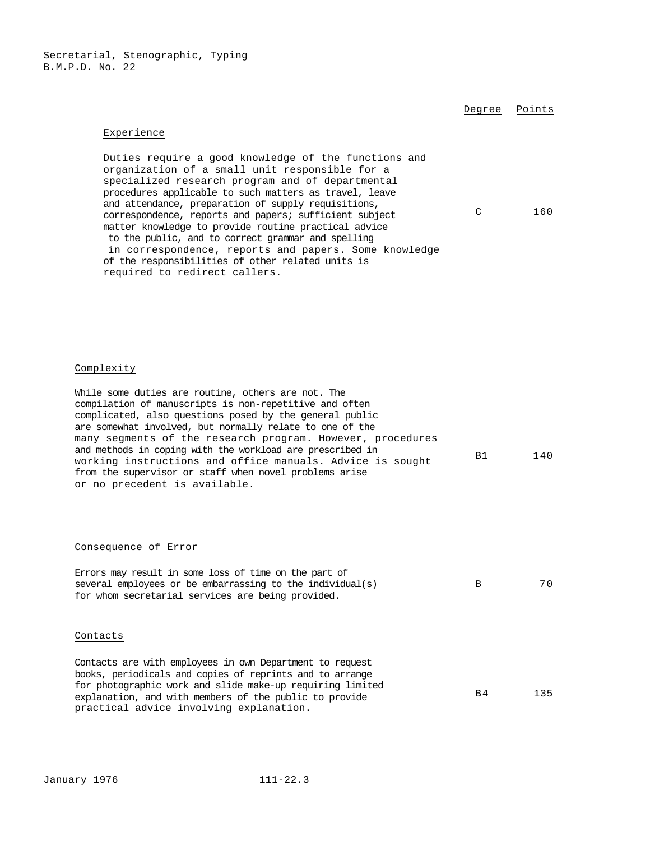Degree Points

#### Experience

Duties require a good knowledge of the functions and organization of a small unit responsible for a specialized research program and of departmental procedures applicable to such matters as travel, leave and attendance, preparation of supply requisitions, correspondence, reports and papers; sufficient subject matter knowledge to provide routine practical advice to the public, and to correct grammar and spelling in correspondence, reports and papers. Some knowledge of the responsibilities of other related units is required to redirect callers. C 160

#### Complexity

While some duties are routine, others are not. The compilation of manuscripts is non-repetitive and often complicated, also questions posed by the general public are somewhat involved, but normally relate to one of the many segments of the research program. However, procedures and methods in coping with the workload are prescribed in working instructions and office manuals. Advice is sought from the supervisor or staff when novel problems arise or no precedent is available. B1 140

#### Consequence of Error

| Errors may result in some loss of time on the part of         |          |     |
|---------------------------------------------------------------|----------|-----|
| several employees or be embarrassing to the individual( $s$ ) | <b>R</b> | 7 O |
| for whom secretarial services are being provided.             |          |     |

#### Contacts

Contacts are with employees in own Department to request books, periodicals and copies of reprints and to arrange for photographic work and slide make-up requiring limited explanation, and with members of the public to provide practical advice involving explanation**.**  B4 135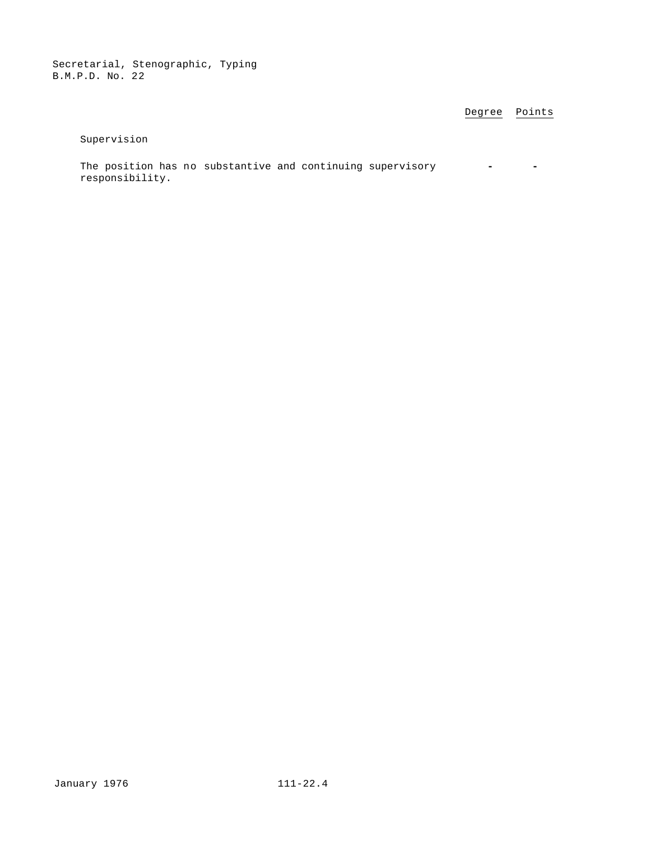Degree Points

Supervision

The position has no substantive and continuing supervisory **-**  responsibility.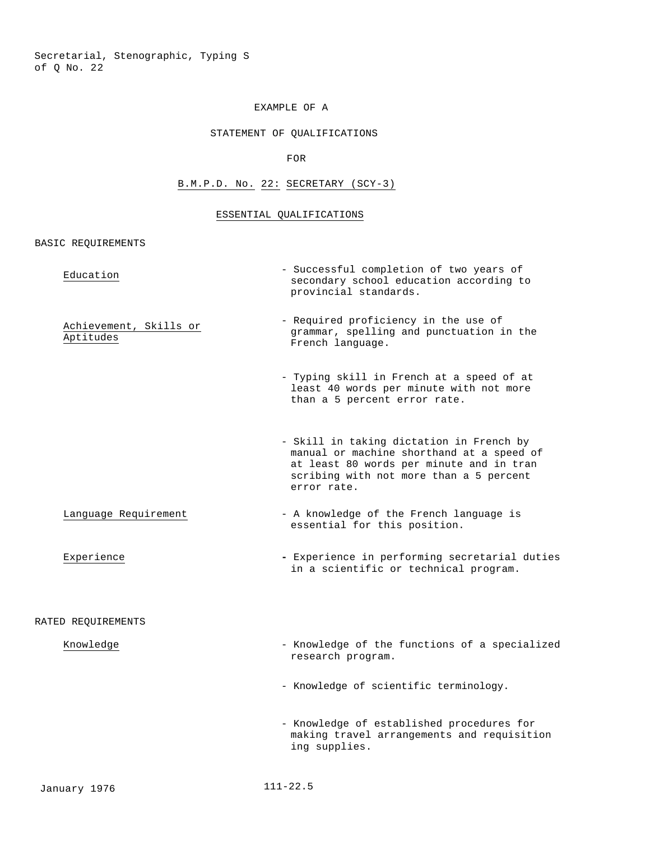## EXAMPLE OF A

## STATEMENT OF QUALIFICATIONS

FOR

# B.M.P.D. No. 22: SECRETARY (SCY-3)

## ESSENTIAL QUALIFICATIONS

BASIC REQUIREMENTS

| Education                           | - Successful completion of two years of<br>secondary school education according to<br>provincial standards.                                                                                 |
|-------------------------------------|---------------------------------------------------------------------------------------------------------------------------------------------------------------------------------------------|
| Achievement, Skills or<br>Aptitudes | - Required proficiency in the use of<br>grammar, spelling and punctuation in the<br>French language.                                                                                        |
|                                     | - Typing skill in French at a speed of at<br>least 40 words per minute with not more<br>than a 5 percent error rate.                                                                        |
|                                     | - Skill in taking dictation in French by<br>manual or machine shorthand at a speed of<br>at least 80 words per minute and in tran<br>scribing with not more than a 5 percent<br>error rate. |
| Language Requirement                | - A knowledge of the French language is<br>essential for this position.                                                                                                                     |
| Experience                          | - Experience in performing secretarial duties<br>in a scientific or technical program.                                                                                                      |
| RATED REQUIREMENTS                  |                                                                                                                                                                                             |
| Knowledge                           | - Knowledge of the functions of a specialized<br>research program.                                                                                                                          |
|                                     | - Knowledge of scientific terminology.                                                                                                                                                      |
|                                     | - Knowledge of established procedures for<br>making travel arrangements and requisition<br>ing supplies.                                                                                    |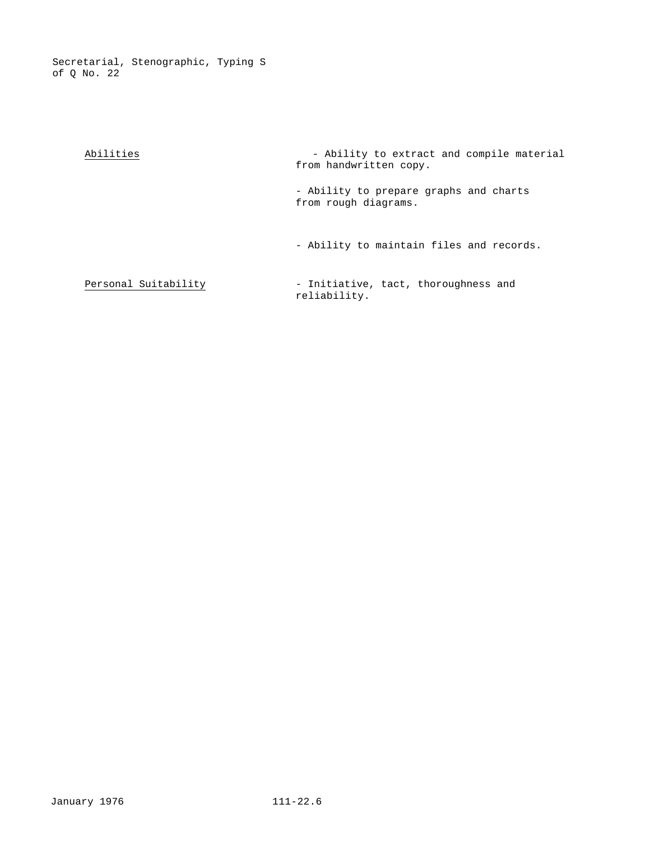> Abilities - Ability to extract and compile material from handwritten copy. - Ability to prepare graphs and charts from rough diagrams. - Ability to maintain files and records. Personal Suitability - Initiative, tact, thoroughness and reliability.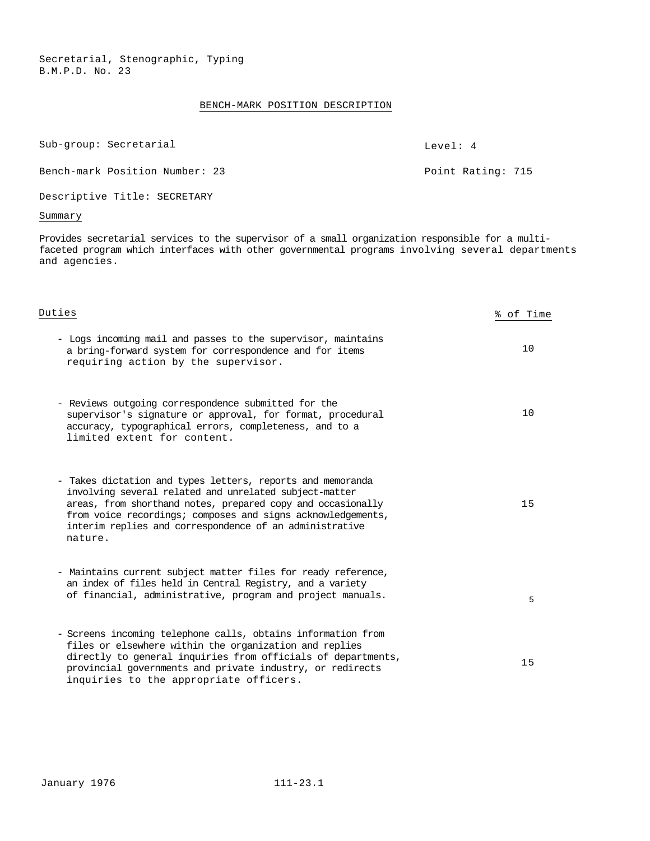## BENCH-MARK POSITION DESCRIPTION

Sub-group: Secretarial and Level: 4

Bench-mark Position Number: 23 Point Rating: 715

Descriptive Title: SECRETARY

# Summary

Provides secretarial services to the supervisor of a small organization responsible for a multifaceted program which interfaces with other governmental programs involving several departments and agencies.

| Duties                                                                                                                                                                                                                                                                                                                   | % of Time |
|--------------------------------------------------------------------------------------------------------------------------------------------------------------------------------------------------------------------------------------------------------------------------------------------------------------------------|-----------|
| - Logs incoming mail and passes to the supervisor, maintains<br>a bring-forward system for correspondence and for items<br>requiring action by the supervisor.                                                                                                                                                           | 10        |
| - Reviews outgoing correspondence submitted for the<br>supervisor's signature or approval, for format, procedural<br>accuracy, typographical errors, completeness, and to a<br>limited extent for content.                                                                                                               | 10        |
| - Takes dictation and types letters, reports and memoranda<br>involving several related and unrelated subject-matter<br>areas, from shorthand notes, prepared copy and occasionally<br>from voice recordings; composes and signs acknowledgements,<br>interim replies and correspondence of an administrative<br>nature. | 15        |
| - Maintains current subject matter files for ready reference,<br>an index of files held in Central Registry, and a variety<br>of financial, administrative, program and project manuals.                                                                                                                                 | 5         |
| - Screens incoming telephone calls, obtains information from<br>files or elsewhere within the organization and replies<br>directly to general inquiries from officials of departments,<br>provincial governments and private industry, or redirects<br>inquiries to the appropriate officers.                            | 15        |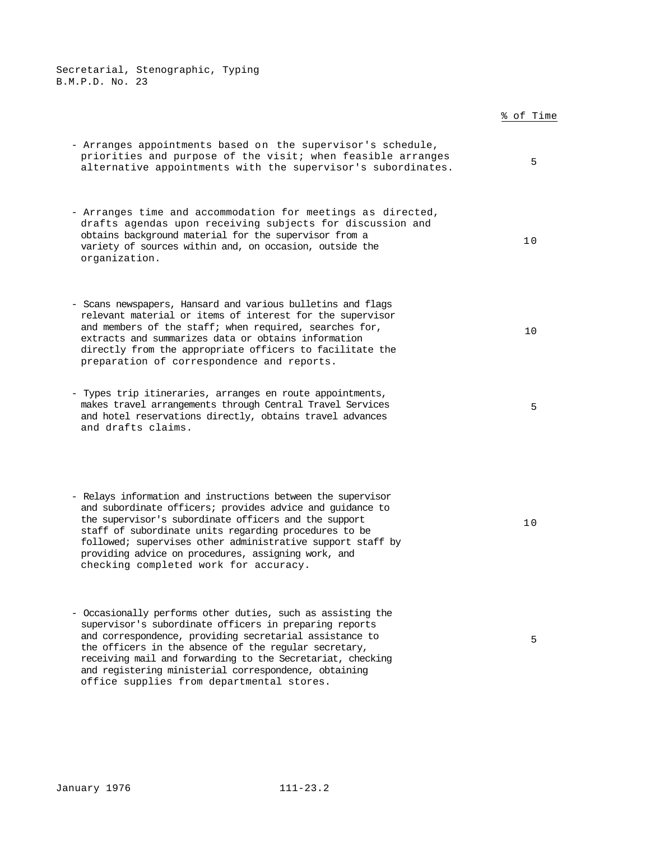|                                                                                                                                                                                                                                                                                                                                                                                                           | % of Time |
|-----------------------------------------------------------------------------------------------------------------------------------------------------------------------------------------------------------------------------------------------------------------------------------------------------------------------------------------------------------------------------------------------------------|-----------|
| - Arranges appointments based on the supervisor's schedule,<br>priorities and purpose of the visit; when feasible arranges<br>alternative appointments with the supervisor's subordinates.                                                                                                                                                                                                                | 5         |
| - Arranges time and accommodation for meetings as directed,<br>drafts agendas upon receiving subjects for discussion and<br>obtains background material for the supervisor from a<br>variety of sources within and, on occasion, outside the<br>organization.                                                                                                                                             | 10        |
| - Scans newspapers, Hansard and various bulletins and flags<br>relevant material or items of interest for the supervisor<br>and members of the staff; when required, searches for,<br>extracts and summarizes data or obtains information<br>directly from the appropriate officers to facilitate the<br>preparation of correspondence and reports.                                                       | 10        |
| - Types trip itineraries, arranges en route appointments,<br>makes travel arrangements through Central Travel Services<br>and hotel reservations directly, obtains travel advances<br>and drafts claims.                                                                                                                                                                                                  | 5         |
| - Relays information and instructions between the supervisor<br>and subordinate officers; provides advice and guidance to<br>the supervisor's subordinate officers and the support<br>staff of subordinate units regarding procedures to be<br>followed; supervises other administrative support staff by<br>providing advice on procedures, assigning work, and<br>checking completed work for accuracy. | 10        |
| - Occasionally performs other duties, such as assisting the<br>supervisor's subordinate officers in preparing reports<br>and correspondence, providing secretarial assistance to<br>the officers in the absence of the regular secretary,<br>receiving mail and forwarding to the Secretariat, checking<br>and registering ministerial correspondence, obtaining                                          | 5         |

office supplies from departmental stores.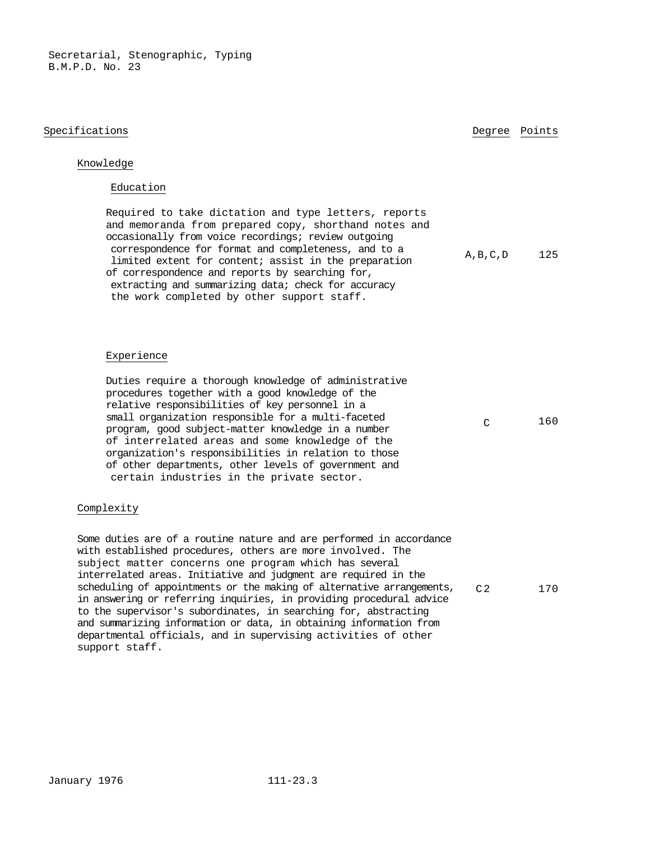#### Specifications and the set of the set of the set of the set of the Degree Points of the Degree Points of the S

A,B,C,D 125

## Knowledge

#### Education

Required to take dictation and type letters, reports and memoranda from prepared copy, shorthand notes and occasionally from voice recordings; review outgoing correspondence for format and completeness, and to a limited extent for content; assist in the preparation of correspondence and reports by searching for, extracting and summarizing data; check for accuracy the work completed by other support staff.

#### Experience

Duties require a thorough knowledge of administrative procedures together with a good knowledge of the relative responsibilities of key personnel in a small organization responsible for a multi-faceted program, good subject-matter knowledge in a number of interrelated areas and some knowledge of the organization's responsibilities in relation to those of other departments, other levels of government and certain industries in the private sector.

#### Complexity

Some duties are of a routine nature and are performed in accordance with established procedures, others are more involved. The subject matter concerns one program which has several interrelated areas. Initiative and judgment are required in the scheduling of appointments or the making of alternative arrangements, in answering or referring inquiries, in providing procedural advice to the supervisor's subordinates, in searching for, abstracting and summarizing information or data, in obtaining information from departmental officials, and in supervising activities of other support staff.

C 160

C2 170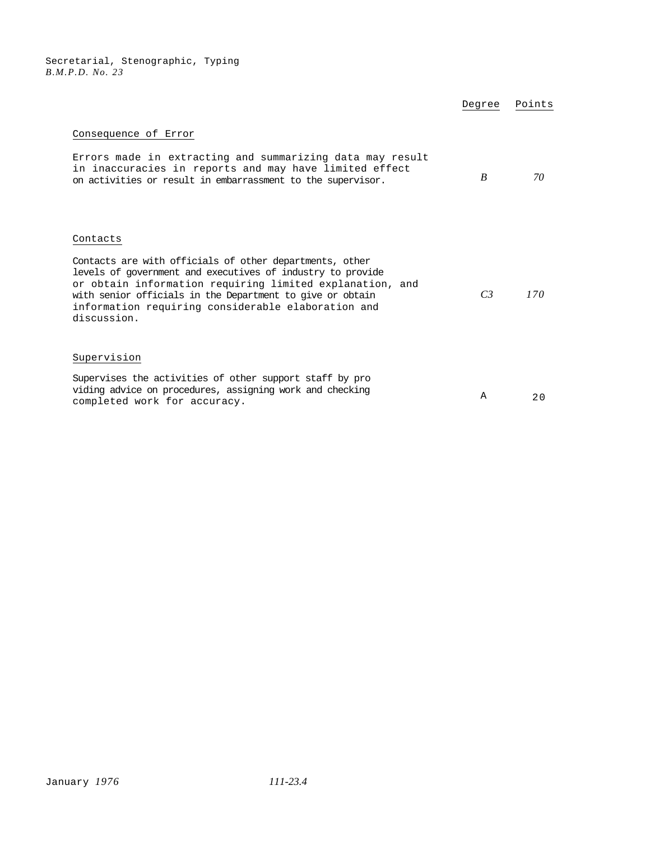|                                                                                                                                                                                                                                                                                                                                 | Degree         | Points |
|---------------------------------------------------------------------------------------------------------------------------------------------------------------------------------------------------------------------------------------------------------------------------------------------------------------------------------|----------------|--------|
| Consequence of Error<br>Errors made in extracting and summarizing data may result<br>in inaccuracies in reports and may have limited effect<br>on activities or result in embarrassment to the supervisor.                                                                                                                      | R              | 70     |
| Contacts<br>Contacts are with officials of other departments, other<br>levels of government and executives of industry to provide<br>or obtain information requiring limited explanation, and<br>with senior officials in the Department to give or obtain<br>information requiring considerable elaboration and<br>discussion. | C <sub>3</sub> | 170    |
| Supervision<br>Supervises the activities of other support staff by pro<br>viding advice on procedures, assigning work and checking<br>completed work for accuracy.                                                                                                                                                              | A              | 20     |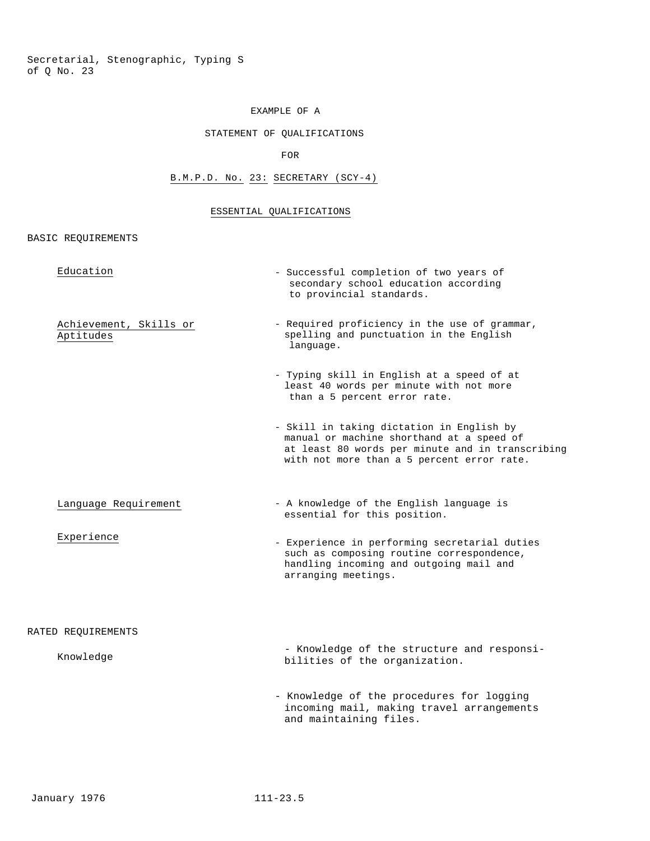## EXAMPLE OF A

## STATEMENT OF QUALIFICATIONS

FOR

# B.M.P.D. No. 23: SECRETARY (SCY-4)

#### ESSENTIAL QUALIFICATIONS

#### BASIC REQUIREMENTS

| Education                           | - Successful completion of two years of<br>secondary school education according<br>to provincial standards.                                                                              |
|-------------------------------------|------------------------------------------------------------------------------------------------------------------------------------------------------------------------------------------|
| Achievement, Skills or<br>Aptitudes | - Required proficiency in the use of grammar,<br>spelling and punctuation in the English<br>language.                                                                                    |
|                                     | - Typing skill in English at a speed of at<br>least 40 words per minute with not more<br>than a 5 percent error rate.                                                                    |
|                                     | - Skill in taking dictation in English by<br>manual or machine shorthand at a speed of<br>at least 80 words per minute and in transcribing<br>with not more than a 5 percent error rate. |
| Language Requirement                | - A knowledge of the English language is<br>essential for this position.                                                                                                                 |
| Experience                          | - Experience in performing secretarial duties<br>such as composing routine correspondence,<br>handling incoming and outgoing mail and<br>arranging meetings.                             |
| RATED REOUIREMENTS                  |                                                                                                                                                                                          |
| Knowledge                           | - Knowledge of the structure and responsi-<br>bilities of the organization.                                                                                                              |
|                                     | - Knowledge of the procedures for logging<br>incoming mail, making travel arrangements<br>and maintaining files.                                                                         |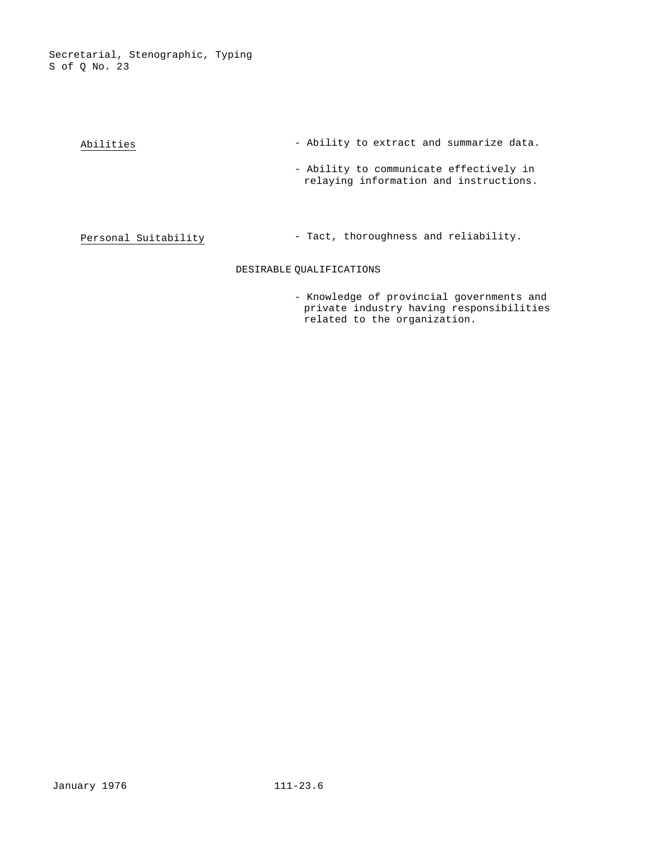| Abilities            | - Ability to extract and summarize data.                                          |
|----------------------|-----------------------------------------------------------------------------------|
|                      | - Ability to communicate effectively in<br>relaying information and instructions. |
| Personal Suitability | - Tact, thoroughness and reliability.                                             |
|                      | DESIRABLE OUALIFICATIONS                                                          |

- Knowledge of provincial governments and private industry having responsibilities related to the organization.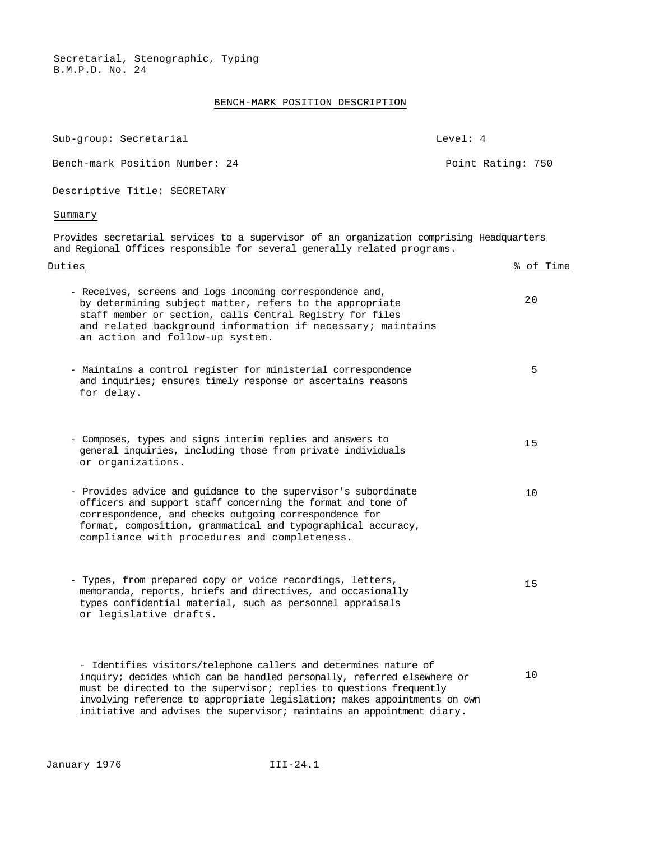## BENCH-MARK POSITION DESCRIPTION

| Sub-group: Secretarial                                                                                                                                                                                                                                                                                   | Level: 4 |                   |
|----------------------------------------------------------------------------------------------------------------------------------------------------------------------------------------------------------------------------------------------------------------------------------------------------------|----------|-------------------|
| Bench-mark Position Number: 24                                                                                                                                                                                                                                                                           |          | Point Rating: 750 |
| Descriptive Title: SECRETARY                                                                                                                                                                                                                                                                             |          |                   |
| Summary                                                                                                                                                                                                                                                                                                  |          |                   |
| Provides secretarial services to a supervisor of an organization comprising Headquarters<br>and Regional Offices responsible for several generally related programs.                                                                                                                                     |          |                   |
| Duties                                                                                                                                                                                                                                                                                                   |          | % of Time         |
| - Receives, screens and logs incoming correspondence and,<br>by determining subject matter, refers to the appropriate<br>staff member or section, calls Central Registry for files<br>and related background information if necessary; maintains<br>an action and follow-up system.                      |          | 20                |
| - Maintains a control register for ministerial correspondence<br>and inquiries; ensures timely response or ascertains reasons<br>for delay.                                                                                                                                                              |          | 5                 |
| - Composes, types and signs interim replies and answers to<br>general inquiries, including those from private individuals<br>or organizations.                                                                                                                                                           |          | 15                |
| - Provides advice and guidance to the supervisor's subordinate<br>officers and support staff concerning the format and tone of<br>correspondence, and checks outgoing correspondence for<br>format, composition, grammatical and typographical accuracy,<br>compliance with procedures and completeness. |          | 10                |
| - Types, from prepared copy or voice recordings, letters,<br>memoranda, reports, briefs and directives, and occasionally<br>types confidential material, such as personnel appraisals<br>or legislative drafts.                                                                                          |          | 15                |
| - Identifies visitors/telephone callers and determines nature of<br>inquiry; decides which can be handled personally, referred elsewhere or<br>must be directed to the supervisor; replies to questions frequently<br>involving reference to appropriate legislation; makes appointments on own          |          | 10                |

initiative and advises the supervisor; maintains an appointment diary.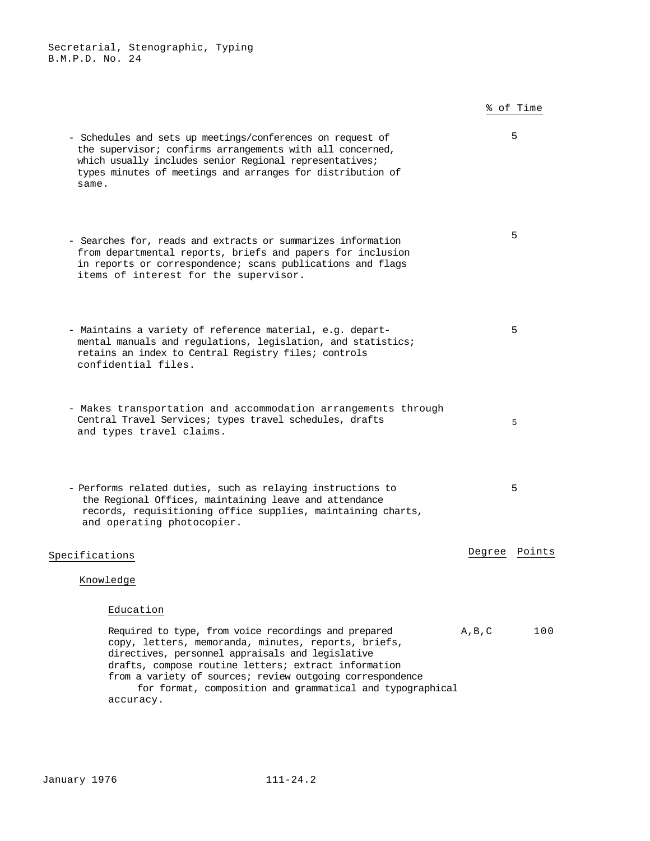# % of Time

| - Schedules and sets up meetings/conferences on request of<br>the supervisor; confirms arrangements with all concerned,<br>which usually includes senior Regional representatives;<br>types minutes of meetings and arranges for distribution of<br>same.                                                                                                      |                 | 5   |
|----------------------------------------------------------------------------------------------------------------------------------------------------------------------------------------------------------------------------------------------------------------------------------------------------------------------------------------------------------------|-----------------|-----|
| - Searches for, reads and extracts or summarizes information<br>from departmental reports, briefs and papers for inclusion<br>in reports or correspondence; scans publications and flags<br>items of interest for the supervisor.                                                                                                                              |                 | 5   |
| - Maintains a variety of reference material, e.g. depart-<br>mental manuals and regulations, legislation, and statistics;<br>retains an index to Central Registry files; controls<br>confidential files.                                                                                                                                                       |                 | 5   |
| - Makes transportation and accommodation arrangements through<br>Central Travel Services; types travel schedules, drafts<br>and types travel claims.                                                                                                                                                                                                           |                 | 5   |
| - Performs related duties, such as relaying instructions to<br>the Regional Offices, maintaining leave and attendance<br>records, requisitioning office supplies, maintaining charts,<br>and operating photocopier.                                                                                                                                            |                 | 5   |
| Specifications                                                                                                                                                                                                                                                                                                                                                 | Degree Points   |     |
| Knowledge                                                                                                                                                                                                                                                                                                                                                      |                 |     |
| Education                                                                                                                                                                                                                                                                                                                                                      |                 |     |
| Required to type, from voice recordings and prepared<br>copy, letters, memoranda, minutes, reports, briefs,<br>directives, personnel appraisals and legislative<br>drafts, compose routine letters; extract information<br>from a variety of sources; review outgoing correspondence<br>for format, composition and grammatical and typographical<br>accuracy. | $A$ , $B$ , $C$ | 100 |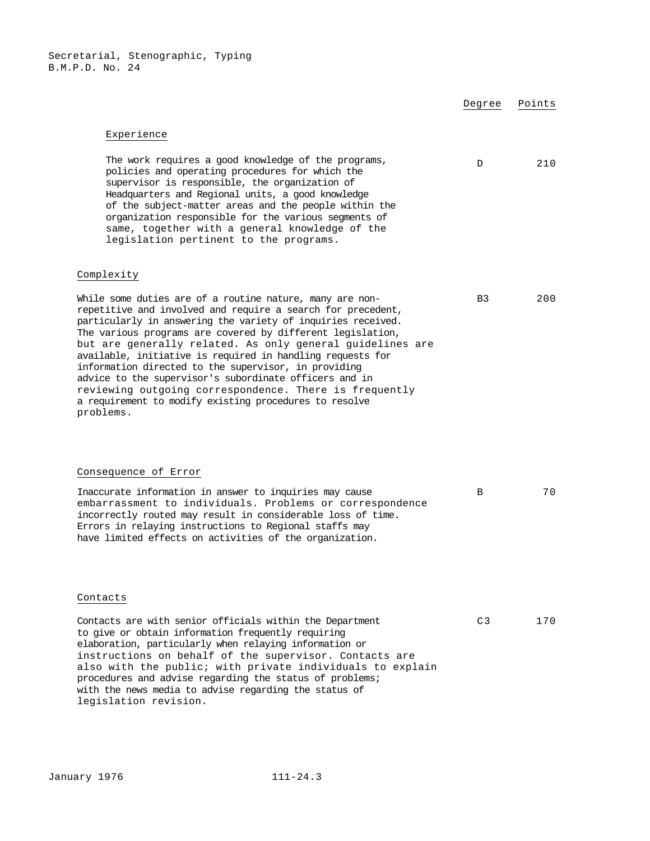|                                                                                                                                                                                                                                                                                                                                                                                                                                                                                                                                                                                                                                     | Degree         | Points |
|-------------------------------------------------------------------------------------------------------------------------------------------------------------------------------------------------------------------------------------------------------------------------------------------------------------------------------------------------------------------------------------------------------------------------------------------------------------------------------------------------------------------------------------------------------------------------------------------------------------------------------------|----------------|--------|
| Experience                                                                                                                                                                                                                                                                                                                                                                                                                                                                                                                                                                                                                          |                |        |
| The work requires a good knowledge of the programs,<br>policies and operating procedures for which the<br>supervisor is responsible, the organization of<br>Headquarters and Regional units, a good knowledge<br>of the subject-matter areas and the people within the<br>organization responsible for the various segments of<br>same, together with a general knowledge of the<br>legislation pertinent to the programs.                                                                                                                                                                                                          | D              | 210    |
| Complexity                                                                                                                                                                                                                                                                                                                                                                                                                                                                                                                                                                                                                          |                |        |
| While some duties are of a routine nature, many are non-<br>repetitive and involved and require a search for precedent,<br>particularly in answering the variety of inquiries received.<br>The various programs are covered by different legislation,<br>but are generally related. As only general guidelines are<br>available, initiative is required in handling requests for<br>information directed to the supervisor, in providing<br>advice to the supervisor's subordinate officers and in<br>reviewing outgoing correspondence. There is frequently<br>a requirement to modify existing procedures to resolve<br>problems. | B <sub>3</sub> | 200    |
| Consequence of Error                                                                                                                                                                                                                                                                                                                                                                                                                                                                                                                                                                                                                |                |        |
| Inaccurate information in answer to inquiries may cause<br>embarrassment to individuals. Problems or correspondence<br>incorrectly routed may result in considerable loss of time.<br>Errors in relaying instructions to Regional staffs may<br>have limited effects on activities of the organization.                                                                                                                                                                                                                                                                                                                             | В              | 70     |
| Contacts                                                                                                                                                                                                                                                                                                                                                                                                                                                                                                                                                                                                                            |                |        |
| Contacts are with senior officials within the Department<br>to give or obtain information frequently requiring<br>elaboration, particularly when relaying information or<br>instructions on behalf of the supervisor. Contacts are<br>also with the public; with private individuals to explain<br>procedures and advise regarding the status of problems;                                                                                                                                                                                                                                                                          | C <sub>3</sub> | 170    |

legislation revision.

with the news media to advise regarding the status of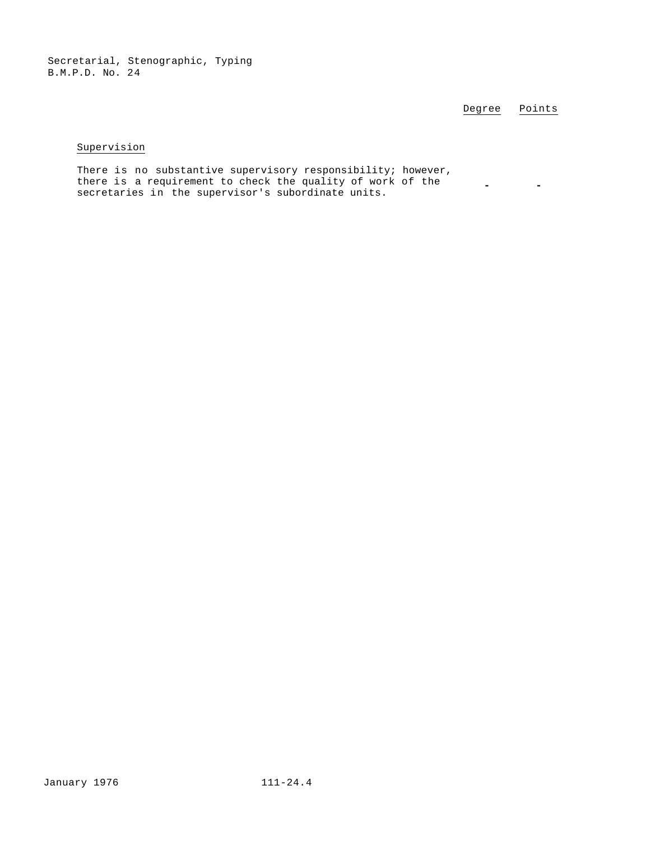Degree Points

## Supervision

There is no substantive supervisory responsibility; however, there is a requirement to check the quality of work of the secretaries in the supervisor's subordinate units. **- -**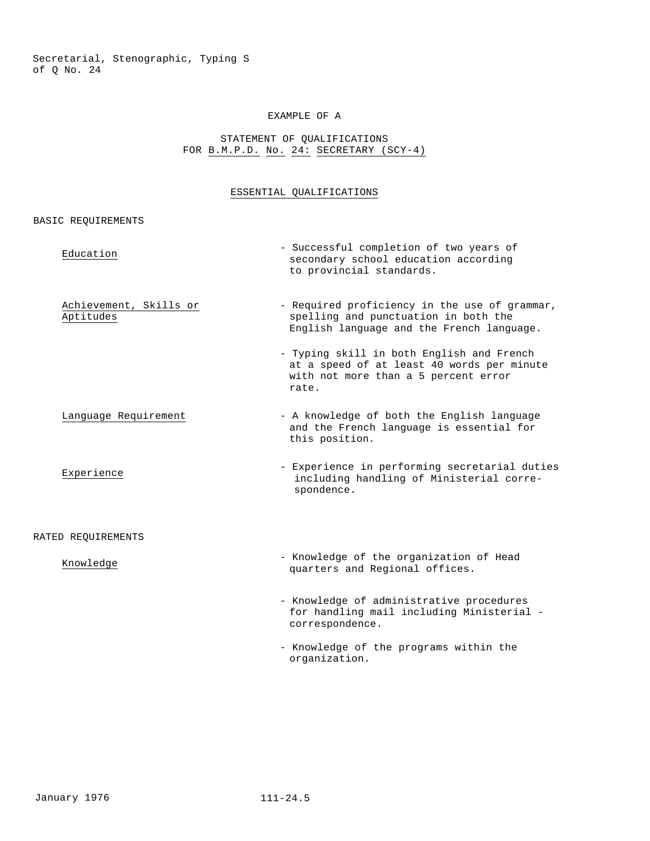#### EXAMPLE OF A

## STATEMENT OF QUALIFICATIONS FOR B.M.P.D. No. 24: SECRETARY (SCY-4)

# ESSENTIAL QUALIFICATIONS

## BASIC REQUIREMENTS

| Education                           | - Successful completion of two years of<br>secondary school education according<br>to provincial standards.                              |
|-------------------------------------|------------------------------------------------------------------------------------------------------------------------------------------|
| Achievement, Skills or<br>Aptitudes | - Required proficiency in the use of grammar,<br>spelling and punctuation in both the<br>English language and the French language.       |
|                                     | - Typing skill in both English and French<br>at a speed of at least 40 words per minute<br>with not more than a 5 percent error<br>rate. |
| Language Requirement                | - A knowledge of both the English language<br>and the French language is essential for<br>this position.                                 |
| Experience                          | - Experience in performing secretarial duties<br>including handling of Ministerial corre-<br>spondence.                                  |
| RATED REQUIREMENTS                  |                                                                                                                                          |
| Knowledge                           | - Knowledge of the organization of Head<br>quarters and Regional offices.                                                                |
|                                     | - Knowledge of administrative procedures<br>for handling mail including Ministerial -<br>correspondence.                                 |
|                                     | - Knowledge of the programs within the                                                                                                   |

organization.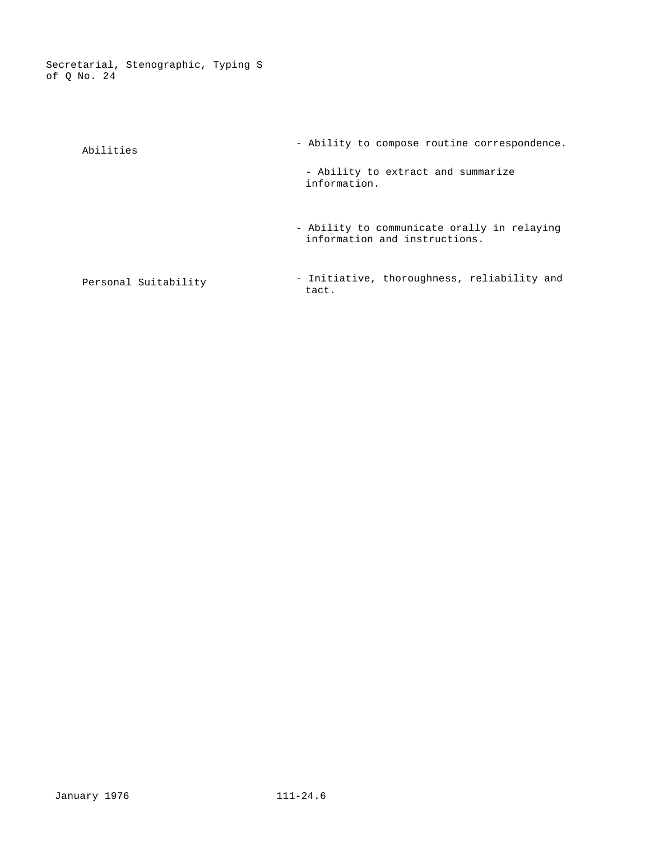| Abilities            | - Ability to compose routine correspondence.                                 |
|----------------------|------------------------------------------------------------------------------|
|                      | - Ability to extract and summarize<br>information.                           |
|                      | - Ability to communicate orally in relaying<br>information and instructions. |
| Personal Suitability | - Initiative, thoroughness, reliability and<br>tact.                         |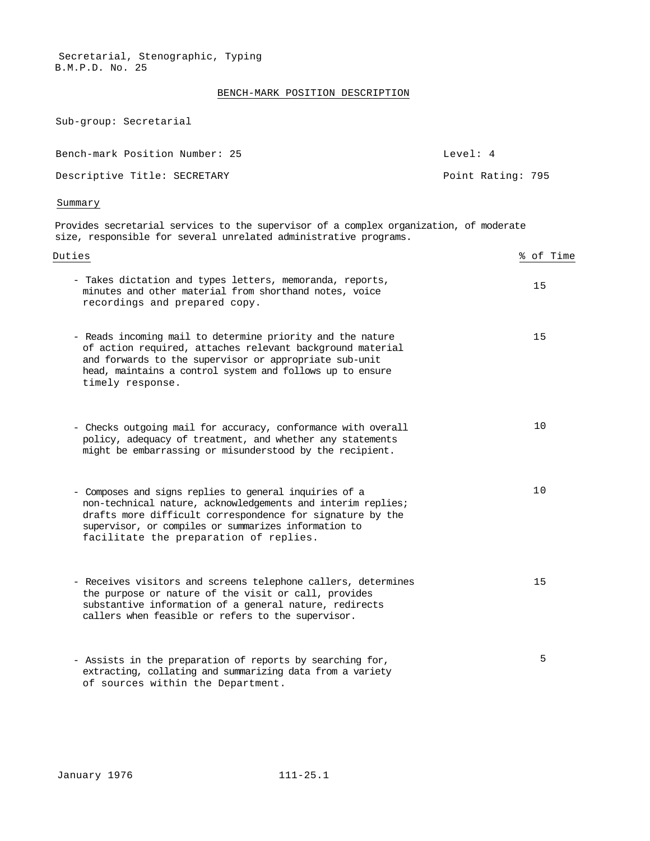## BENCH-MARK POSITION DESCRIPTION

Sub-group: Secretarial

| Bench-mark Position Number: 25 | Level: 4          |
|--------------------------------|-------------------|
| Descriptive Title: SECRETARY   | Point Rating: 795 |

#### Summary

Provides secretarial services to the supervisor of a complex organization, of moderate size, responsible for several unrelated administrative programs.

| Duties                                                                                                                                                                                                                                                                               | % of Time |
|--------------------------------------------------------------------------------------------------------------------------------------------------------------------------------------------------------------------------------------------------------------------------------------|-----------|
| - Takes dictation and types letters, memoranda, reports,<br>minutes and other material from shorthand notes, voice<br>recordings and prepared copy.                                                                                                                                  | 15        |
| - Reads incoming mail to determine priority and the nature<br>of action required, attaches relevant background material<br>and forwards to the supervisor or appropriate sub-unit<br>head, maintains a control system and follows up to ensure<br>timely response.                   | 15        |
| - Checks outgoing mail for accuracy, conformance with overall<br>policy, adequacy of treatment, and whether any statements<br>might be embarrassing or misunderstood by the recipient.                                                                                               | 10        |
| - Composes and signs replies to general inquiries of a<br>non-technical nature, acknowledgements and interim replies;<br>drafts more difficult correspondence for signature by the<br>supervisor, or compiles or summarizes information to<br>facilitate the preparation of replies. | 10        |
| - Receives visitors and screens telephone callers, determines<br>the purpose or nature of the visit or call, provides<br>substantive information of a general nature, redirects<br>callers when feasible or refers to the supervisor.                                                | 15        |
| - Assists in the preparation of reports by searching for,<br>extracting, collating and summarizing data from a variety<br>of sources within the Department.                                                                                                                          | 5         |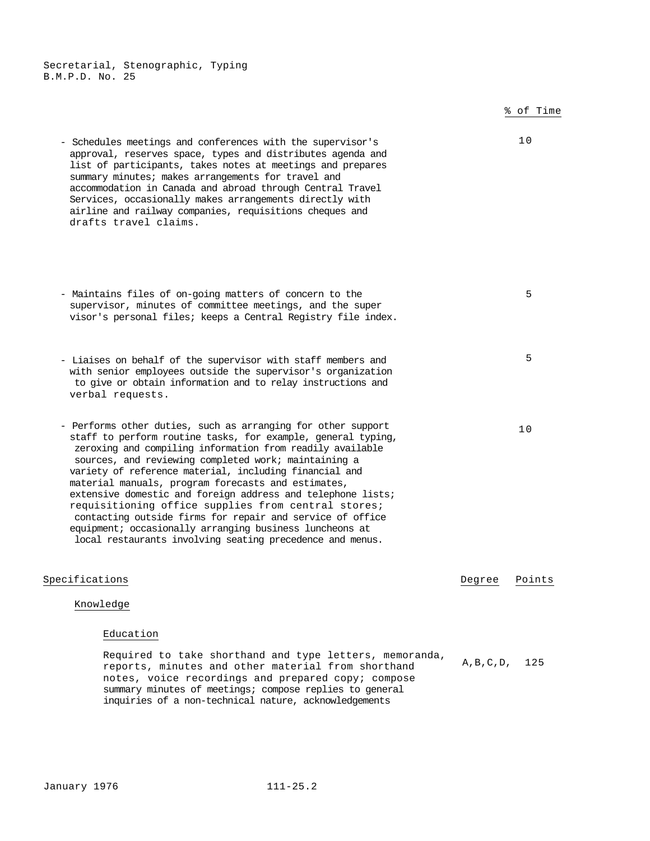% of Time - Schedules meetings and conferences with the supervisor's approval, reserves space, types and distributes agenda and list of participants, takes notes at meetings and prepares summary minutes; makes arrangements for travel and accommodation in Canada and abroad through Central Travel Services, occasionally makes arrangements directly with airline and railway companies, requisitions cheques and drafts travel claims. 10 - Maintains files of on-going matters of concern to the supervisor, minutes of committee meetings, and the super visor's personal files; keeps a Central Registry file index. 5 - Liaises on behalf of the supervisor with staff members and with senior employees outside the supervisor's organization to give or obtain information and to relay instructions and verbal requests. 5 - Performs other duties, such as arranging for other support staff to perform routine tasks, for example, general typing, zeroxing and compiling information from readily available sources, and reviewing completed work; maintaining a variety of reference material, including financial and material manuals, program forecasts and estimates, extensive domestic and foreign address and telephone lists; requisitioning office supplies from central stores; contacting outside firms for repair and service of office equipment; occasionally arranging business luncheons at local restaurants involving seating precedence and menus. 10 Specifications Degree Points Knowledge Education Required to take shorthand and type letters, memoranda, reports, minutes and other material from shorthand notes, voice recordings and prepared copy; compose summary minutes of meetings; compose replies to general inquiries of a non-technical nature, acknowledgements A,B,C,D, 125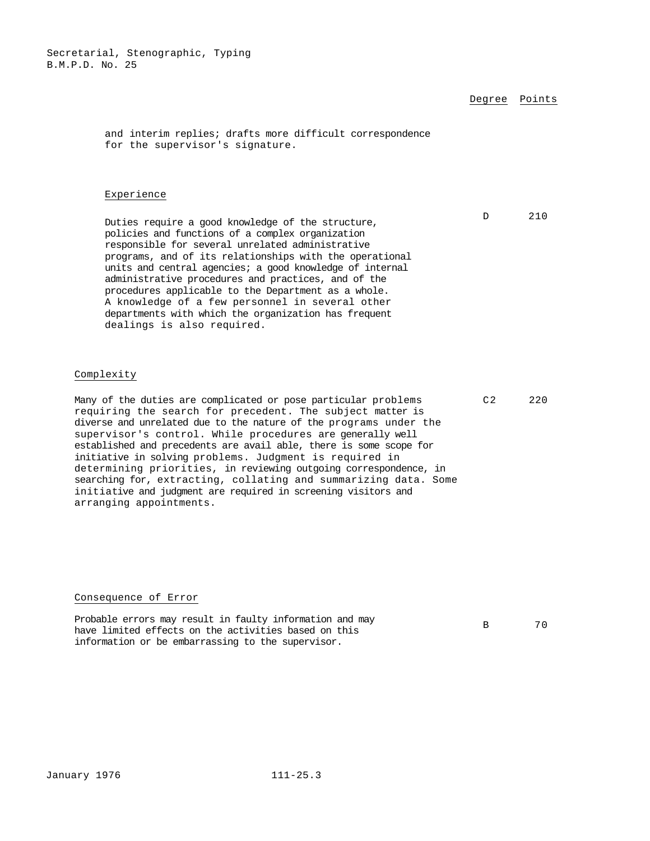Degree Points

D 210

and interim replies; drafts more difficult correspondence for the supervisor's signature.

#### Experience

Duties require a good knowledge of the structure, policies and functions of a complex organization responsible for several unrelated administrative programs, and of its relationships with the operational units and central agencies; a good knowledge of internal administrative procedures and practices, and of the procedures applicable to the Department as a whole. A knowledge of a few personnel in several other departments with which the organization has frequent dealings is also required.

#### Complexity

Many of the duties are complicated or pose particular problems requiring the search for precedent. The subject matter is diverse and unrelated due to the nature of the programs under the supervisor's control. While procedures are generally well established and precedents are avail able, there is some scope for initiative in solving problems. Judgment is required in determining priorities, in reviewing outgoing correspondence, in searching for, extracting, collating and summarizing data. Some initiative and judgment are required in screening visitors and arranging appointments.

#### Consequence of Error

Probable errors may result in faulty information and may have limited effects on the activities based on this information or be embarrassing to the supervisor.

B 70

C2 220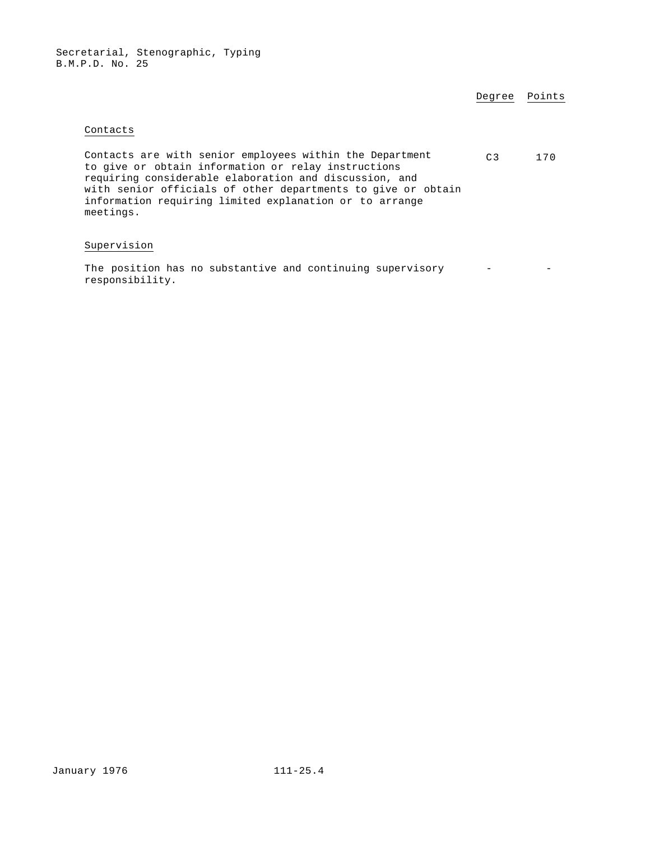| Degree | Points |
|--------|--------|
|        |        |

## Contacts

| Contacts are with senior employees within the Department     | $\cap$ 3 | 170 |
|--------------------------------------------------------------|----------|-----|
| to give or obtain information or relay instructions          |          |     |
| requiring considerable elaboration and discussion, and       |          |     |
| with senior officials of other departments to give or obtain |          |     |
| information requiring limited explanation or to arrange      |          |     |
| meetings.                                                    |          |     |

## Supervision

The position has no substantive and continuing supervisory responsibility.  $-$  -  $-$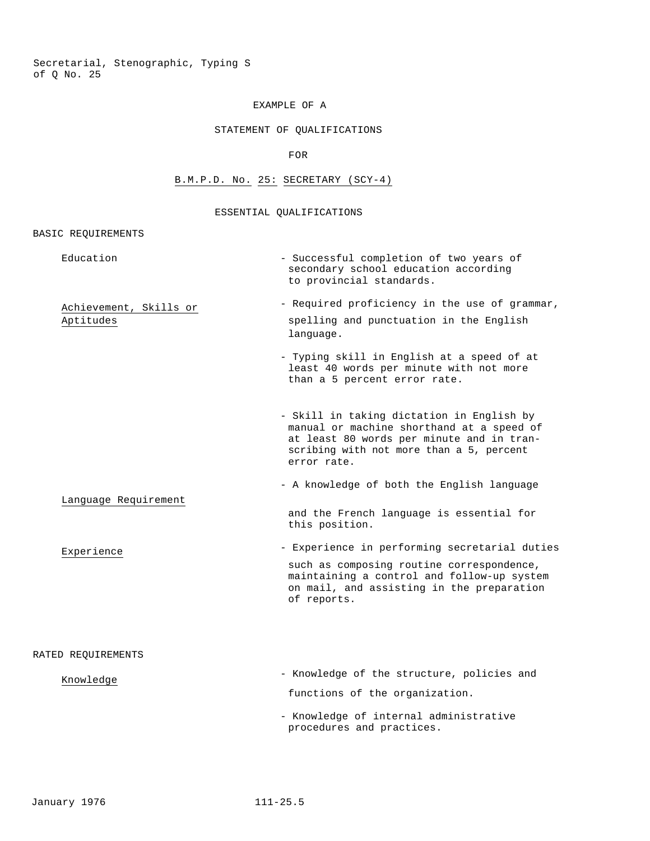# EXAMPLE OF A

## STATEMENT OF QUALIFICATIONS

FOR

## B.M.P.D. No. 25: SECRETARY (SCY-4)

#### ESSENTIAL QUALIFICATIONS

## BASIC REQUIREMENTS

| Education                           | - Successful completion of two years of<br>secondary school education according<br>to provincial standards.                                                                                          |
|-------------------------------------|------------------------------------------------------------------------------------------------------------------------------------------------------------------------------------------------------|
| Achievement, Skills or<br>Aptitudes | - Required proficiency in the use of grammar,<br>spelling and punctuation in the English<br>language.                                                                                                |
|                                     | - Typing skill in English at a speed of at<br>least 40 words per minute with not more<br>than a 5 percent error rate.                                                                                |
|                                     | - Skill in taking dictation in English by<br>manual or machine shorthand at a speed of<br>at least 80 words per minute and in tran-<br>scribing with not more than a 5, percent<br>error rate.       |
|                                     | - A knowledge of both the English language                                                                                                                                                           |
| Language Requirement                | and the French language is essential for<br>this position.                                                                                                                                           |
| Experience                          | - Experience in performing secretarial duties<br>such as composing routine correspondence,<br>maintaining a control and follow-up system<br>on mail, and assisting in the preparation<br>of reports. |
| RATED REQUIREMENTS                  |                                                                                                                                                                                                      |
| Knowledge                           | - Knowledge of the structure, policies and                                                                                                                                                           |
|                                     | functions of the organization.                                                                                                                                                                       |
|                                     | - Knowledge of internal administrative<br>procedures and practices.                                                                                                                                  |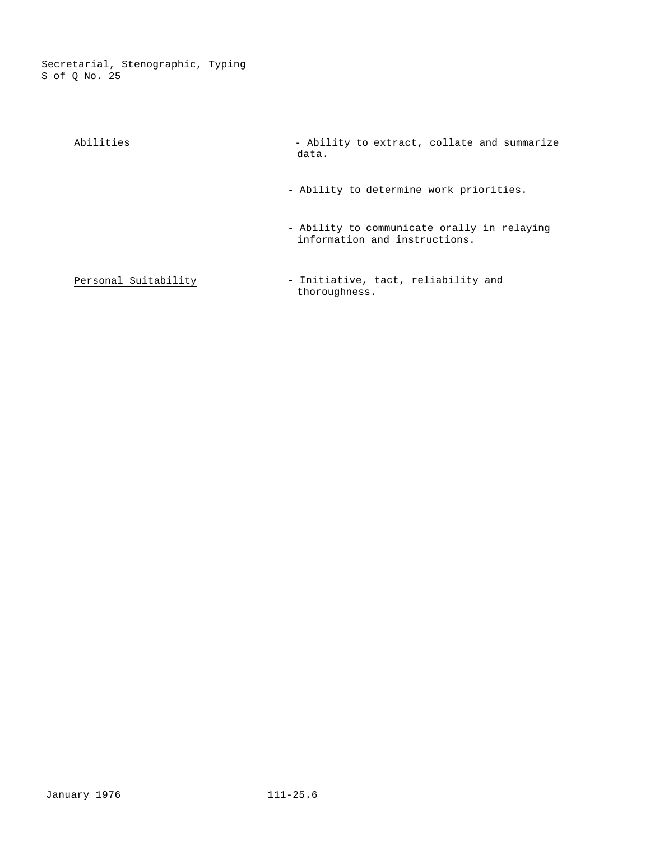| Abilities                                                                                                                                                                                                                                | - Ability to extract, collate and summarize<br>data.                                                                                                                                                                           |
|------------------------------------------------------------------------------------------------------------------------------------------------------------------------------------------------------------------------------------------|--------------------------------------------------------------------------------------------------------------------------------------------------------------------------------------------------------------------------------|
|                                                                                                                                                                                                                                          | - Ability to determine work priorities.                                                                                                                                                                                        |
|                                                                                                                                                                                                                                          | - Ability to communicate orally in relaying<br>information and instructions.                                                                                                                                                   |
| <b>B</b> and <b>a</b> distribution of the state of the state of the state of the state of the state of the state of the state of the state of the state of the state of the state of the state of the state of the state of the state of | raded and the common country and his common and the second second second second second second second second second second second second second second second second second second second second second second second second se |

**Personal Suitability <b>-** Initiative, tact, reliability and thoroughness thoroughness.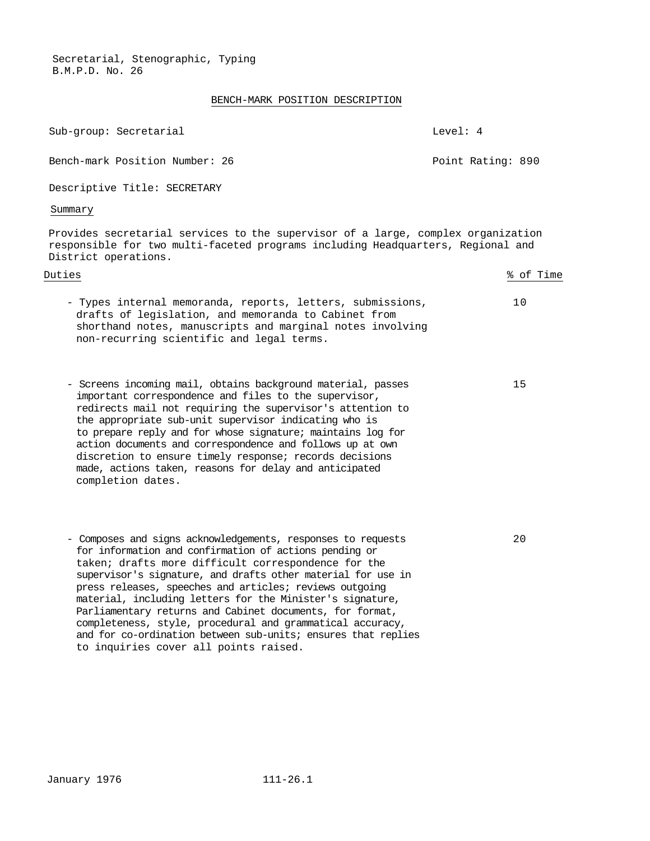## BENCH-MARK POSITION DESCRIPTION

| Sub-group: Secretarial                                                                                                                                                                                                                                                                                                                                                                                                              | Level: 4          |
|-------------------------------------------------------------------------------------------------------------------------------------------------------------------------------------------------------------------------------------------------------------------------------------------------------------------------------------------------------------------------------------------------------------------------------------|-------------------|
| Bench-mark Position Number: 26                                                                                                                                                                                                                                                                                                                                                                                                      | Point Rating: 890 |
| Descriptive Title: SECRETARY                                                                                                                                                                                                                                                                                                                                                                                                        |                   |
| Summary                                                                                                                                                                                                                                                                                                                                                                                                                             |                   |
| Provides secretarial services to the supervisor of a large, complex organization<br>responsible for two multi-faceted programs including Headquarters, Regional and<br>District operations.                                                                                                                                                                                                                                         |                   |
| Duties                                                                                                                                                                                                                                                                                                                                                                                                                              | % of Time         |
| - Types internal memoranda, reports, letters, submissions,<br>drafts of legislation, and memoranda to Cabinet from<br>shorthand notes, manuscripts and marginal notes involving<br>non-recurring scientific and legal terms.                                                                                                                                                                                                        | 10                |
| - Screens incoming mail, obtains background material, passes<br>important correspondence and files to the supervisor,<br>redirects mail not requiring the supervisor's attention to<br>the appropriate sub-unit supervisor indicating who is<br>to prepare reply and for whose signature; maintains log for<br>action documents and correspondence and follows up at own<br>discretion to ensure timely response; records decisions | 15                |

20

- Composes and signs acknowledgements, responses to requests for information and confirmation of actions pending or taken; drafts more difficult correspondence for the supervisor's signature, and drafts other material for use in press releases, speeches and articles; reviews outgoing material, including letters for the Minister's signature, Parliamentary returns and Cabinet documents, for format, completeness, style, procedural and grammatical accuracy, and for co-ordination between sub-units; ensures that replies to inquiries cover all points raised.

made, actions taken, reasons for delay and anticipated

completion dates.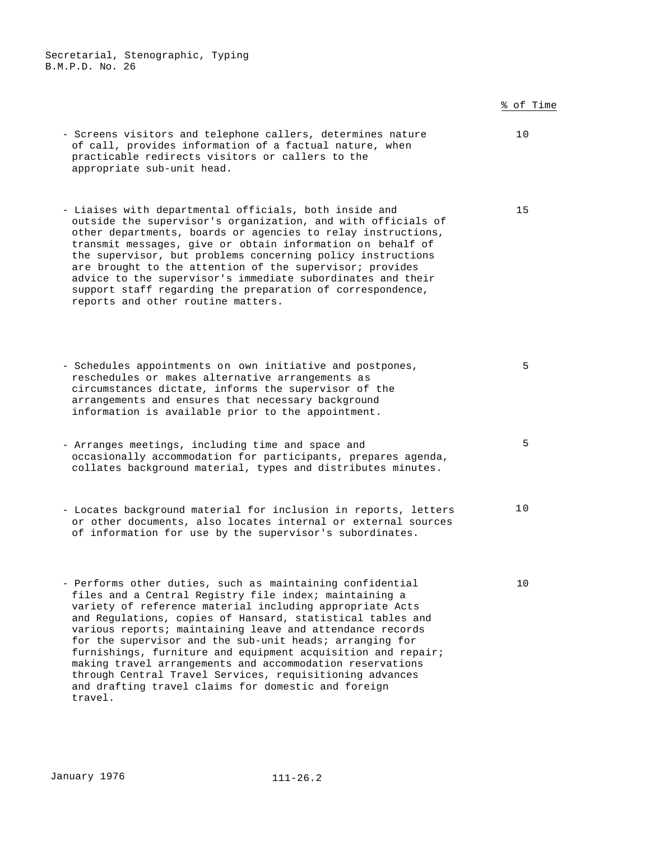% of Time - Screens visitors and telephone callers, determines nature of call, provides information of a factual nature, when practicable redirects visitors or callers to the appropriate sub-unit head. 10 - Liaises with departmental officials, both inside and outside the supervisor's organization, and with officials of other departments, boards or agencies to relay instructions, transmit messages, give or obtain information on behalf of the supervisor, but problems concerning policy instructions are brought to the attention of the supervisor; provides advice to the supervisor's immediate subordinates and their support staff regarding the preparation of correspondence, reports and other routine matters. 15 - Schedules appointments on own initiative and postpones, reschedules or makes alternative arrangements as circumstances dictate, informs the supervisor of the arrangements and ensures that necessary background information is available prior to the appointment. 5 - Arranges meetings, including time and space and occasionally accommodation for participants, prepares agenda, collates background material, types and distributes minutes. 5 - Locates background material for inclusion in reports, letters or other documents, also locates internal or external sources of information for use by the supervisor's subordinates. 10 - Performs other duties, such as maintaining confidential files and a Central Registry file index; maintaining a variety of reference material including appropriate Acts and Regulations, copies of Hansard, statistical tables and various reports; maintaining leave and attendance records for the supervisor and the sub-unit heads; arranging for furnishings, furniture and equipment acquisition and repair; making travel arrangements and accommodation reservations 10

travel.

through Central Travel Services, requisitioning advances and drafting travel claims for domestic and foreign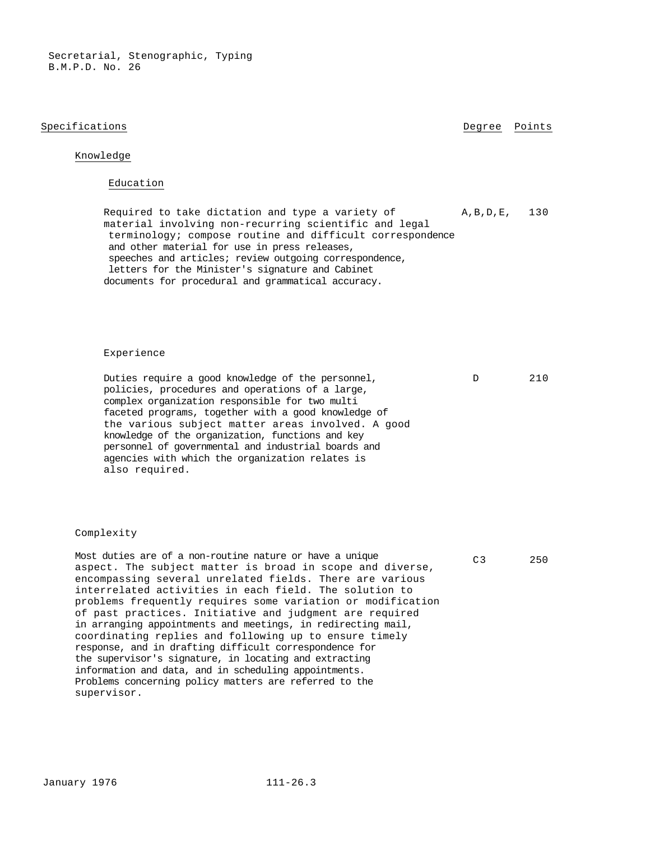#### Specifications **Degree** Points **Degree** Points

## Knowledge

#### Education

Required to take dictation and type a variety of material involving non-recurring scientific and legal terminology; compose routine and difficult correspondence and other material for use in press releases, speeches and articles; review outgoing correspondence, letters for the Minister's signature and Cabinet documents for procedural and grammatical accuracy. A,B,D,E, 130

#### Experience

Duties require a good knowledge of the personnel, policies, procedures and operations of a large, complex organization responsible for two multi faceted programs, together with a good knowledge of the various subject matter areas involved. A good knowledge of the organization, functions and key personnel of governmental and industrial boards and agencies with which the organization relates is also required.

#### Complexity

Most duties are of a non-routine nature or have a unique aspect. The subject matter is broad in scope and diverse, encompassing several unrelated fields. There are various interrelated activities in each field. The solution to problems frequently requires some variation or modification of past practices. Initiative and judgment are required in arranging appointments and meetings, in redirecting mail, coordinating replies and following up to ensure timely response, and in drafting difficult correspondence for the supervisor's signature, in locating and extracting information and data, and in scheduling appointments. Problems concerning policy matters are referred to the supervisor.

#### C3 250

D 210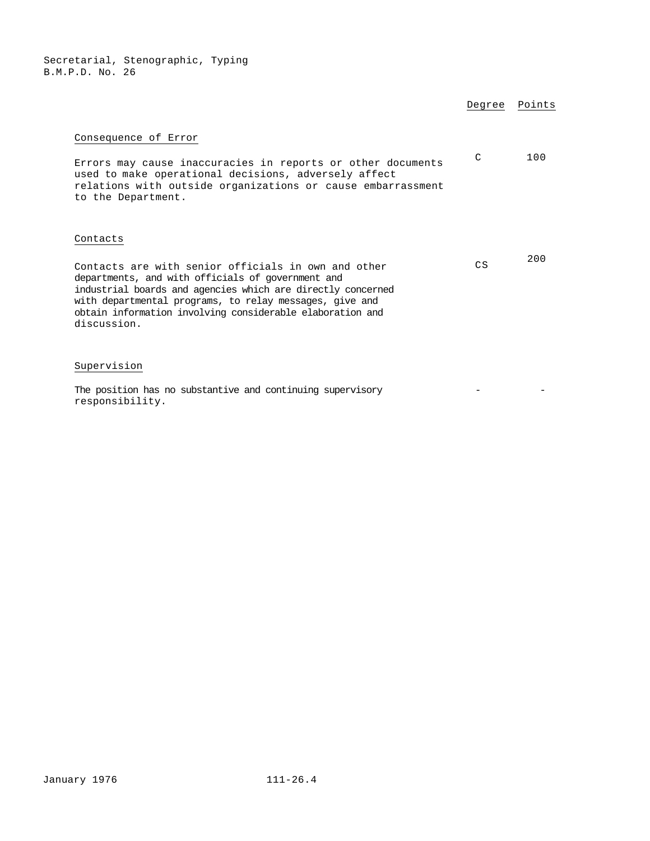|                                                                                                                                                                                                                                                                                                                            | Degree        | Points |
|----------------------------------------------------------------------------------------------------------------------------------------------------------------------------------------------------------------------------------------------------------------------------------------------------------------------------|---------------|--------|
| Consequence of Error<br>Errors may cause inaccuracies in reports or other documents<br>used to make operational decisions, adversely affect<br>relations with outside organizations or cause embarrassment<br>to the Department.                                                                                           | $\mathcal{C}$ | 100    |
| Contacts<br>Contacts are with senior officials in own and other<br>departments, and with officials of government and<br>industrial boards and agencies which are directly concerned<br>with departmental programs, to relay messages, give and<br>obtain information involving considerable elaboration and<br>discussion. | CS            | 200    |
| Supervision<br>The position has no substantive and continuing supervisory<br>responsibility.                                                                                                                                                                                                                               |               |        |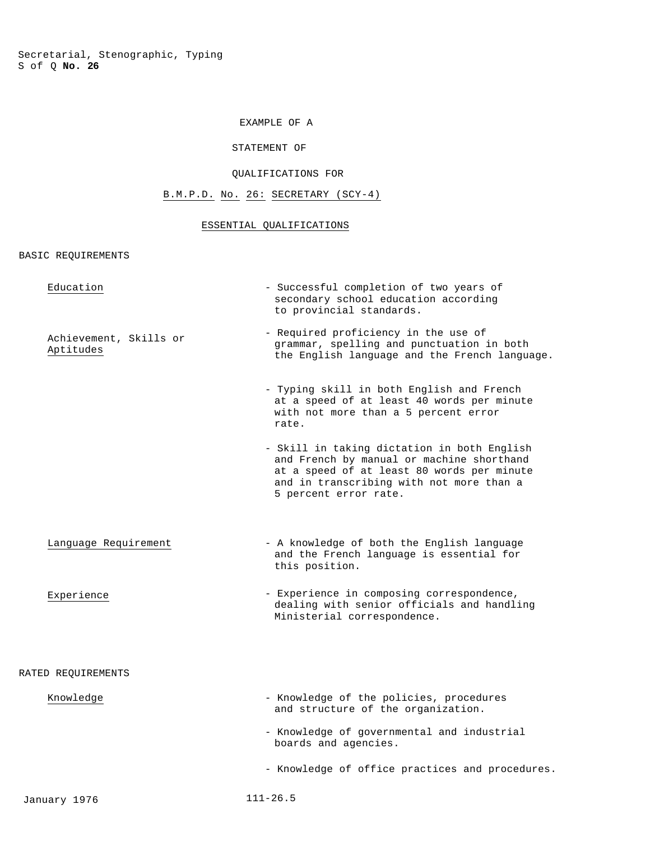# EXAMPLE OF A

#### STATEMENT OF

#### QUALIFICATIONS FOR

# B.M.P.D. No. 26: SECRETARY (SCY-4)

## ESSENTIAL QUALIFICATIONS

BASIC REQUIREMENTS

| Education                           | - Successful completion of two years of<br>secondary school education according<br>to provincial standards.                                                                                                 |
|-------------------------------------|-------------------------------------------------------------------------------------------------------------------------------------------------------------------------------------------------------------|
| Achievement, Skills or<br>Aptitudes | - Required proficiency in the use of<br>grammar, spelling and punctuation in both<br>the English language and the French language.                                                                          |
|                                     | - Typing skill in both English and French<br>at a speed of at least 40 words per minute<br>with not more than a 5 percent error<br>rate.                                                                    |
|                                     | - Skill in taking dictation in both English<br>and French by manual or machine shorthand<br>at a speed of at least 80 words per minute<br>and in transcribing with not more than a<br>5 percent error rate. |
| Language Requirement                | - A knowledge of both the English language<br>and the French language is essential for<br>this position.                                                                                                    |
| Experience                          | - Experience in composing correspondence,<br>dealing with senior officials and handling<br>Ministerial correspondence.                                                                                      |
| RATED REQUIREMENTS                  |                                                                                                                                                                                                             |
| Knowledge                           | - Knowledge of the policies, procedures<br>and structure of the organization.                                                                                                                               |
|                                     | - Knowledge of governmental and industrial<br>boards and agencies.                                                                                                                                          |
|                                     | - Knowledge of office practices and procedures.                                                                                                                                                             |
| January 1976                        | $111 - 26.5$                                                                                                                                                                                                |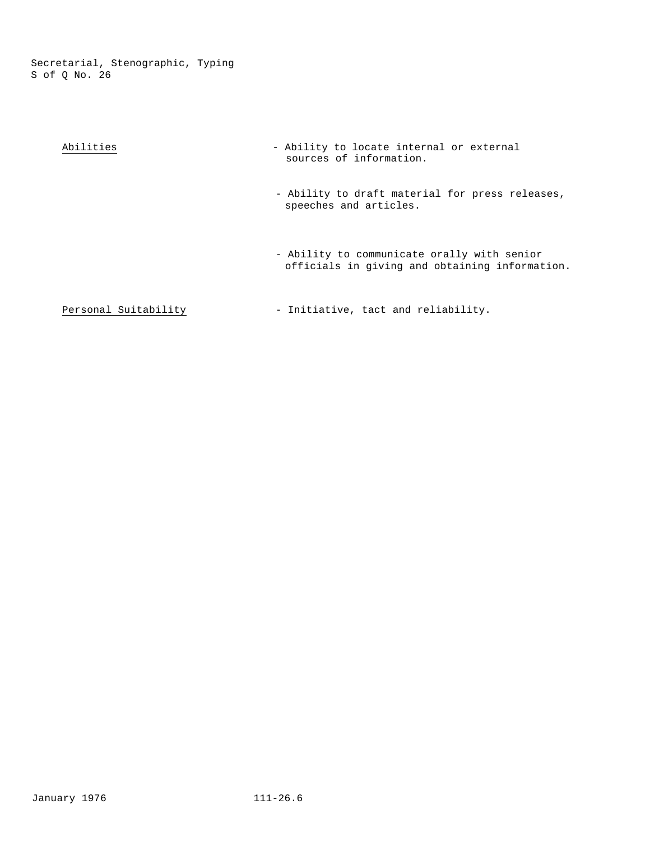| Abilities            | - Ability to locate internal or external<br>sources of information.                           |
|----------------------|-----------------------------------------------------------------------------------------------|
|                      | - Ability to draft material for press releases,<br>speeches and articles.                     |
|                      | - Ability to communicate orally with senior<br>officials in giving and obtaining information. |
| Personal Suitability | - Initiative, tact and reliability.                                                           |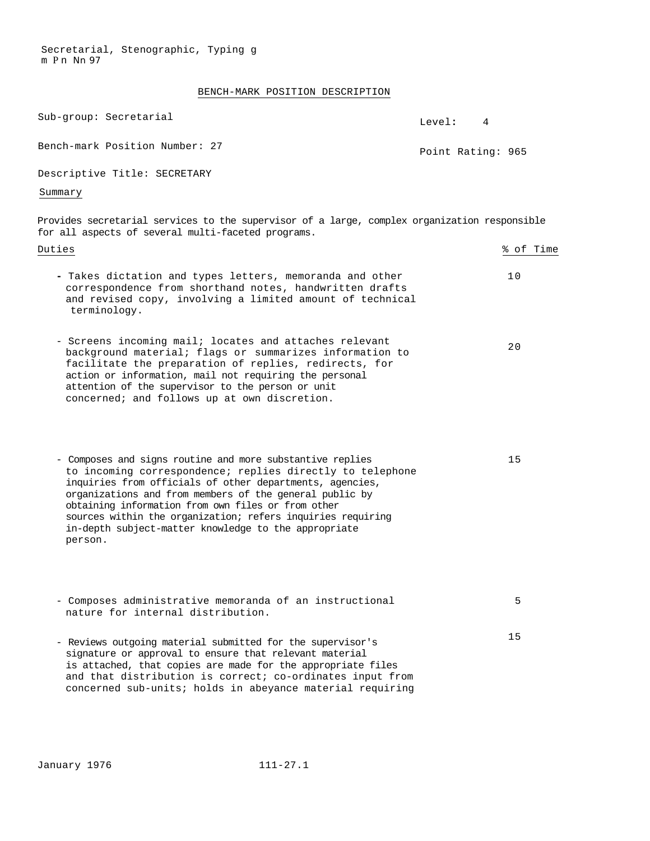Secretarial, Stenographic, Typing g m P n Nn 97

## BENCH-MARK POSITION DESCRIPTION

| Sub-group: Secretarial                                                                                                                                                                                                                                                                                                                                                                                                                | Level:            | 4         |
|---------------------------------------------------------------------------------------------------------------------------------------------------------------------------------------------------------------------------------------------------------------------------------------------------------------------------------------------------------------------------------------------------------------------------------------|-------------------|-----------|
| Bench-mark Position Number: 27                                                                                                                                                                                                                                                                                                                                                                                                        | Point Rating: 965 |           |
| Descriptive Title: SECRETARY                                                                                                                                                                                                                                                                                                                                                                                                          |                   |           |
| Summary                                                                                                                                                                                                                                                                                                                                                                                                                               |                   |           |
| Provides secretarial services to the supervisor of a large, complex organization responsible<br>for all aspects of several multi-faceted programs.                                                                                                                                                                                                                                                                                    |                   |           |
| Duties                                                                                                                                                                                                                                                                                                                                                                                                                                |                   | % of Time |
| - Takes dictation and types letters, memoranda and other<br>correspondence from shorthand notes, handwritten drafts<br>and revised copy, involving a limited amount of technical<br>terminology.                                                                                                                                                                                                                                      |                   | 10        |
| - Screens incoming mail; locates and attaches relevant<br>background material; flags or summarizes information to<br>facilitate the preparation of replies, redirects, for<br>action or information, mail not requiring the personal<br>attention of the supervisor to the person or unit<br>concerned; and follows up at own discretion.                                                                                             |                   | 20        |
| - Composes and signs routine and more substantive replies<br>to incoming correspondence; replies directly to telephone<br>inquiries from officials of other departments, agencies,<br>organizations and from members of the general public by<br>obtaining information from own files or from other<br>sources within the organization; refers inquiries requiring<br>in-depth subject-matter knowledge to the appropriate<br>person. |                   | 15        |
| - Composes administrative memoranda of an instructional<br>nature for internal distribution.                                                                                                                                                                                                                                                                                                                                          |                   | 5         |
| - Reviews outgoing material submitted for the supervisor's<br>signature or approval to ensure that relevant material<br>is attached, that copies are made for the appropriate files<br>and that distribution is correct; co-ordinates input from<br>concerned sub-units; holds in abeyance material requiring                                                                                                                         |                   | 15        |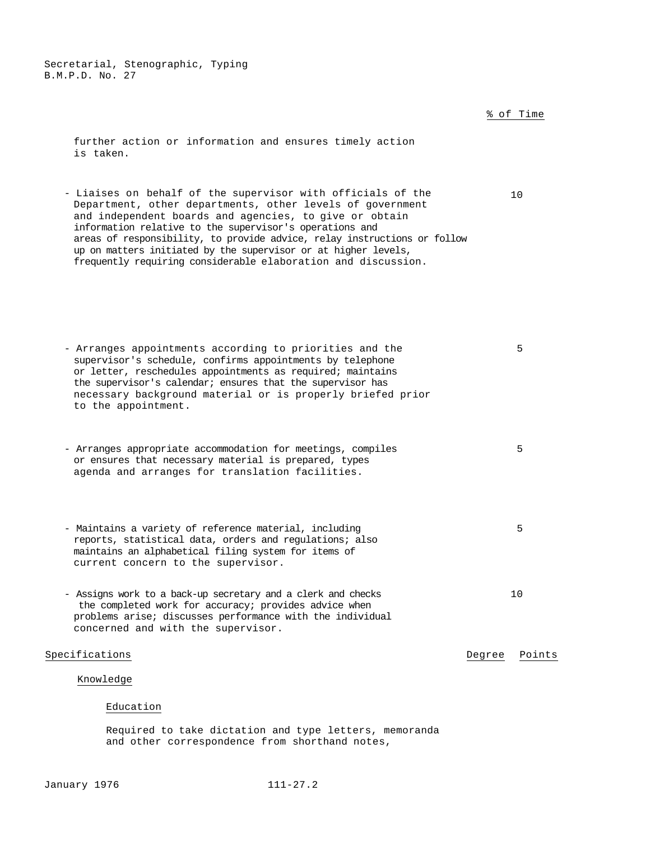% of Time further action or information and ensures timely action is taken. - Liaises on behalf of the supervisor with officials of the Department, other departments, other levels of government and independent boards and agencies, to give or obtain information relative to the supervisor's operations and areas of responsibility, to provide advice, relay instructions or follow up on matters initiated by the supervisor or at higher levels, frequently requiring considerable elaboration and discussion. 10 - Arranges appointments according to priorities and the supervisor's schedule, confirms appointments by telephone or letter, reschedules appointments as required; maintains the supervisor's calendar; ensures that the supervisor has necessary background material or is properly briefed prior to the appointment. 5 - Arranges appropriate accommodation for meetings, compiles or ensures that necessary material is prepared, types agenda and arranges for translation facilities. 5 - Maintains a variety of reference material, including reports, statistical data, orders and regulations; also maintains an alphabetical filing system for items of current concern to the supervisor. 5 - Assigns work to a back-up secretary and a clerk and checks the completed work for accuracy; provides advice when problems arise; discusses performance with the individual concerned and with the supervisor. 10 Specifications **Degree** Points **Degree** Points Knowledge Education

> Required to take dictation and type letters, memoranda and other correspondence from shorthand notes,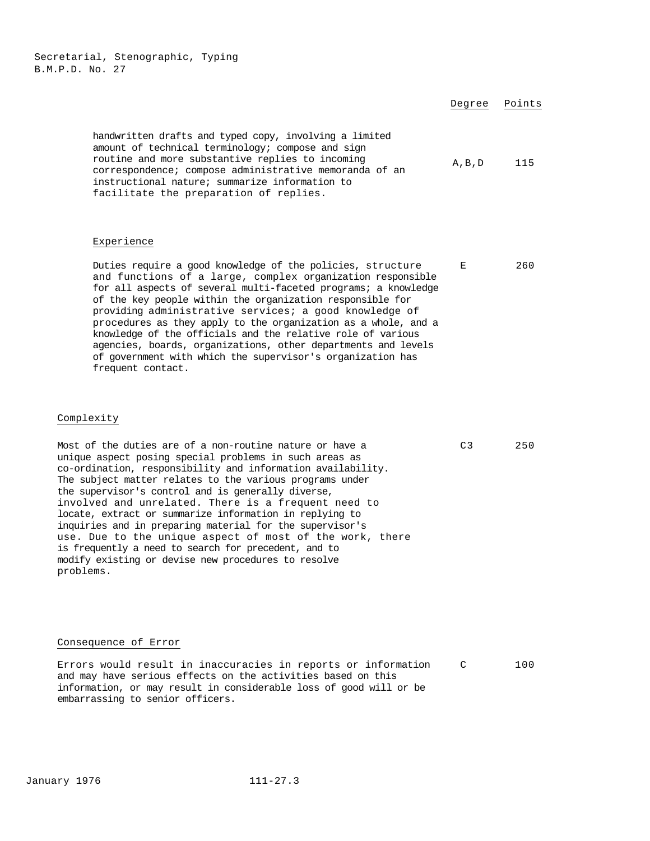|                                                                                                                                                                                                                                                                                                                                                                                                                                                                                                                                                                                                                                                                           | Degree          | Points |
|---------------------------------------------------------------------------------------------------------------------------------------------------------------------------------------------------------------------------------------------------------------------------------------------------------------------------------------------------------------------------------------------------------------------------------------------------------------------------------------------------------------------------------------------------------------------------------------------------------------------------------------------------------------------------|-----------------|--------|
| handwritten drafts and typed copy, involving a limited<br>amount of technical terminology; compose and sign<br>routine and more substantive replies to incoming<br>correspondence; compose administrative memoranda of an<br>instructional nature; summarize information to<br>facilitate the preparation of replies.                                                                                                                                                                                                                                                                                                                                                     | $A$ , $B$ , $D$ | 115    |
| Experience                                                                                                                                                                                                                                                                                                                                                                                                                                                                                                                                                                                                                                                                |                 |        |
| Duties require a good knowledge of the policies, structure<br>and functions of a large, complex organization responsible<br>for all aspects of several multi-faceted programs; a knowledge<br>of the key people within the organization responsible for<br>providing administrative services; a good knowledge of<br>procedures as they apply to the organization as a whole, and a<br>knowledge of the officials and the relative role of various<br>agencies, boards, organizations, other departments and levels<br>of government with which the supervisor's organization has<br>frequent contact.                                                                    | Е               | 260    |
| Complexity                                                                                                                                                                                                                                                                                                                                                                                                                                                                                                                                                                                                                                                                |                 |        |
| Most of the duties are of a non-routine nature or have a<br>unique aspect posing special problems in such areas as<br>co-ordination, responsibility and information availability.<br>The subject matter relates to the various programs under<br>the supervisor's control and is generally diverse,<br>involved and unrelated. There is a frequent need to<br>locate, extract or summarize information in replying to<br>inquiries and in preparing material for the supervisor's<br>use. Due to the unique aspect of most of the work, there<br>is frequently a need to search for precedent, and to<br>modify existing or devise new procedures to resolve<br>problems. | C3              | 250    |
|                                                                                                                                                                                                                                                                                                                                                                                                                                                                                                                                                                                                                                                                           |                 |        |

## Consequence of Error

Errors would result in inaccuracies in reports or information and may have serious effects on the activities based on this information, or may result in considerable loss of good will or be embarrassing to senior officers. C 100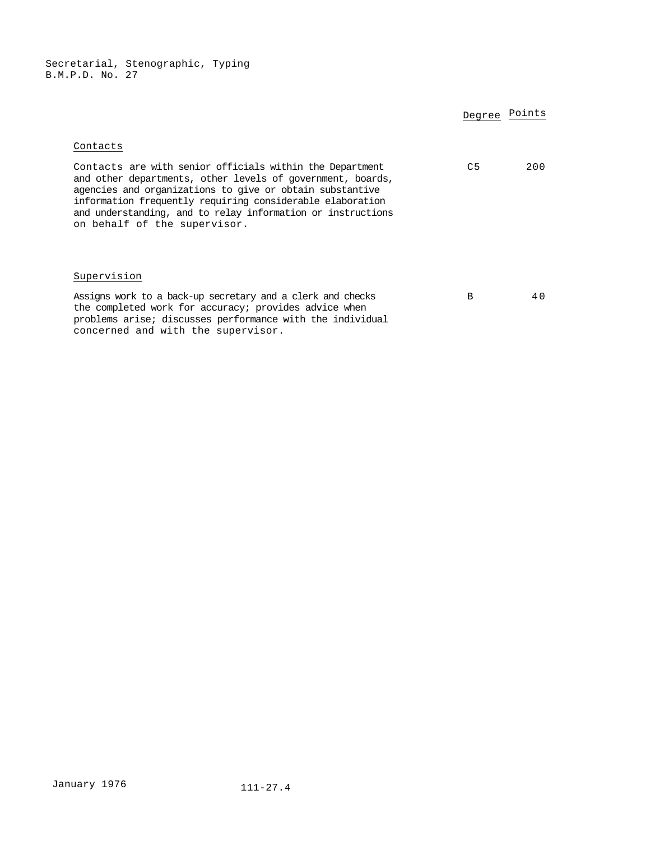|                                                                                                                                                                                                                                                                                                                                                | Degree Points  |     |
|------------------------------------------------------------------------------------------------------------------------------------------------------------------------------------------------------------------------------------------------------------------------------------------------------------------------------------------------|----------------|-----|
| Contacts                                                                                                                                                                                                                                                                                                                                       |                |     |
| Contacts are with senior officials within the Department<br>and other departments, other levels of government, boards,<br>agencies and organizations to give or obtain substantive<br>information frequently requiring considerable elaboration<br>and understanding, and to relay information or instructions<br>on behalf of the supervisor. | C <sub>5</sub> | 200 |
| Supervision                                                                                                                                                                                                                                                                                                                                    |                |     |
| Assigns work to a back-up secretary and a clerk and checks<br>the completed work for accuracy; provides advice when<br>problems arise; discusses performance with the individual<br>concerned and with the supervisor.                                                                                                                         | B              | 40  |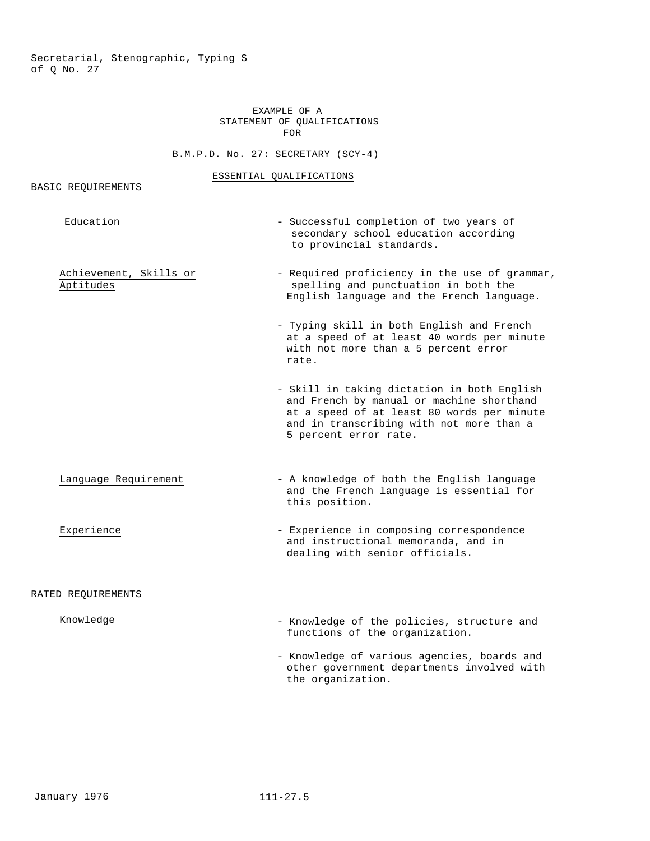## EXAMPLE OF A STATEMENT OF QUALIFICATIONS FOR

## B.M.P.D. No. 27: SECRETARY (SCY-4)

#### ESSENTIAL QUALIFICATIONS

## BASIC REQUIREMENTS

| Education                           | - Successful completion of two years of<br>secondary school education according<br>to provincial standards.                                                                                                 |
|-------------------------------------|-------------------------------------------------------------------------------------------------------------------------------------------------------------------------------------------------------------|
| Achievement, Skills or<br>Aptitudes | - Required proficiency in the use of grammar,<br>spelling and punctuation in both the<br>English language and the French language.                                                                          |
|                                     | - Typing skill in both English and French<br>at a speed of at least 40 words per minute<br>with not more than a 5 percent error<br>rate.                                                                    |
|                                     | - Skill in taking dictation in both English<br>and French by manual or machine shorthand<br>at a speed of at least 80 words per minute<br>and in transcribing with not more than a<br>5 percent error rate. |
| Language Requirement                | - A knowledge of both the English language<br>and the French language is essential for<br>this position.                                                                                                    |
| Experience                          | - Experience in composing correspondence<br>and instructional memoranda, and in<br>dealing with senior officials.                                                                                           |
| RATED REQUIREMENTS                  |                                                                                                                                                                                                             |
| Knowledge                           | - Knowledge of the policies, structure and<br>functions of the organization.                                                                                                                                |
|                                     | - Knowledge of various agencies, boards and<br>other government departments involved with                                                                                                                   |

the organization.